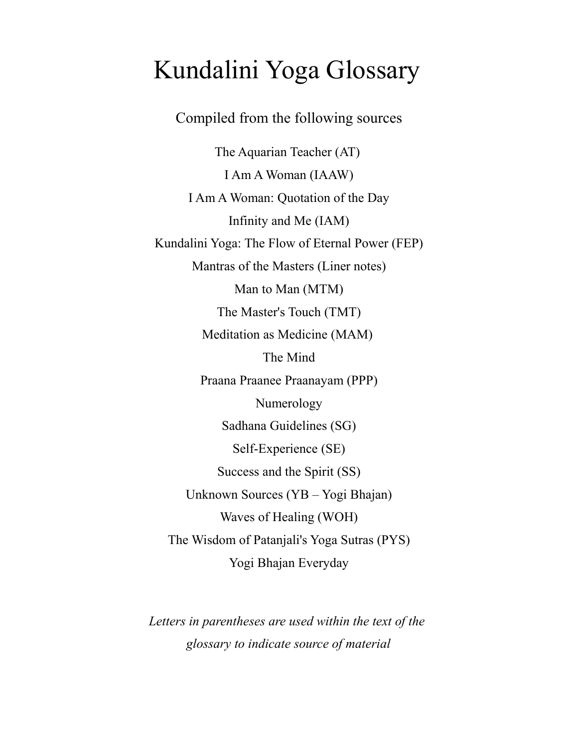# Kundalini Yoga Glossary

# Compiled from the following sources

The Aquarian Teacher (AT) I Am A Woman (IAAW) I Am A Woman: Quotation of the Day Infinity and Me (IAM) Kundalini Yoga: The Flow of Eternal Power (FEP) Mantras of the Masters (Liner notes) Man to Man (MTM) The Master's Touch (TMT) Meditation as Medicine (MAM) The Mind Praana Praanee Praanayam (PPP) Numerology Sadhana Guidelines (SG) Self-Experience (SE) Success and the Spirit (SS) Unknown Sources (YB - Yogi Bhajan) Waves of Healing (WOH) The Wisdom of Patanjali's Yoga Sutras (PYS) Yogi Bhajan Everyday

Letters in parentheses are used within the text of the glossary to indicate source of material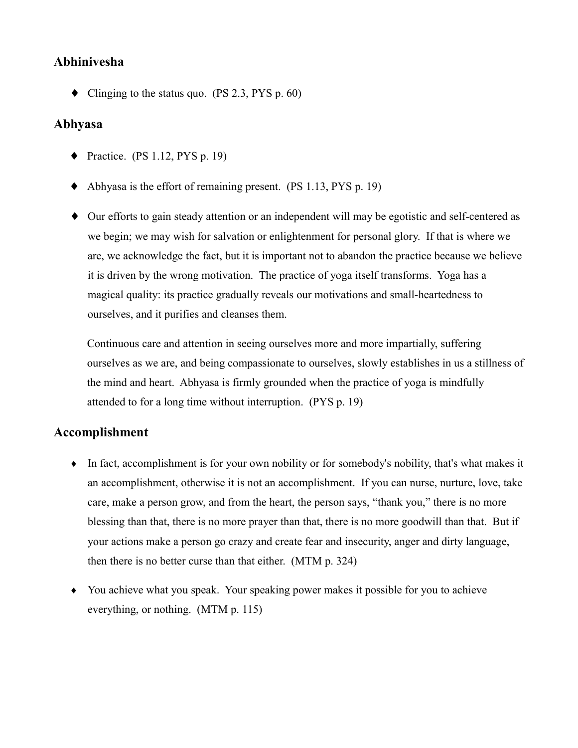## Abhinivesha

• Clinging to the status quo. (PS 2.3, PYS p. 60)

#### Abhyasa

- Practice. (PS 1.12, PYS p. 19)
- $\blacklozenge$  Abhyasa is the effort of remaining present. (PS 1.13, PYS p. 19)
- Our efforts to gain steady attention or an independent will may be egotistic and self-centered as we begin; we may wish for salvation or enlightenment for personal glory. If that is where we are, we acknowledge the fact, but it is important not to abandon the practice because we believe it is driven by the wrong motivation. The practice of yoga itself transforms. Yoga has a magical quality: its practice gradually reveals our motivations and small-heartedness to ourselves, and it purifies and cleanses them.

Continuous care and attention in seeing ourselves more and more impartially, suffering ourselves as we are, and being compassionate to ourselves, slowly establishes in us a stillness of the mind and heart. Abhyasa is firmly grounded when the practice of yoga is mindfully attended to for a long time without interruption. (PYS p. 19)

## **Accomplishment**

- $\bullet$  In fact, accomplishment is for your own nobility or for somebody's nobility, that's what makes it an accomplishment, otherwise it is not an accomplishment. If you can nurse, nurture, love, take care, make a person grow, and from the heart, the person says, "thank you," there is no more blessing than that, there is no more prayer than that, there is no more goodwill than that. But if your actions make a person go crazy and create fear and insecurity, anger and dirty language, then there is no better curse than that either. (MTM p. 324)
- You achieve what you speak. Your speaking power makes it possible for you to achieve everything, or nothing.  $(MTM p. 115)$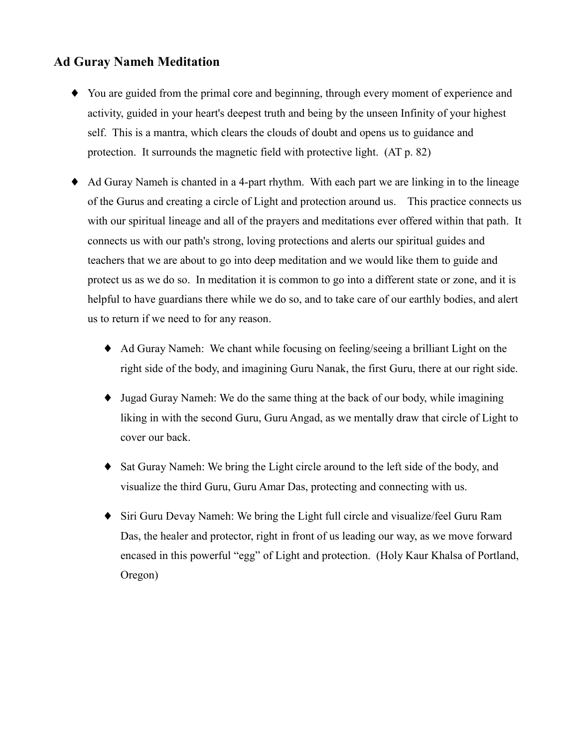# **Ad Guray Nameh Meditation**

- You are guided from the primal core and beginning, through every moment of experience and activity, guided in your heart's deepest truth and being by the unseen Infinity of your highest self. This is a mantra, which clears the clouds of doubt and opens us to guidance and protection. It surrounds the magnetic field with protective light. (AT p. 82)
- Ad Guray Nameh is chanted in a 4-part rhythm. With each part we are linking in to the lineage of the Gurus and creating a circle of Light and protection around us. This practice connects us with our spiritual lineage and all of the prayers and meditations ever offered within that path. It connects us with our path's strong, loving protections and alerts our spiritual guides and teachers that we are about to go into deep meditation and we would like them to guide and protect us as we do so. In meditation it is common to go into a different state or zone, and it is helpful to have guardians there while we do so, and to take care of our earthly bodies, and alert us to return if we need to for any reason.
	- Ad Guray Nameh: We chant while focusing on feeling/seeing a brilliant Light on the right side of the body, and imagining Guru Nanak, the first Guru, there at our right side.
	- Jugad Guray Nameh: We do the same thing at the back of our body, while imagining liking in with the second Guru, Guru Angad, as we mentally draw that circle of Light to cover our back.
	- Sat Guray Nameh: We bring the Light circle around to the left side of the body, and  $\bullet$ visualize the third Guru, Guru Amar Das, protecting and connecting with us.
	- Siri Guru Devay Nameh: We bring the Light full circle and visualize/feel Guru Ram Das, the healer and protector, right in front of us leading our way, as we move forward encased in this powerful "egg" of Light and protection. (Holy Kaur Khalsa of Portland, Oregon)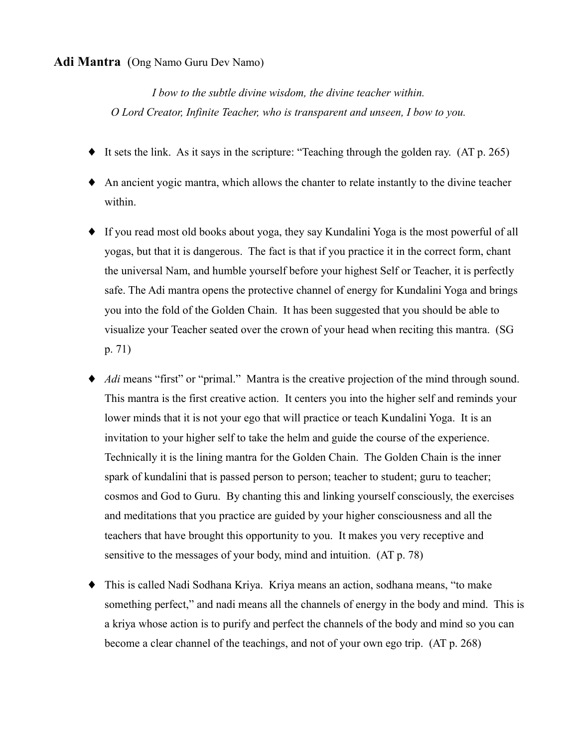#### **Adi Mantra** (Ong Namo Guru Dev Namo)

I bow to the subtle divine wisdom, the divine teacher within. O Lord Creator, Infinite Teacher, who is transparent and unseen, I bow to you.

- $\bullet$  It sets the link. As it says in the scripture: "Teaching through the golden ray. (AT p. 265)
- An ancient yogic mantra, which allows the chanter to relate instantly to the divine teacher within.
- If you read most old books about yoga, they say Kundalini Yoga is the most powerful of all yogas, but that it is dangerous. The fact is that if you practice it in the correct form, chant the universal Nam, and humble yourself before your highest Self or Teacher, it is perfectly safe. The Adi mantra opens the protective channel of energy for Kundalini Yoga and brings you into the fold of the Golden Chain. It has been suggested that you should be able to visualize your Teacher seated over the crown of your head when reciting this mantra. (SG  $p. 71)$
- *Adi* means "first" or "primal." Mantra is the creative projection of the mind through sound. This mantra is the first creative action. It centers you into the higher self and reminds your lower minds that it is not your ego that will practice or teach Kundalini Yoga. It is an invitation to your higher self to take the helm and guide the course of the experience. Technically it is the lining mantra for the Golden Chain. The Golden Chain is the inner spark of kundalini that is passed person to person; teacher to student; guru to teacher; cosmos and God to Guru. By chanting this and linking yourself consciously, the exercises and meditations that you practice are guided by your higher consciousness and all the teachers that have brought this opportunity to you. It makes you very receptive and sensitive to the messages of your body, mind and intuition. (AT p. 78)
- This is called Nadi Sodhana Kriya. Kriya means an action, sodhana means, "to make something perfect," and nadi means all the channels of energy in the body and mind. This is a kriva whose action is to purify and perfect the channels of the body and mind so you can become a clear channel of the teachings, and not of your own ego trip. (AT p. 268)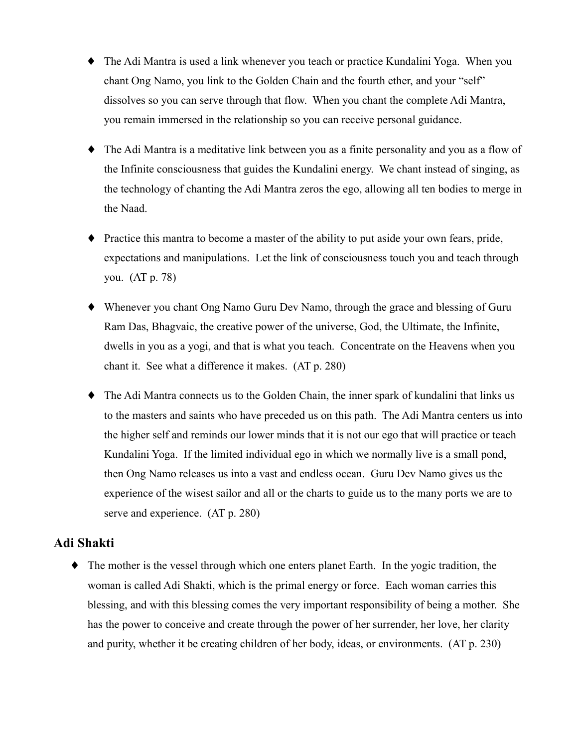- $\bullet$  The Adi Mantra is used a link whenever you teach or practice Kundalini Yoga. When you chant Ong Namo, you link to the Golden Chain and the fourth ether, and your "self" dissolves so you can serve through that flow. When you chant the complete Adi Mantra, you remain immersed in the relationship so you can receive personal guidance.
- $\bullet$  The Adi Mantra is a meditative link between you as a finite personality and you as a flow of the Infinite consciousness that guides the Kundalini energy. We chant instead of singing, as the technology of chanting the Adi Mantra zeros the ego, allowing all ten bodies to merge in the Naad.
- Practice this mantra to become a master of the ability to put aside your own fears, pride, expectations and manipulations. Let the link of consciousness touch you and teach through you.  $(AT p. 78)$
- Whenever you chant Ong Namo Guru Dev Namo, through the grace and blessing of Guru Ram Das, Bhagvaic, the creative power of the universe, God, the Ultimate, the Infinite, dwells in you as a yogi, and that is what you teach. Concentrate on the Heavens when you chant it. See what a difference it makes. (AT p. 280)
- $\bullet$  The Adi Mantra connects us to the Golden Chain, the inner spark of kundalini that links us to the masters and saints who have preceded us on this path. The Adi Mantra centers us into the higher self and reminds our lower minds that it is not our ego that will practice or teach Kundalini Yoga. If the limited individual ego in which we normally live is a small pond, then Ong Namo releases us into a vast and endless ocean. Guru Dev Namo gives us the experience of the wisest sailor and all or the charts to guide us to the many ports we are to serve and experience. (AT p. 280)

## **Adi Shakti**

 $\blacklozenge$  The mother is the vessel through which one enters planet Earth. In the yogic tradition, the woman is called Adi Shakti, which is the primal energy or force. Each woman carries this blessing, and with this blessing comes the very important responsibility of being a mother. She has the power to conceive and create through the power of her surrender, her love, her clarity and purity, whether it be creating children of her body, ideas, or environments. (AT p. 230)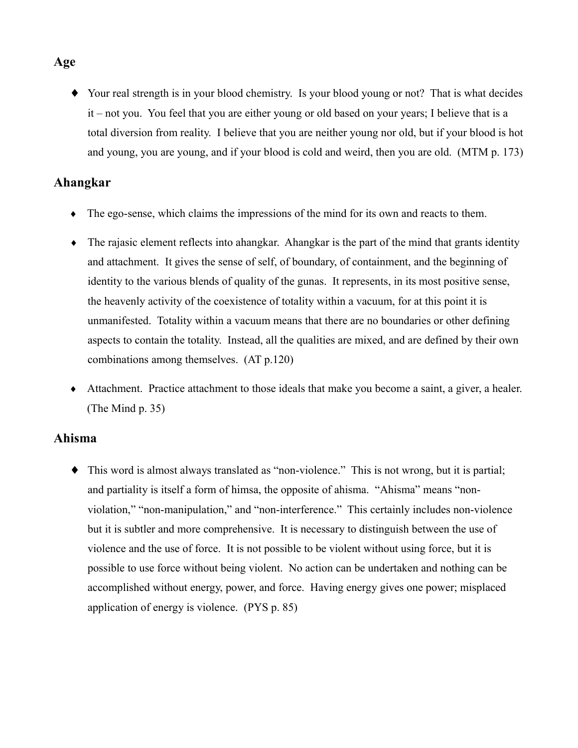• Your real strength is in your blood chemistry. Is your blood young or not? That is what decides it – not you. You feel that you are either young or old based on your years; I believe that is a total diversion from reality. I believe that you are neither young nor old, but if your blood is hot and young, you are young, and if your blood is cold and weird, then you are old. (MTM p. 173)

## Ahangkar

- $\bullet$  The ego-sense, which claims the impressions of the mind for its own and reacts to them.
- $\bullet$  The rajasic element reflects into a hangkar. A hangkar is the part of the mind that grants identity and attachment. It gives the sense of self, of boundary, of containment, and the beginning of identity to the various blends of quality of the gunas. It represents, in its most positive sense, the heavenly activity of the coexistence of totality within a vacuum, for at this point it is unmanifested. Totality within a vacuum means that there are no boundaries or other defining aspects to contain the totality. Instead, all the qualities are mixed, and are defined by their own combinations among themselves. (AT p.120)
- Attachment. Practice attachment to those ideals that make you become a saint, a giver, a healer. (The Mind  $p. 35$ )

## **Ahisma**

• This word is almost always translated as "non-violence." This is not wrong, but it is partial; and partiality is itself a form of himsa, the opposite of ahisma. "Ahisma" means "nonviolation," "non-manipulation," and "non-interference." This certainly includes non-violence but it is subtler and more comprehensive. It is necessary to distinguish between the use of violence and the use of force. It is not possible to be violent without using force, but it is possible to use force without being violent. No action can be undertaken and nothing can be accomplished without energy, power, and force. Having energy gives one power; misplaced application of energy is violence. (PYS p. 85)

## Age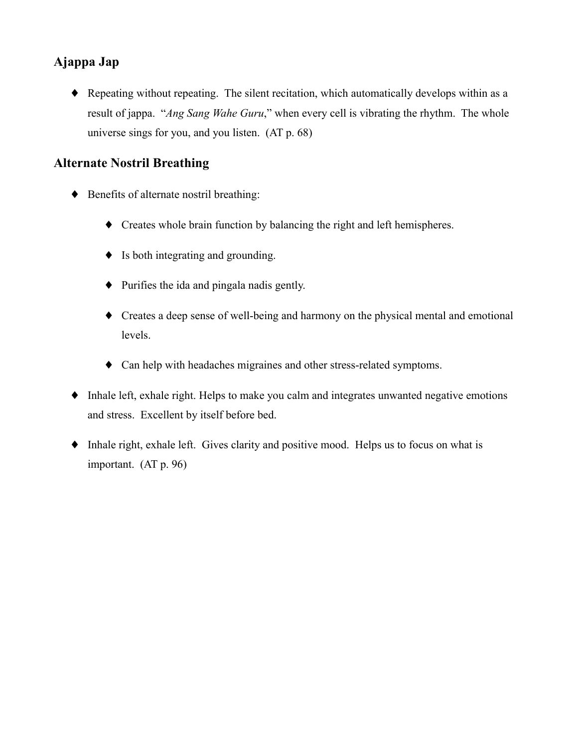# Ajappa Jap

• Repeating without repeating. The silent recitation, which automatically develops within as a result of jappa. "Ang Sang Wahe Guru," when every cell is vibrating the rhythm. The whole universe sings for you, and you listen. (AT p. 68)

# **Alternate Nostril Breathing**

- ♦ Benefits of alternate nostril breathing:
	- Creates whole brain function by balancing the right and left hemispheres.
	- $\bullet$  Is both integrating and grounding.
	- $\bullet$  Purifies the ida and pingala nadis gently.
	- Creates a deep sense of well-being and harmony on the physical mental and emotional levels.
	- Can help with headaches migraines and other stress-related symptoms.
- Inhale left, exhale right. Helps to make you calm and integrates unwanted negative emotions and stress. Excellent by itself before bed.
- Inhale right, exhale left. Gives clarity and positive mood. Helps us to focus on what is important.  $(AT p. 96)$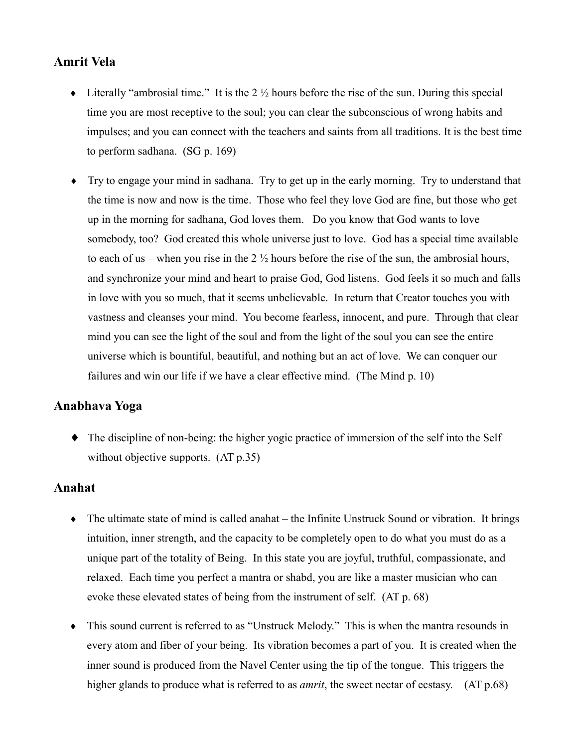## **Amrit Vela**

- Literally "ambrosial time." It is the  $2 \frac{1}{2}$  hours before the rise of the sun. During this special time you are most receptive to the soul; you can clear the subconscious of wrong habits and impulses; and you can connect with the teachers and saints from all traditions. It is the best time to perform sadhana. (SG p. 169)
- Try to engage your mind in sadhana. Try to get up in the early morning. Try to understand that the time is now and now is the time. Those who feel they love God are fine, but those who get up in the morning for sadhana, God loves them. Do you know that God wants to love somebody, too? God created this whole universe just to love. God has a special time available to each of us – when you rise in the  $2\frac{1}{2}$  hours before the rise of the sun, the ambrosial hours, and synchronize your mind and heart to praise God, God listens. God feels it so much and falls in love with you so much, that it seems unbelievable. In return that Creator touches you with vastness and cleanses your mind. You become fearless, innocent, and pure. Through that clear mind you can see the light of the soul and from the light of the soul you can see the entire universe which is bountiful, beautiful, and nothing but an act of love. We can conquer our failures and win our life if we have a clear effective mind. (The Mind p. 10)

## Anabhava Yoga

• The discipline of non-being: the higher yogic practice of immersion of the self into the Self without objective supports.  $(AT p.35)$ 

## **Anahat**

- The ultimate state of mind is called anahat the Infinite Unstruck Sound or vibration. It brings intuition, inner strength, and the capacity to be completely open to do what you must do as a unique part of the totality of Being. In this state you are joyful, truthful, compassionate, and relaxed. Each time you perfect a mantra or shabd, you are like a master musician who can evoke these elevated states of being from the instrument of self. (AT p. 68)
- This sound current is referred to as "Unstruck Melody." This is when the mantra resounds in every atom and fiber of your being. Its vibration becomes a part of you. It is created when the inner sound is produced from the Navel Center using the tip of the tongue. This triggers the higher glands to produce what is referred to as *amrit*, the sweet nectar of ecstasy. (AT p.68)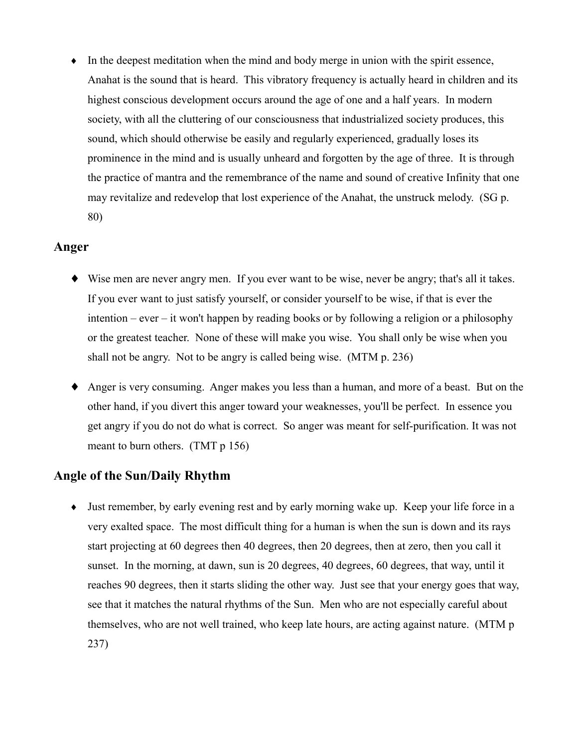In the deepest meditation when the mind and body merge in union with the spirit essence,  $\blacklozenge$ Anahat is the sound that is heard. This vibratory frequency is actually heard in children and its highest conscious development occurs around the age of one and a half years. In modern society, with all the cluttering of our consciousness that industrialized society produces, this sound, which should otherwise be easily and regularly experienced, gradually loses its prominence in the mind and is usually unheard and forgotten by the age of three. It is through the practice of mantra and the remembrance of the name and sound of creative Infinity that one may revitalize and redevelop that lost experience of the Anahat, the unstruck melody. (SG p. 80)

#### Anger

- Wise men are never angry men. If you ever want to be wise, never be angry; that's all it takes. If you ever want to just satisfy yourself, or consider yourself to be wise, if that is ever the  $\phi$  intention – ever – it won't happen by reading books or by following a religion or a philosophy or the greatest teacher. None of these will make you wise. You shall only be wise when you shall not be angry. Not to be angry is called being wise. (MTM p. 236)
- Anger is very consuming. Anger makes you less than a human, and more of a beast. But on the other hand, if you divert this anger toward your weaknesses, you'll be perfect. In essence you get angry if you do not do what is correct. So anger was meant for self-purification. It was not meant to burn others. (TMT  $p$  156)

## **Angle of the Sun/Daily Rhythm**

 $\bullet$  Just remember, by early evening rest and by early morning wake up. Keep your life force in a very exalted space. The most difficult thing for a human is when the sun is down and its rays start projecting at 60 degrees then 40 degrees, then 20 degrees, then at zero, then you call it sunset. In the morning, at dawn, sun is 20 degrees, 40 degrees, 60 degrees, that way, until it reaches 90 degrees, then it starts sliding the other way. Just see that your energy goes that way, see that it matches the natural rhythms of the Sun. Men who are not especially careful about themselves, who are not well trained, who keep late hours, are acting against nature. (MTM p 237)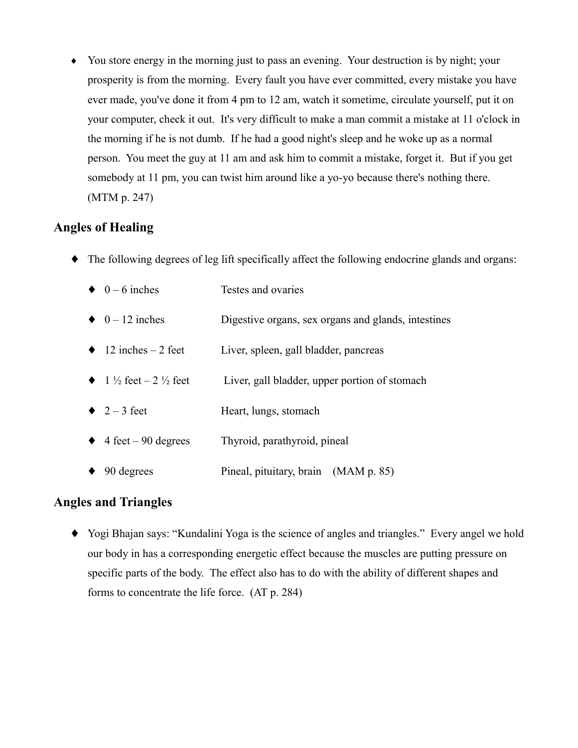You store energy in the morning just to pass an evening. Your destruction is by night; your  $\blacklozenge$ prosperity is from the morning. Every fault you have ever committed, every mistake you have ever made, you've done it from 4 pm to 12 am, watch it sometime, circulate yourself, put it on your computer, check it out. It's very difficult to make a man commit a mistake at 11 o'clock in the morning if he is not dumb. If he had a good night's sleep and he woke up as a normal person. You meet the guy at 11 am and ask him to commit a mistake, forget it. But if you get somebody at 11 pm, you can twist him around like a yo-yo because there's nothing there. (MTM p. 247)

# **Angles of Healing**

 $\bullet$  The following degrees of leg lift specifically affect the following endocrine glands and organs:

|           | $\bullet$ 0 – 6 inches                     | Testes and ovaries                                  |
|-----------|--------------------------------------------|-----------------------------------------------------|
|           | $\bullet$ 0 – 12 inches                    | Digestive organs, sex organs and glands, intestines |
|           | $\bullet$ 12 inches – 2 feet               | Liver, spleen, gall bladder, pancreas               |
|           | • $1\frac{1}{2}$ feet $-2\frac{1}{2}$ feet | Liver, gall bladder, upper portion of stomach       |
|           | $\bullet$ 2 - 3 feet                       | Heart, lungs, stomach                               |
|           | $\triangle$ 4 feet – 90 degrees            | Thyroid, parathyroid, pineal                        |
| $\bullet$ | 90 degrees                                 | Pineal, pituitary, brain (MAM p. 85)                |

## **Angles and Triangles**

• Yogi Bhajan says: "Kundalini Yoga is the science of angles and triangles." Every angel we hold our body in has a corresponding energetic effect because the muscles are putting pressure on specific parts of the body. The effect also has to do with the ability of different shapes and forms to concentrate the life force. (AT p. 284)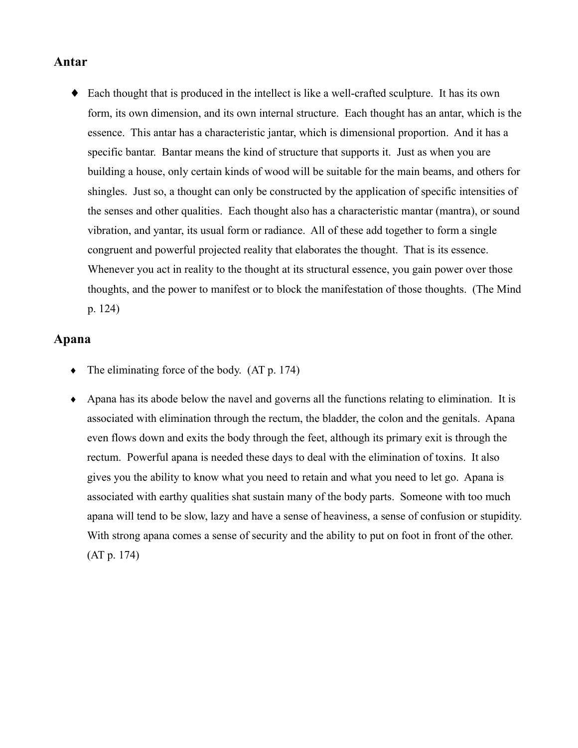#### Antar

• Each thought that is produced in the intellect is like a well-crafted sculpture. It has its own form, its own dimension, and its own internal structure. Each thought has an antar, which is the essence. This antar has a characteristic jantar, which is dimensional proportion. And it has a specific bantar. Bantar means the kind of structure that supports it. Just as when you are building a house, only certain kinds of wood will be suitable for the main beams, and others for shingles. Just so, a thought can only be constructed by the application of specific intensities of the senses and other qualities. Each thought also has a characteristic mantar (mantra), or sound vibration, and yantar, its usual form or radiance. All of these add together to form a single congruent and powerful projected reality that elaborates the thought. That is its essence. Whenever you act in reality to the thought at its structural essence, you gain power over those thoughts, and the power to manifest or to block the manifestation of those thoughts. (The Mind  $p. 124)$ 

#### Apana

- The eliminating force of the body. (AT p. 174)  $\ddot{\bullet}$
- Apana has its abode below the navel and governs all the functions relating to elimination. It is associated with elimination through the rectum, the bladder, the colon and the genitals. Apana even flows down and exits the body through the feet, although its primary exit is through the rectum. Powerful apana is needed these days to deal with the elimination of toxins. It also gives you the ability to know what you need to retain and what you need to let go. Apana is associated with earthy qualities shat sustain many of the body parts. Someone with too much apana will tend to be slow, lazy and have a sense of heaviness, a sense of confusion or stupidity. With strong apana comes a sense of security and the ability to put on foot in front of the other.  $(AT p. 174)$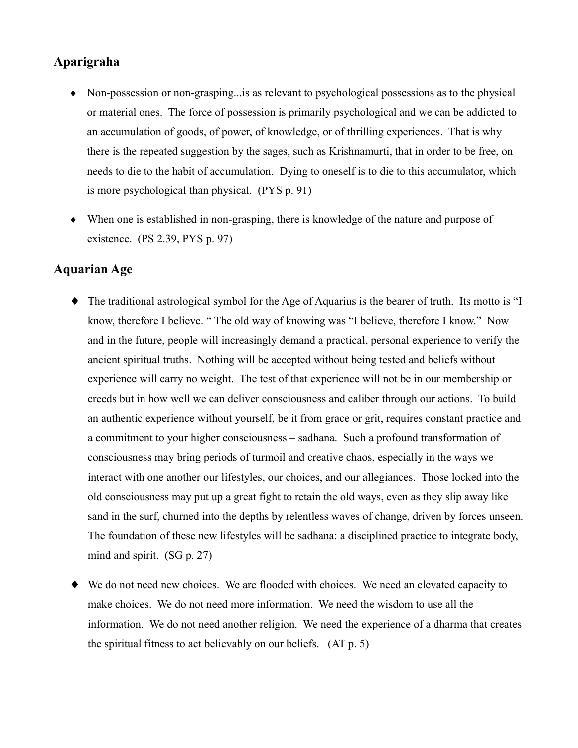# Aparigraha

- Non-possession or non-grasping... is as relevant to psychological possessions as to the physical or material ones. The force of possession is primarily psychological and we can be addicted to an accumulation of goods, of power, of knowledge, or of thrilling experiences. That is why there is the repeated suggestion by the sages, such as Krishnamurti, that in order to be free, on needs to die to the habit of accumulation. Dying to oneself is to die to this accumulator, which is more psychological than physical. (PYS p. 91)
- $\bullet$  When one is established in non-grasping, there is knowledge of the nature and purpose of existence.  $(PS 2.39, PYS p. 97)$

## **Aquarian Age**

- The traditional astrological symbol for the Age of Aquarius is the bearer of truth. Its motto is "I know, therefore I believe. "The old way of knowing was "I believe, therefore I know." Now and in the future, people will increasingly demand a practical, personal experience to verify the ancient spiritual truths. Nothing will be accepted without being tested and beliefs without experience will carry no weight. The test of that experience will not be in our membership or creeds but in how well we can deliver consciousness and caliber through our actions. To build an authentic experience without yourself, be it from grace or grit, requires constant practice and a commitment to your higher consciousness – sadhana. Such a profound transformation of consciousness may bring periods of turmoil and creative chaos, especially in the ways we interact with one another our lifestyles, our choices, and our allegiances. Those locked into the old consciousness may put up a great fight to retain the old ways, even as they slip away like sand in the surf, churned into the depths by relentless waves of change, driven by forces unseen. The foundation of these new lifestyles will be sadhana: a disciplined practice to integrate body, mind and spirit.  $(SG p. 27)$
- $\blacklozenge$  We do not need new choices. We are flooded with choices. We need an elevated capacity to make choices. We do not need more information. We need the wisdom to use all the information. We do not need another religion. We need the experience of a dharma that creates the spiritual fitness to act believably on our beliefs. (AT p. 5)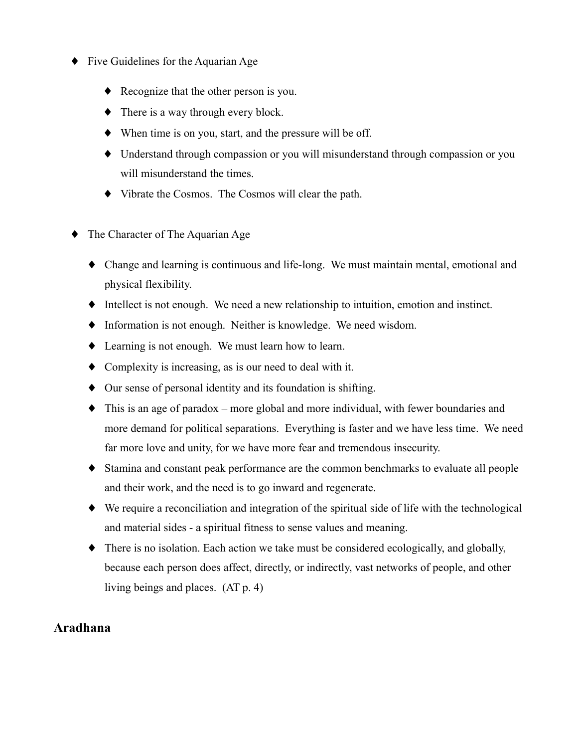- Five Guidelines for the Aquarian Age
	- Recognize that the other person is you.
	- There is a way through every block.
	- When time is on you, start, and the pressure will be off.
	- $\blacklozenge$  Understand through compassion or you will misunderstand through compassion or you will misunderstand the times.
	- Vibrate the Cosmos. The Cosmos will clear the path.
- The Character of The Aquarian Age
	- Change and learning is continuous and life-long. We must maintain mental, emotional and physical flexibility.
	- Intellect is not enough. We need a new relationship to intuition, emotion and instinct.
	- Information is not enough. Neither is knowledge. We need wisdom.
	- Learning is not enough. We must learn how to learn.
	- Complexity is increasing, as is our need to deal with it.
	- Our sense of personal identity and its foundation is shifting.
	- This is an age of paradox more global and more individual, with fewer boundaries and more demand for political separations. Everything is faster and we have less time. We need far more love and unity, for we have more fear and tremendous insecurity.
	- Stamina and constant peak performance are the common benchmarks to evaluate all people and their work, and the need is to go inward and regenerate.
	- We require a reconciliation and integration of the spiritual side of life with the technological and material sides - a spiritual fitness to sense values and meaning.
	- There is no isolation. Each action we take must be considered ecologically, and globally, because each person does affect, directly, or indirectly, vast networks of people, and other living beings and places.  $(AT p. 4)$

## Aradhana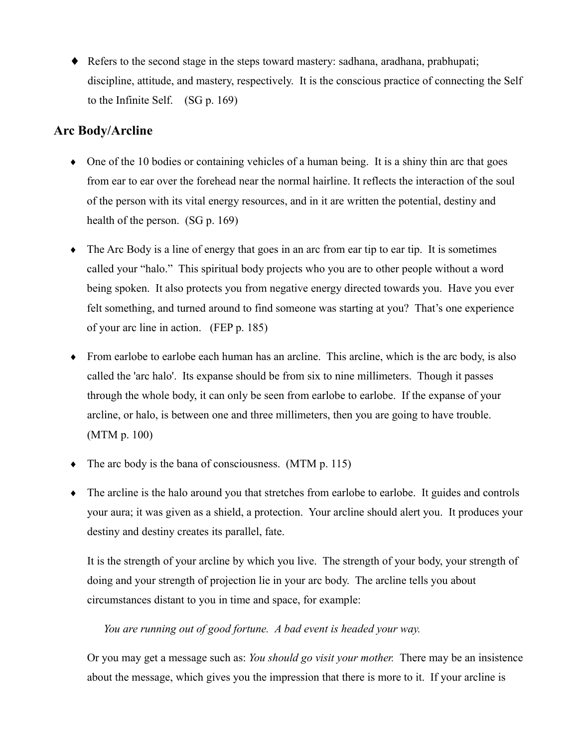• Refers to the second stage in the steps toward mastery: sadhana, aradhana, prabhupati; discipline, attitude, and mastery, respectively. It is the conscious practice of connecting the Self to the Infinite Self.  $(SG p. 169)$ 

## **Arc Bodv/Arcline**

- $\bullet$  One of the 10 bodies or containing vehicles of a human being. It is a shiny thin arc that goes from ear to ear over the forehead near the normal hairline. It reflects the interaction of the soul of the person with its vital energy resources, and in it are written the potential, destiny and health of the person.  $(SG p. 169)$
- The Arc Body is a line of energy that goes in an arc from ear tip to ear tip. It is sometimes called your "halo." This spiritual body projects who you are to other people without a word being spoken. It also protects you from negative energy directed towards you. Have you ever felt something, and turned around to find someone was starting at you? That's one experience of your arc line in action. (FEP p. 185)
- From earlobe to earlobe each human has an arcline. This arcline, which is the arc body, is also called the 'arc halo'. Its expanse should be from six to nine millimeters. Though it passes through the whole body, it can only be seen from earlobe to earlobe. If the expanse of your arcline, or halo, is between one and three millimeters, then you are going to have trouble. (MTM p. 100)
- $\bullet$  The arc body is the bana of consciousness. (MTM p. 115)
- The arcline is the halo around you that stretches from earlobe to earlobe. It guides and controls your aura; it was given as a shield, a protection. Your arcline should alert you. It produces your destiny and destiny creates its parallel, fate.

It is the strength of your arcline by which you live. The strength of your body, your strength of doing and your strength of projection lie in your arc body. The arcline tells you about circumstances distant to you in time and space, for example:

You are running out of good fortune. A bad event is headed your way.

Or you may get a message such as: You should go visit your mother. There may be an insistence about the message, which gives you the impression that there is more to it. If your arcline is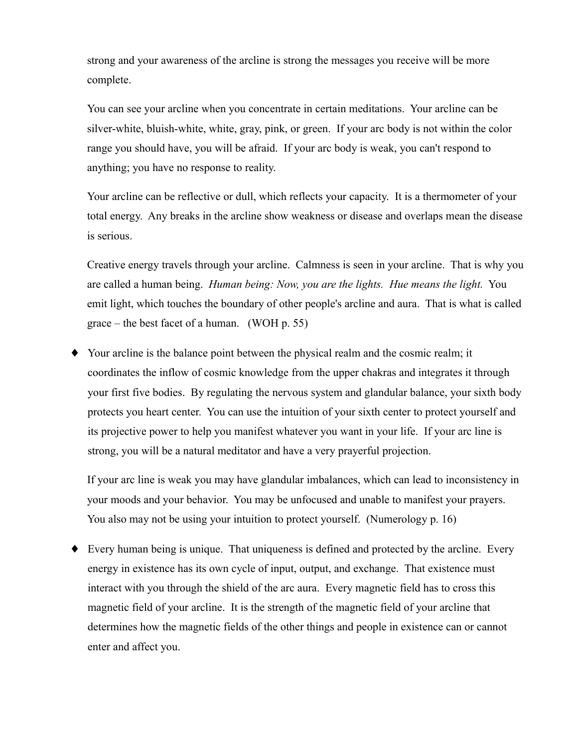strong and your awareness of the arcline is strong the messages you receive will be more complete.

You can see your arcline when you concentrate in certain meditations. Your arcline can be silver-white, bluish-white, white, gray, pink, or green. If your arc body is not within the color range you should have, you will be afraid. If your arc body is weak, you can't respond to anything; you have no response to reality.

Your arcline can be reflective or dull, which reflects your capacity. It is a thermometer of your total energy. Any breaks in the arcline show weakness or disease and overlaps mean the disease is serious.

Creative energy travels through your arcline. Calmness is seen in your arcline. That is why you are called a human being. *Human being: Now, you are the lights. Hue means the light.* You emit light, which touches the boundary of other people's arcline and aura. That is what is called  $\text{grace} - \text{the best facet of a human.}$  (WOH p. 55)

Your arcline is the balance point between the physical realm and the cosmic realm; it  $\blacklozenge$ coordinates the inflow of cosmic knowledge from the upper chakras and integrates it through your first five bodies. By regulating the nervous system and glandular balance, your sixth body protects you heart center. You can use the intuition of your sixth center to protect yourself and its projective power to help you manifest whatever you want in your life. If your arc line is strong, you will be a natural meditator and have a very prayerful projection.

If your arc line is weak you may have glandular imbalances, which can lead to inconsistency in your moods and your behavior. You may be unfocused and unable to manifest your prayers. You also may not be using your intuition to protect yourself. (Numerology p. 16)

• Every human being is unique. That uniqueness is defined and protected by the arcline. Every energy in existence has its own cycle of input, output, and exchange. That existence must interact with you through the shield of the arc aura. Every magnetic field has to cross this magnetic field of your arcline. It is the strength of the magnetic field of your arcline that determines how the magnetic fields of the other things and people in existence can or cannot enter and affect you.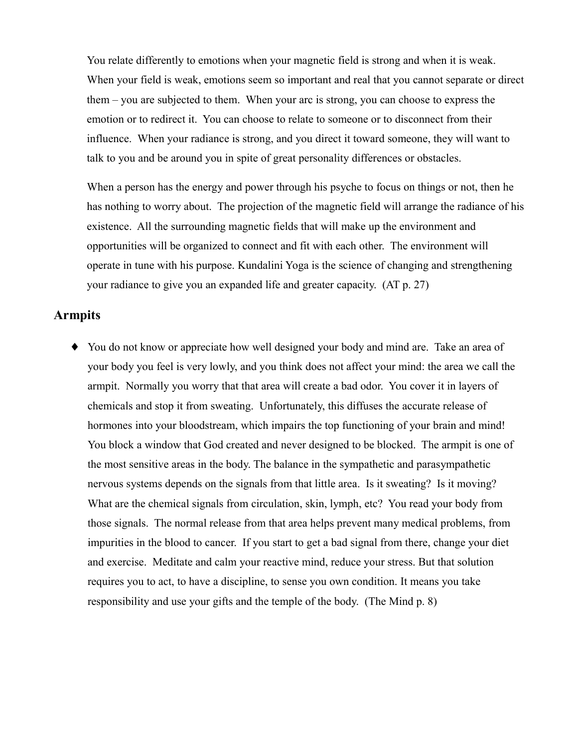You relate differently to emotions when your magnetic field is strong and when it is weak. When your field is weak, emotions seem so important and real that you cannot separate or direct them – you are subjected to them. When your arc is strong, you can choose to express the emotion or to redirect it. You can choose to relate to someone or to disconnect from their influence. When your radiance is strong, and you direct it toward someone, they will want to talk to you and be around you in spite of great personality differences or obstacles.

When a person has the energy and power through his psyche to focus on things or not, then he has nothing to worry about. The projection of the magnetic field will arrange the radiance of his existence. All the surrounding magnetic fields that will make up the environment and opportunities will be organized to connect and fit with each other. The environment will operate in tune with his purpose. Kundalini Yoga is the science of changing and strengthening your radiance to give you an expanded life and greater capacity. (AT p. 27)

#### **Armpits**

• You do not know or appreciate how well designed your body and mind are. Take an area of your body you feel is very lowly, and you think does not affect your mind: the area we call the armpit. Normally you worry that that area will create a bad odor. You cover it in layers of chemicals and stop it from sweating. Unfortunately, this diffuses the accurate release of hormones into your bloodstream, which impairs the top functioning of your brain and mind! You block a window that God created and never designed to be blocked. The armpit is one of the most sensitive areas in the body. The balance in the sympathetic and parasympathetic nervous systems depends on the signals from that little area. Is it sweating? Is it moving? What are the chemical signals from circulation, skin, lymph, etc? You read your body from those signals. The normal release from that area helps prevent many medical problems, from impurities in the blood to cancer. If you start to get a bad signal from there, change your diet and exercise. Meditate and calm your reactive mind, reduce your stress. But that solution requires you to act, to have a discipline, to sense you own condition. It means you take responsibility and use your gifts and the temple of the body. (The Mind p. 8)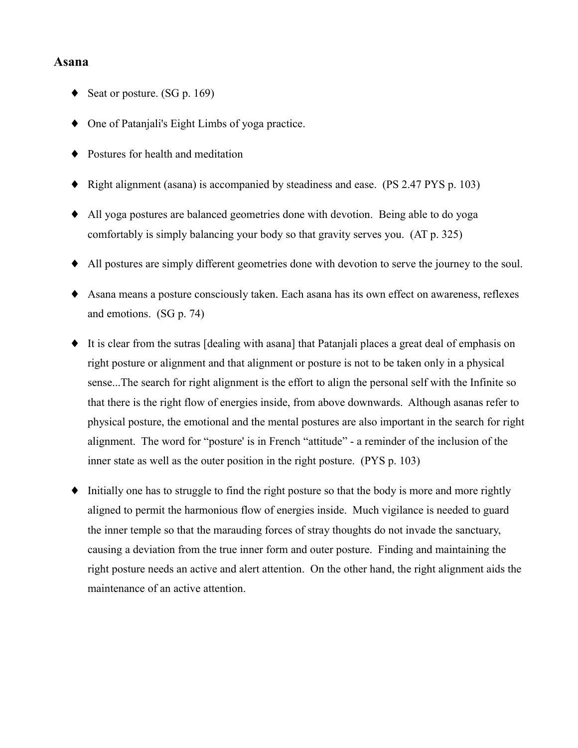#### Asana

- Seat or posture. (SG p. 169)
- One of Patanjali's Eight Limbs of yoga practice.
- Postures for health and meditation
- Right alignment (asana) is accompanied by steadiness and ease.  $(PS 2.47 PYS p. 103)$
- All yoga postures are balanced geometries done with devotion. Being able to do yoga comfortably is simply balancing your body so that gravity serves you. (AT p. 325)
- All postures are simply different geometries done with devotion to serve the journey to the soul.
- Asana means a posture consciously taken. Each asana has its own effect on awareness, reflexes and emotions.  $(SG p. 74)$
- It is clear from the sutras [dealing with asana] that Pataniali places a great deal of emphasis on right posture or alignment and that alignment or posture is not to be taken only in a physical sense...The search for right alignment is the effort to align the personal self with the Infinite so that there is the right flow of energies inside, from above downwards. Although asanas refer to physical posture, the emotional and the mental postures are also important in the search for right alignment. The word for "posture' is in French "attitude" - a reminder of the inclusion of the inner state as well as the outer position in the right posture. (PYS p. 103)
- Initially one has to struggle to find the right posture so that the body is more and more rightly  $\blacklozenge$ aligned to permit the harmonious flow of energies inside. Much vigilance is needed to guard the inner temple so that the marauding forces of stray thoughts do not invade the sanctuary, causing a deviation from the true inner form and outer posture. Finding and maintaining the right posture needs an active and alert attention. On the other hand, the right alignment aids the maintenance of an active attention.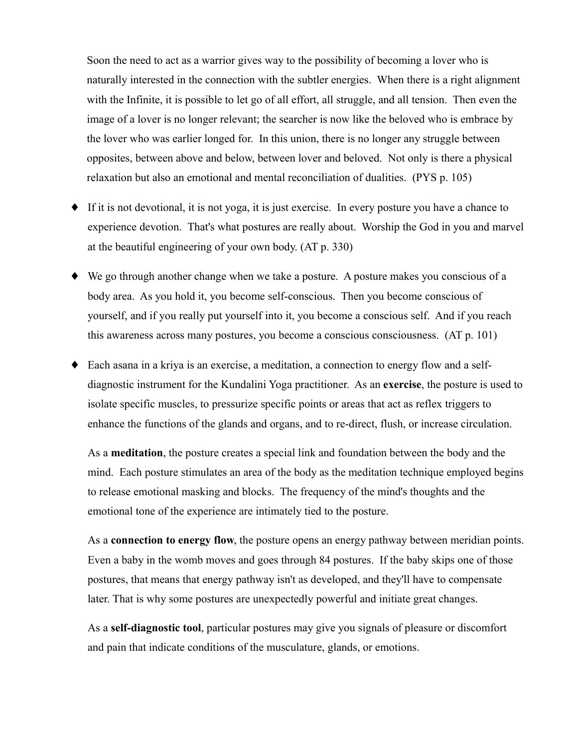Soon the need to act as a warrior gives way to the possibility of becoming a lover who is naturally interested in the connection with the subtler energies. When there is a right alignment with the Infinite, it is possible to let go of all effort, all struggle, and all tension. Then even the image of a lover is no longer relevant; the searcher is now like the beloved who is embrace by the lover who was earlier longed for. In this union, there is no longer any struggle between opposites, between above and below, between lover and beloved. Not only is there a physical relaxation but also an emotional and mental reconciliation of dualities. (PYS p. 105)

- $\bullet$  If it is not devotional, it is not yoga, it is just exercise. In every posture you have a chance to experience devotion. That's what postures are really about. Worship the God in you and marvel at the beautiful engineering of your own body. (AT p. 330)
- $\blacklozenge$  We go through another change when we take a posture. A posture makes you conscious of a body area. As you hold it, you become self-conscious. Then you become conscious of yourself, and if you really put yourself into it, you become a conscious self. And if you reach this awareness across many postures, you become a conscious consciousness. (AT p. 101)
- Each asana in a kriva is an exercise, a meditation, a connection to energy flow and a selfdiagnostic instrument for the Kundalini Yoga practitioner. As an exercise, the posture is used to isolate specific muscles, to pressurize specific points or areas that act as reflex triggers to enhance the functions of the glands and organs, and to re-direct, flush, or increase circulation.

As a **meditation**, the posture creates a special link and foundation between the body and the mind. Each posture stimulates an area of the body as the meditation technique employed begins to release emotional masking and blocks. The frequency of the mind's thoughts and the emotional tone of the experience are intimately tied to the posture.

As a connection to energy flow, the posture opens an energy pathway between meridian points. Even a baby in the womb moves and goes through 84 postures. If the baby skips one of those postures, that means that energy pathway isn't as developed, and they'll have to compensate later. That is why some postures are unexpectedly powerful and initiate great changes.

As a self-diagnostic tool, particular postures may give you signals of pleasure or discomfort and pain that indicate conditions of the musculature, glands, or emotions.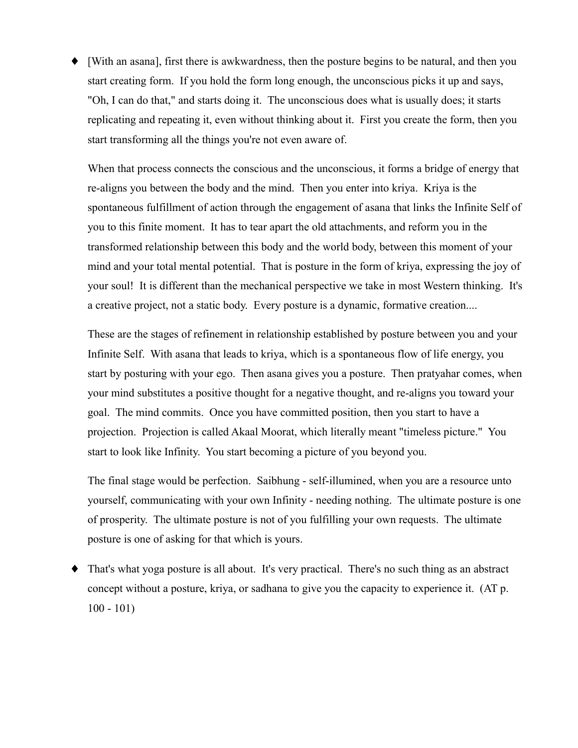• [With an asana], first there is awkwardness, then the posture begins to be natural, and then you start creating form. If you hold the form long enough, the unconscious picks it up and says, "Oh, I can do that," and starts doing it. The unconscious does what is usually does; it starts replicating and repeating it, even without thinking about it. First you create the form, then you start transforming all the things you're not even aware of.

When that process connects the conscious and the unconscious, it forms a bridge of energy that re-aligns you between the body and the mind. Then you enter into kriya. Kriya is the spontaneous fulfillment of action through the engagement of asana that links the Infinite Self of you to this finite moment. It has to tear apart the old attachments, and reform you in the transformed relationship between this body and the world body, between this moment of your mind and your total mental potential. That is posture in the form of kriva, expressing the joy of your soul! It is different than the mechanical perspective we take in most Western thinking. It's a creative project, not a static body. Every posture is a dynamic, formative creation....

These are the stages of refinement in relationship established by posture between you and your Infinite Self. With asana that leads to kriva, which is a spontaneous flow of life energy, you start by posturing with your ego. Then asana gives you a posture. Then pratyahar comes, when your mind substitutes a positive thought for a negative thought, and re-aligns you toward your goal. The mind commits. Once you have committed position, then you start to have a projection. Projection is called Akaal Moorat, which literally meant "timeless picture." You start to look like Infinity. You start becoming a picture of you beyond you.

The final stage would be perfection. Saibhung - self-illumined, when you are a resource unto yourself, communicating with your own Infinity - needing nothing. The ultimate posture is one of prosperity. The ultimate posture is not of you fulfilling your own requests. The ultimate posture is one of asking for that which is yours.

That's what yoga posture is all about. It's very practical. There's no such thing as an abstract ٠ concept without a posture, kriva, or sadhana to give you the capacity to experience it. (AT p.  $100 - 101$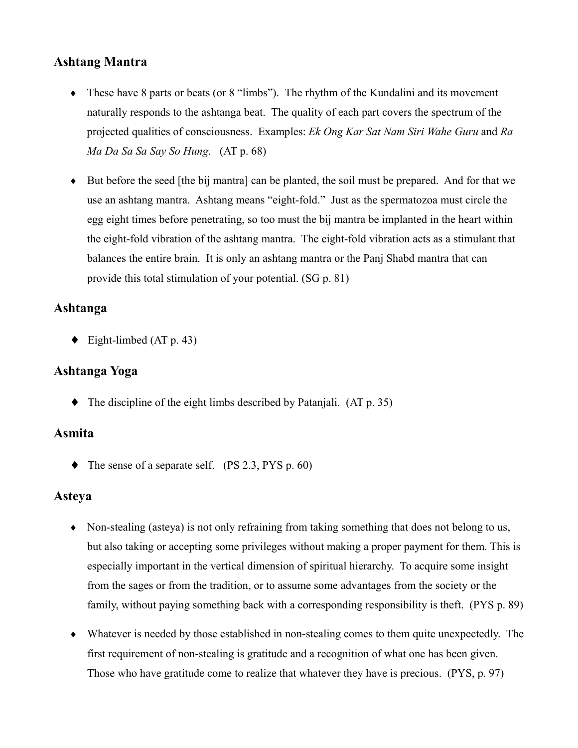# **Ashtang Mantra**

- $\bullet$  These have 8 parts or beats (or 8 "limbs"). The rhythm of the Kundalini and its movement naturally responds to the ashtanga beat. The quality of each part covers the spectrum of the projected qualities of consciousness. Examples: Ek Ong Kar Sat Nam Siri Wahe Guru and Ra Ma Da Sa Sa Say So Hung. (AT p. 68)
- $\bullet$  But before the seed [the bij mantra] can be planted, the soil must be prepared. And for that we use an ashtang mantra. Ashtang means "eight-fold." Just as the spermatozoa must circle the egg eight times before penetrating, so too must the bij mantra be implanted in the heart within the eight-fold vibration of the ashtang mantra. The eight-fold vibration acts as a stimulant that balances the entire brain. It is only an ashtang mantra or the Panj Shabd mantra that can provide this total stimulation of your potential. (SG p. 81)

## Ashtanga

 $\blacklozenge$  Eight-limbed (AT p. 43)

# Ashtanga Yoga

 $\blacklozenge$  The discipline of the eight limbs described by Patanjali. (AT p. 35)

## **Asmita**

 $\blacklozenge$  The sense of a separate self. (PS 2.3, PYS p. 60)

## **Asteva**

- Non-stealing (asteva) is not only refraining from taking something that does not belong to us, but also taking or accepting some privileges without making a proper payment for them. This is especially important in the vertical dimension of spiritual hierarchy. To acquire some insight from the sages or from the tradition, or to assume some advantages from the society or the family, without paying something back with a corresponding responsibility is theft. (PYS p. 89)
- Whatever is needed by those established in non-stealing comes to them quite unexpectedly. The first requirement of non-stealing is gratitude and a recognition of what one has been given. Those who have gratitude come to realize that whatever they have is precious. (PYS, p. 97)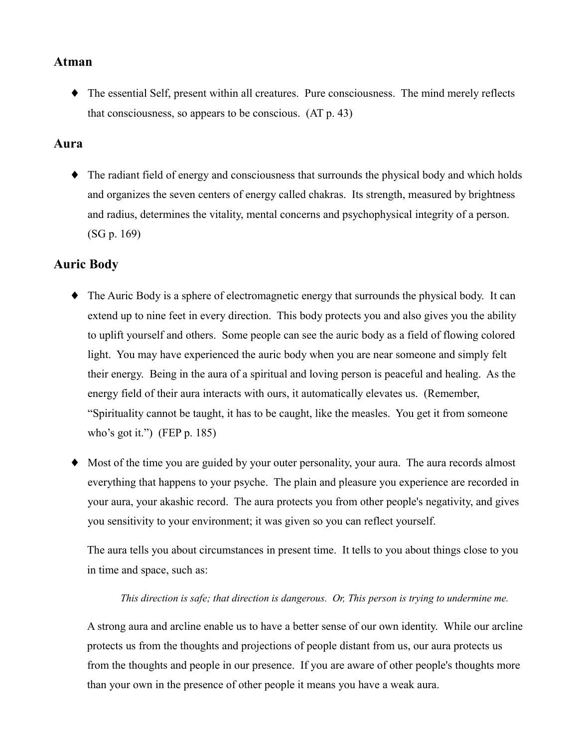#### **Atman**

• The essential Self, present within all creatures. Pure consciousness. The mind merely reflects that consciousness, so appears to be conscious.  $(AT p. 43)$ 

#### Aura

• The radiant field of energy and consciousness that surrounds the physical body and which holds and organizes the seven centers of energy called chakras. Its strength, measured by brightness and radius, determines the vitality, mental concerns and psychophysical integrity of a person.  $(SG p. 169)$ 

## **Auric Body**

- The Auric Body is a sphere of electromagnetic energy that surrounds the physical body. It can extend up to nine feet in every direction. This body protects you and also gives you the ability to uplift yourself and others. Some people can see the auric body as a field of flowing colored light. You may have experienced the auric body when you are near someone and simply felt their energy. Being in the aura of a spiritual and loving person is peaceful and healing. As the energy field of their aura interacts with ours, it automatically elevates us. (Remember, "Spirituality cannot be taught, it has to be caught, like the measles. You get it from someone who's got it.") (FEP  $p. 185$ )
- Most of the time you are guided by your outer personality, your aura. The aura records almost everything that happens to your psyche. The plain and pleasure you experience are recorded in your aura, your akashic record. The aura protects you from other people's negativity, and gives you sensitivity to your environment; it was given so you can reflect yourself.

The aura tells you about circumstances in present time. It tells to you about things close to you in time and space, such as:

#### This direction is safe; that direction is dangerous. Or, This person is trying to undermine me.

A strong aura and arcline enable us to have a better sense of our own identity. While our arcline protects us from the thoughts and projections of people distant from us, our aura protects us from the thoughts and people in our presence. If you are aware of other people's thoughts more than your own in the presence of other people it means you have a weak aura.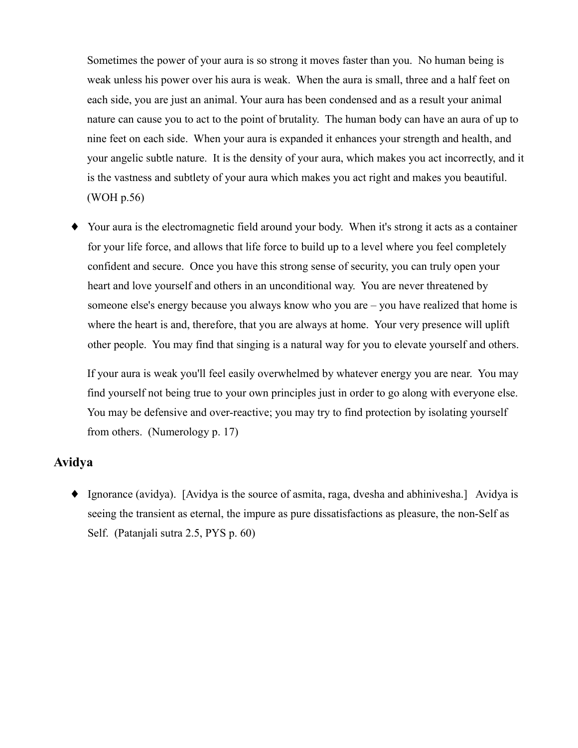Sometimes the power of your aura is so strong it moves faster than you. No human being is weak unless his power over his aura is weak. When the aura is small, three and a half feet on each side, you are just an animal. Your aura has been condensed and as a result your animal nature can cause you to act to the point of brutality. The human body can have an aura of up to nine feet on each side. When your aura is expanded it enhances your strength and health, and your angelic subtle nature. It is the density of your aura, which makes you act incorrectly, and it is the vastness and subtlety of your aura which makes you act right and makes you beautiful. (WOH p.56)

Your aura is the electromagnetic field around your body. When it's strong it acts as a container for your life force, and allows that life force to build up to a level where you feel completely confident and secure. Once you have this strong sense of security, you can truly open your heart and love yourself and others in an unconditional way. You are never threatened by someone else's energy because you always know who you are – you have realized that home is where the heart is and, therefore, that you are always at home. Your very presence will uplift other people. You may find that singing is a natural way for you to elevate yourself and others.

If your aura is weak you'll feel easily overwhelmed by whatever energy you are near. You may find yourself not being true to your own principles just in order to go along with everyone else. You may be defensive and over-reactive; you may try to find protection by isolating yourself from others. (Numerology p. 17)

## **Avidya**

• Ignorance (avidya). [Avidya is the source of asmita, raga, dvesha and abhinivesha.] Avidya is seeing the transient as eternal, the impure as pure dissatisfactions as pleasure, the non-Self as Self. (Patanjali sutra 2.5, PYS p. 60)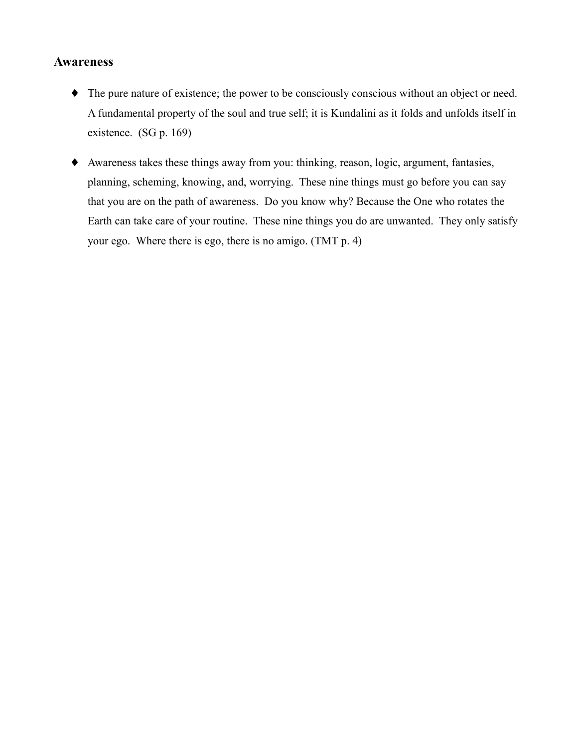#### **Awareness**

- The pure nature of existence; the power to be consciously conscious without an object or need. A fundamental property of the soul and true self; it is Kundalini as it folds and unfolds itself in existence.  $(SG p. 169)$
- Awareness takes these things away from you: thinking, reason, logic, argument, fantasies, planning, scheming, knowing, and, worrying. These nine things must go before you can say that you are on the path of awareness. Do you know why? Because the One who rotates the Earth can take care of your routine. These nine things you do are unwanted. They only satisfy your ego. Where there is ego, there is no amigo. (TMT p. 4)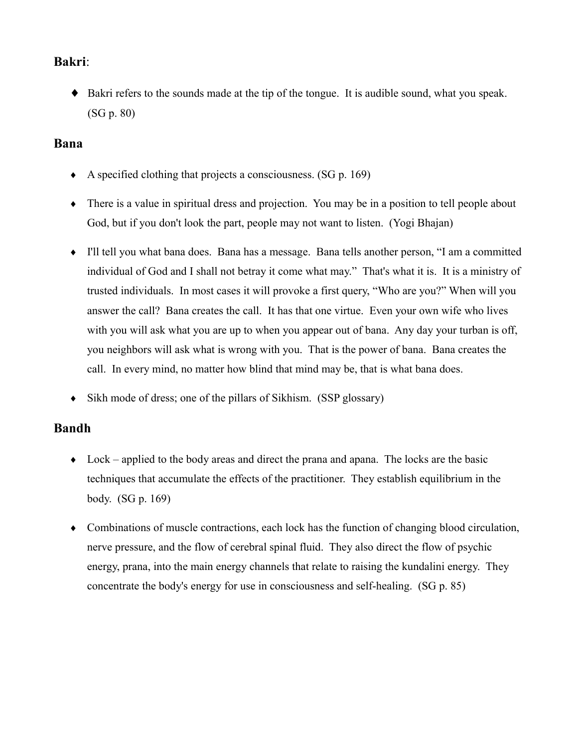## **Bakri:**

• Bakri refers to the sounds made at the tip of the tongue. It is audible sound, what you speak.  $(SG p. 80)$ 

## **Bana**

- A specified clothing that projects a consciousness.  $(SG p. 169)$
- $\bullet$  There is a value in spiritual dress and projection. You may be in a position to tell people about God, but if you don't look the part, people may not want to listen. (Yogi Bhajan)
- I'll tell you what bana does. Bana has a message. Bana tells another person, "I am a committed individual of God and I shall not betray it come what may." That's what it is. It is a ministry of trusted individuals. In most cases it will provoke a first query, "Who are you?" When will you answer the call? Bana creates the call. It has that one virtue. Even your own wife who lives with you will ask what you are up to when you appear out of bana. Any day your turban is off, you neighbors will ask what is wrong with you. That is the power of bana. Bana creates the call. In every mind, no matter how blind that mind may be, that is what bana does.
- Sikh mode of dress; one of the pillars of Sikhism. (SSP glossary)  $\bullet$

## **Bandh**

- $\bullet$  Lock applied to the body areas and direct the prana and apana. The locks are the basic techniques that accumulate the effects of the practitioner. They establish equilibrium in the body. (SG p. 169)
- Combinations of muscle contractions, each lock has the function of changing blood circulation, nerve pressure, and the flow of cerebral spinal fluid. They also direct the flow of psychic energy, prana, into the main energy channels that relate to raising the kundalini energy. They concentrate the body's energy for use in consciousness and self-healing. (SG p. 85)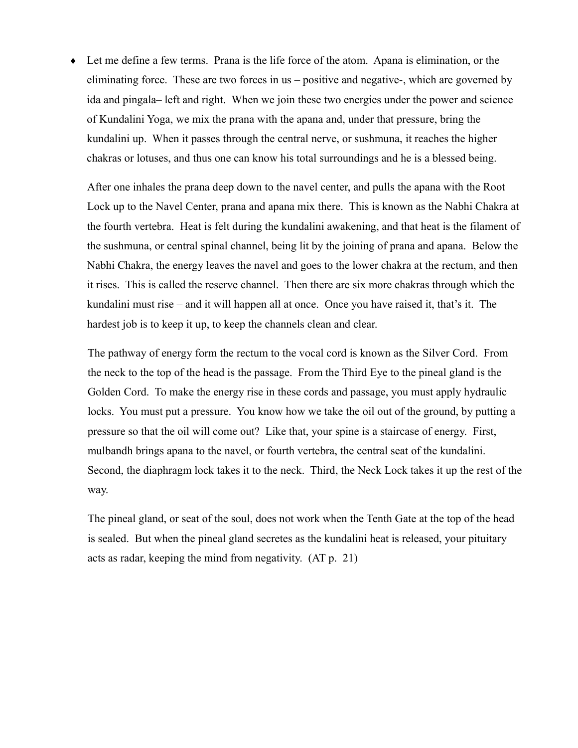• Let me define a few terms. Prana is the life force of the atom. Apana is elimination, or the eliminating force. These are two forces in  $us$  – positive and negative-, which are governed by ida and pingala—left and right. When we join these two energies under the power and science of Kundalini Yoga, we mix the prana with the apana and, under that pressure, bring the kundalini up. When it passes through the central nerve, or sushmuna, it reaches the higher chakras or lotuses, and thus one can know his total surroundings and he is a blessed being.

After one inhales the prana deep down to the navel center, and pulls the apana with the Root Lock up to the Navel Center, prana and apana mix there. This is known as the Nabhi Chakra at the fourth vertebra. Heat is felt during the kundalini awakening, and that heat is the filament of the sushmuna, or central spinal channel, being lit by the joining of prana and apana. Below the Nabhi Chakra, the energy leaves the navel and goes to the lower chakra at the rectum, and then it rises. This is called the reserve channel. Then there are six more chakras through which the kundalini must rise – and it will happen all at once. Once you have raised it, that's it. The hardest job is to keep it up, to keep the channels clean and clear.

The pathway of energy form the rectum to the vocal cord is known as the Silver Cord. From the neck to the top of the head is the passage. From the Third Eye to the pineal gland is the Golden Cord. To make the energy rise in these cords and passage, you must apply hydraulic locks. You must put a pressure. You know how we take the oil out of the ground, by putting a pressure so that the oil will come out? Like that, your spine is a staircase of energy. First, mulbandh brings apana to the navel, or fourth vertebra, the central seat of the kundalini. Second, the diaphragm lock takes it to the neck. Third, the Neck Lock takes it up the rest of the way.

The pineal gland, or seat of the soul, does not work when the Tenth Gate at the top of the head is sealed. But when the pineal gland secretes as the kundalini heat is released, your pituitary acts as radar, keeping the mind from negativity. (AT p. 21)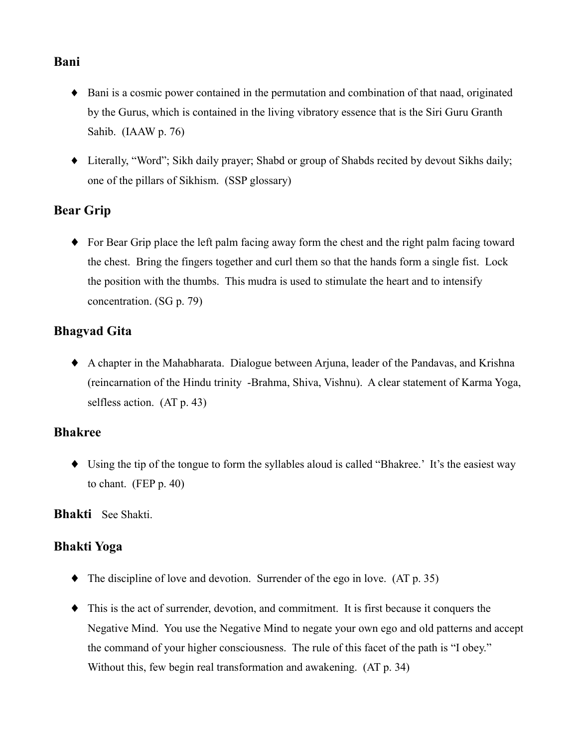## Bani

- Bani is a cosmic power contained in the permutation and combination of that naad, originated by the Gurus, which is contained in the living vibratory essence that is the Siri Guru Granth Sahib. (IAAW p. 76)
- Literally, "Word"; Sikh daily prayer; Shabd or group of Shabds recited by devout Sikhs daily; one of the pillars of Sikhism. (SSP glossary)

# **Bear Grip**

 $\bullet$  For Bear Grip place the left palm facing away form the chest and the right palm facing toward the chest. Bring the fingers together and curl them so that the hands form a single fist. Lock the position with the thumbs. This mudra is used to stimulate the heart and to intensify concentration. (SG p. 79)

# **Bhagvad Gita**

• A chapter in the Mahabharata. Dialogue between Arjuna, leader of the Pandavas, and Krishna (reincarnation of the Hindu trinity -Brahma, Shiva, Vishnu). A clear statement of Karma Yoga, selfless action.  $(AT p. 43)$ 

## **Bhakree**

• Using the tip of the tongue to form the syllables aloud is called "Bhakree.' It's the easiest way to chant.  $(FEP p. 40)$ 

Bhakti See Shakti.

## **Bhakti Yoga**

- $\blacklozenge$  The discipline of love and devotion. Surrender of the ego in love. (AT p. 35)
- This is the act of surrender, devotion, and commitment. It is first because it conquers the Negative Mind. You use the Negative Mind to negate your own ego and old patterns and accept the command of your higher consciousness. The rule of this facet of the path is "I obey." Without this, few begin real transformation and awakening. (AT p. 34)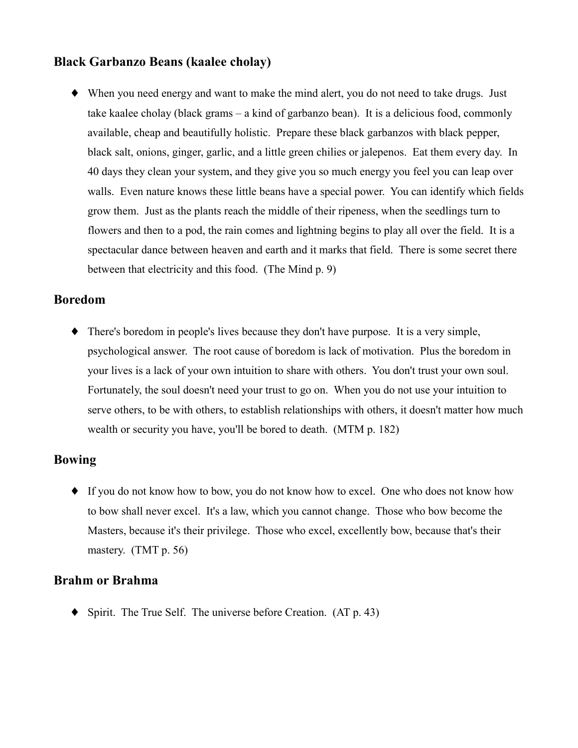## **Black Garbanzo Beans (kaalee cholay)**

• When you need energy and want to make the mind alert, you do not need to take drugs. Just take kaalee cholay (black grams – a kind of garbanzo bean). It is a delicious food, commonly available, cheap and beautifully holistic. Prepare these black garbanzos with black pepper, black salt, onions, ginger, garlic, and a little green chilies or jalepenos. Eat them every day. In 40 days they clean your system, and they give you so much energy you feel you can leap over walls. Even nature knows these little beans have a special power. You can identify which fields grow them. Just as the plants reach the middle of their ripeness, when the seedlings turn to flowers and then to a pod, the rain comes and lightning begins to play all over the field. It is a spectacular dance between heaven and earth and it marks that field. There is some secret there between that electricity and this food. (The Mind p. 9)

## **Boredom**

• There's boredom in people's lives because they don't have purpose. It is a very simple, psychological answer. The root cause of boredom is lack of motivation. Plus the boredom in your lives is a lack of your own intuition to share with others. You don't trust your own soul. Fortunately, the soul doesn't need your trust to go on. When you do not use your intuition to serve others, to be with others, to establish relationships with others, it doesn't matter how much wealth or security you have, you'll be bored to death. (MTM p. 182)

## **Bowing**

• If you do not know how to bow, you do not know how to excel. One who does not know how to bow shall never excel. It's a law, which you cannot change. Those who bow become the Masters, because it's their privilege. Those who excel, excellently bow, because that's their mastery.  $(TMT p. 56)$ 

## **Brahm or Brahma**

 $\blacklozenge$  Spirit. The True Self. The universe before Creation. (AT p. 43)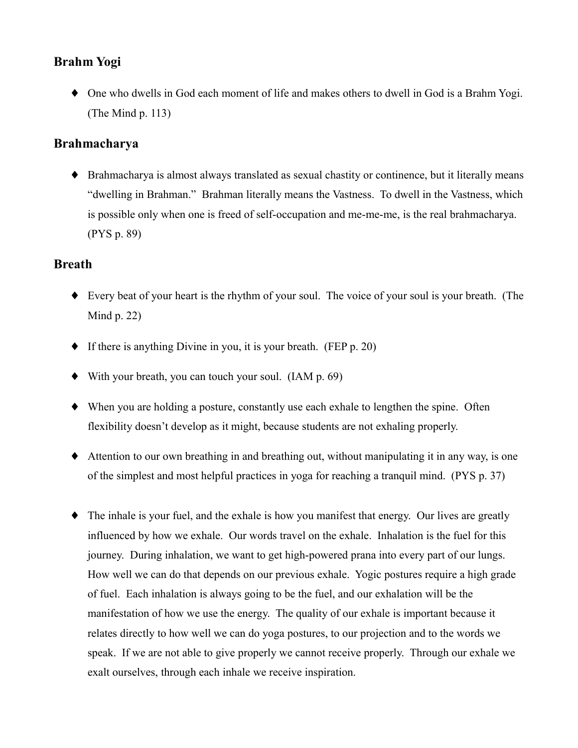# **Brahm Yogi**

• One who dwells in God each moment of life and makes others to dwell in God is a Brahm Yogi. (The Mind  $p. 113$ )

## **Brahmacharva**

• Brahmacharya is almost always translated as sexual chastity or continence, but it literally means "dwelling in Brahman." Brahman literally means the Vastness. To dwell in the Vastness, which is possible only when one is freed of self-occupation and me-me-me, is the real brahmacharya.  $(PYS p. 89)$ 

# **Breath**

- Every beat of your heart is the rhythm of your soul. The voice of your soul is your breath. (The Mind  $p. 22$ )
- $\bullet$  If there is anything Divine in you, it is your breath. (FEP p. 20)
- $\blacklozenge$  With your breath, you can touch your soul. (IAM p. 69)
- When you are holding a posture, constantly use each exhale to lengthen the spine. Often flexibility doesn't develop as it might, because students are not exhaling properly.
- Attention to our own breathing in and breathing out, without manipulating it in any way, is one of the simplest and most helpful practices in yoga for reaching a tranquil mind. (PYS p. 37)
- $\bullet$  The inhale is your fuel, and the exhale is how you manifest that energy. Our lives are greatly influenced by how we exhale. Our words travel on the exhale. Inhalation is the fuel for this journey. During inhalation, we want to get high-powered prana into every part of our lungs. How well we can do that depends on our previous exhale. Yogic postures require a high grade of fuel. Each inhalation is always going to be the fuel, and our exhalation will be the manifestation of how we use the energy. The quality of our exhale is important because it relates directly to how well we can do yoga postures, to our projection and to the words we speak. If we are not able to give properly we cannot receive properly. Through our exhale we exalt ourselves, through each inhale we receive inspiration.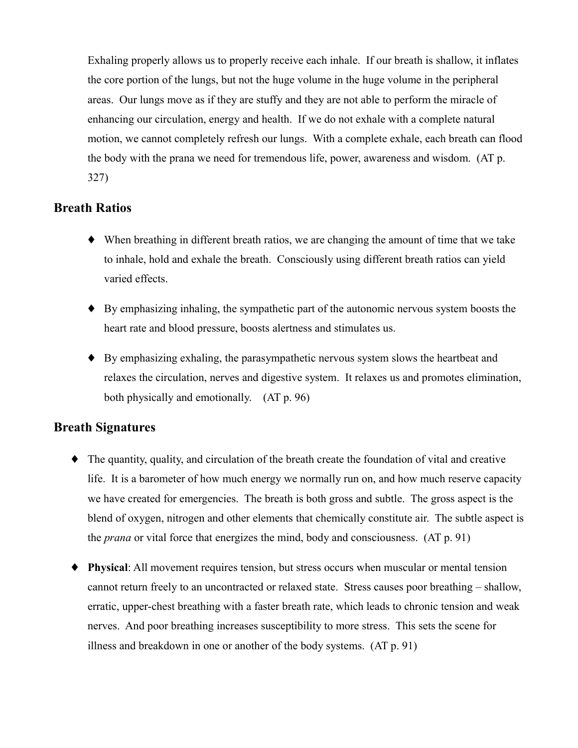Exhaling properly allows us to properly receive each inhale. If our breath is shallow, it inflates the core portion of the lungs, but not the huge volume in the huge volume in the peripheral areas. Our lungs move as if they are stuffy and they are not able to perform the miracle of enhancing our circulation, energy and health. If we do not exhale with a complete natural motion, we cannot completely refresh our lungs. With a complete exhale, each breath can flood the body with the prana we need for tremendous life, power, awareness and wisdom. (AT p.  $327)$ 

## **Breath Ratios**

- When breathing in different breath ratios, we are changing the amount of time that we take to inhale, hold and exhale the breath. Consciously using different breath ratios can yield varied effects.
- $\bullet$  By emphasizing inhaling, the sympathetic part of the autonomic nervous system boosts the heart rate and blood pressure, boosts alertness and stimulates us.
- By emphasizing exhaling, the parasympathetic nervous system slows the heartbeat and relaxes the circulation, nerves and digestive system. It relaxes us and promotes elimination, both physically and emotionally. (AT p. 96)

## **Breath Signatures**

- $\bullet$  The quantity, quality, and circulation of the breath create the foundation of vital and creative life. It is a barometer of how much energy we normally run on, and how much reserve capacity we have created for emergencies. The breath is both gross and subtle. The gross aspect is the blend of oxygen, nitrogen and other elements that chemically constitute air. The subtle aspect is the *prana* or vital force that energizes the mind, body and consciousness. (AT p. 91)
- Physical: All movement requires tension, but stress occurs when muscular or mental tension cannot return freely to an uncontracted or relaxed state. Stress causes poor breathing – shallow, erratic, upper-chest breathing with a faster breath rate, which leads to chronic tension and weak nerves. And poor breathing increases susceptibility to more stress. This sets the scene for illness and breakdown in one or another of the body systems. (AT p. 91)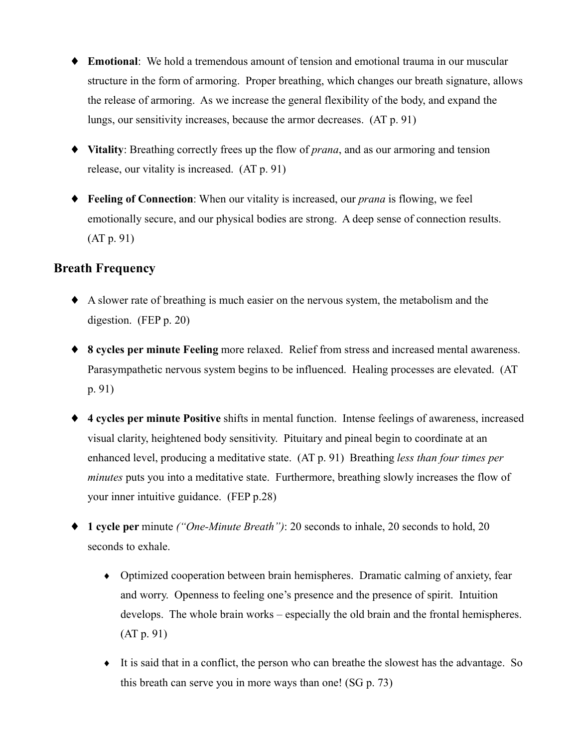- ◆ **Emotional**: We hold a tremendous amount of tension and emotional trauma in our muscular structure in the form of armoring. Proper breathing, which changes our breath signature, allows the release of armoring. As we increase the general flexibility of the body, and expand the lungs, our sensitivity increases, because the armor decreases. (AT p. 91)
- Vitality: Breathing correctly frees up the flow of prana, and as our armoring and tension release, our vitality is increased. (AT p. 91)
- ◆ **Feeling of Connection**: When our vitality is increased, our *prana* is flowing, we feel emotionally secure, and our physical bodies are strong. A deep sense of connection results.  $(AT p. 91)$

## **Breath Frequency**

- A slower rate of breathing is much easier on the nervous system, the metabolism and the digestion. (FEP p. 20)
- ◆ 8 cycles per minute Feeling more relaxed. Relief from stress and increased mental awareness. Parasympathetic nervous system begins to be influenced. Healing processes are elevated. (AT  $p. 91$
- ◆ 4 cycles per minute Positive shifts in mental function. Intense feelings of awareness, increased visual clarity, heightened body sensitivity. Pituitary and pineal begin to coordinate at an enhanced level, producing a meditative state. (AT p. 91) Breathing less than four times per *minutes* puts you into a meditative state. Furthermore, breathing slowly increases the flow of your inner intuitive guidance. (FEP p.28)
- ◆ 1 cycle per minute ("One-Minute Breath"): 20 seconds to inhale, 20 seconds to hold, 20 seconds to exhale.
	- Optimized cooperation between brain hemispheres. Dramatic calming of anxiety, fear and worry. Openness to feeling one's presence and the presence of spirit. Intuition develops. The whole brain works – especially the old brain and the frontal hemispheres.  $(AT p. 91)$
	- It is said that in a conflict, the person who can breathe the slowest has the advantage. So this breath can serve you in more ways than one!  $(SG p. 73)$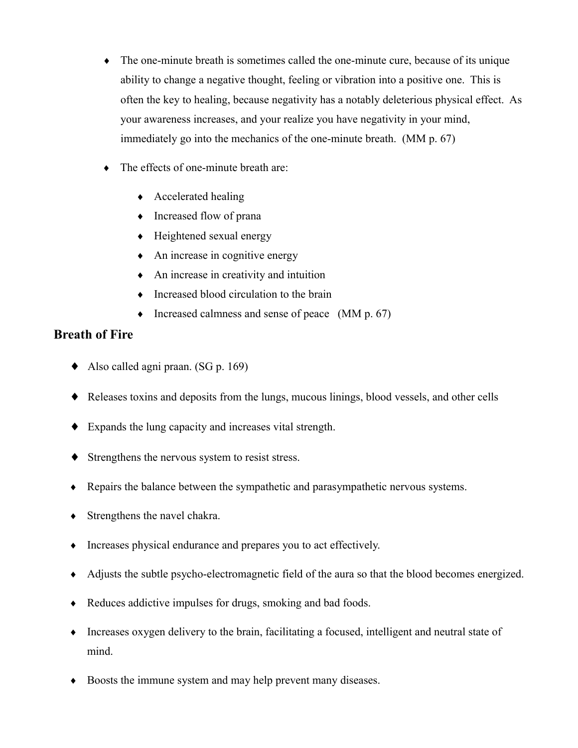- The one-minute breath is sometimes called the one-minute cure, because of its unique ability to change a negative thought, feeling or vibration into a positive one. This is often the key to healing, because negativity has a notably deleterious physical effect. As your awareness increases, and your realize you have negativity in your mind, immediately go into the mechanics of the one-minute breath. (MM p. 67)
- The effects of one-minute breath are:
	- Accelerated healing
	- Increased flow of prana
	- Heightened sexual energy
	- An increase in cognitive energy
	- An increase in creativity and intuition
	- Increased blood circulation to the brain
	- Increased calmness and sense of peace  $(MM p. 67)$

## **Breath of Fire**

- Also called agni praan. (SG p. 169)
- Releases toxins and deposits from the lungs, mucous linings, blood vessels, and other cells
- Expands the lung capacity and increases vital strength.
- Strengthens the nervous system to resist stress.
- Repairs the balance between the sympathetic and parasympathetic nervous systems.
- $\bullet$  Strengthens the navel chakra.
- Increases physical endurance and prepares you to act effectively.
- Adjusts the subtle psycho-electromagnetic field of the aura so that the blood becomes energized.
- Reduces addictive impulses for drugs, smoking and bad foods.
- Increases oxygen delivery to the brain, facilitating a focused, intelligent and neutral state of mind.
- Boosts the immune system and may help prevent many diseases.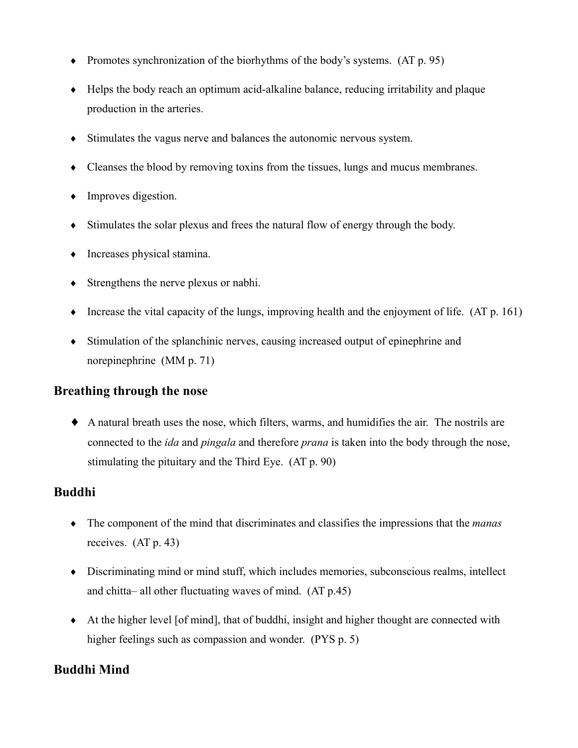- Promotes synchronization of the biorhythms of the body's systems.  $(AT p. 95)$
- $\bullet$  Helps the body reach an optimum acid-alkaline balance, reducing irritability and plaque production in the arteries.
- Stimulates the vagus nerve and balances the autonomic nervous system.  $\blacklozenge$
- $\bullet$  Cleanses the blood by removing toxins from the tissues, lungs and mucus membranes.
- $\bullet$  Improves digestion.
- $\bullet$  Stimulates the solar plexus and frees the natural flow of energy through the body.
- Increases physical stamina.
- $\bullet$  Strengthens the nerve plexus or nabhi.
- Increase the vital capacity of the lungs, improving health and the enjoyment of life.  $(AT p. 161)$
- Stimulation of the splanchinic nerves, causing increased output of epinephrine and norepines (MM  $p. 71$ )

## **Breathing through the nose**

• A natural breath uses the nose, which filters, warms, and humidifies the air. The nostrils are connected to the *ida* and *pingala* and therefore *prana* is taken into the body through the nose. stimulating the pituitary and the Third Eye. (AT p. 90)

## **Buddhi**

- $\bullet$  The component of the mind that discriminates and classifies the impressions that the *manas* receives.  $(AT p. 43)$
- Discriminating mind or mind stuff, which includes memories, subconscious realms, intellect and chitta-all other fluctuating waves of mind. (AT p.45)
- At the higher level [of mind], that of buddhi, insight and higher thought are connected with higher feelings such as compassion and wonder. (PYS p. 5)

## **Buddhi Mind**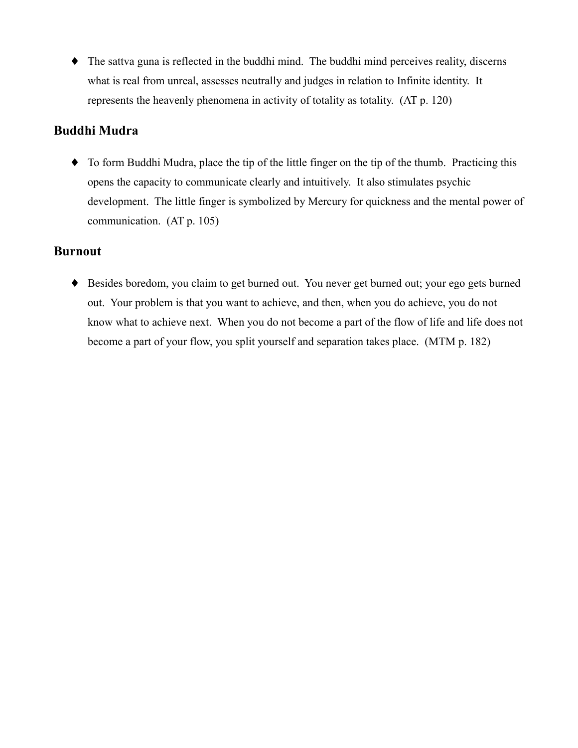• The sattva guna is reflected in the buddhi mind. The buddhi mind perceives reality, discerns what is real from unreal, assesses neutrally and judges in relation to Infinite identity. It represents the heavenly phenomena in activity of totality as totality. (AT p. 120)

## **Buddhi Mudra**

• To form Buddhi Mudra, place the tip of the little finger on the tip of the thumb. Practicing this opens the capacity to communicate clearly and intuitively. It also stimulates psychic development. The little finger is symbolized by Mercury for quickness and the mental power of communication. (AT p. 105)

# **Burnout**

◆ Besides boredom, you claim to get burned out. You never get burned out; your ego gets burned out. Your problem is that you want to achieve, and then, when you do achieve, you do not know what to achieve next. When you do not become a part of the flow of life and life does not become a part of your flow, you split yourself and separation takes place. (MTM p. 182)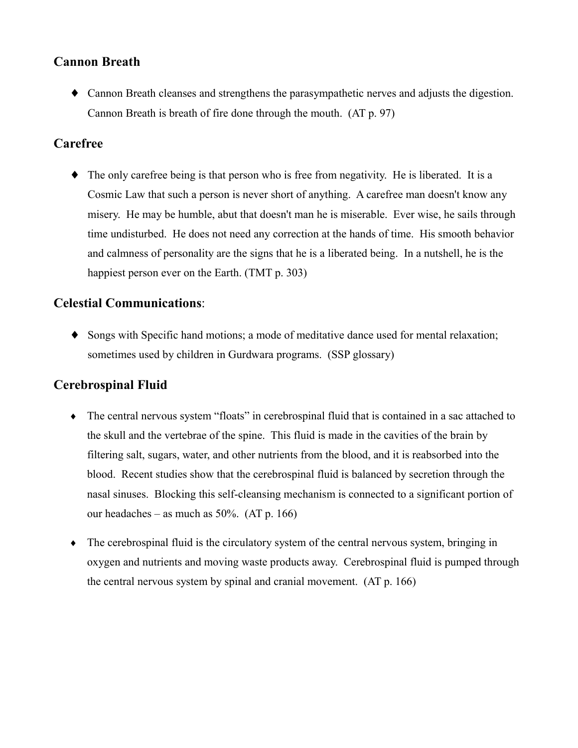## **Cannon Breath**

• Cannon Breath cleanses and strengthens the parasympathetic nerves and adjusts the digestion. Cannon Breath is breath of fire done through the mouth. (AT p. 97)

# Carefree

 $\bullet$  The only carefree being is that person who is free from negativity. He is liberated. It is a Cosmic Law that such a person is never short of anything. A carefree man doesn't know any misery. He may be humble, abut that doesn't man he is miserable. Ever wise, he sails through time undisturbed. He does not need any correction at the hands of time. His smooth behavior and calmness of personality are the signs that he is a liberated being. In a nutshell, he is the happiest person ever on the Earth. (TMT p. 303)

# **Celestial Communications:**

• Songs with Specific hand motions; a mode of meditative dance used for mental relaxation; sometimes used by children in Gurdwara programs. (SSP glossary)

# **Cerebrospinal Fluid**

- The central nervous system "floats" in cerebrospinal fluid that is contained in a sac attached to the skull and the vertebrae of the spine. This fluid is made in the cavities of the brain by filtering salt, sugars, water, and other nutrients from the blood, and it is reabsorbed into the blood. Recent studies show that the cerebrospinal fluid is balanced by secretion through the nasal sinuses. Blocking this self-cleansing mechanism is connected to a significant portion of our headaches – as much as  $50\%$ . (AT p. 166)
- $\bullet$  The cerebrospinal fluid is the circulatory system of the central nervous system, bringing in oxygen and nutrients and moving waste products away. Cerebrospinal fluid is pumped through the central nervous system by spinal and cranial movement. (AT p. 166)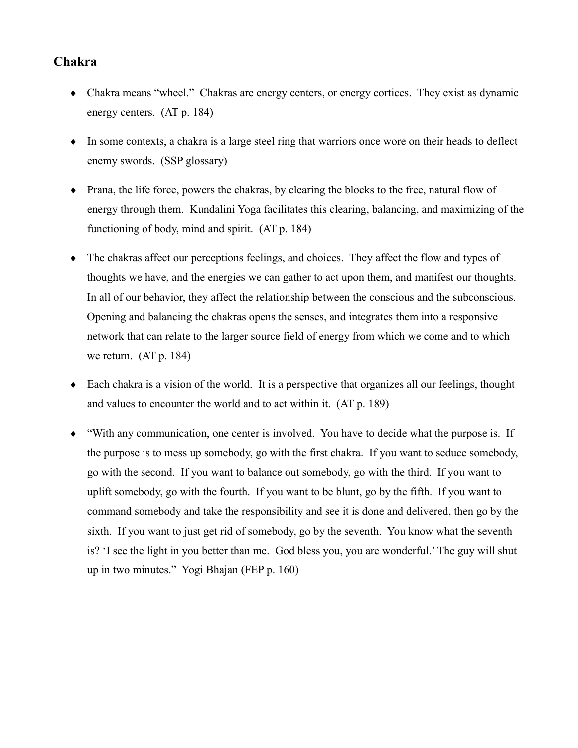## Chakra

- Chakra means "wheel." Chakras are energy centers, or energy cortices. They exist as dynamic energy centers.  $(AT p. 184)$
- In some contexts, a chakra is a large steel ring that warriors once wore on their heads to deflect enemy swords. (SSP glossary)
- Prana, the life force, powers the chakras, by clearing the blocks to the free, natural flow of energy through them. Kundalini Yoga facilitates this clearing, balancing, and maximizing of the functioning of body, mind and spirit. (AT p. 184)
- The chakras affect our perceptions feelings, and choices. They affect the flow and types of thoughts we have, and the energies we can gather to act upon them, and manifest our thoughts. In all of our behavior, they affect the relationship between the conscious and the subconscious. Opening and balancing the chakras opens the senses, and integrates them into a responsive network that can relate to the larger source field of energy from which we come and to which we return.  $(AT p. 184)$
- $\bullet$  Each chakra is a vision of the world. It is a perspective that organizes all our feelings, thought and values to encounter the world and to act within it. (AT p. 189)
- "With any communication, one center is involved. You have to decide what the purpose is. If the purpose is to mess up somebody, go with the first chakra. If you want to seduce somebody, go with the second. If you want to balance out somebody, go with the third. If you want to uplift somebody, go with the fourth. If you want to be blunt, go by the fifth. If you want to command somebody and take the responsibility and see it is done and delivered, then go by the sixth. If you want to just get rid of somebody, go by the seventh. You know what the seventh is? 'I see the light in you better than me. God bless you, you are wonderful.' The guy will shut up in two minutes." Yogi Bhajan (FEP p. 160)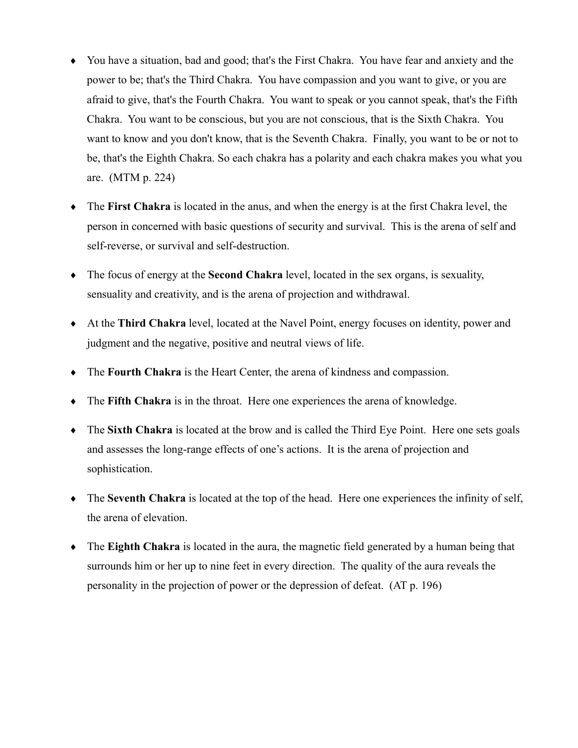- You have a situation, bad and good; that's the First Chakra. You have fear and anxiety and the power to be; that's the Third Chakra. You have compassion and you want to give, or you are afraid to give, that's the Fourth Chakra. You want to speak or you cannot speak, that's the Fifth Chakra. You want to be conscious, but you are not conscious, that is the Sixth Chakra. You want to know and you don't know, that is the Seventh Chakra. Finally, you want to be or not to be, that's the Eighth Chakra. So each chakra has a polarity and each chakra makes you what you are. (MTM  $p. 224$ )
- The First Chakra is located in the anus, and when the energy is at the first Chakra level, the person in concerned with basic questions of security and survival. This is the arena of self and self-reverse, or survival and self-destruction.
- The focus of energy at the Second Chakra level, located in the sex organs, is sexuality, sensuality and creativity, and is the arena of projection and withdrawal.
- At the Third Chakra level, located at the Navel Point, energy focuses on identity, power and judgment and the negative, positive and neutral views of life.
- $\bullet$  The Fourth Chakra is the Heart Center, the arena of kindness and compassion.
- $\bullet$  The Fifth Chakra is in the throat. Here one experiences the arena of knowledge.
- The Sixth Chakra is located at the brow and is called the Third Eye Point. Here one sets goals and assesses the long-range effects of one's actions. It is the area of projection and sophistication.
- The Seventh Chakra is located at the top of the head. Here one experiences the infinity of self, the arena of elevation.
- $\bullet$  The Eighth Chakra is located in the aura, the magnetic field generated by a human being that surrounds him or her up to nine feet in every direction. The quality of the aura reveals the personality in the projection of power or the depression of defeat. (AT p. 196)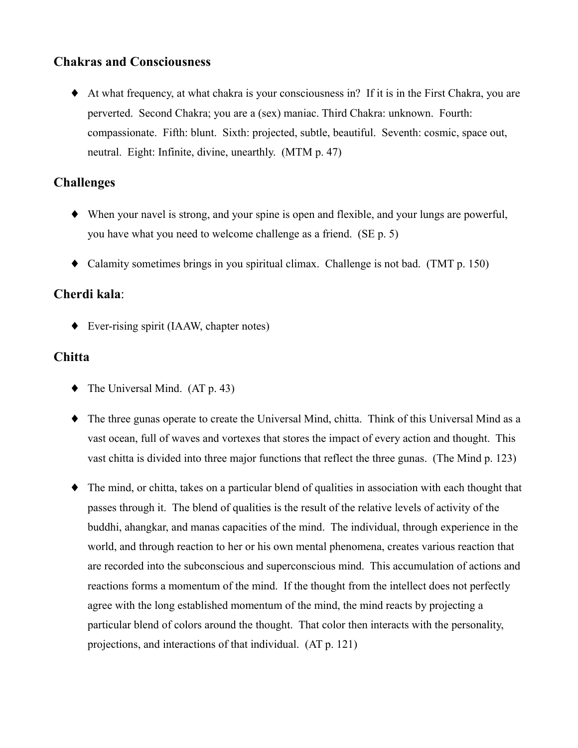### **Chakras and Consciousness**

• At what frequency, at what chakra is your consciousness in? If it is in the First Chakra, you are perverted. Second Chakra; you are a (sex) maniac. Third Chakra: unknown. Fourth: compassionate. Fifth: blunt. Sixth: projected, subtle, beautiful. Seventh: cosmic, space out, neutral. Eight: Infinite, divine, unearthly. (MTM p. 47)

### **Challenges**

- When your navel is strong, and your spine is open and flexible, and your lungs are powerful, you have what you need to welcome challenge as a friend. (SE p. 5)
- Calamity sometimes brings in you spiritual climax. Challenge is not bad. (TMT  $p. 150$ )

# Cherdi kala:

 $\blacklozenge$  Ever-rising spirit (IAAW, chapter notes)

### **Chitta**

- $\blacklozenge$  The Universal Mind. (AT p. 43)
- The three gunas operate to create the Universal Mind, chitta. Think of this Universal Mind as a vast ocean, full of waves and vortexes that stores the impact of every action and thought. This vast chitta is divided into three major functions that reflect the three gunas. (The Mind p. 123)
- The mind, or chitta, takes on a particular blend of qualities in association with each thought that passes through it. The blend of qualities is the result of the relative levels of activity of the buddhi, ahangkar, and manas capacities of the mind. The individual, through experience in the world, and through reaction to her or his own mental phenomena, creates various reaction that are recorded into the subconscious and superconscious mind. This accumulation of actions and reactions forms a momentum of the mind. If the thought from the intellect does not perfectly agree with the long established momentum of the mind, the mind reacts by projecting a particular blend of colors around the thought. That color then interacts with the personality, projections, and interactions of that individual. (AT p. 121)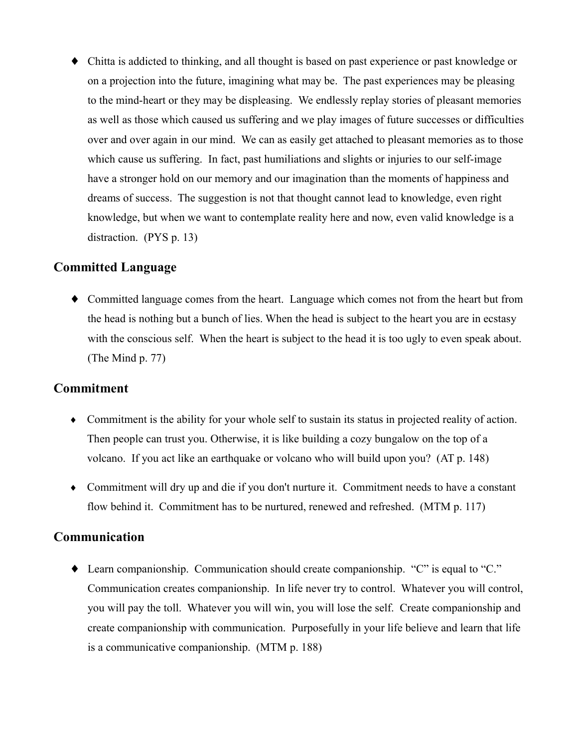• Chitta is addicted to thinking, and all thought is based on past experience or past knowledge or on a projection into the future, imagining what may be. The past experiences may be pleasing to the mind-heart or they may be displeasing. We endlessly replay stories of pleasant memories as well as those which caused us suffering and we play images of future successes or difficulties over and over again in our mind. We can as easily get attached to pleasant memories as to those which cause us suffering. In fact, past humiliations and slights or injuries to our self-image have a stronger hold on our memory and our imagination than the moments of happiness and dreams of success. The suggestion is not that thought cannot lead to knowledge, even right knowledge, but when we want to contemplate reality here and now, even valid knowledge is a distraction.  $(PYS p. 13)$ 

#### **Committed Language**

• Committed language comes from the heart. Language which comes not from the heart but from the head is nothing but a bunch of lies. When the head is subject to the heart you are in ecstasy with the conscious self. When the heart is subject to the head it is too ugly to even speak about. (The Mind  $p. 77$ )

#### **Commitment**

- Commitment is the ability for your whole self to sustain its status in projected reality of action. Then people can trust you. Otherwise, it is like building a cozy bungalow on the top of a volcano. If you act like an earthquake or volcano who will build upon you? (AT p. 148)
- Commitment will dry up and die if you don't nurture it. Commitment needs to have a constant flow behind it. Commitment has to be nurtured, renewed and refreshed. (MTM p. 117)

### Communication

 $\blacklozenge$  Learn companionship. Communication should create companionship. "C" is equal to "C." Communication creates companionship. In life never try to control. Whatever you will control, you will pay the toll. Whatever you will win, you will lose the self. Create companionship and create companionship with communication. Purposefully in your life believe and learn that life is a communicative companionship. (MTM p. 188)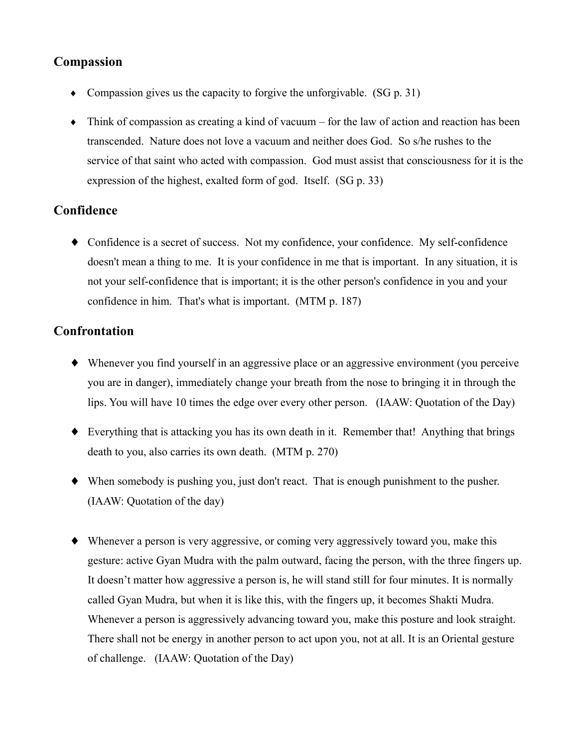# Compassion

- Compassion gives us the capacity to forgive the unforgivable.  $(SG p. 31)$
- $\bullet$  Think of compassion as creating a kind of vacuum for the law of action and reaction has been transcended. Nature does not love a vacuum and neither does God. So s/he rushes to the service of that saint who acted with compassion. God must assist that consciousness for it is the expression of the highest, exalted form of god. Itself. (SG p. 33)

### Confidence

• Confidence is a secret of success. Not my confidence, your confidence. My self-confidence doesn't mean a thing to me. It is your confidence in me that is important. In any situation, it is not your self-confidence that is important; it is the other person's confidence in you and your confidence in him. That's what is important. (MTM p. 187)

### Confrontation

- Whenever you find yourself in an aggressive place or an aggressive environment (you perceive you are in danger), immediately change your breath from the nose to bringing it in through the lips. You will have 10 times the edge over every other person. (IAAW: Quotation of the Day)
- Everything that is attacking you has its own death in it. Remember that! Anything that brings death to you, also carries its own death. (MTM p. 270)
- $\blacklozenge$  When somebody is pushing you, just don't react. That is enough punishment to the pusher. (IAAW: Quotation of the day)
- Whenever a person is very aggressive, or coming very aggressively toward you, make this gesture: active Gyan Mudra with the palm outward, facing the person, with the three fingers up. It doesn't matter how aggressive a person is, he will stand still for four minutes. It is normally called Gyan Mudra, but when it is like this, with the fingers up, it becomes Shakti Mudra. Whenever a person is aggressively advancing toward you, make this posture and look straight. There shall not be energy in another person to act upon you, not at all. It is an Oriental gesture of challenge. (IAAW: Quotation of the Day)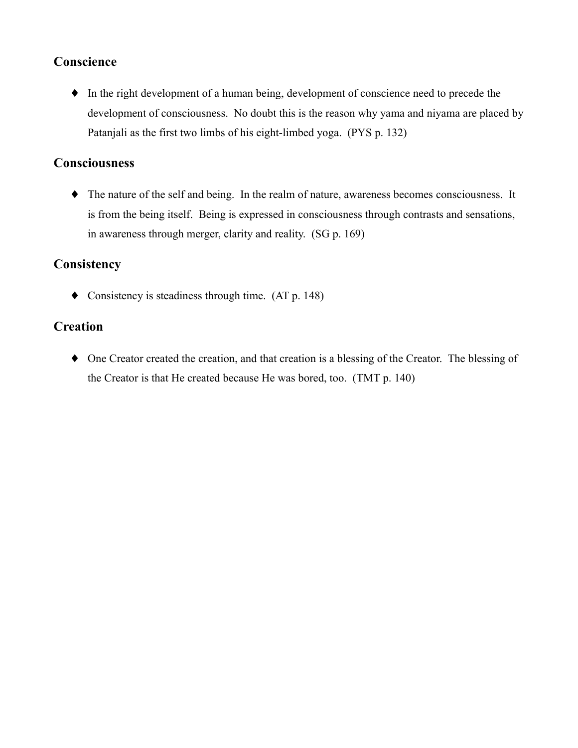# Conscience

• In the right development of a human being, development of conscience need to precede the development of consciousness. No doubt this is the reason why yama and niyama are placed by Patanjali as the first two limbs of his eight-limbed yoga. (PYS p. 132)

### **Consciousness**

 $\bullet$  The nature of the self and being. In the realm of nature, awareness becomes consciousness. It is from the being itself. Being is expressed in consciousness through contrasts and sensations, in awareness through merger, clarity and reality. (SG p. 169)

# Consistency

• Consistency is steadiness through time.  $(AT p. 148)$ 

# **Creation**

• One Creator created the creation, and that creation is a blessing of the Creator. The blessing of the Creator is that He created because He was bored, too. (TMT p. 140)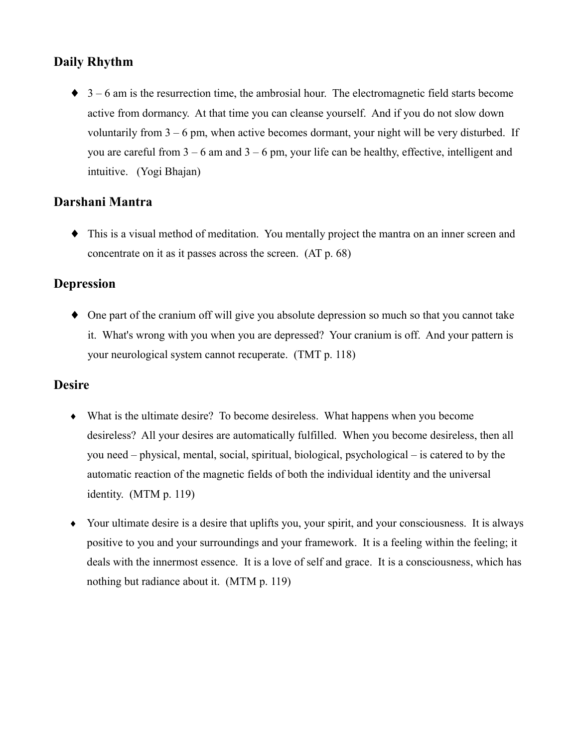# **Daily Rhythm**

 $\bullet$  3 – 6 am is the resurrection time, the ambrosial hour. The electromagnetic field starts become active from dormancy. At that time you can cleanse yourself. And if you do not slow down voluntarily from  $3 - 6$  pm, when active becomes dormant, your night will be very disturbed. If you are careful from  $3 - 6$  am and  $3 - 6$  pm, your life can be healthy, effective, intelligent and intuitive. (Yogi Bhajan)

# Darshani Mantra

• This is a visual method of meditation. You mentally project the mantra on an inner screen and concentrate on it as it passes across the screen. (AT p. 68)

### **Depression**

• One part of the cranium off will give you absolute depression so much so that you cannot take it. What's wrong with you when you are depressed? Your cranium is off. And your pattern is your neurological system cannot recuperate. (TMT p. 118)

# **Desire**

- $\bullet$  What is the ultimate desire? To become desireless. What happens when you become desireless? All your desires are automatically fulfilled. When you become desireless, then all you need – physical, mental, social, spiritual, biological, psychological – is catered to by the automatic reaction of the magnetic fields of both the individual identity and the universal identity.  $(MTM p. 119)$
- Your ultimate desire is a desire that uplifts you, your spirit, and your consciousness. It is always positive to you and your surroundings and your framework. It is a feeling within the feeling; it deals with the innermost essence. It is a love of self and grace. It is a consciousness, which has nothing but radiance about it. (MTM p. 119)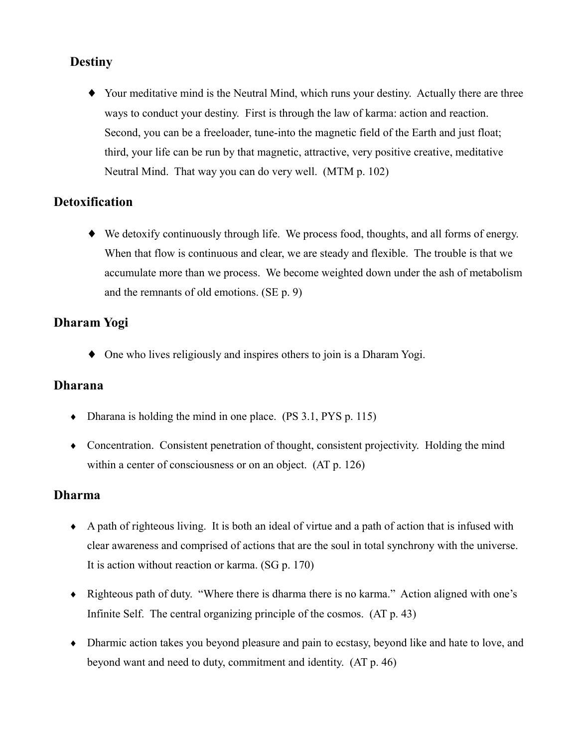### **Destiny**

• Your meditative mind is the Neutral Mind, which runs your destiny. Actually there are three ways to conduct your destiny. First is through the law of karma: action and reaction. Second, you can be a freeloader, tune-into the magnetic field of the Earth and just float; third, your life can be run by that magnetic, attractive, very positive creative, meditative Neutral Mind. That way you can do very well. (MTM p. 102)

### **Detoxification**

 $\blacklozenge$  We detoxify continuously through life. We process food, thoughts, and all forms of energy. When that flow is continuous and clear, we are steady and flexible. The trouble is that we accumulate more than we process. We become weighted down under the ash of metabolism and the remnants of old emotions. (SE p. 9)

### Dharam Yogi

 $\bullet$  One who lives religiously and inspires others to join is a Dharam Yogi.

### **Dharana**

- Dharana is holding the mind in one place.  $(PS 3.1, PYS p. 115)$
- Concentration. Consistent penetration of thought, consistent projectivity. Holding the mind within a center of consciousness or on an object. (AT p. 126)

### **Dharma**

- $\bullet$  A path of righteous living. It is both an ideal of virtue and a path of action that is infused with clear awareness and comprised of actions that are the soul in total synchrony with the universe. It is action without reaction or karma. (SG p. 170)
- Righteous path of duty. "Where there is dharma there is no karma." Action aligned with one's Infinite Self. The central organizing principle of the cosmos. (AT p. 43)
- Dharmic action takes you beyond pleasure and pain to ecstasy, beyond like and hate to love, and beyond want and need to duty, commitment and identity. (AT p. 46)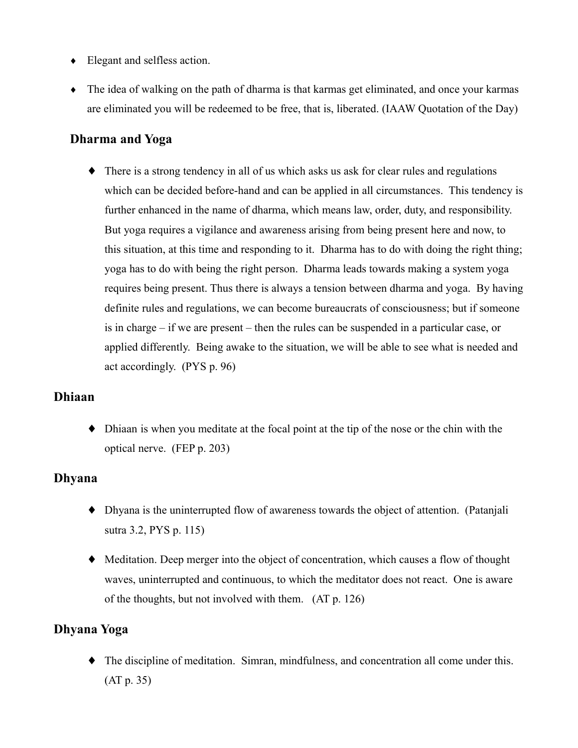- $\bullet$  Elegant and selfless action.
- $\bullet$  The idea of walking on the path of dharma is that karmas get eliminated, and once your karmas are eliminated you will be redeemed to be free, that is, liberated. (IAAW Quotation of the Day)

### **Dharma and Yoga**

 $\bullet$  There is a strong tendency in all of us which asks us ask for clear rules and regulations which can be decided before-hand and can be applied in all circumstances. This tendency is further enhanced in the name of dharma, which means law, order, duty, and responsibility. But yoga requires a vigilance and awareness arising from being present here and now, to this situation, at this time and responding to it. Dharma has to do with doing the right thing; yoga has to do with being the right person. Dharma leads towards making a system yoga requires being present. Thus there is always a tension between dharma and yoga. By having definite rules and regulations, we can become bureaucrats of consciousness; but if someone is in charge  $-$  if we are present  $-$  then the rules can be suspended in a particular case, or applied differently. Being awake to the situation, we will be able to see what is needed and act accordingly.  $(PYS p. 96)$ 

#### **Dhiaan**

 $\bullet$  Dhiaan is when you meditate at the focal point at the tip of the nose or the chin with the optical nerve. (FEP p. 203)

### **Dhyana**

- Dhyana is the uninterrupted flow of awareness towards the object of attention. (Patanjali sutra 3.2, PYS p. 115)
- Meditation. Deep merger into the object of concentration, which causes a flow of thought waves, uninterrupted and continuous, to which the meditator does not react. One is aware of the thoughts, but not involved with them. (AT p. 126)

#### Dhyana Yoga

 $\blacklozenge$  The discipline of meditation. Simran, mindfulness, and concentration all come under this.  $(AT p. 35)$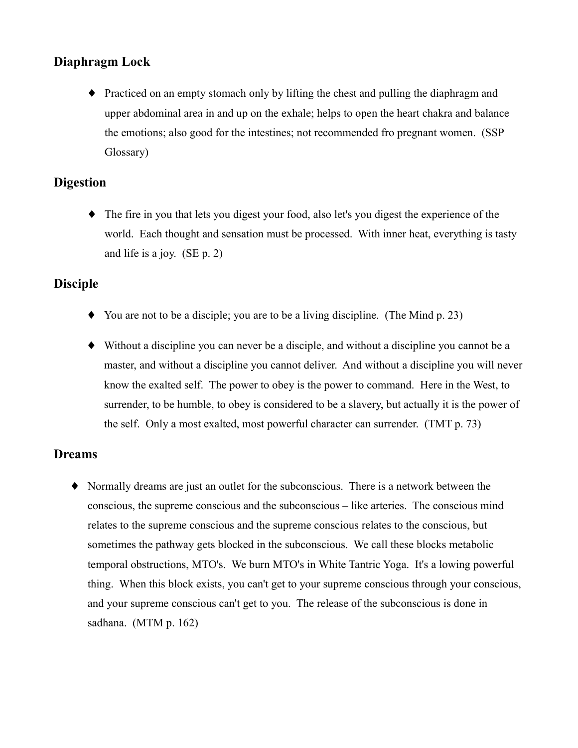# Diaphragm Lock

• Practiced on an empty stomach only by lifting the chest and pulling the diaphragm and upper abdominal area in and up on the exhale; helps to open the heart chakra and balance the emotions; also good for the intestines; not recommended fro pregnant women. (SSP) Glossary)

### **Digestion**

• The fire in you that lets you digest your food, also let's you digest the experience of the world. Each thought and sensation must be processed. With inner heat, everything is tasty and life is a joy.  $(SE p. 2)$ 

#### **Disciple**

- $\blacklozenge$  You are not to be a disciple; you are to be a living discipline. (The Mind p. 23)
- $\blacklozenge$  Without a discipline vou can never be a disciple, and without a discipline vou cannot be a master, and without a discipline you cannot deliver. And without a discipline you will never know the exalted self. The power to obey is the power to command. Here in the West, to surrender, to be humble, to obey is considered to be a slavery, but actually it is the power of the self. Only a most exalted, most powerful character can surrender. (TMT p. 73)

### **Dreams**

Normally dreams are just an outlet for the subconscious. There is a network between the conscious, the supreme conscious and the subconscious – like arteries. The conscious mind relates to the supreme conscious and the supreme conscious relates to the conscious, but sometimes the pathway gets blocked in the subconscious. We call these blocks metabolic temporal obstructions, MTO's. We burn MTO's in White Tantric Yoga. It's a lowing powerful thing. When this block exists, you can't get to your supreme conscious through your conscious, and your supreme conscious can't get to you. The release of the subconscious is done in sadhana. (MTM  $p. 162$ )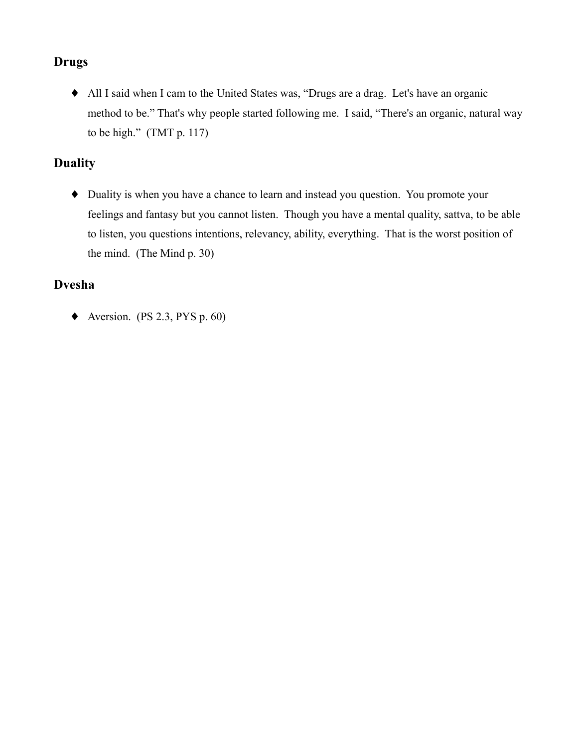# **Drugs**

• All I said when I cam to the United States was, "Drugs are a drag. Let's have an organic method to be." That's why people started following me. I said, "There's an organic, natural way to be high."  $(TMT p. 117)$ 

# **Duality**

• Duality is when you have a chance to learn and instead you question. You promote your feelings and fantasy but you cannot listen. Though you have a mental quality, sattva, to be able to listen, you questions intentions, relevancy, ability, everything. That is the worst position of the mind. (The Mind p. 30)

# **Dvesha**

 $\blacklozenge$  Aversion. (PS 2.3, PYS p. 60)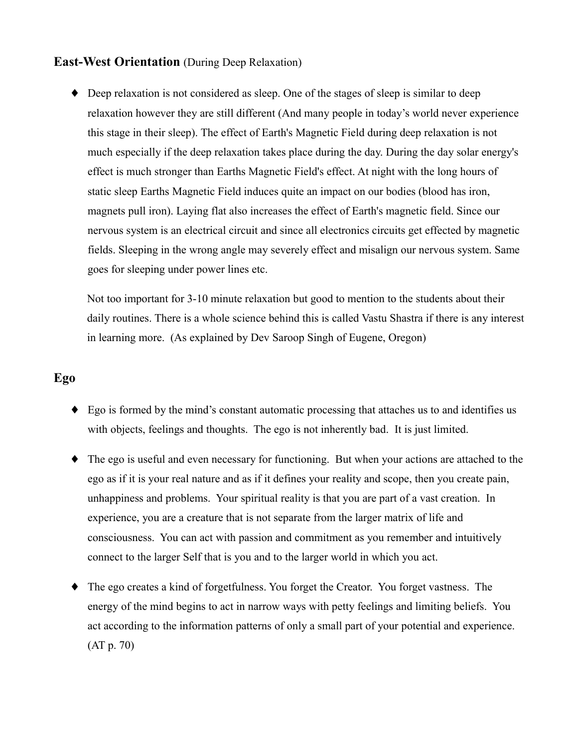#### **East-West Orientation** (During Deep Relaxation)

• Deep relaxation is not considered as sleep. One of the stages of sleep is similar to deep relaxation however they are still different (And many people in today's world never experience this stage in their sleep). The effect of Earth's Magnetic Field during deep relaxation is not much especially if the deep relaxation takes place during the day. During the day solar energy's effect is much stronger than Earths Magnetic Field's effect. At night with the long hours of static sleep Earths Magnetic Field induces quite an impact on our bodies (blood has iron, magnets pull iron). Laying flat also increases the effect of Earth's magnetic field. Since our nervous system is an electrical circuit and since all electronics circuits get effected by magnetic fields. Sleeping in the wrong angle may severely effect and misalign our nervous system. Same goes for sleeping under power lines etc.

Not too important for 3-10 minute relaxation but good to mention to the students about their daily routines. There is a whole science behind this is called Vastu Shastra if there is any interest in learning more. (As explained by Dev Saroop Singh of Eugene, Oregon)

### Ego

- Ego is formed by the mind's constant automatic processing that attaches us to and identifies us with objects, feelings and thoughts. The ego is not inherently bad. It is just limited.
- $\bullet$  The ego is useful and even necessary for functioning. But when your actions are attached to the ego as if it is your real nature and as if it defines your reality and scope, then you create pain, unhappiness and problems. Your spiritual reality is that you are part of a vast creation. In experience, you are a creature that is not separate from the larger matrix of life and consciousness. You can act with passion and commitment as you remember and intuitively connect to the larger Self that is you and to the larger world in which you act.
- The ego creates a kind of forgetfulness. You forget the Creator. You forget vastness. The energy of the mind begins to act in narrow ways with petty feelings and limiting beliefs. You act according to the information patterns of only a small part of your potential and experience.  $(AT p. 70)$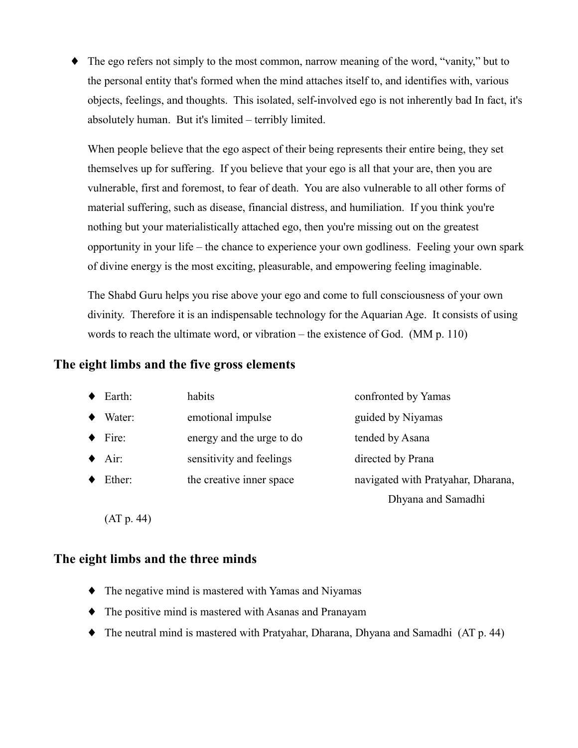$\blacklozenge$  The ego refers not simply to the most common, narrow meaning of the word, "vanity," but to the personal entity that's formed when the mind attaches itself to, and identifies with, various objects, feelings, and thoughts. This isolated, self-involved ego is not inherently bad In fact, it's absolutely human. But it's limited – terribly limited.

When people believe that the ego aspect of their being represents their entire being, they set themselves up for suffering. If you believe that your ego is all that your are, then you are vulnerable, first and foremost, to fear of death. You are also vulnerable to all other forms of material suffering, such as disease, financial distress, and humiliation. If you think you're nothing but your materialistically attached ego, then you're missing out on the greatest opportunity in your life – the chance to experience your own godliness. Feeling your own spark of divine energy is the most exciting, pleasurable, and empowering feeling imaginable.

The Shabd Guru helps you rise above your ego and come to full consciousness of your own divinity. Therefore it is an indispensable technology for the Aquarian Age. It consists of using words to reach the ultimate word, or vibration – the existence of God.  $(MM p. 110)$ 

#### The eight limbs and the five gross elements

| $\bullet$ Earth:      | habits                    | confronted by Yamas                |
|-----------------------|---------------------------|------------------------------------|
| Water:                | emotional impulse         | guided by Niyamas                  |
| $\blacklozenge$ Fire: | energy and the urge to do | tended by Asana                    |
| $\blacklozenge$ Air:  | sensitivity and feelings  | directed by Prana                  |
| Ether:                | the creative inner space  | navigated with Pratyahar, Dharana, |
|                       |                           | Dhyana and Samadhi                 |

 $(AT p. 44)$ 

#### The eight limbs and the three minds

- The negative mind is mastered with Yamas and Niyamas
- The positive mind is mastered with Asanas and Pranayam
- $\blacklozenge$  The neutral mind is mastered with Pratyahar, Dharana, Dhyana and Samadhi (AT p. 44)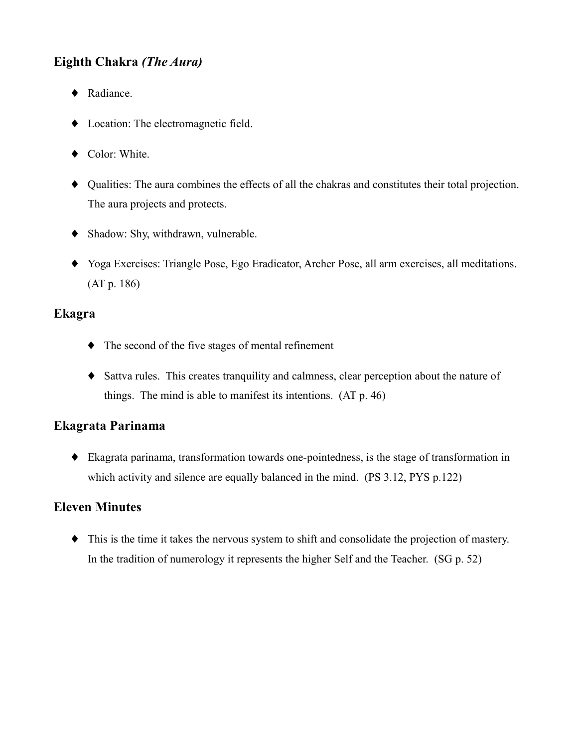# Eighth Chakra (The Aura)

- ◆ Radiance.
- Location: The electromagnetic field.
- ◆ Color: White.
- Qualities: The aura combines the effects of all the chakras and constitutes their total projection. The aura projects and protects.
- Shadow: Shy, withdrawn, vulnerable.
- Yoga Exercises: Triangle Pose, Ego Eradicator, Archer Pose, all arm exercises, all meditations.  $(AT p. 186)$

### Ekagra

- $\bullet$  The second of the five stages of mental refinement
- Sattva rules. This creates tranquility and calmness, clear perception about the nature of things. The mind is able to manifest its intentions.  $(AT p. 46)$

# Ekagrata Parinama

 $\bullet$  Ekagrata parinama, transformation towards one-pointedness, is the stage of transformation in which activity and silence are equally balanced in the mind. (PS 3.12, PYS p.122)

# **Eleven Minutes**

• This is the time it takes the nervous system to shift and consolidate the projection of mastery. In the tradition of numerology it represents the higher Self and the Teacher. (SG p. 52)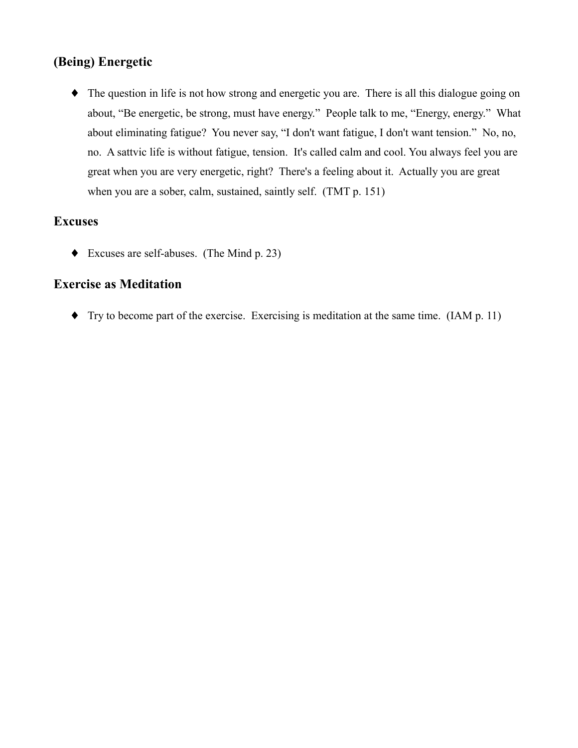# (Being) Energetic

• The question in life is not how strong and energetic you are. There is all this dialogue going on about, "Be energetic, be strong, must have energy." People talk to me, "Energy, energy." What about eliminating fatigue? You never say, "I don't want fatigue, I don't want tension." No, no, no. A sattvic life is without fatigue, tension. It's called calm and cool. You always feel you are great when you are very energetic, right? There's a feeling about it. Actually you are great when you are a sober, calm, sustained, saintly self. (TMT p. 151)

#### **Excuses**

 $\blacklozenge$  Excuses are self-abuses. (The Mind p. 23)

### **Exercise as Meditation**

 $\blacklozenge$  Try to become part of the exercise. Exercising is meditation at the same time. (IAM p. 11)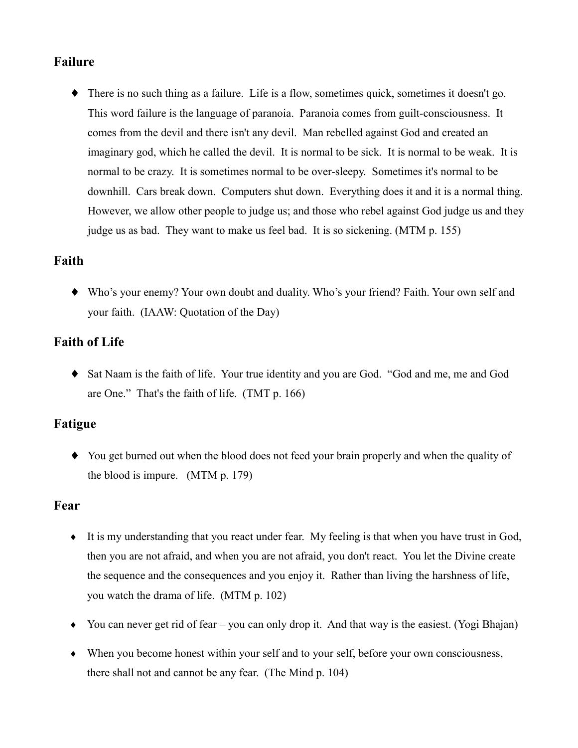### **Failure**

 $\blacklozenge$  There is no such thing as a failure. Life is a flow, sometimes quick, sometimes it doesn't go. This word failure is the language of paranoia. Paranoia comes from guilt-consciousness. It comes from the devil and there isn't any devil. Man rebelled against God and created an imaginary god, which he called the devil. It is normal to be sick. It is normal to be weak. It is normal to be crazy. It is sometimes normal to be over-sleepy. Sometimes it's normal to be downhill. Cars break down. Computers shut down. Everything does it and it is a normal thing. However, we allow other people to judge us; and those who rebel against God judge us and they judge us as bad. They want to make us feel bad. It is so sickening. (MTM p. 155)

### Faith

• Who's your enemy? Your own doubt and duality. Who's your friend? Faith. Your own self and your faith. (IAAW: Quotation of the Day)

# **Faith of Life**

• Sat Naam is the faith of life. Your true identity and you are God. "God and me, me and God are One." That's the faith of life. (TMT p. 166)

# **Fatigue**

• You get burned out when the blood does not feed your brain properly and when the quality of the blood is impure.  $(MTM p. 179)$ 

# Fear

- $\bullet$  It is my understanding that you react under fear. My feeling is that when you have trust in God, then you are not afraid, and when you are not afraid, you don't react. You let the Divine create the sequence and the consequences and you enjoy it. Rather than living the harshness of life, you watch the drama of life. (MTM p. 102)
- You can never get rid of fear you can only drop it. And that way is the easiest. (Yogi Bhajan)
- When you become honest within your self and to your self, before your own consciousness, there shall not and cannot be any fear. (The Mind p. 104)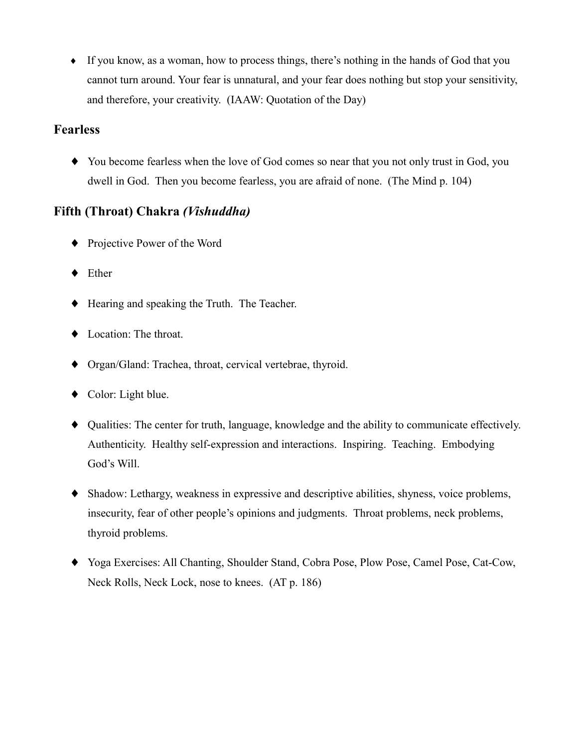• If you know, as a woman, how to process things, there's nothing in the hands of God that you cannot turn around. Your fear is unnatural, and your fear does nothing but stop your sensitivity, and therefore, your creativity. (IAAW: Quotation of the Day)

### **Fearless**

• You become fearless when the love of God comes so near that you not only trust in God, you dwell in God. Then you become fearless, you are afraid of none. (The Mind p. 104)

# Fifth (Throat) Chakra (Vishuddha)

- Projective Power of the Word
- $\blacklozenge$  Ether
- $\blacklozenge$  Hearing and speaking the Truth. The Teacher.
- Location: The throat.
- Organ/Gland: Trachea, throat, cervical vertebrae, thyroid.
- $\bullet$  Color: Light blue.
- Qualities: The center for truth, language, knowledge and the ability to communicate effectively. Authenticity. Healthy self-expression and interactions. Inspiring. Teaching. Embodying God's Will.
- Shadow: Lethargy, weakness in expressive and descriptive abilities, shyness, voice problems, insecurity, fear of other people's opinions and judgments. Throat problems, neck problems, thyroid problems.
- Yoga Exercises: All Chanting, Shoulder Stand, Cobra Pose, Plow Pose, Camel Pose, Cat-Cow, Neck Rolls, Neck Lock, nose to knees. (AT p. 186)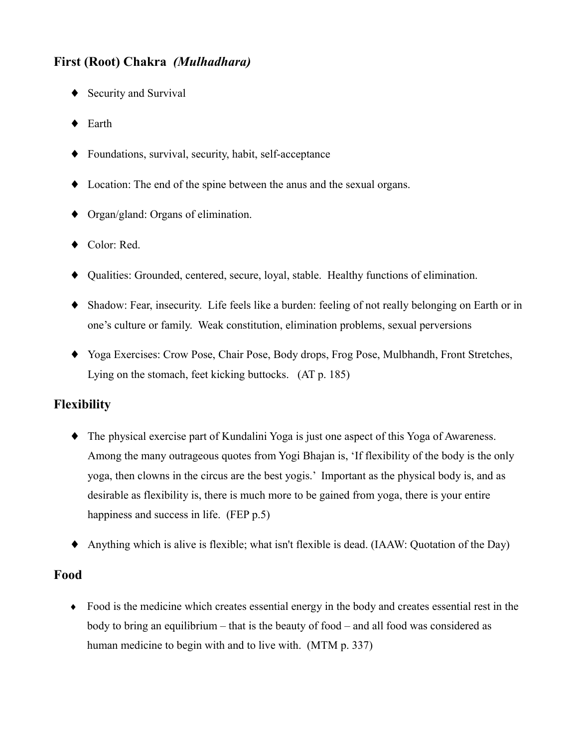# First (Root) Chakra (Mulhadhara)

- ♦ Security and Survival
- $\blacklozenge$  Earth
- Foundations, survival, security, habit, self-acceptance
- Location: The end of the spine between the anus and the sexual organs.
- $\bullet$  Organ/gland: Organs of elimination.
- ◆ Color: Red.
- Qualities: Grounded, centered, secure, loyal, stable. Healthy functions of elimination.
- Shadow: Fear, insecurity. Life feels like a burden: feeling of not really belonging on Earth or in one's culture or family. Weak constitution, elimination problems, sexual perversions
- Yoga Exercises: Crow Pose, Chair Pose, Body drops, Frog Pose, Mulbhandh, Front Stretches, Lying on the stomach, feet kicking buttocks. (AT p. 185)

# **Flexibility**

- The physical exercise part of Kundalini Yoga is just one aspect of this Yoga of Awareness. Among the many outrageous quotes from Yogi Bhajan is, 'If flexibility of the body is the only yoga, then clowns in the circus are the best yogis.' Important as the physical body is, and as desirable as flexibility is, there is much more to be gained from yoga, there is your entire happiness and success in life. (FEP p.5)
- Anything which is alive is flexible; what isn't flexible is dead. (IAAW: Quotation of the Day)

### Food

• Food is the medicine which creates essential energy in the body and creates essential rest in the body to bring an equilibrium – that is the beauty of food – and all food was considered as human medicine to begin with and to live with. (MTM p. 337)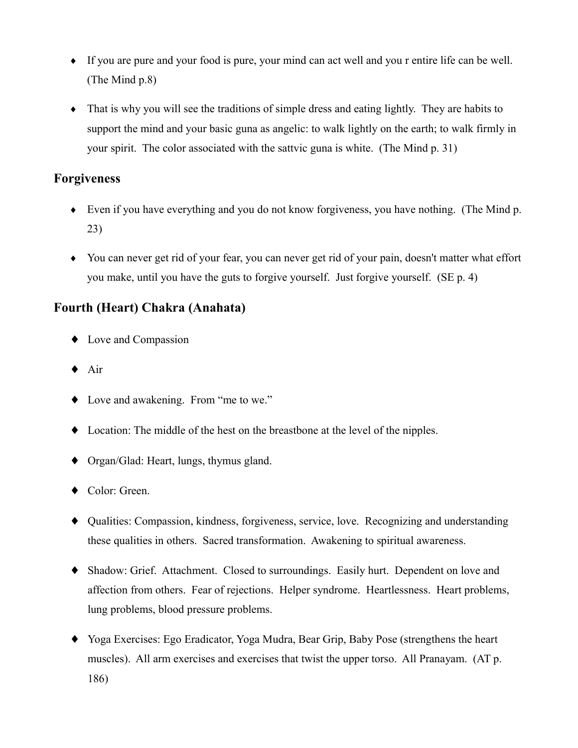- If you are pure and your food is pure, your mind can act well and you r entire life can be well. (The Mind  $p.8$ )
- That is why you will see the traditions of simple dress and eating lightly. They are habits to support the mind and your basic guna as angelic: to walk lightly on the earth; to walk firmly in your spirit. The color associated with the sattvic guna is white. (The Mind p. 31)

### **Forgiveness**

- $\bullet$  Even if you have everything and you do not know for giveness, you have nothing. (The Mind p.  $23)$
- You can never get rid of your fear, you can never get rid of your pain, doesn't matter what effort you make, until you have the guts to forgive yourself. Just forgive yourself. (SE p. 4)

# **Fourth (Heart) Chakra (Anahata)**

- $\bullet$  Love and Compassion
- $\triangle$  Air
- Love and awakening. From "me to we."
- Location: The middle of the hest on the breastbone at the level of the nipples.
- $\bullet$  Organ/Glad: Heart, lungs, thymus gland.
- ◆ Color: Green.
- Qualities: Compassion, kindness, forgiveness, service, love. Recognizing and understanding these qualities in others. Sacred transformation. Awakening to spiritual awareness.
- Shadow: Grief. Attachment. Closed to surroundings. Easily hurt. Dependent on love and affection from others. Fear of rejections. Helper syndrome. Heartlessness. Heart problems, lung problems, blood pressure problems.
- Yoga Exercises: Ego Eradicator, Yoga Mudra, Bear Grip, Baby Pose (strengthens the heart muscles). All arm exercises and exercises that twist the upper torso. All Pranayam. (AT p. 186)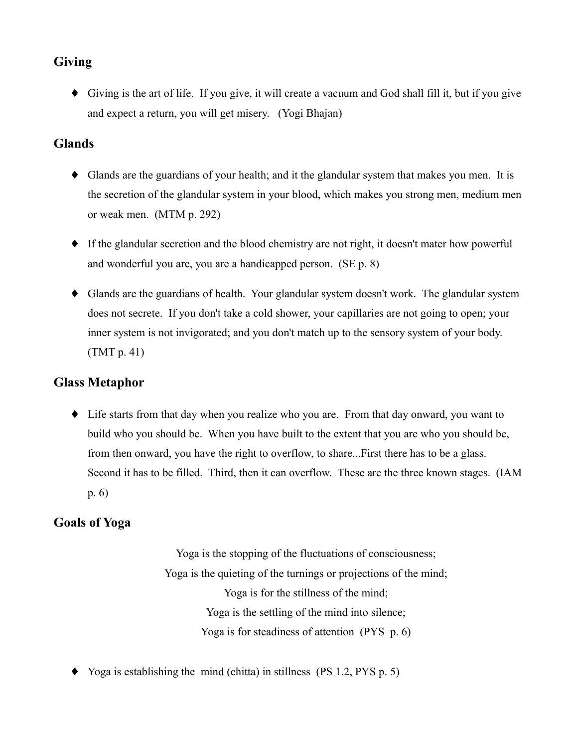# **Giving**

• Giving is the art of life. If you give, it will create a vacuum and God shall fill it, but if you give and expect a return, you will get misery. (Yogi Bhajan)

### **Glands**

- Glands are the guardians of your health; and it the glandular system that makes you men. It is the secretion of the glandular system in your blood, which makes you strong men, medium men or weak men.  $(MTM p. 292)$
- If the glandular secretion and the blood chemistry are not right, it doesn't mater how powerful and wonderful you are, you are a handicapped person. (SE p. 8)
- Glands are the guardians of health. Your glandular system doesn't work. The glandular system does not secrete. If you don't take a cold shower, your capillaries are not going to open; your inner system is not invigorated; and you don't match up to the sensory system of your body.  $(TMT p. 41)$

# **Glass Metaphor**

• Life starts from that day when you realize who you are. From that day onward, you want to build who you should be. When you have built to the extent that you are who you should be, from then onward, you have the right to overflow, to share...First there has to be a glass. Second it has to be filled. Third, then it can overflow. These are the three known stages. (IAM  $p. 6)$ 

# **Goals of Yoga**

Yoga is the stopping of the fluctuations of consciousness; Yoga is the quieting of the turnings or projections of the mind; Yoga is for the stillness of the mind; Yoga is the settling of the mind into silence; Yoga is for steadiness of attention  $(PYS_p, 6)$ 

• Yoga is establishing the mind (chitta) in stillness (PS 1.2, PYS p. 5)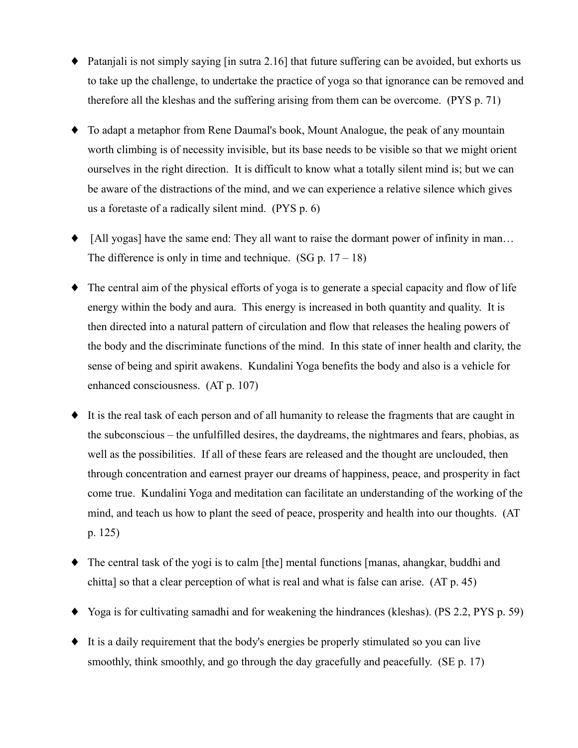- $\bullet$  Patanjali is not simply saying [in sutra 2.16] that future suffering can be avoided, but exhorts us to take up the challenge, to undertake the practice of yoga so that ignorance can be removed and therefore all the kleshas and the suffering arising from them can be overcome. (PYS p. 71)
- To adapt a metaphor from Rene Daumal's book, Mount Analogue, the peak of any mountain worth climbing is of necessity invisible, but its base needs to be visible so that we might orient ourselves in the right direction. It is difficult to know what a totally silent mind is; but we can be aware of the distractions of the mind, and we can experience a relative silence which gives us a foretaste of a radically silent mind.  $(PYS p. 6)$
- [All yogas] have the same end: They all want to raise the dormant power of infinity in man... The difference is only in time and technique.  $(SG p. 17 - 18)$
- The central aim of the physical efforts of yoga is to generate a special capacity and flow of life energy within the body and aura. This energy is increased in both quantity and quality. It is then directed into a natural pattern of circulation and flow that releases the healing powers of the body and the discriminate functions of the mind. In this state of inner health and clarity, the sense of being and spirit awakens. Kundalini Yoga benefits the body and also is a vehicle for enhanced consciousness. (AT p. 107)
- It is the real task of each person and of all humanity to release the fragments that are caught in the subconscious – the unfulfilled desires, the daydreams, the nightmares and fears, phobias, as well as the possibilities. If all of these fears are released and the thought are unclouded, then through concentration and earnest prayer our dreams of happiness, peace, and prosperity in fact come true. Kundalini Yoga and meditation can facilitate an understanding of the working of the mind, and teach us how to plant the seed of peace, prosperity and health into our thoughts. (AT  $p. 125)$
- $\bullet$  The central task of the yogi is to calm [the] mental functions [manas, ahangkar, buddhi and chitta] so that a clear perception of what is real and what is false can arise. (AT p. 45)
- $\blacklozenge$  Yoga is for cultivating samadhi and for weakening the hindrances (kleshas). (PS 2.2, PYS p. 59)
- It is a daily requirement that the body's energies be properly stimulated so you can live smoothly, think smoothly, and go through the day gracefully and peacefully. (SE p. 17)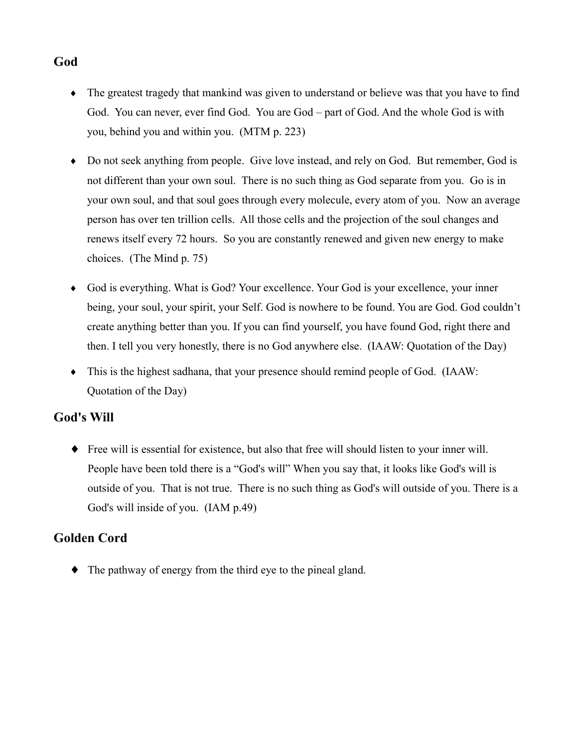### God

- The greatest tragedy that mankind was given to understand or believe was that you have to find God. You can never, ever find God. You are God – part of God. And the whole God is with you, behind you and within you. (MTM p. 223)
- Do not seek anything from people. Give love instead, and rely on God. But remember, God is not different than your own soul. There is no such thing as God separate from you. Go is in your own soul, and that soul goes through every molecule, every atom of you. Now an average person has over ten trillion cells. All those cells and the projection of the soul changes and renews itself every 72 hours. So you are constantly renewed and given new energy to make choices. (The Mind p. 75)
- God is everything. What is God? Your excellence. Your God is your excellence, your inner being, your soul, your spirit, your Self. God is nowhere to be found. You are God. God couldn't create anything better than you. If you can find yourself, you have found God, right there and then. I tell you very honestly, there is no God anywhere else. (IAAW: Quotation of the Day)
- $\bullet$  This is the highest sadhana, that your presence should remind people of God. (IAAW: Quotation of the Day)

### **God's Will**

• Free will is essential for existence, but also that free will should listen to your inner will. People have been told there is a "God's will" When you say that, it looks like God's will is outside of you. That is not true. There is no such thing as God's will outside of you. There is a God's will inside of you. (IAM p.49)

### **Golden Cord**

• The pathway of energy from the third eye to the pineal gland.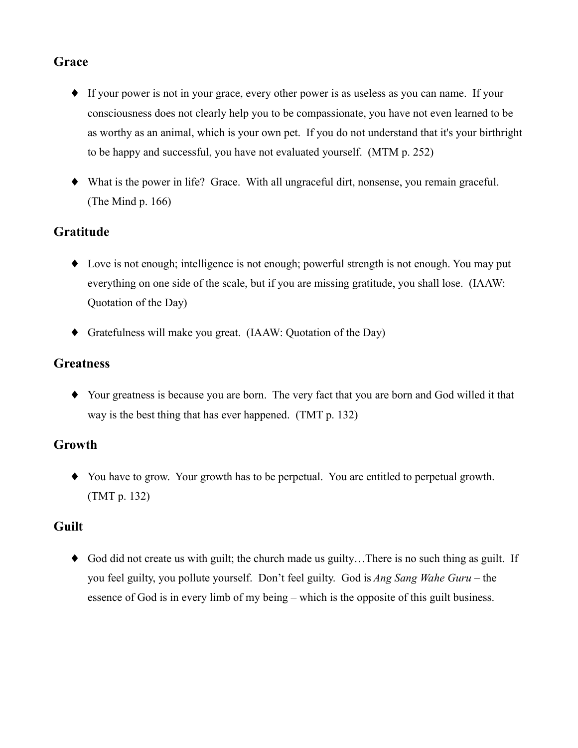# Grace

- If your power is not in your grace, every other power is as useless as you can name. If your consciousness does not clearly help you to be compassionate, you have not even learned to be as worthy as an animal, which is your own pet. If you do not understand that it's your birthright to be happy and successful, you have not evaluated yourself. (MTM p. 252)
- What is the power in life? Grace. With all ungraceful dirt, nonsense, you remain graceful. (The Mind  $p. 166$ )

# **Gratitude**

- Love is not enough; intelligence is not enough; powerful strength is not enough. You may put everything on one side of the scale, but if you are missing gratitude, you shall lose. (IAAW: Quotation of the Day)
- $\blacklozenge$  Gratefulness will make you great. (IAAW: Quotation of the Day)

### **Greatness**

• Your greatness is because you are born. The very fact that you are born and God willed it that way is the best thing that has ever happened. (TMT p. 132)

### Growth

• You have to grow. Your growth has to be perpetual. You are entitled to perpetual growth.  $(TMT p. 132)$ 

# **Guilt**

• God did not create us with guilt; the church made us guilty... There is no such thing as guilt. If you feel guilty, you pollute yourself. Don't feel guilty. God is Ang Sang Wahe Guru – the essence of God is in every limb of my being – which is the opposite of this guilt business.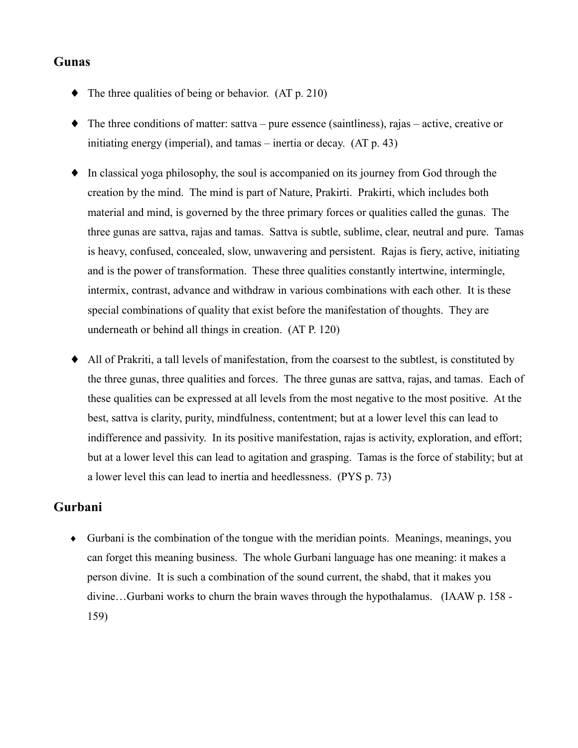### **Gunas**

- $\blacklozenge$  The three qualities of being or behavior. (AT p. 210)
- $\bullet$  The three conditions of matter: sattva pure essence (saintliness), rajas active, creative or initiating energy (imperial), and tamas  $-$  inertia or decay. (AT  $p. 43$ )
- $\bullet$  In classical yoga philosophy, the soul is accompanied on its journey from God through the creation by the mind. The mind is part of Nature, Prakirti. Prakirti, which includes both material and mind, is governed by the three primary forces or qualities called the gunas. The three gunas are sattva, rajas and tamas. Sattva is subtle, sublime, clear, neutral and pure. Tamas is heavy, confused, concealed, slow, unwavering and persistent. Rajas is fiery, active, initiating and is the power of transformation. These three qualities constantly intertwine, intermingle, intermix, contrast, advance and withdraw in various combinations with each other. It is these special combinations of quality that exist before the manifestation of thoughts. They are underneath or behind all things in creation. (AT P. 120)
- All of Prakriti, a tall levels of manifestation, from the coarsest to the subtlest, is constituted by  $\blacklozenge$ the three gunas, three qualities and forces. The three gunas are sattva, rajas, and tamas. Each of these qualities can be expressed at all levels from the most negative to the most positive. At the best, sattva is clarity, purity, mindfulness, contentment; but at a lower level this can lead to indifference and passivity. In its positive manifestation, rajas is activity, exploration, and effort; but at a lower level this can lead to agitation and grasping. Tamas is the force of stability; but at a lower level this can lead to inertia and heedlessness. (PYS p. 73)

#### Gurbani

 $\bullet$  Gurbani is the combination of the tongue with the meridian points. Meanings, meanings, you can forget this meaning business. The whole Gurbani language has one meaning: it makes a person divine. It is such a combination of the sound current, the shabd, that it makes you divine...Gurbani works to churn the brain waves through the hypothalamus. (IAAW p. 158 -159)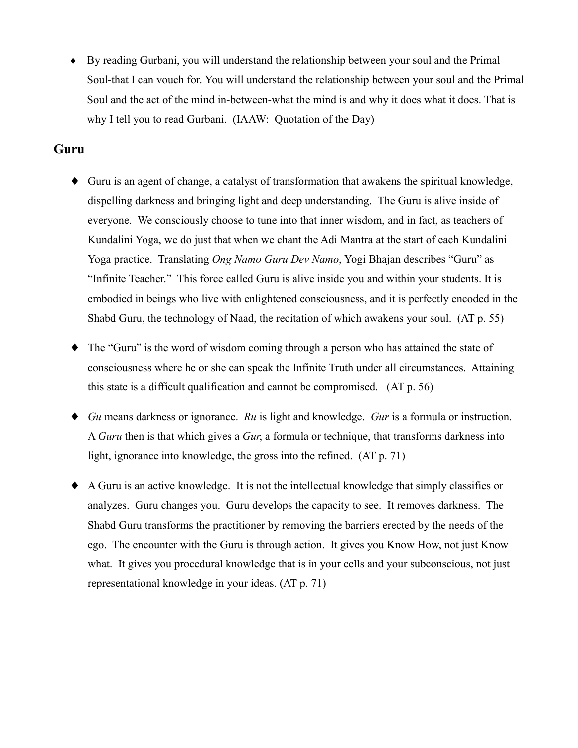• By reading Gurbani, you will understand the relationship between your soul and the Primal Soul-that I can vouch for. You will understand the relationship between your soul and the Primal Soul and the act of the mind in-between-what the mind is and why it does what it does. That is why I tell you to read Gurbani. (IAAW: Quotation of the Day)

#### Guru

- Guru is an agent of change, a catalyst of transformation that awakens the spiritual knowledge, dispelling darkness and bringing light and deep understanding. The Guru is alive inside of everyone. We consciously choose to tune into that inner wisdom, and in fact, as teachers of Kundalini Yoga, we do just that when we chant the Adi Mantra at the start of each Kundalini Yoga practice. Translating *Ong Namo Guru Dev Namo*, Yogi Bhajan describes "Guru" as "Infinite Teacher." This force called Guru is alive inside you and within your students. It is embodied in beings who live with enlightened consciousness, and it is perfectly encoded in the Shabd Guru, the technology of Naad, the recitation of which awakens your soul. (AT p. 55)
- The "Guru" is the word of wisdom coming through a person who has attained the state of consciousness where he or she can speak the Infinite Truth under all circumstances. Attaining this state is a difficult qualification and cannot be compromised. (AT p. 56)
- $\bullet$  Gu means darkness or ignorance. Ru is light and knowledge. Gur is a formula or instruction. A Guru then is that which gives a Gur, a formula or technique, that transforms darkness into light, ignorance into knowledge, the gross into the refined. (AT p. 71)
- A Guru is an active knowledge. It is not the intellectual knowledge that simply classifies or analyzes. Guru changes you. Guru develops the capacity to see. It removes darkness. The Shabd Guru transforms the practitioner by removing the barriers erected by the needs of the ego. The encounter with the Guru is through action. It gives you Know How, not just Know what. It gives you procedural knowledge that is in your cells and your subconscious, not just representational knowledge in your ideas. (AT p. 71)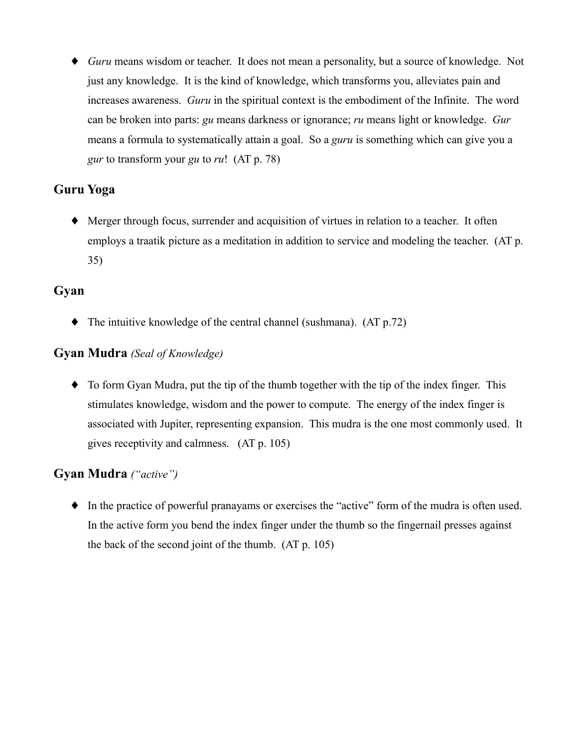• Guru means wisdom or teacher. It does not mean a personality, but a source of knowledge. Not just any knowledge. It is the kind of knowledge, which transforms you, alleviates pain and increases awareness. *Guru* in the spiritual context is the embodiment of the Infinite. The word can be broken into parts: gu means darkness or ignorance; ru means light or knowledge. Gur means a formula to systematically attain a goal. So a *guru* is something which can give you a gur to transform your gu to ru! (AT  $p$ . 78)

# **Guru Yoga**

• Merger through focus, surrender and acquisition of virtues in relation to a teacher. It often employs a traatik picture as a meditation in addition to service and modeling the teacher. (AT p.  $35)$ 

### Gyan

 $\blacklozenge$  The intuitive knowledge of the central channel (sushmana). (AT p.72)

### **Gyan Mudra** (Seal of Knowledge)

• To form Gyan Mudra, put the tip of the thumb together with the tip of the index finger. This stimulates knowledge, wisdom and the power to compute. The energy of the index finger is associated with Jupiter, representing expansion. This mudra is the one most commonly used. It gives receptivity and calmness. (AT p. 105)

### **Gyan Mudra** ("active")

 $\bullet$  In the practice of powerful pranayams or exercises the "active" form of the mudra is often used. In the active form you bend the index finger under the thumb so the fingernail presses against the back of the second joint of the thumb. (AT p. 105)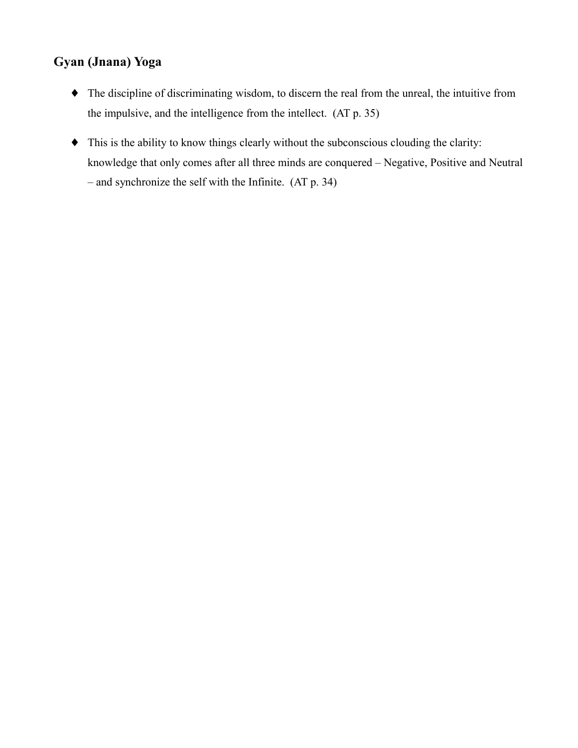# Gyan (Jnana) Yoga

- The discipline of discriminating wisdom, to discern the real from the unreal, the intuitive from the impulsive, and the intelligence from the intellect. (AT p. 35)
- This is the ability to know things clearly without the subconscious clouding the clarity: knowledge that only comes after all three minds are conquered - Negative, Positive and Neutral  $-$  and synchronize the self with the Infinite. (AT p. 34)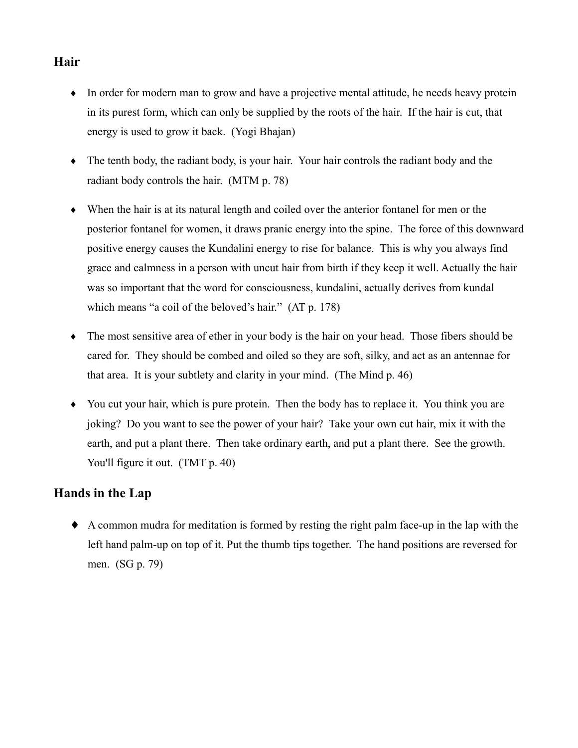# Hair

- In order for modern man to grow and have a projective mental attitude, he needs heavy protein in its purest form, which can only be supplied by the roots of the hair. If the hair is cut, that energy is used to grow it back. (Yogi Bhajan)
- $\bullet$  The tenth body, the radiant body, is your hair. Your hair controls the radiant body and the radiant body controls the hair. (MTM p. 78)
- $\bullet$  When the hair is at its natural length and coiled over the anterior fontanel for men or the posterior fontanel for women, it draws pranic energy into the spine. The force of this downward positive energy causes the Kundalini energy to rise for balance. This is why you always find grace and calmness in a person with uncut hair from birth if they keep it well. Actually the hair was so important that the word for consciousness, kundalini, actually derives from kundal which means "a coil of the beloved's hair." (AT p. 178)
- The most sensitive area of ether in your body is the hair on your head. Those fibers should be cared for. They should be combed and oiled so they are soft, silky, and act as an antennae for that area. It is your subtlety and clarity in your mind. (The Mind p. 46)
- You cut your hair, which is pure protein. Then the body has to replace it. You think you are joking? Do you want to see the power of your hair? Take your own cut hair, mix it with the earth, and put a plant there. Then take ordinary earth, and put a plant there. See the growth. You'll figure it out. (TMT p. 40)

# Hands in the Lap

• A common mudra for meditation is formed by resting the right palm face-up in the lap with the left hand palm-up on top of it. Put the thumb tips together. The hand positions are reversed for men. (SG p. 79)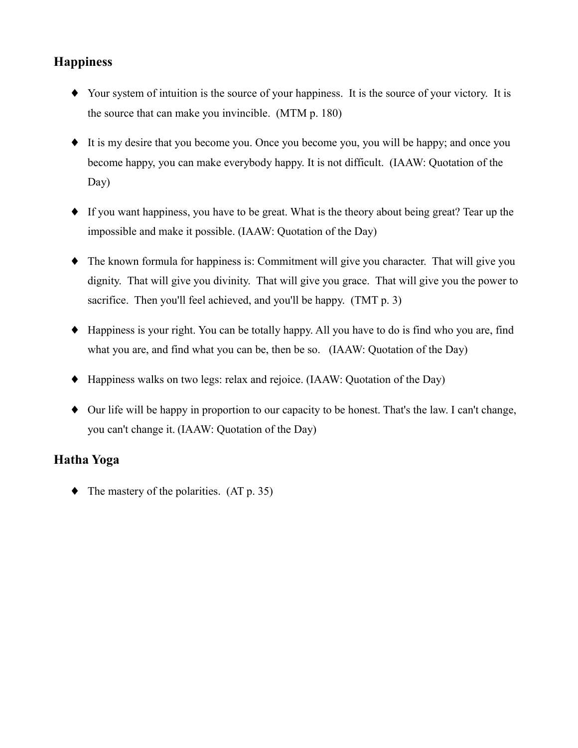# **Happiness**

- Your system of intuition is the source of your happiness. It is the source of your victory. It is the source that can make you invincible. (MTM p. 180)
- It is my desire that you become you. Once you become you, you will be happy; and once you become happy, you can make everybody happy. It is not difficult. (IAAW: Quotation of the  $Day)$
- If you want happiness, you have to be great. What is the theory about being great? Tear up the impossible and make it possible. (IAAW: Quotation of the Day)
- $\bullet$  The known formula for happiness is: Commitment will give you character. That will give you dignity. That will give you divinity. That will give you grace. That will give you the power to sacrifice. Then you'll feel achieved, and you'll be happy. (TMT p. 3)
- Happiness is your right. You can be totally happy. All you have to do is find who you are, find what you are, and find what you can be, then be so. (IAAW: Quotation of the Day)
- Happiness walks on two legs: relax and rejoice. (IAAW: Quotation of the Day)
- Our life will be happy in proportion to our capacity to be honest. That's the law. I can't change, you can't change it. (IAAW: Quotation of the Day)

# **Hatha Yoga**

 $\blacklozenge$  The mastery of the polarities. (AT p. 35)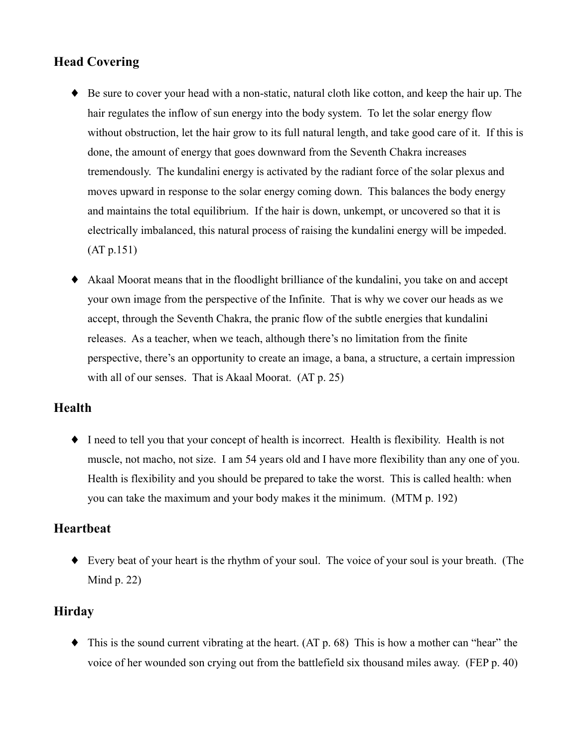# **Head Covering**

- Be sure to cover your head with a non-static, natural cloth like cotton, and keep the hair up. The hair regulates the inflow of sun energy into the body system. To let the solar energy flow without obstruction, let the hair grow to its full natural length, and take good care of it. If this is done, the amount of energy that goes downward from the Seventh Chakra increases tremendously. The kundalini energy is activated by the radiant force of the solar plexus and moves upward in response to the solar energy coming down. This balances the body energy and maintains the total equilibrium. If the hair is down, unkempt, or uncovered so that it is electrically imbalanced, this natural process of raising the kundalini energy will be impeded.  $(AT p.151)$
- Akaal Moorat means that in the floodlight brilliance of the kundalini, you take on and accept your own image from the perspective of the Infinite. That is why we cover our heads as we accept, through the Seventh Chakra, the pranic flow of the subtle energies that kundalini releases. As a teacher, when we teach, although there's no limitation from the finite perspective, there's an opportunity to create an image, a bana, a structure, a certain impression with all of our senses. That is Akaal Moorat. (AT p. 25)

### **Health**

 $\bullet$  I need to tell you that your concept of health is incorrect. Health is flexibility. Health is not muscle, not macho, not size. I am 54 years old and I have more flexibility than any one of you. Health is flexibility and you should be prepared to take the worst. This is called health: when you can take the maximum and your body makes it the minimum. (MTM p. 192)

### **Heartbeat**

• Every beat of your heart is the rhythm of your soul. The voice of your soul is your breath. (The Mind  $p. 22$ )

### **Hirday**

 $\blacklozenge$  This is the sound current vibrating at the heart. (AT p. 68) This is how a mother can "hear" the voice of her wounded son crying out from the battlefield six thousand miles away. (FEP p. 40)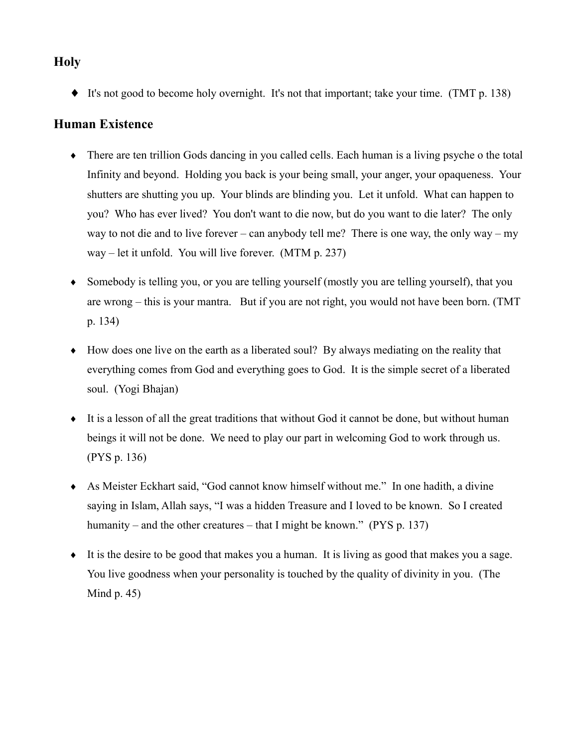### **Holy**

• It's not good to become holy overnight. It's not that important; take your time. (TMT p. 138)

### **Human Existence**

- There are ten trillion Gods dancing in you called cells. Each human is a living psyche o the total Infinity and beyond. Holding you back is your being small, your anger, your opaqueness. Your shutters are shutting you up. Your blinds are blinding you. Let it unfold. What can happen to you? Who has ever lived? You don't want to die now, but do you want to die later? The only way to not die and to live forever – can anybody tell me? There is one way, the only way – my  $way$  – let it unfold. You will live forever. (MTM p. 237)
- Somebody is telling you, or you are telling yourself (mostly you are telling yourself), that you are wrong – this is your mantra. But if you are not right, you would not have been born. (TMT p. 134)
- How does one live on the earth as a liberated soul? By always mediating on the reality that everything comes from God and everything goes to God. It is the simple secret of a liberated soul. (Yogi Bhajan)
- It is a lesson of all the great traditions that without God it cannot be done, but without human beings it will not be done. We need to play our part in welcoming God to work through us. (PYS p. 136)
- As Meister Eckhart said, "God cannot know himself without me." In one hadith, a divine saying in Islam, Allah says, "I was a hidden Treasure and I loved to be known. So I created humanity – and the other creatures – that I might be known." (PYS  $p$ , 137)
- $\bullet$  It is the desire to be good that makes you a human. It is living as good that makes you a sage. You live goodness when your personality is touched by the quality of divinity in you. (The Mind  $p.45$ )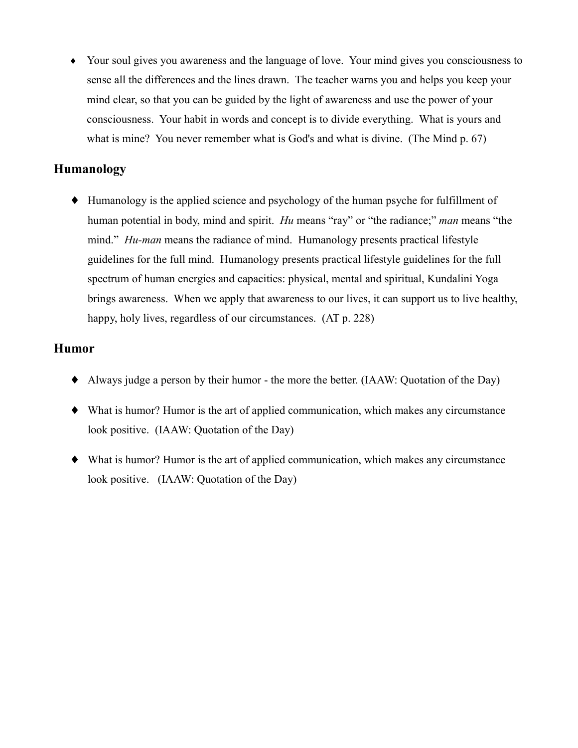• Your soul gives you awareness and the language of love. Your mind gives you consciousness to sense all the differences and the lines drawn. The teacher warns you and helps you keep your mind clear, so that you can be guided by the light of awareness and use the power of your consciousness. Your habit in words and concept is to divide everything. What is yours and what is mine? You never remember what is God's and what is divine. (The Mind p. 67)

#### **Humanology**

• Humanology is the applied science and psychology of the human psyche for fulfillment of human potential in body, mind and spirit. *Hu* means "ray" or "the radiance;" *man* means "the mind." *Hu-man* means the radiance of mind. Humanology presents practical lifestyle guidelines for the full mind. Humanology presents practical lifestyle guidelines for the full spectrum of human energies and capacities: physical, mental and spiritual, Kundalini Yoga brings awareness. When we apply that awareness to our lives, it can support us to live healthy, happy, holy lives, regardless of our circumstances. (AT p. 228)

#### **Humor**

- Always judge a person by their humor the more the better. (IAAW: Quotation of the Day)
- What is humor? Humor is the art of applied communication, which makes any circumstance look positive. (IAAW: Quotation of the Day)
- What is humor? Humor is the art of applied communication, which makes any circumstance look positive. (IAAW: Quotation of the Day)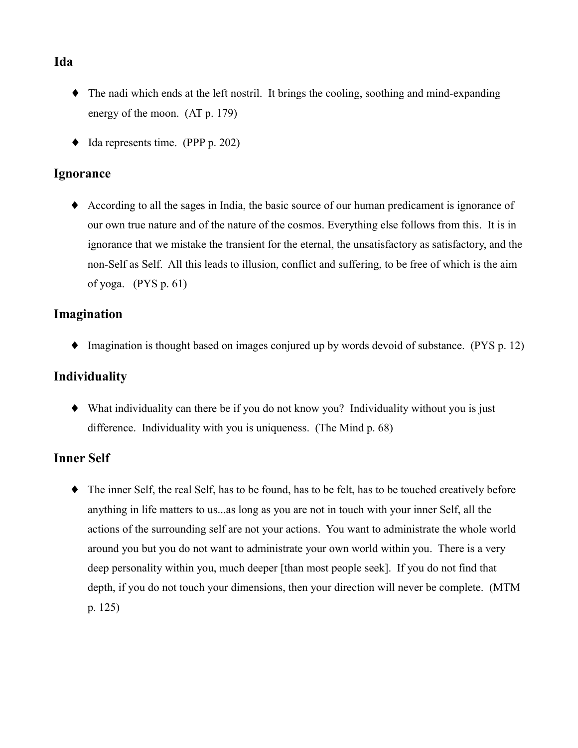### Ida

- The nadi which ends at the left nostril. It brings the cooling, soothing and mind-expanding energy of the moon.  $(AT p. 179)$
- $\blacklozenge$  Ida represents time. (PPP p. 202)

#### **Ignorance**

• According to all the sages in India, the basic source of our human predicament is ignorance of our own true nature and of the nature of the cosmos. Everything else follows from this. It is in ignorance that we mistake the transient for the eternal, the unsatisfactory as satisfactory, and the non-Self as Self. All this leads to illusion, conflict and suffering, to be free of which is the aim of yoga.  $(PYS p. 61)$ 

### Imagination

 $\bullet$  Imagination is thought based on images conjured up by words devoid of substance. (PYS p. 12)

### **Individuality**

• What individuality can there be if you do not know you? Individuality without you is just difference. Individuality with you is uniqueness. (The Mind p. 68)

# **Inner Self**

• The inner Self, the real Self, has to be found, has to be felt, has to be touched creatively before anything in life matters to us...as long as you are not in touch with your inner Self, all the actions of the surrounding self are not your actions. You want to administrate the whole world around you but you do not want to administrate your own world within you. There is a very deep personality within you, much deeper [than most people seek]. If you do not find that depth, if you do not touch your dimensions, then your direction will never be complete. (MTM p.  $125)$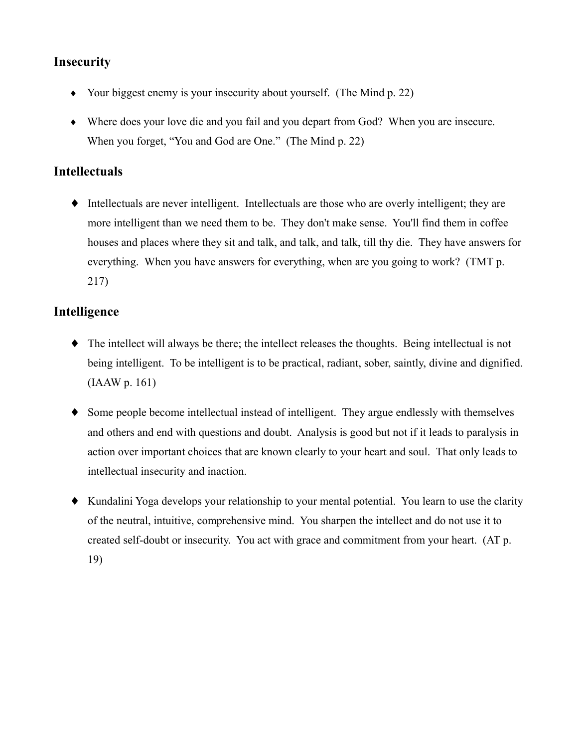### **Insecurity**

- Your biggest enemy is your insecurity about yourself. (The Mind  $p. 22$ )
- Where does your love die and you fail and you depart from God? When you are insecure. When you forget, "You and God are One." (The Mind p. 22)

#### **Intellectuals**

 $\bullet$  Intellectuals are never intelligent. Intellectuals are those who are overly intelligent; they are more intelligent than we need them to be. They don't make sense. You'll find them in coffee houses and places where they sit and talk, and talk, and talk, till thy die. They have answers for everything. When you have answers for everything, when are you going to work? (TMT p. 217)

#### Intelligence

- $\bullet$  The intellect will always be there; the intellect releases the thoughts. Being intellectual is not being intelligent. To be intelligent is to be practical, radiant, sober, saintly, divine and dignified.  $(IAAW p. 161)$
- Some people become intellectual instead of intelligent. They argue endlessly with themselves and others and end with questions and doubt. Analysis is good but not if it leads to paralysis in action over important choices that are known clearly to your heart and soul. That only leads to intellectual insecurity and inaction.
- Kundalini Yoga develops your relationship to your mental potential. You learn to use the clarity of the neutral, intuitive, comprehensive mind. You sharpen the intellect and do not use it to created self-doubt or insecurity. You act with grace and commitment from your heart. (AT p. 19)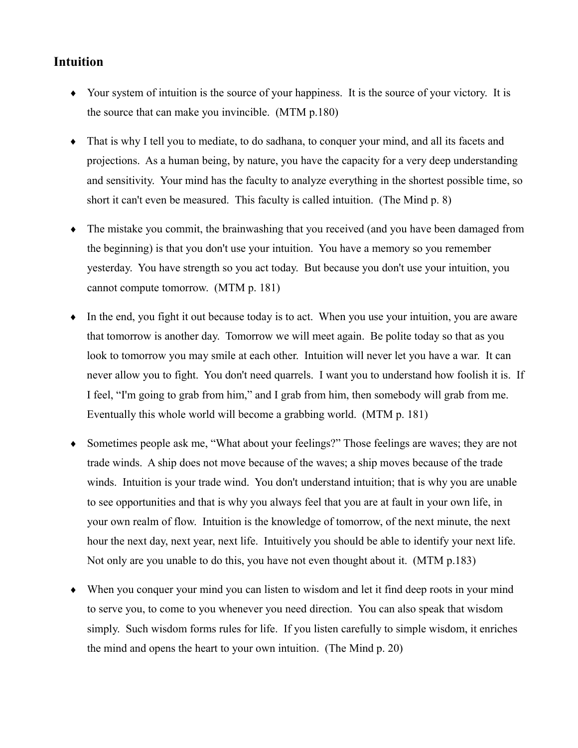#### **Intuition**

- Your system of intuition is the source of your happiness. It is the source of your victory. It is the source that can make you invincible. (MTM p.180)
- That is why I tell you to mediate, to do sadhana, to conquer your mind, and all its facets and projections. As a human being, by nature, you have the capacity for a very deep understanding and sensitivity. Your mind has the faculty to analyze everything in the shortest possible time, so short it can't even be measured. This faculty is called intuition. (The Mind p. 8)
- The mistake you commit, the brainwashing that you received (and you have been damaged from the beginning) is that you don't use your intuition. You have a memory so you remember yesterday. You have strength so you act today. But because you don't use your intuition, you cannot compute tomorrow. (MTM p. 181)
- In the end, you fight it out because today is to act. When you use your intuition, you are aware that tomorrow is another day. Tomorrow we will meet again. Be polite today so that as you look to tomorrow you may smile at each other. Intuition will never let you have a war. It can never allow you to fight. You don't need quarrels. I want you to understand how foolish it is. If I feel, "I'm going to grab from him," and I grab from him, then somebody will grab from me. Eventually this whole world will become a grabbing world. (MTM p. 181)
- Sometimes people ask me, "What about your feelings?" Those feelings are waves; they are not trade winds. A ship does not move because of the waves; a ship moves because of the trade winds. Intuition is your trade wind. You don't understand intuition; that is why you are unable to see opportunities and that is why you always feel that you are at fault in your own life, in your own realm of flow. Intuition is the knowledge of tomorrow, of the next minute, the next hour the next day, next year, next life. Intuitively you should be able to identify your next life. Not only are you unable to do this, you have not even thought about it. (MTM p.183)
- When you conquer your mind you can listen to wisdom and let it find deep roots in your mind to serve you, to come to you whenever you need direction. You can also speak that wisdom simply. Such wisdom forms rules for life. If you listen carefully to simple wisdom, it enriches the mind and opens the heart to your own intuition. (The Mind p. 20)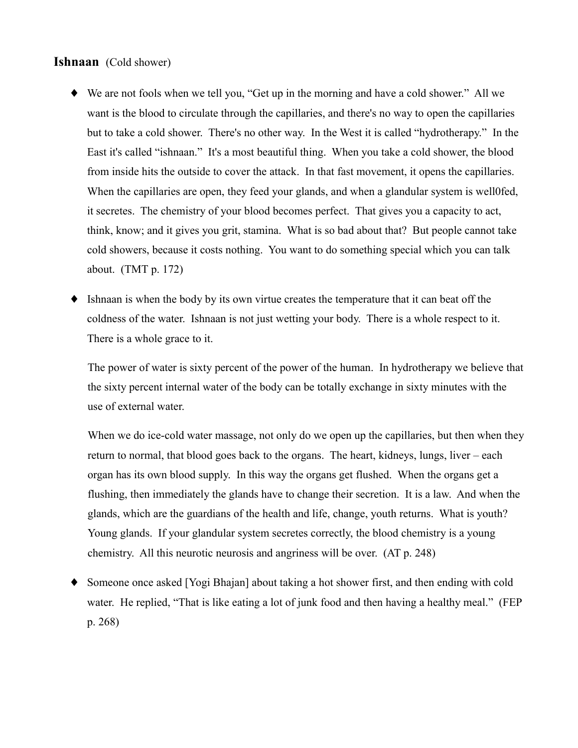#### Ishnaan (Cold shower)

- We are not fools when we tell you, "Get up in the morning and have a cold shower." All we want is the blood to circulate through the capillaries, and there's no way to open the capillaries but to take a cold shower. There's no other way. In the West it is called "hydrotherapy." In the East it's called "ishnaan." It's a most beautiful thing. When you take a cold shower, the blood from inside hits the outside to cover the attack. In that fast movement, it opens the capillaries. When the capillaries are open, they feed your glands, and when a glandular system is well of ed. it secretes. The chemistry of your blood becomes perfect. That gives you a capacity to act, think, know; and it gives you grit, stamina. What is so bad about that? But people cannot take cold showers, because it costs nothing. You want to do something special which you can talk about.  $(TMT p. 172)$
- Ishnaan is when the body by its own virtue creates the temperature that it can beat off the ٠ coldness of the water. Ishnaan is not just wetting your body. There is a whole respect to it. There is a whole grace to it.

The power of water is sixty percent of the power of the human. In hydrotherapy we believe that the sixty percent internal water of the body can be totally exchange in sixty minutes with the use of external water.

When we do ice-cold water massage, not only do we open up the capillaries, but then when they return to normal, that blood goes back to the organs. The heart, kidneys, lungs, liver – each organ has its own blood supply. In this way the organs get flushed. When the organs get a flushing, then immediately the glands have to change their secretion. It is a law. And when the glands, which are the guardians of the health and life, change, youth returns. What is youth? Young glands. If your glandular system secretes correctly, the blood chemistry is a young chemistry. All this neurotic neurosis and angriness will be over. (AT p. 248)

Someone once asked [Yogi Bhajan] about taking a hot shower first, and then ending with cold water. He replied, "That is like eating a lot of junk food and then having a healthy meal." (FEP  $p. 268$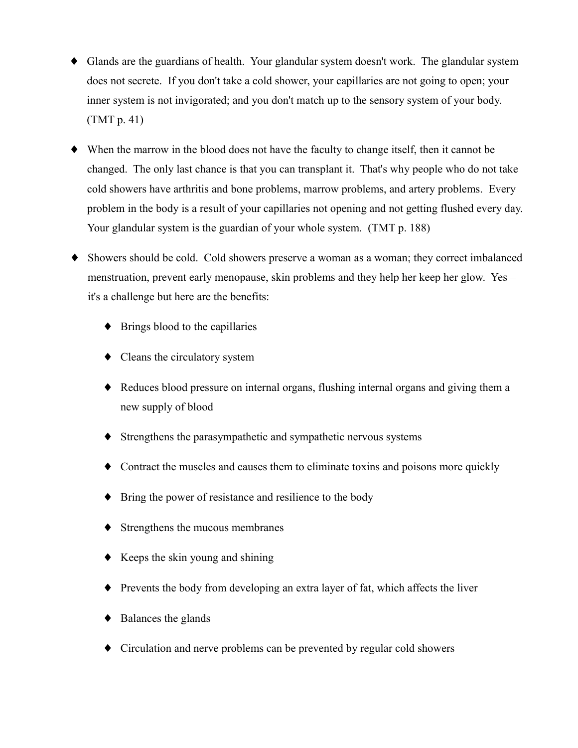- Glands are the guardians of health. Your glandular system doesn't work. The glandular system does not secrete. If you don't take a cold shower, your capillaries are not going to open; your inner system is not invigorated; and you don't match up to the sensory system of your body.  $(TMT p. 41)$
- When the marrow in the blood does not have the faculty to change itself, then it cannot be changed. The only last chance is that you can transplant it. That's why people who do not take cold showers have arthritis and bone problems, marrow problems, and artery problems. Every problem in the body is a result of your capillaries not opening and not getting flushed every day. Your glandular system is the guardian of your whole system. (TMT p. 188)
- Showers should be cold. Cold showers preserve a woman as a woman; they correct imbalanced menstruation, prevent early menopause, skin problems and they help her keep her glow. Yes – it's a challenge but here are the benefits:
	- $\blacklozenge$  Brings blood to the capillaries
	- $\bullet$  Cleans the circulatory system
	- Reduces blood pressure on internal organs, flushing internal organs and giving them a new supply of blood
	- Strengthens the parasympathetic and sympathetic nervous systems
	- $\bullet$  Contract the muscles and causes them to eliminate toxins and poisons more quickly
	- Bring the power of resistance and resilience to the body
	- $\blacklozenge$  Strengthens the mucous membranes
	- $\blacklozenge$  Keeps the skin young and shining
	- $\blacklozenge$  Prevents the body from developing an extra layer of fat, which affects the liver
	- $\bullet$  Balances the glands
	- Circulation and nerve problems can be prevented by regular cold showers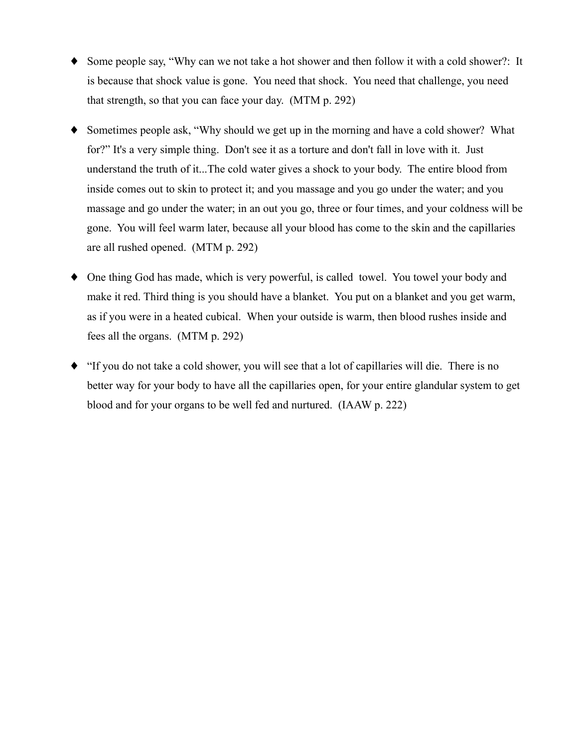- Some people say, "Why can we not take a hot shower and then follow it with a cold shower?: It is because that shock value is gone. You need that shock. You need that challenge, you need that strength, so that you can face your day. (MTM p. 292)
- Sometimes people ask, "Why should we get up in the morning and have a cold shower? What for?" It's a very simple thing. Don't see it as a torture and don't fall in love with it. Just understand the truth of it...The cold water gives a shock to your body. The entire blood from inside comes out to skin to protect it; and you massage and you go under the water; and you massage and go under the water; in an out you go, three or four times, and your coldness will be gone. You will feel warm later, because all your blood has come to the skin and the capillaries are all rushed opened. (MTM p. 292)
- One thing God has made, which is very powerful, is called towel. You towel your body and make it red. Third thing is you should have a blanket. You put on a blanket and you get warm, as if you were in a heated cubical. When your outside is warm, then blood rushes inside and fees all the organs. (MTM p. 292)
- "If you do not take a cold shower, you will see that a lot of capillaries will die. There is no better way for your body to have all the capillaries open, for your entire glandular system to get blood and for your organs to be well fed and nurtured. (IAAW p. 222)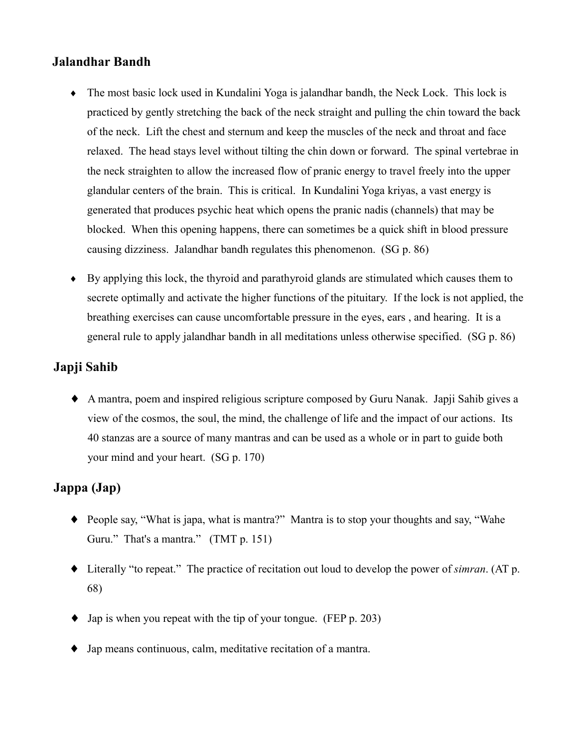#### **Jalandhar Bandh**

- The most basic lock used in Kundalini Yoga is jalandhar bandh, the Neck Lock. This lock is practiced by gently stretching the back of the neck straight and pulling the chin toward the back of the neck. Lift the chest and sternum and keep the muscles of the neck and throat and face relaxed. The head stays level without tilting the chin down or forward. The spinal vertebrae in the neck straighten to allow the increased flow of pranic energy to travel freely into the upper glandular centers of the brain. This is critical. In Kundalini Yoga krivas, a vast energy is generated that produces psychic heat which opens the pranic nadis (channels) that may be blocked. When this opening happens, there can sometimes be a quick shift in blood pressure causing dizziness. Jalandhar bandh regulates this phenomenon. (SG p. 86)
- $\bullet$  By applying this lock, the thyroid and parathyroid glands are stimulated which causes them to secrete optimally and activate the higher functions of the pituitary. If the lock is not applied, the breathing exercises can cause uncomfortable pressure in the eyes, ears, and hearing. It is a general rule to apply jalandhar bandh in all meditations unless otherwise specified. (SG p. 86)

#### Japji Sahib

• A mantra, poem and inspired religious scripture composed by Guru Nanak. Japji Sahib gives a view of the cosmos, the soul, the mind, the challenge of life and the impact of our actions. Its 40 stanzas are a source of many mantras and can be used as a whole or in part to guide both your mind and your heart. (SG p. 170)

#### Jappa (Jap)

- People say, "What is japa, what is mantra?" Mantra is to stop your thoughts and say, "Wahe Guru." That's a mantra." (TMT p. 151)
- $\bullet$  Literally "to repeat." The practice of recitation out loud to develop the power of *simran*. (AT p. 68)
- $\bullet$  Jap is when you repeat with the tip of your tongue. (FEP p. 203)
- $\blacklozenge$  Jap means continuous, calm, meditative recitation of a mantra.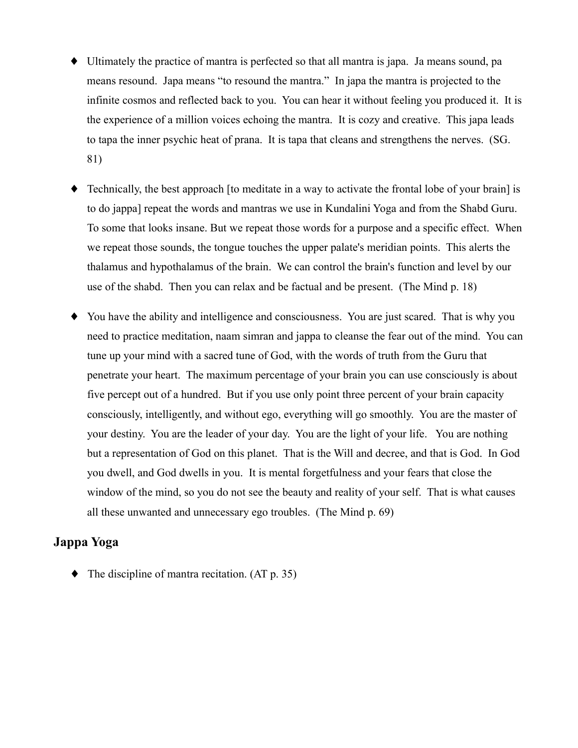- Ultimately the practice of mantra is perfected so that all mantra is japa. Ja means sound, pa means resound. Japa means "to resound the mantra." In japa the mantra is projected to the infinite cosmos and reflected back to you. You can hear it without feeling you produced it. It is the experience of a million voices echoing the mantra. It is cozy and creative. This japa leads to tapa the inner psychic heat of prana. It is tapa that cleans and strengthens the nerves. (SG. 81)
- Technically, the best approach [to meditate in a way to activate the frontal lobe of your brain] is to do jappal repeat the words and mantras we use in Kundalini Yoga and from the Shabd Guru. To some that looks insane. But we repeat those words for a purpose and a specific effect. When we repeat those sounds, the tongue touches the upper palate's meridian points. This alerts the thalamus and hypothalamus of the brain. We can control the brain's function and level by our use of the shabd. Then you can relax and be factual and be present. (The Mind p. 18)
- You have the ability and intelligence and consciousness. You are just scared. That is why you need to practice meditation, naam simran and jappa to cleanse the fear out of the mind. You can tune up your mind with a sacred tune of God, with the words of truth from the Guru that penetrate your heart. The maximum percentage of your brain you can use consciously is about five percept out of a hundred. But if you use only point three percent of your brain capacity consciously, intelligently, and without ego, everything will go smoothly. You are the master of your destiny. You are the leader of your day. You are the light of your life. You are nothing but a representation of God on this planet. That is the Will and decree, and that is God. In God you dwell, and God dwells in you. It is mental forgetfulness and your fears that close the window of the mind, so you do not see the beauty and reality of your self. That is what causes all these unwanted and unnecessary ego troubles. (The Mind p. 69)

#### Jappa Yoga

 $\blacklozenge$  The discipline of mantra recitation. (AT p. 35)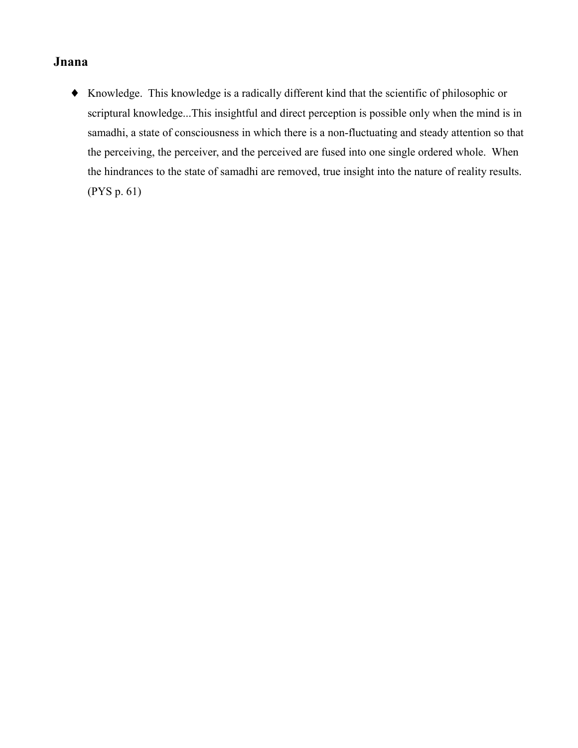### Jnana

• Knowledge. This knowledge is a radically different kind that the scientific of philosophic or scriptural knowledge...This insightful and direct perception is possible only when the mind is in samadhi, a state of consciousness in which there is a non-fluctuating and steady attention so that the perceiving, the perceiver, and the perceived are fused into one single ordered whole. When the hindrances to the state of samadhi are removed, true insight into the nature of reality results.  $(PYS p. 61)$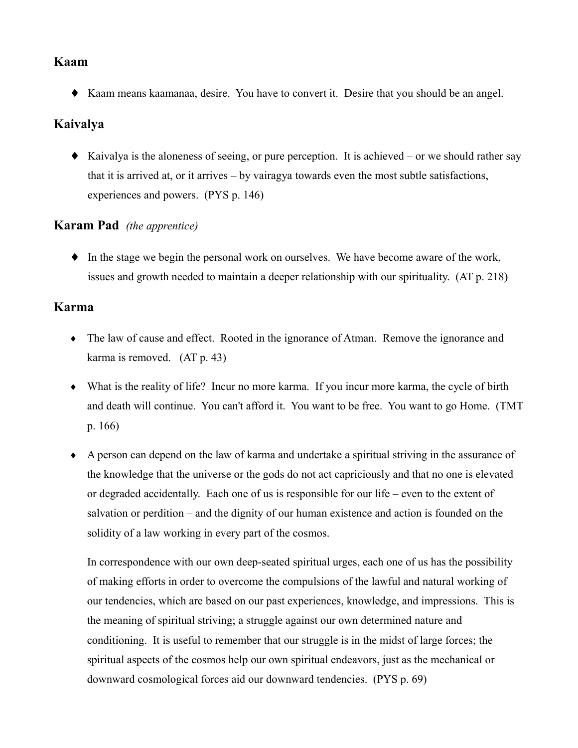#### Kaam

• Kaam means kaamanaa, desire. You have to convert it. Desire that you should be an angel.

## Kaivalya

 $\bullet$  Kaivalya is the aloneness of seeing, or pure perception. It is achieved – or we should rather say that it is arrived at, or it arrives – by vairagy atowards even the most subtle satisfactions, experiences and powers. (PYS p. 146)

## **Karam Pad** (the apprentice)

• In the stage we begin the personal work on ourselves. We have become aware of the work, issues and growth needed to maintain a deeper relationship with our spirituality. (AT p. 218)

### Karma

- The law of cause and effect. Rooted in the ignorance of Atman. Remove the ignorance and karma is removed.  $(AT p. 43)$
- What is the reality of life? Incur no more karma. If you incur more karma, the cycle of birth and death will continue. You can't afford it. You want to be free. You want to go Home. (TMT)  $p. 166$
- A person can depend on the law of karma and undertake a spiritual striving in the assurance of the knowledge that the universe or the gods do not act capriciously and that no one is elevated or degraded accidentally. Each one of us is responsible for our life – even to the extent of salvation or perdition – and the dignity of our human existence and action is founded on the solidity of a law working in every part of the cosmos.

In correspondence with our own deep-seated spiritual urges, each one of us has the possibility of making efforts in order to overcome the compulsions of the lawful and natural working of our tendencies, which are based on our past experiences, knowledge, and impressions. This is the meaning of spiritual striving; a struggle against our own determined nature and conditioning. It is useful to remember that our struggle is in the midst of large forces; the spiritual aspects of the cosmos help our own spiritual endeavors, just as the mechanical or downward cosmological forces aid our downward tendencies. (PYS p. 69)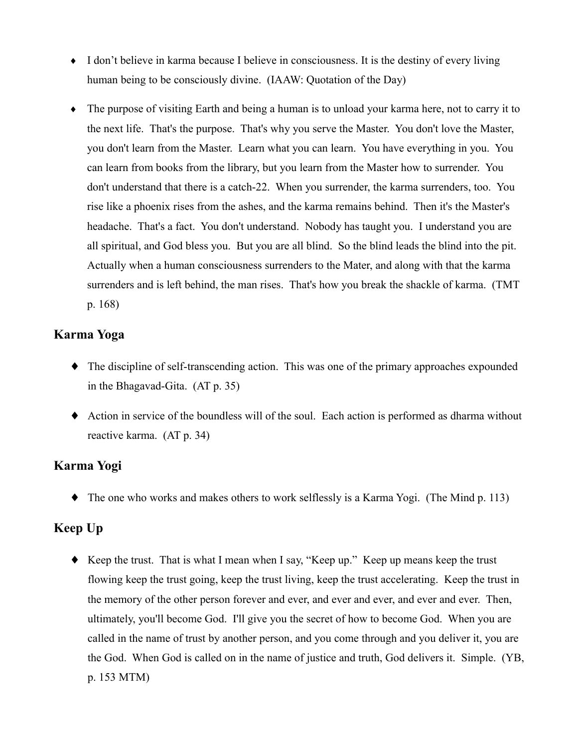- I don't believe in karma because I believe in consciousness. It is the destiny of every living human being to be consciously divine. (IAAW: Quotation of the Day)
- The purpose of visiting Earth and being a human is to unload your karma here, not to carry it to the next life. That's the purpose. That's why you serve the Master. You don't love the Master, you don't learn from the Master. Learn what you can learn. You have everything in you. You can learn from books from the library, but you learn from the Master how to surrender. You don't understand that there is a catch-22. When you surrender, the karma surrenders, too. You rise like a phoenix rises from the ashes, and the karma remains behind. Then it's the Master's headache. That's a fact. You don't understand. Nobody has taught you. I understand you are all spiritual, and God bless you. But you are all blind. So the blind leads the blind into the pit. Actually when a human consciousness surrenders to the Mater, and along with that the karma surrenders and is left behind, the man rises. That's how you break the shackle of karma. (TMT p. 168)

#### Karma Yoga

- $\bullet$  The discipline of self-transcending action. This was one of the primary approaches expounded in the Bhagavad-Gita.  $(AT p. 35)$
- Action in service of the boundless will of the soul. Each action is performed as dharma without reactive karma. (AT p. 34)

## Karma Yogi

 $\blacklozenge$  The one who works and makes others to work selflessly is a Karma Yogi. (The Mind p. 113)

## Keep Up

• Keep the trust. That is what I mean when I say, "Keep up." Keep up means keep the trust flowing keep the trust going, keep the trust living, keep the trust accelerating. Keep the trust in the memory of the other person forever and ever, and ever and ever, and ever and ever. Then, ultimately, you'll become God. I'll give you the secret of how to become God. When you are called in the name of trust by another person, and you come through and you deliver it, you are the God. When God is called on in the name of justice and truth, God delivers it. Simple. (YB, p. 153 MTM)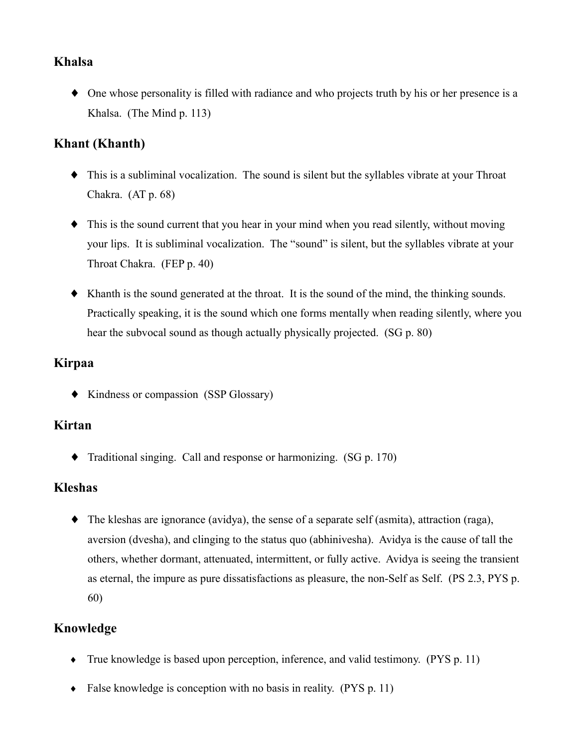### **Khalsa**

• One whose personality is filled with radiance and who projects truth by his or her presence is a Khalsa. (The Mind p. 113)

### **Khant** (Khanth)

- This is a subliminal vocalization. The sound is silent but the syllables vibrate at your Throat Chakra.  $(AT p. 68)$
- $\bullet$  This is the sound current that you hear in your mind when you read silently, without moving your lips. It is subliminal vocalization. The "sound" is silent, but the syllables vibrate at your Throat Chakra. (FEP p. 40)
- Khanth is the sound generated at the throat. It is the sound of the mind, the thinking sounds. Practically speaking, it is the sound which one forms mentally when reading silently, where you hear the subvocal sound as though actually physically projected. (SG p. 80)

### **Kirpaa**

• Kindness or compassion (SSP Glossary)

#### Kirtan

 $\blacklozenge$ Traditional singing. Call and response or harmonizing. (SG p. 170)

#### **Kleshas**

 $\bullet$  The kleshas are ignorance (avidya), the sense of a separate self (asmita), attraction (raga), aversion (dvesha), and clinging to the status quo (abhinivesha). Avidya is the cause of tall the others, whether dormant, attenuated, intermittent, or fully active. Avidya is seeing the transient as eternal, the impure as pure dissatisfactions as pleasure, the non-Self as Self. (PS 2.3, PYS p.  $60)$ 

## Knowledge

- $\bullet$  True knowledge is based upon perception, inference, and valid testimony. (PYS p. 11)
- $\bullet$  False knowledge is conception with no basis in reality. (PYS p. 11)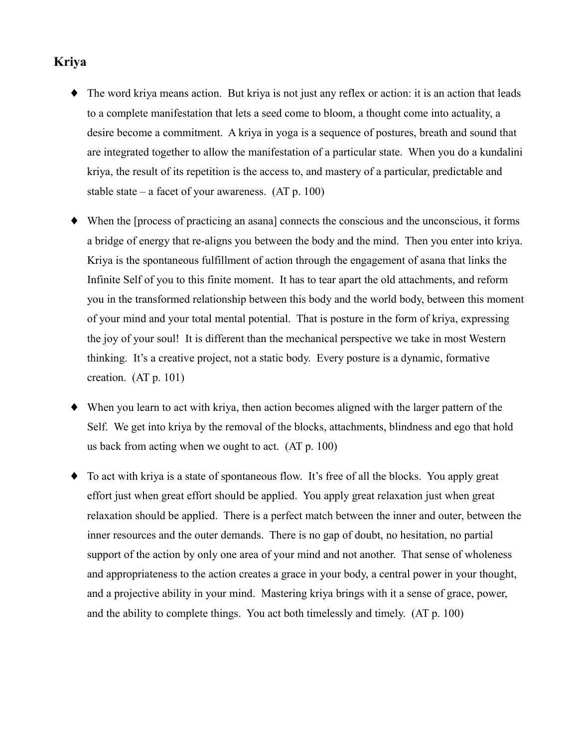### **Kriya**

- The word kriva means action. But kriva is not just any reflex or action: it is an action that leads to a complete manifestation that lets a seed come to bloom, a thought come into actuality, a desire become a commitment. A kriva in yoga is a sequence of postures, breath and sound that are integrated together to allow the manifestation of a particular state. When you do a kundalini kriya, the result of its repetition is the access to, and mastery of a particular, predictable and stable state – a facet of your awareness.  $(AT p. 100)$
- When the [process of practicing an asana] connects the conscious and the unconscious, it forms a bridge of energy that re-aligns you between the body and the mind. Then you enter into kriva. Kriya is the spontaneous fulfillment of action through the engagement of asana that links the Infinite Self of you to this finite moment. It has to tear apart the old attachments, and reform you in the transformed relationship between this body and the world body, between this moment of your mind and your total mental potential. That is posture in the form of kriya, expressing the joy of your soul! It is different than the mechanical perspective we take in most Western thinking. It's a creative project, not a static body. Every posture is a dynamic, formative creation.  $(AT p. 101)$
- When you learn to act with kriva, then action becomes aligned with the larger pattern of the Self. We get into kriva by the removal of the blocks, attachments, blindness and ego that hold us back from acting when we ought to act.  $(AT p. 100)$
- To act with kriva is a state of spontaneous flow. It's free of all the blocks. You apply great ٠ effort just when great effort should be applied. You apply great relaxation just when great relaxation should be applied. There is a perfect match between the inner and outer, between the inner resources and the outer demands. There is no gap of doubt, no hesitation, no partial support of the action by only one area of your mind and not another. That sense of wholeness and appropriateness to the action creates a grace in your body, a central power in your thought, and a projective ability in your mind. Mastering kriya brings with it a sense of grace, power, and the ability to complete things. You act both timelessly and timely.  $(AT p. 100)$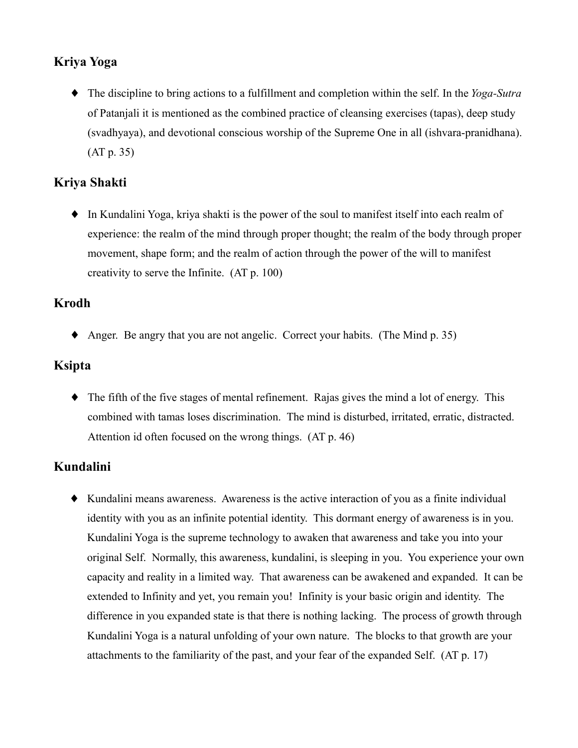# Kriya Yoga

 $\bullet$  The discipline to bring actions to a fulfillment and completion within the self. In the *Yoga-Sutra* of Patanjali it is mentioned as the combined practice of cleansing exercises (tapas), deep study (svadhyaya), and devotional conscious worship of the Supreme One in all (ishvara-pranidhana).  $(AT p. 35)$ 

## Kriya Shakti

• In Kundalini Yoga, kriya shakti is the power of the soul to manifest itself into each realm of experience: the realm of the mind through proper thought; the realm of the body through proper movement, shape form; and the realm of action through the power of the will to manifest creativity to serve the Infinite.  $(AT p. 100)$ 

#### **Krodh**

• Anger. Be angry that you are not angelic. Correct your habits. (The Mind p. 35)

#### **Ksipta**

 $\blacklozenge$  The fifth of the five stages of mental refinement. Rajas gives the mind a lot of energy. This combined with tamas loses discrimination. The mind is disturbed, irritated, erratic, distracted. Attention id often focused on the wrong things. (AT p. 46)

# Kundalini

• Kundalini means awareness. Awareness is the active interaction of you as a finite individual identity with you as an infinite potential identity. This dormant energy of awareness is in you. Kundalini Yoga is the supreme technology to awaken that awareness and take you into your original Self. Normally, this awareness, kundalini, is sleeping in you. You experience your own capacity and reality in a limited way. That awareness can be awakened and expanded. It can be extended to Infinity and yet, you remain you! Infinity is your basic origin and identity. The difference in you expanded state is that there is nothing lacking. The process of growth through Kundalini Yoga is a natural unfolding of your own nature. The blocks to that growth are your attachments to the familiarity of the past, and your fear of the expanded Self. (AT p. 17)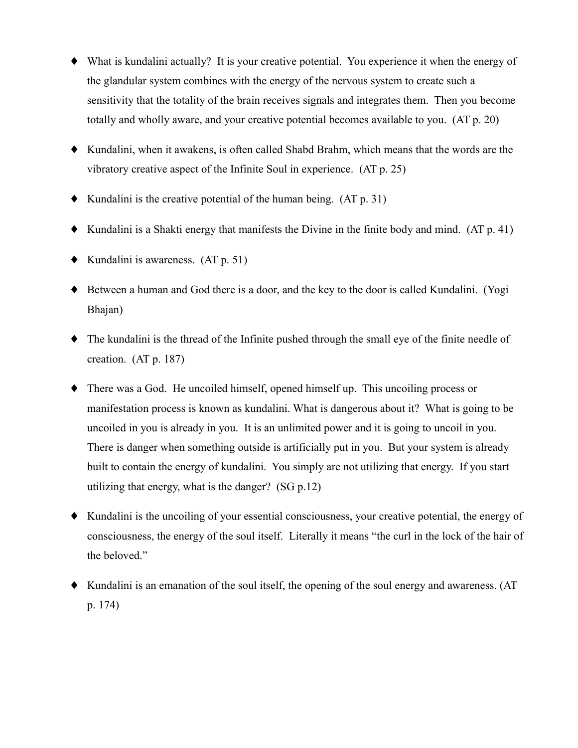- What is kundalini actually? It is your creative potential. You experience it when the energy of the glandular system combines with the energy of the nervous system to create such a sensitivity that the totality of the brain receives signals and integrates them. Then you become totally and wholly aware, and your creative potential becomes available to you. (AT p. 20)
- Kundalini, when it awakens, is often called Shabd Brahm, which means that the words are the vibratory creative aspect of the Infinite Soul in experience. (AT p. 25)
- $\blacklozenge$  Kundalini is the creative potential of the human being. (AT p. 31)
- $\blacklozenge$  Kundalini is a Shakti energy that manifests the Divine in the finite body and mind. (AT p. 41)
- $\blacklozenge$  Kundalini is awareness. (AT p. 51)
- Between a human and God there is a door, and the key to the door is called Kundalini. (Yogi Bhajan)
- $\bullet$  The kundalini is the thread of the Infinite pushed through the small eve of the finite needle of creation.  $(AT p. 187)$
- $\blacklozenge$  There was a God. He uncoiled himself, opened himself up. This uncoiling process or manifestation process is known as kundalini. What is dangerous about it? What is going to be uncoiled in you is already in you. It is an unlimited power and it is going to uncoil in you. There is danger when something outside is artificially put in you. But your system is already built to contain the energy of kundalini. You simply are not utilizing that energy. If you start utilizing that energy, what is the danger?  $(SG p.12)$
- Kundalini is the uncolling of your essential consciousness, your creative potential, the energy of consciousness, the energy of the soul itself. Literally it means "the curl in the lock of the hair of the beloved."
- $\blacklozenge$  Kundalini is an emanation of the soul itself, the opening of the soul energy and awareness. (AT  $p. 174)$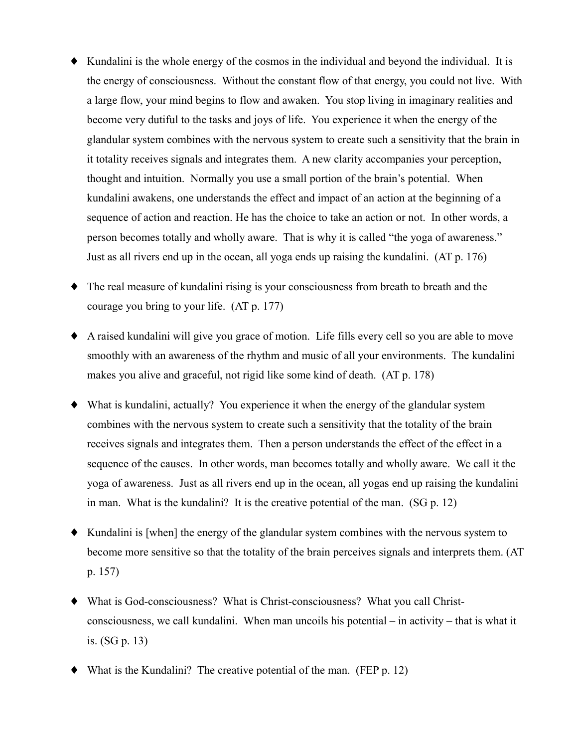- Kundalini is the whole energy of the cosmos in the individual and beyond the individual. It is the energy of consciousness. Without the constant flow of that energy, you could not live. With a large flow, your mind begins to flow and awaken. You stop living in imaginary realities and become very dutiful to the tasks and joys of life. You experience it when the energy of the glandular system combines with the nervous system to create such a sensitivity that the brain in it totality receives signals and integrates them. A new clarity accompanies your perception, thought and intuition. Normally you use a small portion of the brain's potential. When kundalini awakens, one understands the effect and impact of an action at the beginning of a sequence of action and reaction. He has the choice to take an action or not. In other words, a person becomes totally and wholly aware. That is why it is called "the yoga of awareness." Just as all rivers end up in the ocean, all yoga ends up raising the kundalini. (AT p. 176)
- $\bullet$  The real measure of kundalini rising is your consciousness from breath to breath and the courage you bring to your life. (AT p. 177)
- A raised kundalini will give you grace of motion. Life fills every cell so you are able to move smoothly with an awareness of the rhythm and music of all your environments. The kundalini makes you alive and graceful, not rigid like some kind of death. (AT p. 178)
- What is kundalini, actually? You experience it when the energy of the glandular system combines with the nervous system to create such a sensitivity that the totality of the brain receives signals and integrates them. Then a person understands the effect of the effect in a sequence of the causes. In other words, man becomes totally and wholly aware. We call it the yoga of awareness. Just as all rivers end up in the ocean, all yogas end up raising the kundalini in man. What is the kundalini? It is the creative potential of the man.  $(SG p. 12)$
- $\blacklozenge$  Kundalini is [when] the energy of the glandular system combines with the nervous system to become more sensitive so that the totality of the brain perceives signals and interprets them. (AT  $p. 157)$
- What is God-consciousness? What is Christ-consciousness? What you call Christconsciousness, we call kundalini. When man uncoils his potential  $-$  in activity  $-$  that is what it is.  $(SG p. 13)$
- $\blacklozenge$  What is the Kundalini? The creative potential of the man. (FEP p. 12)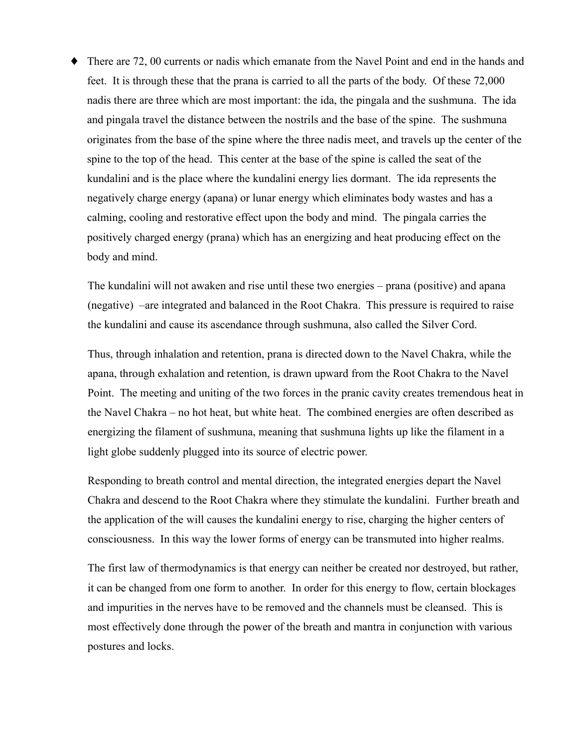$\blacklozenge$  There are 72, 00 currents or nadis which emanate from the Navel Point and end in the hands and feet. It is through these that the prana is carried to all the parts of the body. Of these 72,000 nadis there are three which are most important: the ida, the pingala and the sushmuna. The ida and pingala travel the distance between the nostrils and the base of the spine. The sushmuna originates from the base of the spine where the three nadis meet, and travels up the center of the spine to the top of the head. This center at the base of the spine is called the seat of the kundalini and is the place where the kundalini energy lies dormant. The ida represents the negatively charge energy (apana) or lunar energy which eliminates body wastes and has a calming, cooling and restorative effect upon the body and mind. The pingala carries the positively charged energy (prana) which has an energizing and heat producing effect on the body and mind.

The kundalini will not awaken and rise until these two energies – prana (positive) and apana (negative) –are integrated and balanced in the Root Chakra. This pressure is required to raise the kundalini and cause its ascendance through sushmuna, also called the Silver Cord.

Thus, through inhalation and retention, prana is directed down to the Navel Chakra, while the apana, through exhalation and retention, is drawn upward from the Root Chakra to the Navel Point. The meeting and uniting of the two forces in the pranic cavity creates tremendous heat in the Navel Chakra – no hot heat, but white heat. The combined energies are often described as energizing the filament of sushmuna, meaning that sushmuna lights up like the filament in a light globe suddenly plugged into its source of electric power.

Responding to breath control and mental direction, the integrated energies depart the Navel Chakra and descend to the Root Chakra where they stimulate the kundalini. Further breath and the application of the will causes the kundalini energy to rise, charging the higher centers of consciousness. In this way the lower forms of energy can be transmuted into higher realms.

The first law of thermodynamics is that energy can neither be created nor destroyed, but rather, it can be changed from one form to another. In order for this energy to flow, certain blockages and impurities in the nerves have to be removed and the channels must be cleansed. This is most effectively done through the power of the breath and mantra in conjunction with various postures and locks.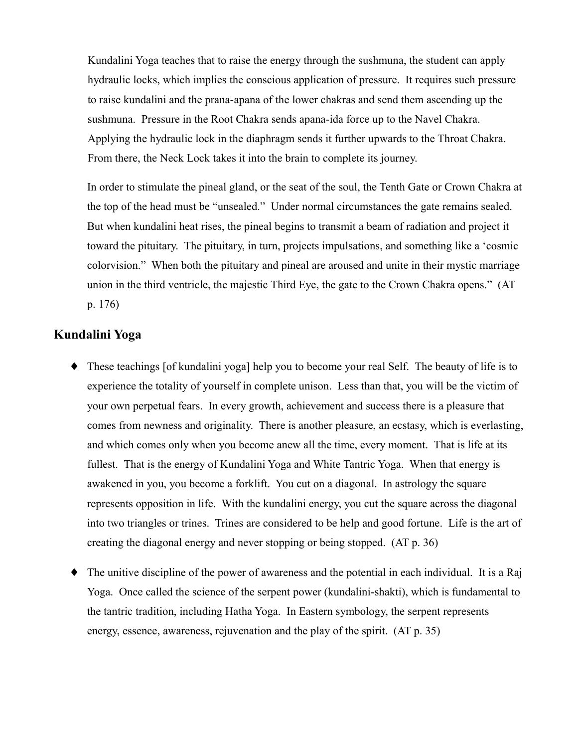Kundalini Yoga teaches that to raise the energy through the sushmuna, the student can apply hydraulic locks, which implies the conscious application of pressure. It requires such pressure to raise kundalini and the prana-apana of the lower chakras and send them ascending up the sushmuna. Pressure in the Root Chakra sends apana-ida force up to the Navel Chakra. Applying the hydraulic lock in the diaphragm sends it further upwards to the Throat Chakra. From there, the Neck Lock takes it into the brain to complete its journey.

In order to stimulate the pineal gland, or the seat of the soul, the Tenth Gate or Crown Chakra at the top of the head must be "unsealed." Under normal circumstances the gate remains sealed. But when kundalini heat rises, the pineal begins to transmit a beam of radiation and project it toward the pituitary. The pituitary, in turn, projects impulsations, and something like a 'cosmic coloryision." When both the pituitary and pineal are aroused and unite in their mystic marriage union in the third ventricle, the majestic Third Eye, the gate to the Crown Chakra opens." (AT  $p. 176$ 

#### Kundalini Yoga

- These teachings [of kundalini yoga] help you to become your real Self. The beauty of life is to experience the totality of yourself in complete unison. Less than that, you will be the victim of your own perpetual fears. In every growth, achievement and success there is a pleasure that comes from newness and originality. There is another pleasure, an ecstasy, which is everlasting, and which comes only when you become anew all the time, every moment. That is life at its fullest. That is the energy of Kundalini Yoga and White Tantric Yoga. When that energy is awakened in you, you become a forklift. You cut on a diagonal. In astrology the square represents opposition in life. With the kundalini energy, you cut the square across the diagonal into two triangles or trines. Trines are considered to be help and good fortune. Life is the art of creating the diagonal energy and never stopping or being stopped. (AT p. 36)
- The unitive discipline of the power of awareness and the potential in each individual. It is a Raj ٠ Yoga. Once called the science of the serpent power (kundalini-shakti), which is fundamental to the tantric tradition, including Hatha Yoga. In Eastern symbology, the serpent represents energy, essence, awareness, rejuvenation and the play of the spirit. (AT p. 35)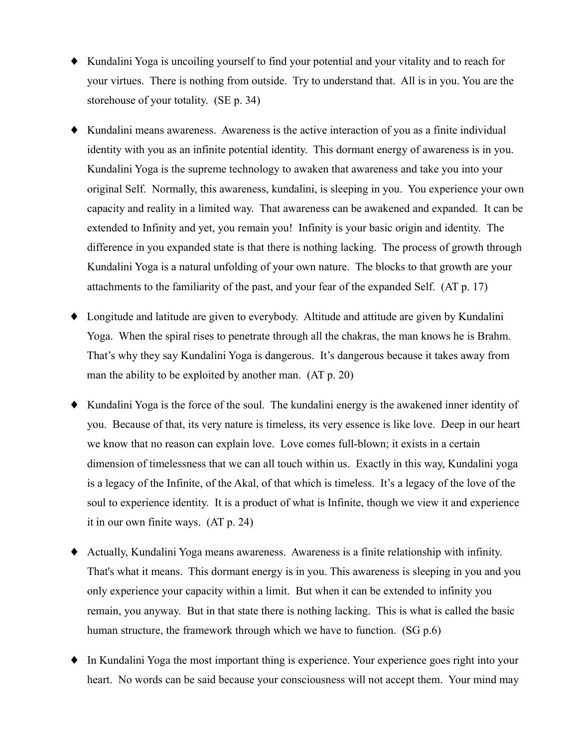- Kundalini Yoga is uncoiling yourself to find your potential and your vitality and to reach for your virtues. There is nothing from outside. Try to understand that. All is in you. You are the storehouse of your totality. (SE p. 34)
- Kundalini means awareness. Awareness is the active interaction of you as a finite individual identity with you as an infinite potential identity. This dormant energy of awareness is in you. Kundalini Yoga is the supreme technology to awaken that awareness and take you into your original Self. Normally, this awareness, kundalini, is sleeping in you. You experience your own capacity and reality in a limited way. That awareness can be awakened and expanded. It can be extended to Infinity and yet, you remain you! Infinity is your basic origin and identity. The difference in you expanded state is that there is nothing lacking. The process of growth through Kundalini Yoga is a natural unfolding of your own nature. The blocks to that growth are your attachments to the familiarity of the past, and your fear of the expanded Self. (AT p. 17)
- Longitude and latitude are given to everybody. Altitude and attitude are given by Kundalini Yoga. When the spiral rises to penetrate through all the chakras, the man knows he is Brahm. That's why they say Kundalini Yoga is dangerous. It's dangerous because it takes away from man the ability to be exploited by another man.  $(AT p. 20)$
- Kundalini Yoga is the force of the soul. The kundalini energy is the awakened inner identity of you. Because of that, its very nature is timeless, its very essence is like love. Deep in our heart we know that no reason can explain love. Love comes full-blown; it exists in a certain dimension of timelessness that we can all touch within us. Exactly in this way, Kundalini yoga is a legacy of the Infinite, of the Akal, of that which is timeless. It's a legacy of the love of the soul to experience identity. It is a product of what is Infinite, though we view it and experience it in our own finite ways.  $(AT p. 24)$
- Actually, Kundalini Yoga means awareness. Awareness is a finite relationship with infinity. That's what it means. This dormant energy is in you. This awareness is sleeping in you and you only experience your capacity within a limit. But when it can be extended to infinity you remain, you anyway. But in that state there is nothing lacking. This is what is called the basic human structure, the framework through which we have to function. (SG p.6)
- $\bullet$  In Kundalini Yoga the most important thing is experience. Your experience goes right into your heart. No words can be said because your consciousness will not accept them. Your mind may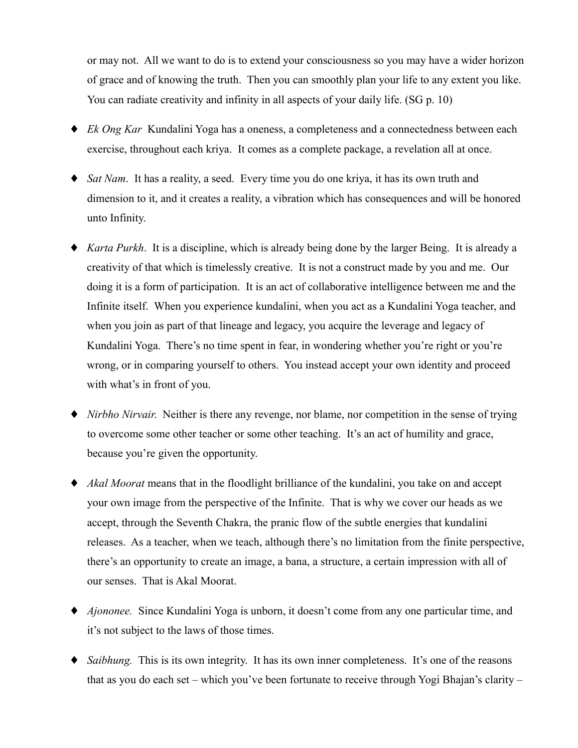or may not. All we want to do is to extend your consciousness so you may have a wider horizon of grace and of knowing the truth. Then you can smoothly plan your life to any extent you like. You can radiate creativity and infinity in all aspects of your daily life. (SG p. 10)

- $\bullet$  *Ek Ong Kar* Kundalini Yoga has a oneness, a completeness and a connectedness between each exercise, throughout each kriya. It comes as a complete package, a revelation all at once.
- $\bullet$  *Sat Nam*. It has a reality, a seed. Every time you do one kriya, it has its own truth and dimension to it, and it creates a reality, a vibration which has consequences and will be honored unto Infinity.
- *Karta Purkh*. It is a discipline, which is already being done by the larger Being. It is already a creativity of that which is timelessly creative. It is not a construct made by you and me. Our doing it is a form of participation. It is an act of collaborative intelligence between me and the Infinite itself. When you experience kundalini, when you act as a Kundalini Yoga teacher, and when you join as part of that lineage and legacy, you acquire the leverage and legacy of Kundalini Yoga. There's no time spent in fear, in wondering whether you're right or you're wrong, or in comparing yourself to others. You instead accept your own identity and proceed with what's in front of you.
- *Nirbho Nirvair*. Neither is there any revenge, nor blame, nor competition in the sense of trying to overcome some other teacher or some other teaching. It's an act of humility and grace, because you're given the opportunity.
- Akal Moorat means that in the floodlight brilliance of the kundalini, you take on and accept your own image from the perspective of the Infinite. That is why we cover our heads as we accept, through the Seventh Chakra, the pranic flow of the subtle energies that kundalini releases. As a teacher, when we teach, although there's no limitation from the finite perspective, there's an opportunity to create an image, a bana, a structure, a certain impression with all of our senses. That is Akal Moorat.
- *Ajononee*. Since Kundalini Yoga is unborn, it doesn't come from any one particular time, and it's not subject to the laws of those times.
- $\bullet$  *Saibhung*. This is its own integrity. It has its own inner completeness. It's one of the reasons that as you do each set – which you've been fortunate to receive through Yogi Bhajan's clarity –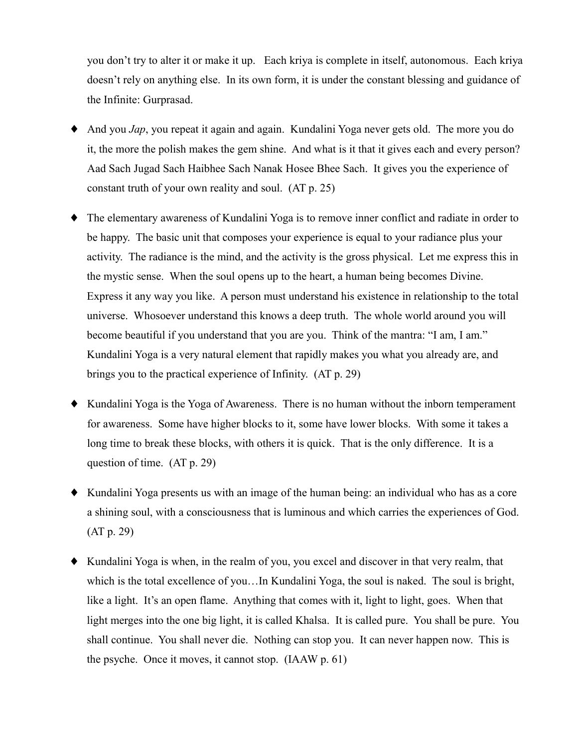you don't try to alter it or make it up. Each kriva is complete in itself, autonomous. Each kriva doesn't rely on anything else. In its own form, it is under the constant blessing and guidance of the Infinite: Gurprasad.

- And you *Jap*, you repeat it again and again. Kundalini Yoga never gets old. The more you do it, the more the polish makes the gem shine. And what is it that it gives each and every person? Aad Sach Jugad Sach Haibhee Sach Nanak Hosee Bhee Sach. It gives you the experience of constant truth of your own reality and soul. (AT p. 25)
- The elementary awareness of Kundalini Yoga is to remove inner conflict and radiate in order to ٠ be happy. The basic unit that composes your experience is equal to your radiance plus your activity. The radiance is the mind, and the activity is the gross physical. Let me express this in the mystic sense. When the soul opens up to the heart, a human being becomes Divine. Express it any way you like. A person must understand his existence in relationship to the total universe. Whosoever understand this knows a deep truth. The whole world around you will become beautiful if you understand that you are you. Think of the mantra: "I am, I am." Kundalini Yoga is a very natural element that rapidly makes you what you already are, and brings you to the practical experience of Infinity. (AT p. 29)
- Kundalini Yoga is the Yoga of Awareness. There is no human without the inborn temperament for awareness. Some have higher blocks to it, some have lower blocks. With some it takes a long time to break these blocks, with others it is quick. That is the only difference. It is a question of time.  $(AT p. 29)$
- Kundalini Yoga presents us with an image of the human being: an individual who has as a core a shining soul, with a consciousness that is luminous and which carries the experiences of God.  $(AT p. 29)$
- Kundalini Yoga is when, in the realm of you, you excel and discover in that very realm, that which is the total excellence of you...In Kundalini Yoga, the soul is naked. The soul is bright, like a light. It's an open flame. Anything that comes with it, light to light, goes. When that light merges into the one big light, it is called Khalsa. It is called pure. You shall be pure. You shall continue. You shall never die. Nothing can stop you. It can never happen now. This is the psyche. Once it moves, it cannot stop. (IAAW p. 61)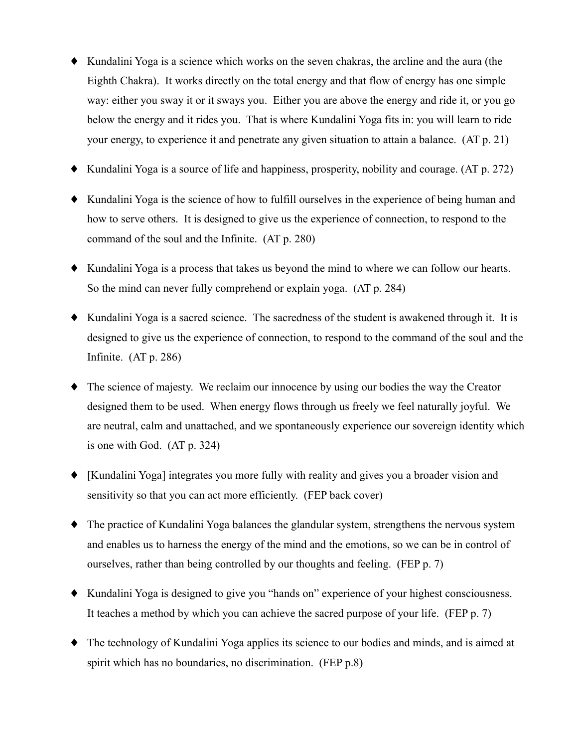- Kundalini Yoga is a science which works on the seven chakras, the arcline and the aura (the Eighth Chakra). It works directly on the total energy and that flow of energy has one simple way: either you sway it or it sways you. Either you are above the energy and ride it, or you go below the energy and it rides you. That is where Kundalini Yoga fits in: you will learn to ride your energy, to experience it and penetrate any given situation to attain a balance. (AT p. 21)
- $\blacklozenge$  Kundalini Yoga is a source of life and happiness, prosperity, nobility and courage. (AT p. 272)
- Kundalini Yoga is the science of how to fulfill ourselves in the experience of being human and how to serve others. It is designed to give us the experience of connection, to respond to the command of the soul and the Infinite. (AT p. 280)
- Kundalini Yoga is a process that takes us beyond the mind to where we can follow our hearts. So the mind can never fully comprehend or explain yoga. (AT p. 284)
- Kundalini Yoga is a sacred science. The sacredness of the student is awakened through it. It is designed to give us the experience of connection, to respond to the command of the soul and the Infinite.  $(AT p. 286)$
- $\bullet$  The science of majesty. We reclaim our innocence by using our bodies the way the Creator designed them to be used. When energy flows through us freely we feel naturally joyful. We are neutral, calm and unattached, and we spontaneously experience our sovereign identity which is one with God.  $(AT p. 324)$
- [Kundalini Yoga] integrates you more fully with reality and gives you a broader vision and sensitivity so that you can act more efficiently. (FEP back cover)
- The practice of Kundalini Yoga balances the glandular system, strengthens the nervous system and enables us to harness the energy of the mind and the emotions, so we can be in control of ourselves, rather than being controlled by our thoughts and feeling. (FEP p. 7)
- Kundalini Yoga is designed to give you "hands on" experience of your highest consciousness. It teaches a method by which you can achieve the sacred purpose of your life. (FEP p. 7)
- The technology of Kundalini Yoga applies its science to our bodies and minds, and is aimed at spirit which has no boundaries, no discrimination. (FEP p.8)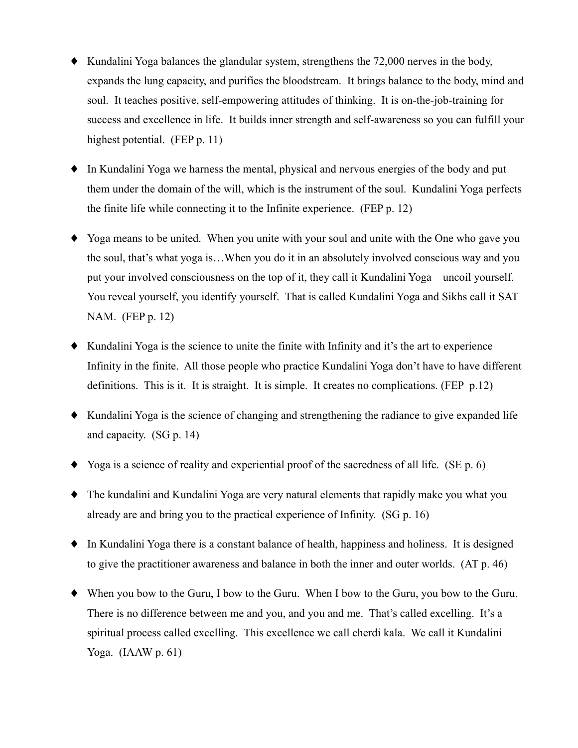- $\blacklozenge$  Kundalini Yoga balances the glandular system, strengthens the 72,000 nerves in the body, expands the lung capacity, and purifies the bloodstream. It brings balance to the body, mind and soul. It teaches positive, self-empowering attitudes of thinking. It is on-the-job-training for success and excellence in life. It builds inner strength and self-awareness so you can fulfill your highest potential. (FEP p. 11)
- $\bullet$  In Kundalini Yoga we harness the mental, physical and nervous energies of the body and put them under the domain of the will, which is the instrument of the soul. Kundalini Yoga perfects the finite life while connecting it to the Infinite experience. (FEP p. 12)
- Yoga means to be united. When you unite with your soul and unite with the One who gave you the soul, that's what yoga is...When you do it in an absolutely involved conscious way and you put your involved consciousness on the top of it, they call it Kundalini Yoga – uncoil yourself. You reveal yourself, you identify yourself. That is called Kundalini Yoga and Sikhs call it SAT NAM. (FEP p. 12)
- $\blacklozenge$  Kundalini Yoga is the science to unite the finite with Infinity and it's the art to experience Infinity in the finite. All those people who practice Kundalini Yoga don't have to have different definitions. This is it. It is straight. It is simple. It creates no complications. (FEP  $p.12$ )
- Kundalini Yoga is the science of changing and strengthening the radiance to give expanded life and capacity.  $(SG p. 14)$
- $\blacklozenge$  Yoga is a science of reality and experiential proof of the sacredness of all life. (SE p. 6)
- The kundalini and Kundalini Yoga are very natural elements that rapidly make you what you already are and bring you to the practical experience of Infinity. (SG p. 16)
- In Kundalini Yoga there is a constant balance of health, happiness and holiness. It is designed to give the practitioner awareness and balance in both the inner and outer worlds. (AT p. 46)
- When you bow to the Guru, I bow to the Guru. When I bow to the Guru, you bow to the Guru. There is no difference between me and you, and you and me. That's called excelling. It's a spiritual process called excelling. This excellence we call cherdi kala. We call it Kundalini Yoga.  $(IAAW p. 61)$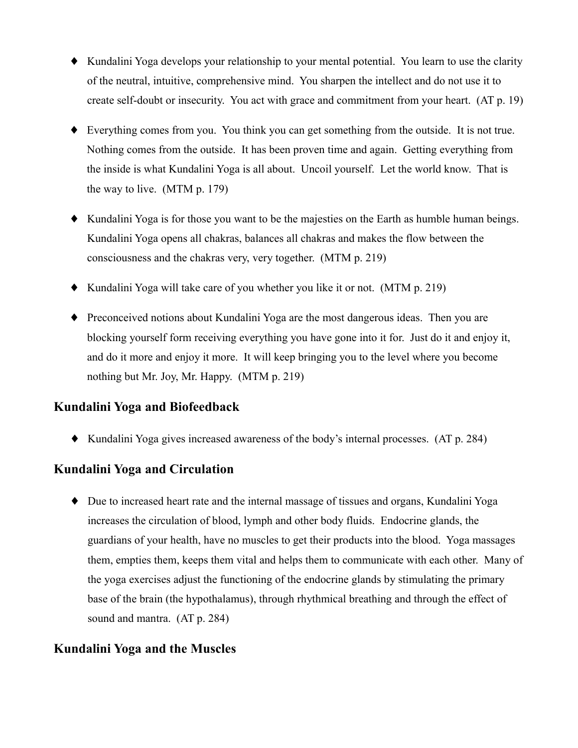- Kundalini Yoga develops your relationship to your mental potential. You learn to use the clarity of the neutral, intuitive, comprehensive mind. You sharpen the intellect and do not use it to create self-doubt or insecurity. You act with grace and commitment from your heart. (AT p. 19)
- $\blacklozenge$  Everything comes from you. You think you can get something from the outside. It is not true. Nothing comes from the outside. It has been proven time and again. Getting everything from the inside is what Kundalini Yoga is all about. Uncoil yourself. Let the world know. That is the way to live.  $(MTM p. 179)$
- Kundalini Yoga is for those you want to be the majesties on the Earth as humble human beings. Kundalini Yoga opens all chakras, balances all chakras and makes the flow between the consciousness and the chakras very, very together. (MTM p. 219)
- $\bullet$  Kundalini Yoga will take care of you whether you like it or not. (MTM p. 219)
- Preconceived notions about Kundalini Yoga are the most dangerous ideas. Then you are blocking yourself form receiving everything you have gone into it for. Just do it and enjoy it, and do it more and enjoy it more. It will keep bringing you to the level where you become nothing but Mr. Joy, Mr. Happy. (MTM p. 219)

## **Kundalini Yoga and Biofeedback**

• Kundalini Yoga gives increased awareness of the body's internal processes. (AT p. 284)

#### Kundalini Yoga and Circulation

 $\bullet$  Due to increased heart rate and the internal massage of tissues and organs, Kundalini Yoga increases the circulation of blood, lymph and other body fluids. Endocrine glands, the guardians of your health, have no muscles to get their products into the blood. Yoga massages them, empties them, keeps them vital and helps them to communicate with each other. Many of the yoga exercises adjust the functioning of the endocrine glands by stimulating the primary base of the brain (the hypothalamus), through rhythmical breathing and through the effect of sound and mantra. (AT p. 284)

## **Kundalini Yoga and the Muscles**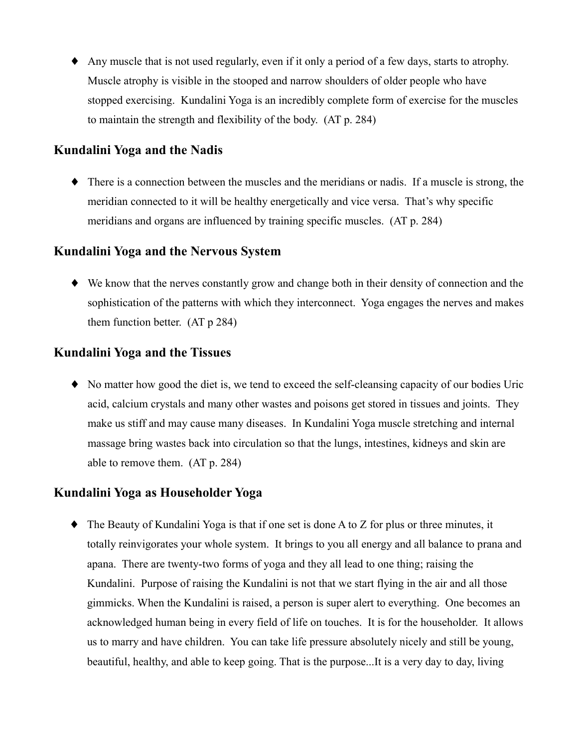• Any muscle that is not used regularly, even if it only a period of a few days, starts to atrophy. Muscle atrophy is visible in the stooped and narrow shoulders of older people who have stopped exercising. Kundalini Yoga is an incredibly complete form of exercise for the muscles to maintain the strength and flexibility of the body. (AT p. 284)

#### Kundalini Yoga and the Nadis

• There is a connection between the muscles and the meridians or nadis. If a muscle is strong, the meridian connected to it will be healthy energetically and vice versa. That's why specific meridians and organs are influenced by training specific muscles. (AT p. 284)

#### Kundalini Yoga and the Nervous System

• We know that the nerves constantly grow and change both in their density of connection and the sophistication of the patterns with which they interconnect. Yoga engages the nerves and makes them function better.  $(AT p 284)$ 

#### **Kundalini Yoga and the Tissues**

• No matter how good the diet is, we tend to exceed the self-cleansing capacity of our bodies Uric acid, calcium crystals and many other wastes and poisons get stored in tissues and joints. They make us stiff and may cause many diseases. In Kundalini Yoga muscle stretching and internal massage bring wastes back into circulation so that the lungs, intestines, kidneys and skin are able to remove them. (AT p. 284)

#### Kundalini Yoga as Householder Yoga

 $\bullet$  The Beauty of Kundalini Yoga is that if one set is done A to Z for plus or three minutes, it totally reinvigorates your whole system. It brings to you all energy and all balance to prana and apana. There are twenty-two forms of yoga and they all lead to one thing; raising the Kundalini. Purpose of raising the Kundalini is not that we start flying in the air and all those gimmicks. When the Kundalini is raised, a person is super alert to everything. One becomes an acknowledged human being in every field of life on touches. It is for the householder. It allows us to marry and have children. You can take life pressure absolutely nicely and still be young, beautiful, healthy, and able to keep going. That is the purpose...It is a very day to day, living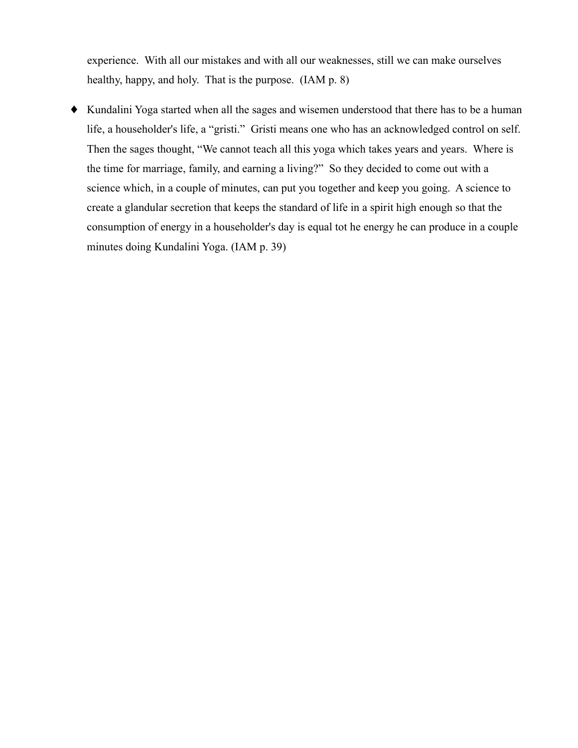experience. With all our mistakes and with all our weaknesses, still we can make ourselves healthy, happy, and holy. That is the purpose. (IAM p. 8)

• Kundalini Yoga started when all the sages and wisemen understood that there has to be a human life, a householder's life, a "gristi." Gristi means one who has an acknowledged control on self. Then the sages thought, "We cannot teach all this yoga which takes years and years. Where is the time for marriage, family, and earning a living?" So they decided to come out with a science which, in a couple of minutes, can put you together and keep you going. A science to create a glandular secretion that keeps the standard of life in a spirit high enough so that the consumption of energy in a householder's day is equal tot he energy he can produce in a couple minutes doing Kundalini Yoga. (IAM p. 39)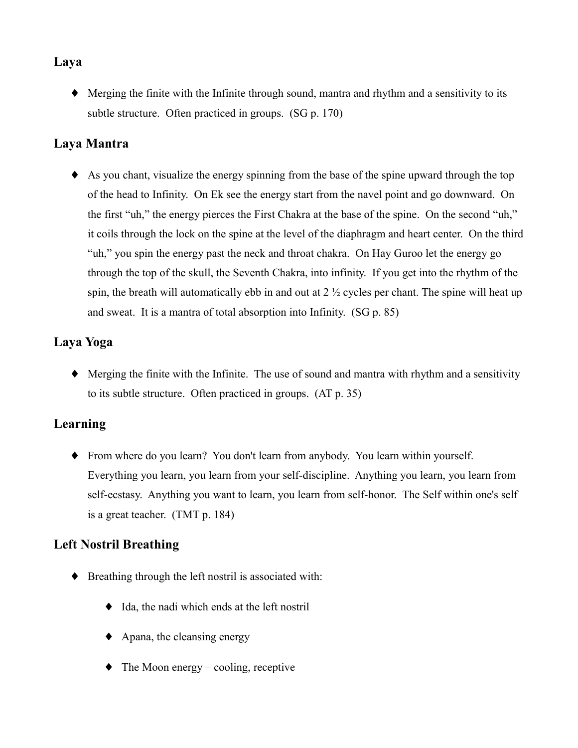## Laya

• Merging the finite with the Infinite through sound, mantra and rhythm and a sensitivity to its subtle structure. Often practiced in groups. (SG p. 170)

### Lava Mantra

 $\bullet$  As you chant, visualize the energy spinning from the base of the spine upward through the top of the head to Infinity. On Ek see the energy start from the navel point and go downward. On the first "uh," the energy pierces the First Chakra at the base of the spine. On the second "uh," it coils through the lock on the spine at the level of the diaphragm and heart center. On the third "uh," you spin the energy past the neck and throat chakra. On Hay Guroo let the energy go through the top of the skull, the Seventh Chakra, into infinity. If you get into the rhythm of the spin, the breath will automatically ebb in and out at  $2\frac{1}{2}$  cycles per chant. The spine will heat up and sweat. It is a mantra of total absorption into Infinity. (SG p. 85)

# Laya Yoga

 $\blacklozenge$  Merging the finite with the Infinite. The use of sound and mantra with rhythm and a sensitivity to its subtle structure. Often practiced in groups. (AT p. 35)

## Learning

• From where do you learn? You don't learn from anybody. You learn within yourself. Everything you learn, you learn from your self-discipline. Anything you learn, you learn from self-ecstasy. Anything you want to learn, you learn from self-honor. The Self within one's self is a great teacher. (TMT p. 184)

## **Left Nostril Breathing**

- Breathing through the left nostril is associated with:
	- $\bullet$  Ida, the nadi which ends at the left nostril
	- $\blacklozenge$  Apana, the cleansing energy
	- $\bullet$  The Moon energy cooling, receptive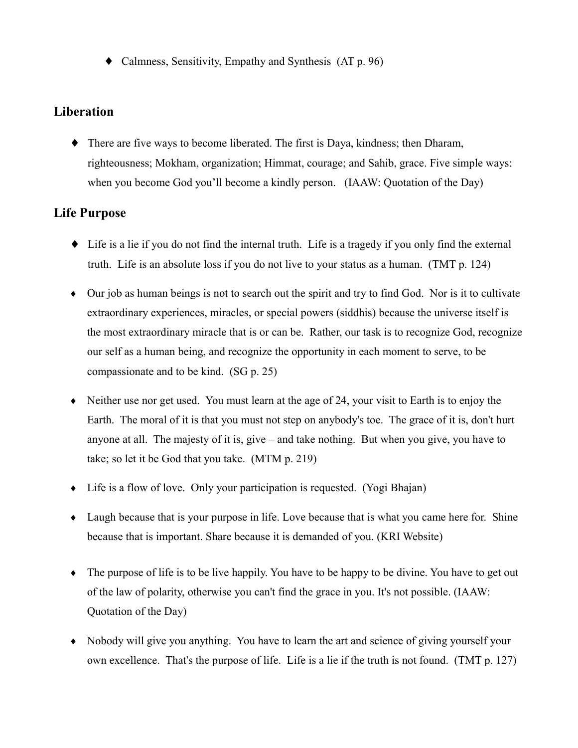$\blacklozenge$  Calmness, Sensitivity, Empathy and Synthesis (AT p. 96)

### Liberation

• There are five ways to become liberated. The first is Daya, kindness; then Dharam, righteousness; Mokham, organization; Himmat, courage; and Sahib, grace. Five simple ways: when you become God you'll become a kindly person. (IAAW: Quotation of the Day)

### **Life Purpose**

- $\bullet$  Life is a lie if you do not find the internal truth. Life is a tragedy if you only find the external truth. Life is an absolute loss if you do not live to your status as a human. (TMT p. 124)
- Our job as human beings is not to search out the spirit and try to find God. Nor is it to cultivate extraordinary experiences, miracles, or special powers (siddhis) because the universe itself is the most extraordinary miracle that is or can be. Rather, our task is to recognize God, recognize our self as a human being, and recognize the opportunity in each moment to serve, to be compassionate and to be kind. (SG p. 25)
- $\bullet$  Neither use nor get used. You must learn at the age of 24, your visit to Earth is to enjoy the Earth. The moral of it is that you must not step on anybody's toe. The grace of it is, don't hurt anyone at all. The majesty of it is, give  $-$  and take nothing. But when you give, you have to take; so let it be God that you take. (MTM p. 219)
- Life is a flow of love. Only your participation is requested. (Yogi Bhajan)
- Laugh because that is your purpose in life. Love because that is what you came here for. Shine because that is important. Share because it is demanded of you. (KRI Website)
- The purpose of life is to be live happily. You have to be happy to be divine. You have to get out of the law of polarity, otherwise you can't find the grace in you. It's not possible. (IAAW: Quotation of the Day)
- Nobody will give you anything. You have to learn the art and science of giving yourself your own excellence. That's the purpose of life. Life is a lie if the truth is not found. (TMT p. 127)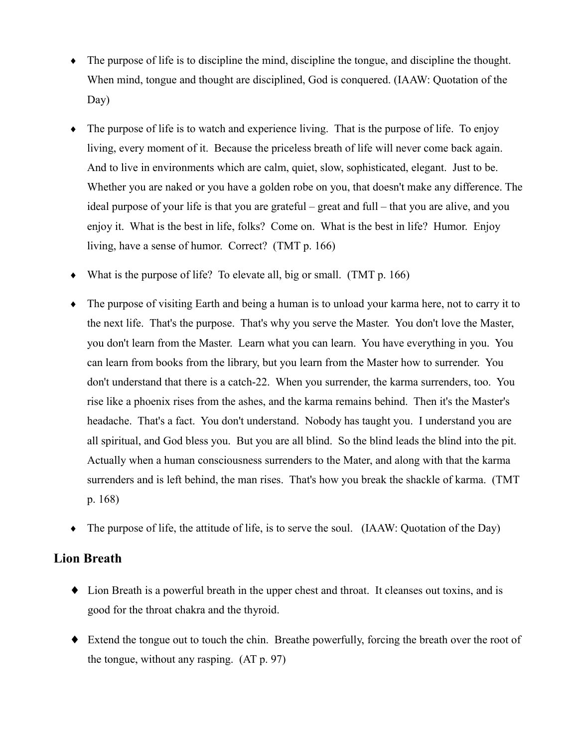- $\bullet$  The purpose of life is to discipline the mind, discipline the tongue, and discipline the thought. When mind, tongue and thought are disciplined, God is conquered. (IAAW: Quotation of the  $Day)$
- $\bullet$  The purpose of life is to watch and experience living. That is the purpose of life. To enjoy living, every moment of it. Because the priceless breath of life will never come back again. And to live in environments which are calm, quiet, slow, sophisticated, elegant. Just to be. Whether you are naked or you have a golden robe on you, that doesn't make any difference. The ideal purpose of your life is that you are grateful – great and full – that you are alive, and you enjoy it. What is the best in life, folks? Come on. What is the best in life? Humor. Enjoy living, have a sense of humor. Correct? (TMT p. 166)
- What is the purpose of life? To elevate all, big or small. (TMT  $p. 166$ )
- The purpose of visiting Earth and being a human is to unload your karma here, not to carry it to the next life. That's the purpose. That's why you serve the Master. You don't love the Master, you don't learn from the Master. Learn what you can learn. You have everything in you. You can learn from books from the library, but you learn from the Master how to surrender. You don't understand that there is a catch-22. When you surrender, the karma surrenders, too. You rise like a phoenix rises from the ashes, and the karma remains behind. Then it's the Master's headache. That's a fact. You don't understand. Nobody has taught you. I understand you are all spiritual, and God bless you. But you are all blind. So the blind leads the blind into the pit. Actually when a human consciousness surrenders to the Mater, and along with that the karma surrenders and is left behind, the man rises. That's how you break the shackle of karma. (TMT)  $p. 168$
- The purpose of life, the attitude of life, is to serve the soul. (IAAW: Quotation of the Day)  $\bullet$

#### **Lion Breath**

- Lion Breath is a powerful breath in the upper chest and throat. It cleanses out toxins, and is good for the throat chakra and the thyroid.
- $\bullet$  Extend the tongue out to touch the chin. Breathe powerfully, forcing the breath over the root of the tongue, without any rasping.  $(AT p. 97)$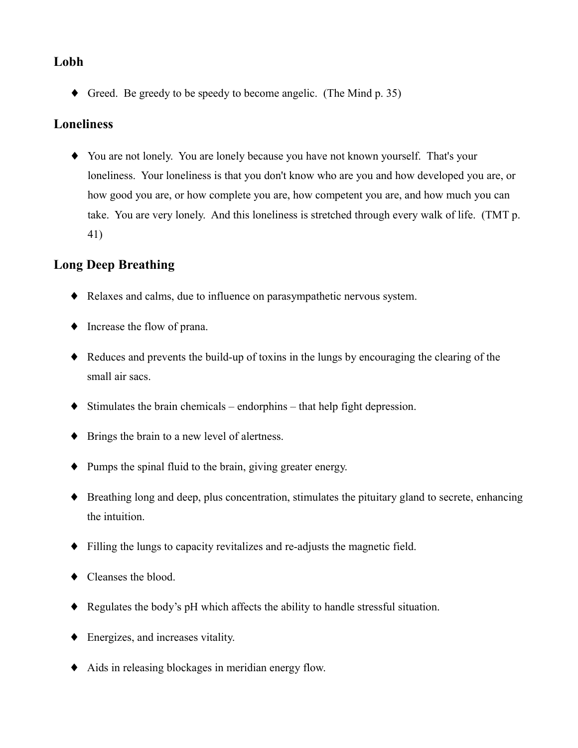### Lobh

 $\blacklozenge$  Greed. Be greedy to be speedy to become angelic. (The Mind p. 35)

### **Loneliness**

• You are not lonely. You are lonely because you have not known yourself. That's your loneliness. Your loneliness is that you don't know who are you and how developed you are, or how good you are, or how complete you are, how competent you are, and how much you can take. You are very lonely. And this loneliness is stretched through every walk of life. (TMT p. 41)

# **Long Deep Breathing**

- Relaxes and calms, due to influence on parasympathetic nervous system.
- $\bullet$  Increase the flow of prana.
- Reduces and prevents the build-up of toxins in the lungs by encouraging the clearing of the small air sacs.
- $\blacklozenge$  Stimulates the brain chemicals endorphins that help fight depression.
- $\blacklozenge$  Brings the brain to a new level of alertness.
- $\blacklozenge$  Pumps the spinal fluid to the brain, giving greater energy.
- Breathing long and deep, plus concentration, stimulates the pituitary gland to secrete, enhancing the intuition.
- $\bullet$  Filling the lungs to capacity revitalizes and re-adjusts the magnetic field.
- $\blacklozenge$  Cleanses the blood.
- Regulates the body's pH which affects the ability to handle stressful situation.
- $\blacklozenge$  Energizes, and increases vitality.
- Aids in releasing blockages in meridian energy flow.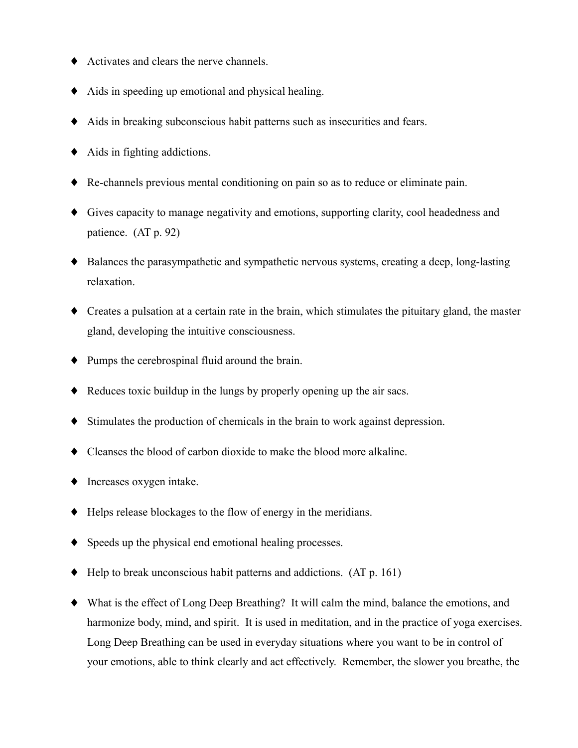- $\blacklozenge$  Activates and clears the nerve channels.
- $\blacklozenge$  Aids in speeding up emotional and physical healing.
- Aids in breaking subconscious habit patterns such as insecurities and fears.
- $\blacklozenge$  Aids in fighting addictions.
- Re-channels previous mental conditioning on pain so as to reduce or eliminate pain.
- Gives capacity to manage negativity and emotions, supporting clarity, cool headedness and patience. (AT p. 92)
- $\bullet$  Balances the parasympathetic and sympathetic nervous systems, creating a deep, long-lasting relaxation.
- Creates a pulsation at a certain rate in the brain, which stimulates the pituitary gland, the master gland, developing the intuitive consciousness.
- $\blacklozenge$  Pumps the cerebrospinal fluid around the brain.
- $\bullet$  Reduces toxic buildup in the lungs by properly opening up the air sacs.
- $\blacklozenge$  Stimulates the production of chemicals in the brain to work against depression.
- Cleanses the blood of carbon dioxide to make the blood more alkaline.
- $\blacklozenge$  Increases oxygen intake.
- $\blacklozenge$  Helps release blockages to the flow of energy in the meridians.
- $\bullet$  Speeds up the physical end emotional healing processes.
- $\blacklozenge$  Help to break unconscious habit patterns and addictions. (AT p. 161)
- What is the effect of Long Deep Breathing? It will calm the mind, balance the emotions, and harmonize body, mind, and spirit. It is used in meditation, and in the practice of yoga exercises. Long Deep Breathing can be used in everyday situations where you want to be in control of your emotions, able to think clearly and act effectively. Remember, the slower you breathe, the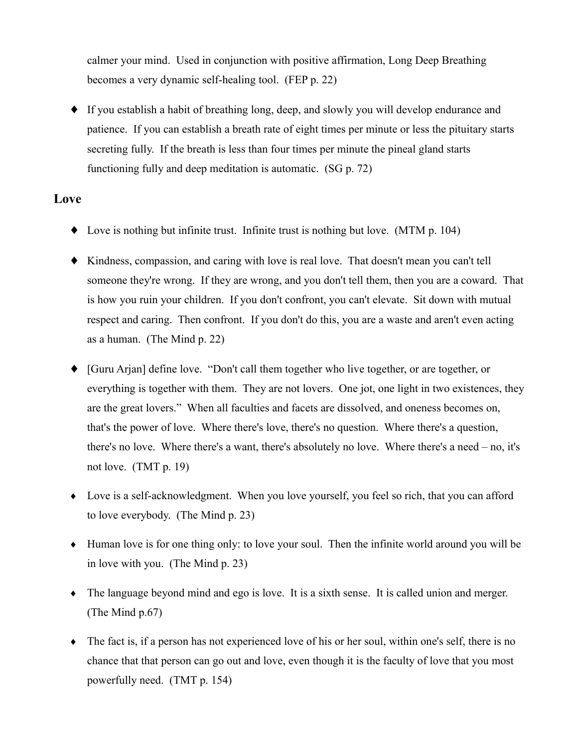calmer your mind. Used in conjunction with positive affirmation, Long Deep Breathing becomes a very dynamic self-healing tool. (FEP p. 22)

• If you establish a habit of breathing long, deep, and slowly you will develop endurance and patience. If you can establish a breath rate of eight times per minute or less the pituitary starts secreting fully. If the breath is less than four times per minute the pineal gland starts functioning fully and deep meditation is automatic. (SG p. 72)

#### Love

- $\bullet$  Love is nothing but infinite trust. Infinite trust is nothing but love. (MTM p. 104)
- Kindness, compassion, and caring with love is real love. That doesn't mean you can't tell someone they're wrong. If they are wrong, and you don't tell them, then you are a coward. That is how you ruin your children. If you don't confront, you can't elevate. Sit down with mutual respect and caring. Then confront. If you don't do this, you are a waste and aren't even acting as a human. (The Mind  $p. 22$ )
- [Guru Arjan] define love. "Don't call them together who live together, or are together, or everything is together with them. They are not lovers. One jot, one light in two existences, they are the great lovers." When all faculties and facets are dissolved, and oneness becomes on, that's the power of love. Where there's love, there's no question. Where there's a question, there's no love. Where there's a want, there's absolutely no love. Where there's a need  $-$  no, it's not love.  $(TMT p. 19)$
- Love is a self-acknowledgment. When you love yourself, you feel so rich, that you can afford to love everybody. (The Mind p. 23)
- Human love is for one thing only: to love your soul. Then the infinite world around you will be in love with you. (The Mind p. 23)
- $\bullet$  The language beyond mind and ego is love. It is a sixth sense. It is called union and merger. (The Mind  $p.67$ )
- $\bullet$  The fact is, if a person has not experienced love of his or her soul, within one's self, there is no chance that that person can go out and love, even though it is the faculty of love that you most powerfully need. (TMT p. 154)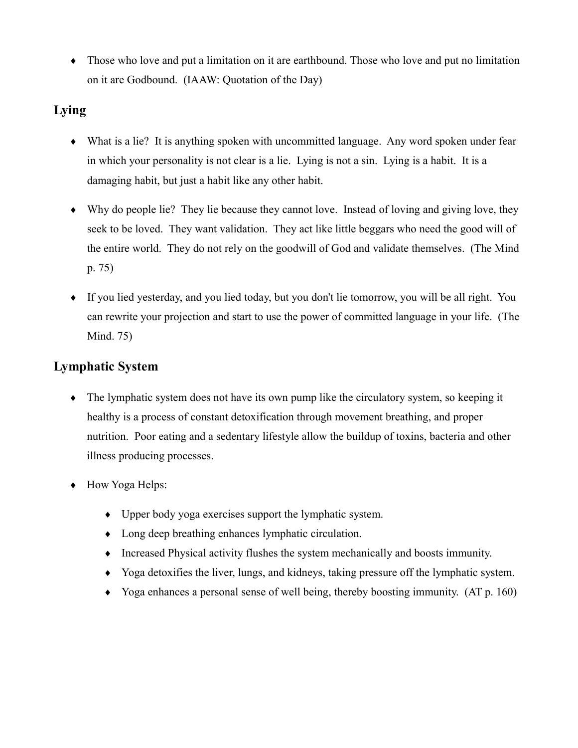• Those who love and put a limitation on it are earthbound. Those who love and put no limitation on it are Godbound. (IAAW: Quotation of the Day)

## Lying

- What is a lie? It is anything spoken with uncommitted language. Any word spoken under fear in which your personality is not clear is a lie. Lying is not a sin. Lying is a habit. It is a damaging habit, but just a habit like any other habit.
- $\bullet$  Why do people lie? They lie because they cannot love. Instead of loving and giving love, they seek to be loved. They want validation. They act like little beggars who need the good will of the entire world. They do not rely on the goodwill of God and validate themselves. (The Mind  $p. 75)$
- If you lied yesterday, and you lied today, but you don't lie tomorrow, you will be all right. You can rewrite your projection and start to use the power of committed language in your life. (The Mind. 75)

# **Lymphatic System**

- The lymphatic system does not have its own pump like the circulatory system, so keeping it healthy is a process of constant detoxification through movement breathing, and proper nutrition. Poor eating and a sedentary lifestyle allow the buildup of toxins, bacteria and other illness producing processes.
- $\bullet$  How Yoga Helps:
	- $\bullet$  Upper body yoga exercises support the lymphatic system.
	- $\bullet$  Long deep breathing enhances lymphatic circulation.
	- $\bullet$  Increased Physical activity flushes the system mechanically and boosts immunity.
	- Yoga detoxifies the liver, lungs, and kidneys, taking pressure off the lymphatic system.
	- Yoga enhances a personal sense of well being, thereby boosting immunity.  $(AT p. 160)$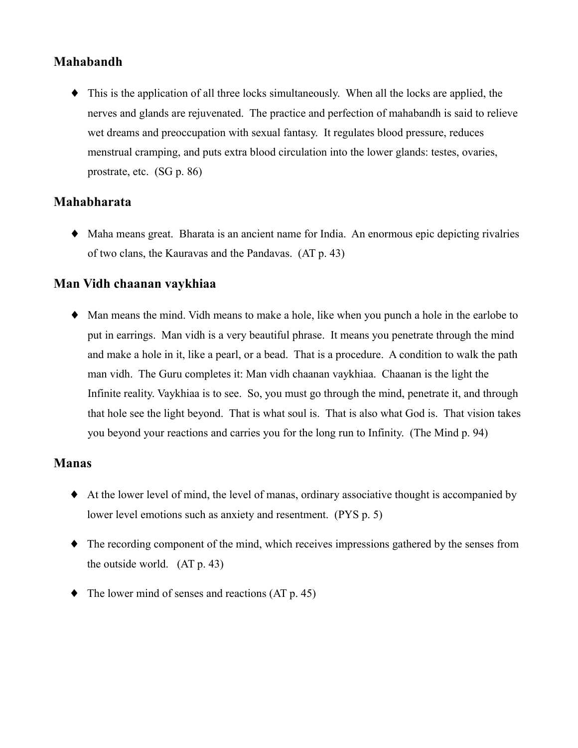### **Mahabandh**

• This is the application of all three locks simultaneously. When all the locks are applied, the nerves and glands are rejuvenated. The practice and perfection of mahabandh is said to relieve wet dreams and preoccupation with sexual fantasy. It regulates blood pressure, reduces menstrual cramping, and puts extra blood circulation into the lower glands: testes, ovaries, prostrate, etc.  $(SG p. 86)$ 

#### **Mahabharata**

• Maha means great. Bharata is an ancient name for India. An enormous epic depicting rivalries of two clans, the Kauravas and the Pandavas. (AT p. 43)

#### **Man Vidh chaanan vaykhiaa**

• Man means the mind. Vidh means to make a hole, like when you punch a hole in the earlobe to put in earrings. Man vidh is a very beautiful phrase. It means you penetrate through the mind and make a hole in it, like a pearl, or a bead. That is a procedure. A condition to walk the path man vidh. The Guru completes it: Man vidh chaanan vaykhiaa. Chaanan is the light the Infinite reality. Vaykhiaa is to see. So, you must go through the mind, penetrate it, and through that hole see the light beyond. That is what soul is. That is also what God is. That vision takes you beyond your reactions and carries you for the long run to Infinity. (The Mind p. 94)

#### **Manas**

- At the lower level of mind, the level of manas, ordinary associative thought is accompanied by lower level emotions such as anxiety and resentment. (PYS p. 5)
- The recording component of the mind, which receives impressions gathered by the senses from the outside world.  $(AT p. 43)$
- The lower mind of senses and reactions (AT p. 45)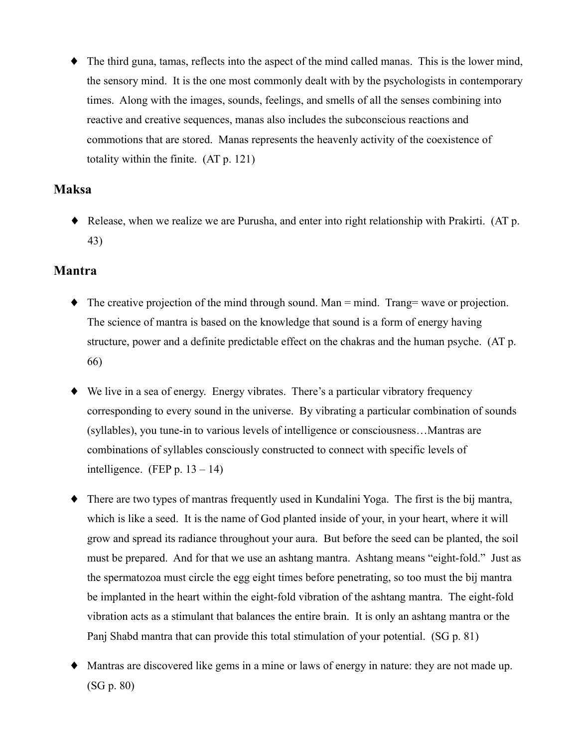$\bullet$  The third guna, tamas, reflects into the aspect of the mind called manas. This is the lower mind, the sensory mind. It is the one most commonly dealt with by the psychologists in contemporary times. Along with the images, sounds, feelings, and smells of all the senses combining into reactive and creative sequences, manas also includes the subconscious reactions and commotions that are stored. Manas represents the heavenly activity of the coexistence of totality within the finite.  $(AT p. 121)$ 

### **Maksa**

• Release, when we realize we are Purusha, and enter into right relationship with Prakirti. (AT p. 43)

#### **Mantra**

- $\blacklozenge$  The creative projection of the mind through sound. Man = mind. Trang= wave or projection. The science of mantra is based on the knowledge that sound is a form of energy having structure, power and a definite predictable effect on the chakras and the human psyche. (AT p. 66)
- $\blacklozenge$  We live in a sea of energy. Energy vibrates. There's a particular vibratory frequency corresponding to every sound in the universe. By vibrating a particular combination of sounds (syllables), you tune-in to various levels of intelligence or consciousness...Mantras are combinations of syllables consciously constructed to connect with specific levels of intelligence. (FEP p.  $13 - 14$ )
- There are two types of mantras frequently used in Kundalini Yoga. The first is the bij mantra, ٠ which is like a seed. It is the name of God planted inside of your, in your heart, where it will grow and spread its radiance throughout your aura. But before the seed can be planted, the soil must be prepared. And for that we use an ashtang mantra. Ashtang means "eight-fold." Just as the spermatozoa must circle the egg eight times before penetrating, so too must the bij mantra be implanted in the heart within the eight-fold vibration of the ashtang mantra. The eight-fold vibration acts as a stimulant that balances the entire brain. It is only an ashtang mantra or the Panj Shabd mantra that can provide this total stimulation of your potential. (SG p. 81)
- Mantras are discovered like gems in a mine or laws of energy in nature; they are not made up.  $(SG p. 80)$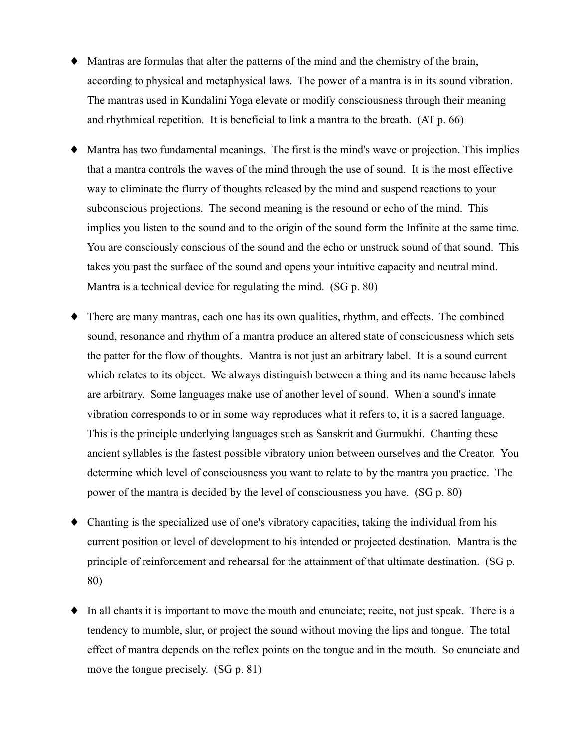- Mantras are formulas that alter the patterns of the mind and the chemistry of the brain, according to physical and metaphysical laws. The power of a mantra is in its sound vibration. The mantras used in Kundalini Yoga elevate or modify consciousness through their meaning and rhythmical repetition. It is beneficial to link a mantra to the breath. (AT p. 66)
- Mantra has two fundamental meanings. The first is the mind's wave or projection. This implies that a mantra controls the waves of the mind through the use of sound. It is the most effective way to eliminate the flurry of thoughts released by the mind and suspend reactions to your subconscious projections. The second meaning is the resound or echo of the mind. This implies you listen to the sound and to the origin of the sound form the Infinite at the same time. You are consciously conscious of the sound and the echo or unstruck sound of that sound. This takes you past the surface of the sound and opens your intuitive capacity and neutral mind. Mantra is a technical device for regulating the mind.  $(SG p. 80)$
- There are many mantras, each one has its own qualities, rhythm, and effects. The combined sound, resonance and rhythm of a mantra produce an altered state of consciousness which sets the patter for the flow of thoughts. Mantra is not just an arbitrary label. It is a sound current which relates to its object. We always distinguish between a thing and its name because labels are arbitrary. Some languages make use of another level of sound. When a sound's innate vibration corresponds to or in some way reproduces what it refers to, it is a sacred language. This is the principle underlying languages such as Sanskrit and Gurmukhi. Chanting these ancient syllables is the fastest possible vibratory union between ourselves and the Creator. You determine which level of consciousness you want to relate to by the mantra you practice. The power of the mantra is decided by the level of consciousness you have. (SG p. 80)
- Chanting is the specialized use of one's vibratory capacities, taking the individual from his current position or level of development to his intended or projected destination. Mantra is the principle of reinforcement and rehearsal for the attainment of that ultimate destination. (SG p. 80)
- In all chants it is important to move the mouth and enunciate; recite, not just speak. There is a tendency to mumble, slur, or project the sound without moving the lips and tongue. The total effect of mantra depends on the reflex points on the tongue and in the mouth. So enunciate and move the tongue precisely.  $(SG p. 81)$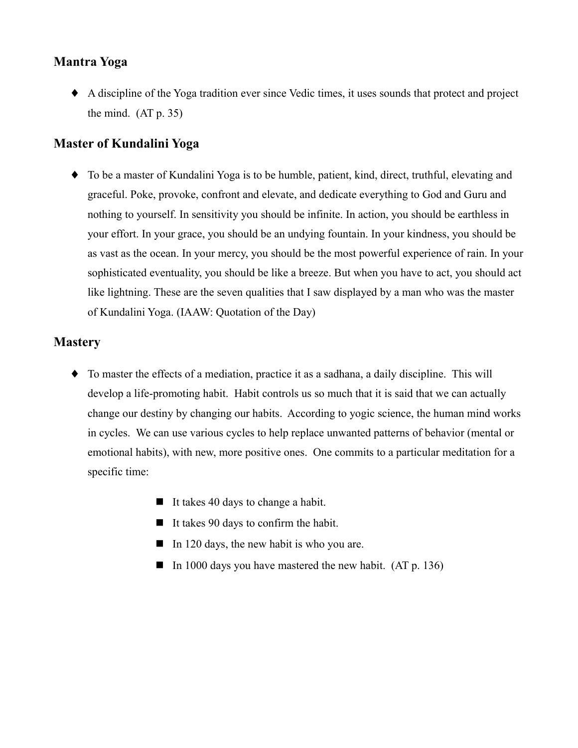#### **Mantra Yoga**

A discipline of the Yoga tradition ever since Vedic times, it uses sounds that protect and project the mind.  $(AT p. 35)$ 

#### **Master of Kundalini Yoga**

• To be a master of Kundalini Yoga is to be humble, patient, kind, direct, truthful, elevating and graceful. Poke, provoke, confront and elevate, and dedicate everything to God and Guru and nothing to yourself. In sensitivity you should be infinite. In action, you should be earthless in your effort. In your grace, you should be an undying fountain. In your kindness, you should be as vast as the ocean. In your mercy, you should be the most powerful experience of rain. In your sophisticated eventuality, you should be like a breeze. But when you have to act, you should act like lightning. These are the seven qualities that I saw displayed by a man who was the master of Kundalini Yoga. (IAAW: Quotation of the Day)

### **Mastery**

- To master the effects of a mediation, practice it as a sadhana, a daily discipline. This will develop a life-promoting habit. Habit controls us so much that it is said that we can actually change our destiny by changing our habits. According to yogic science, the human mind works in cycles. We can use various cycles to help replace unwanted patterns of behavior (mental or emotional habits), with new, more positive ones. One commits to a particular meditation for a specific time:
	- $\blacksquare$  It takes 40 days to change a habit.
	- $\blacksquare$  It takes 90 days to confirm the habit.
	- $\blacksquare$  In 120 days, the new habit is who you are.
	- In 1000 days you have mastered the new habit.  $(AT p. 136)$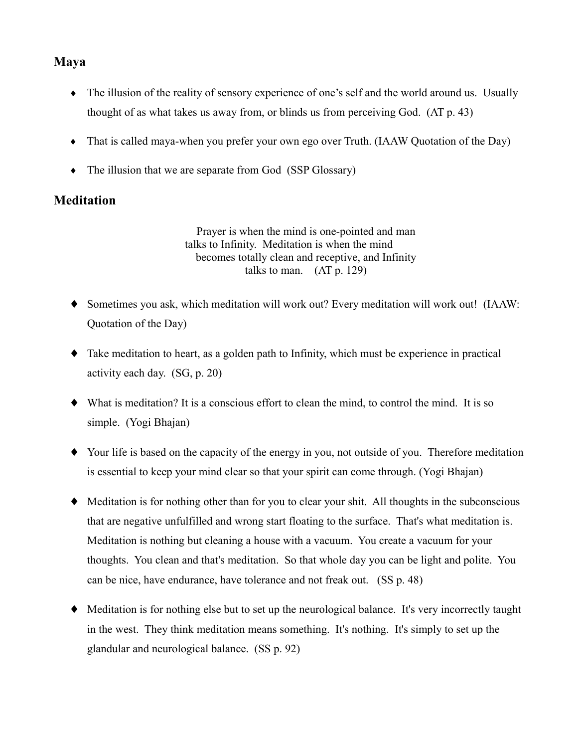### **Maya**

- The illusion of the reality of sensory experience of one's self and the world around us. Usually thought of as what takes us away from, or blinds us from perceiving God. (AT p. 43)
- $\bullet$  That is called maya-when you prefer your own ego over Truth. (IAAW Quotation of the Day)
- $\bullet$  The illusion that we are separate from God (SSP Glossary)

## **Meditation**

Prayer is when the mind is one-pointed and man talks to Infinity. Meditation is when the mind becomes totally clean and receptive, and Infinity talks to man.  $(AT p. 129)$ 

- Sometimes you ask, which meditation will work out? Every meditation will work out! (IAAW: Quotation of the Day)
- Take meditation to heart, as a golden path to Infinity, which must be experience in practical activity each day.  $(SG, p. 20)$
- What is meditation? It is a conscious effort to clean the mind, to control the mind. It is so simple. (Yogi Bhajan)
- Your life is based on the capacity of the energy in you, not outside of you. Therefore meditation is essential to keep your mind clear so that your spirit can come through. (Yogi Bhajan)
- $\blacklozenge$  Meditation is for nothing other than for you to clear your shit. All thoughts in the subconscious that are negative unfulfilled and wrong start floating to the surface. That's what meditation is. Meditation is nothing but cleaning a house with a vacuum. You create a vacuum for your thoughts. You clean and that's meditation. So that whole day you can be light and polite. You can be nice, have endurance, have tolerance and not freak out. (SS p. 48)
- $\blacklozenge$  Meditation is for nothing else but to set up the neurological balance. It's very incorrectly taught in the west. They think meditation means something. It's nothing. It's simply to set up the glandular and neurological balance. (SS p. 92)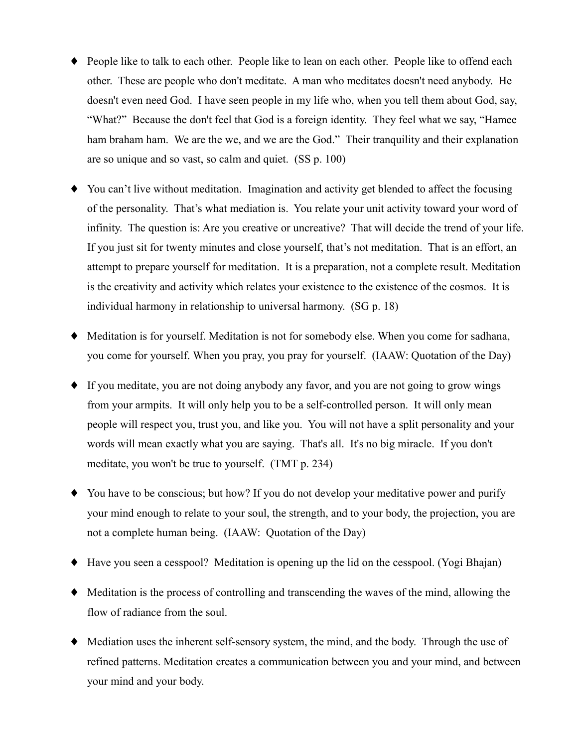- People like to talk to each other. People like to lean on each other. People like to offend each other. These are people who don't meditate. A man who meditates doesn't need anybody. He doesn't even need God. I have seen people in my life who, when you tell them about God, say, "What?" Because the don't feel that God is a foreign identity. They feel what we say, "Hamee" ham braham ham. We are the we, and we are the God." Their tranquility and their explanation are so unique and so vast, so calm and quiet. (SS p. 100)
- You can't live without meditation. Imagination and activity get blended to affect the focusing of the personality. That's what mediation is. You relate your unit activity toward your word of infinity. The question is: Are you creative or uncreative? That will decide the trend of your life. If you just sit for twenty minutes and close yourself, that's not meditation. That is an effort, an attempt to prepare yourself for meditation. It is a preparation, not a complete result. Meditation is the creativity and activity which relates your existence to the existence of the cosmos. It is individual harmony in relationship to universal harmony. (SG p. 18)
- Meditation is for yourself. Meditation is not for somebody else. When you come for sadhana, you come for yourself. When you pray, you pray for yourself. (IAAW: Quotation of the Day)
- If you meditate, you are not doing anybody any favor, and you are not going to grow wings from your armpits. It will only help you to be a self-controlled person. It will only mean people will respect you, trust you, and like you. You will not have a split personality and your words will mean exactly what you are saying. That's all. It's no big miracle. If you don't meditate, you won't be true to yourself. (TMT p. 234)
- You have to be conscious; but how? If you do not develop your meditative power and purify your mind enough to relate to your soul, the strength, and to your body, the projection, you are not a complete human being. (IAAW: Quotation of the Day)
- $\blacklozenge$  Have you seen a cesspool? Meditation is opening up the lid on the cesspool. (Yogi Bhajan)
- $\blacklozenge$  Meditation is the process of controlling and transcending the waves of the mind, allowing the flow of radiance from the soul.
- Mediation uses the inherent self-sensory system, the mind, and the body. Through the use of refined patterns. Meditation creates a communication between you and your mind, and between your mind and your body.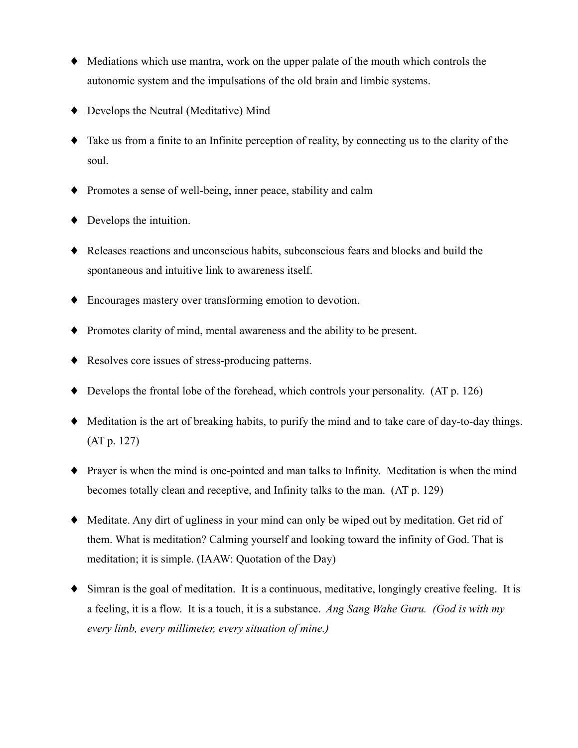- Mediations which use mantra, work on the upper palate of the mouth which controls the autonomic system and the impulsations of the old brain and limbic systems.
- $\blacklozenge$  Develops the Neutral (Meditative) Mind
- $\bullet$  Take us from a finite to an Infinite perception of reality, by connecting us to the clarity of the soul.
- Promotes a sense of well-being, inner peace, stability and calm
- $\blacklozenge$  Develops the intuition.
- Releases reactions and unconscious habits, subconscious fears and blocks and build the spontaneous and intuitive link to awareness itself.
- Encourages mastery over transforming emotion to devotion.
- Promotes clarity of mind, mental awareness and the ability to be present.
- ♦ Resolves core issues of stress-producing patterns.
- $\blacklozenge$  Develops the frontal lobe of the forehead, which controls your personality. (AT p. 126)
- Meditation is the art of breaking habits, to purify the mind and to take care of day-to-day things.  $(AT p. 127)$
- $\bullet$  Prayer is when the mind is one-pointed and man talks to Infinity. Meditation is when the mind becomes totally clean and receptive, and Infinity talks to the man. (AT p. 129)
- Meditate. Any dirt of ugliness in your mind can only be wiped out by meditation. Get rid of them. What is meditation? Calming yourself and looking toward the infinity of God. That is meditation; it is simple. (IAAW: Quotation of the Day)
- $\bullet$  Simran is the goal of meditation. It is a continuous, meditative, longingly creative feeling. It is a feeling, it is a flow. It is a touch, it is a substance. Ang Sang Wahe Guru. (God is with my every limb, every millimeter, every situation of mine.)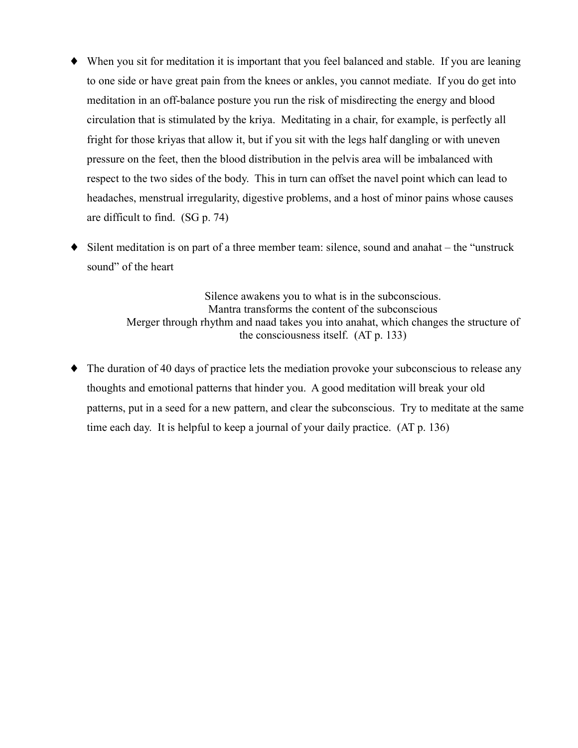- When you sit for meditation it is important that you feel balanced and stable. If you are leaning to one side or have great pain from the knees or ankles, you cannot mediate. If you do get into meditation in an off-balance posture you run the risk of misdirecting the energy and blood circulation that is stimulated by the kriva. Meditating in a chair, for example, is perfectly all fright for those krivas that allow it, but if you sit with the legs half dangling or with uneven pressure on the feet, then the blood distribution in the pelvis area will be imbalanced with respect to the two sides of the body. This in turn can offset the navel point which can lead to headaches, menstrual irregularity, digestive problems, and a host of minor pains whose causes are difficult to find. (SG p. 74)
- $\bullet$  Silent meditation is on part of a three member team: silence, sound and anahat the "unstruck" sound" of the heart

Silence awakens you to what is in the subconscious. Mantra transforms the content of the subconscious Merger through rhythm and naad takes you into anahat, which changes the structure of the consciousness itself.  $(AT p. 133)$ 

• The duration of 40 days of practice lets the mediation provoke your subconscious to release any thoughts and emotional patterns that hinder you. A good meditation will break your old patterns, put in a seed for a new pattern, and clear the subconscious. Try to meditate at the same time each day. It is helpful to keep a journal of your daily practice. (AT p. 136)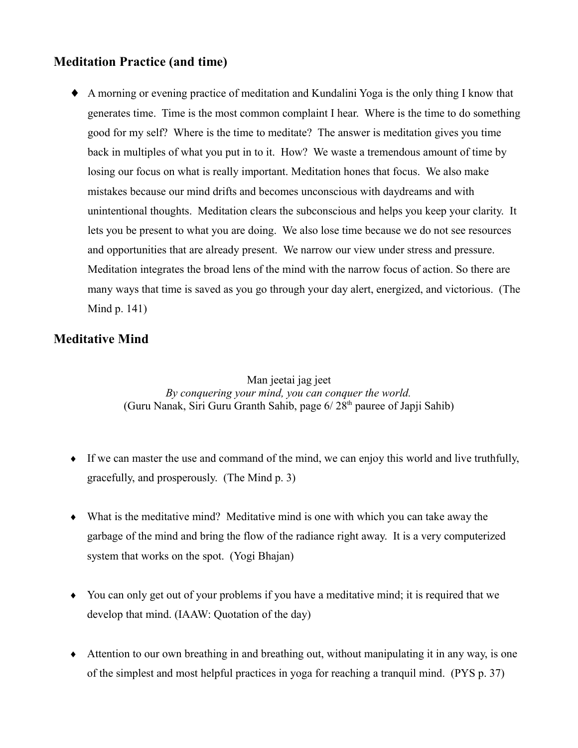# **Meditation Practice (and time)**

• A morning or evening practice of meditation and Kundalini Yoga is the only thing I know that generates time. Time is the most common complaint I hear. Where is the time to do something good for my self? Where is the time to meditate? The answer is meditation gives you time back in multiples of what you put in to it. How? We waste a tremendous amount of time by losing our focus on what is really important. Meditation hones that focus. We also make mistakes because our mind drifts and becomes unconscious with daydreams and with unintentional thoughts. Meditation clears the subconscious and helps you keep your clarity. It lets you be present to what you are doing. We also lose time because we do not see resources and opportunities that are already present. We narrow our view under stress and pressure. Meditation integrates the broad lens of the mind with the narrow focus of action. So there are many ways that time is saved as you go through your day alert, energized, and victorious. (The Mind p.  $141$ )

## **Meditative Mind**

Man jeetai jag jeet By conquering your mind, you can conquer the world. (Guru Nanak, Siri Guru Granth Sahib, page 6/28<sup>th</sup> pauree of Japii Sahib)

- $\bullet$  If we can master the use and command of the mind, we can enjoy this world and live truthfully, gracefully, and prosperously. (The Mind p. 3)
- $\bullet$  What is the meditative mind? Meditative mind is one with which you can take away the garbage of the mind and bring the flow of the radiance right away. It is a very computerized system that works on the spot. (Yogi Bhajan)
- You can only get out of your problems if you have a meditative mind; it is required that we develop that mind. (IAAW: Quotation of the day)
- Attention to our own breathing in and breathing out, without manipulating it in any way, is one of the simplest and most helpful practices in yoga for reaching a tranquil mind. (PYS p. 37)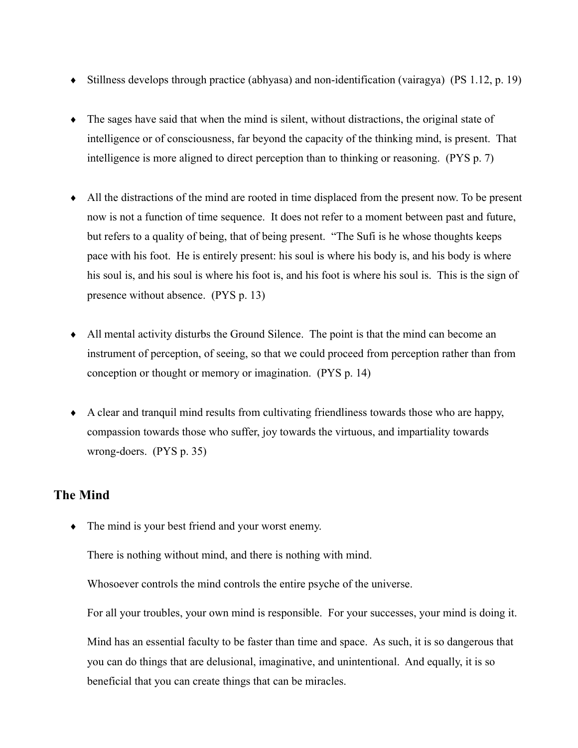- Stillness develops through practice (abhyasa) and non-identification (vairagya) (PS 1.12, p. 19)
- $\bullet$  The sages have said that when the mind is silent, without distractions, the original state of intelligence or of consciousness, far beyond the capacity of the thinking mind, is present. That intelligence is more aligned to direct perception than to thinking or reasoning. (PYS p. 7)
- All the distractions of the mind are rooted in time displaced from the present now. To be present now is not a function of time sequence. It does not refer to a moment between past and future, but refers to a quality of being, that of being present. "The Sufi is he whose thoughts keeps" pace with his foot. He is entirely present: his soul is where his body is, and his body is where his soul is, and his soul is where his foot is, and his foot is where his soul is. This is the sign of presence without absence. (PYS p. 13)
- All mental activity disturbs the Ground Silence. The point is that the mind can become an instrument of perception, of seeing, so that we could proceed from perception rather than from conception or thought or memory or imagination. (PYS p. 14)
- A clear and tranquil mind results from cultivating friendliness towards those who are happy, compassion towards those who suffer, joy towards the virtuous, and impartiality towards wrong-doers. (PYS p. 35)

# **The Mind**

 $\bullet$  The mind is your best friend and your worst enemy.

There is nothing without mind, and there is nothing with mind.

Whosoever controls the mind controls the entire psyche of the universe.

For all your troubles, your own mind is responsible. For your successes, your mind is doing it.

Mind has an essential faculty to be faster than time and space. As such, it is so dangerous that you can do things that are delusional, imaginative, and unintentional. And equally, it is so beneficial that you can create things that can be miracles.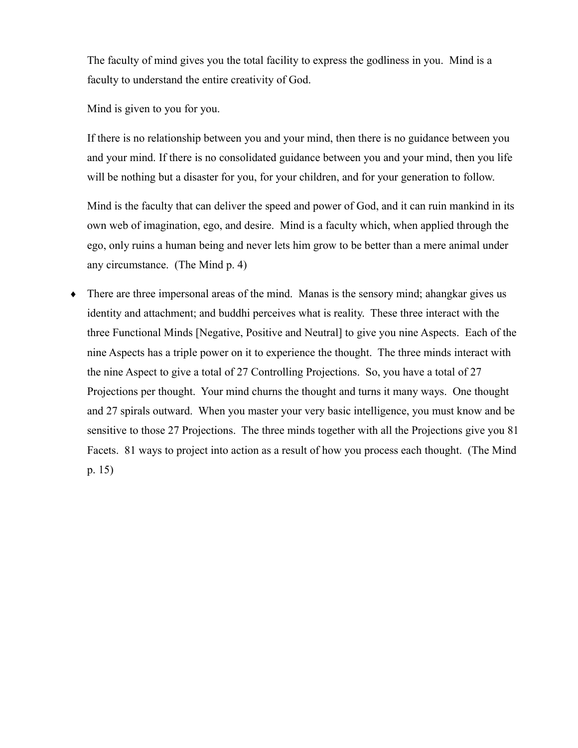The faculty of mind gives you the total facility to express the godliness in you. Mind is a faculty to understand the entire creativity of God.

Mind is given to you for you.

If there is no relationship between you and your mind, then there is no guidance between you and your mind. If there is no consolidated guidance between you and your mind, then you life will be nothing but a disaster for you, for your children, and for your generation to follow.

Mind is the faculty that can deliver the speed and power of God, and it can ruin mankind in its own web of imagination, ego, and desire. Mind is a faculty which, when applied through the ego, only ruins a human being and never lets him grow to be better than a mere animal under any circumstance. (The Mind p. 4)

There are three impersonal areas of the mind. Manas is the sensory mind; ahangkar gives us  $\blacklozenge$ identity and attachment; and buddhi perceives what is reality. These three interact with the three Functional Minds [Negative, Positive and Neutral] to give you nine Aspects. Each of the nine Aspects has a triple power on it to experience the thought. The three minds interact with the nine Aspect to give a total of 27 Controlling Projections. So, you have a total of 27 Projections per thought. Your mind churns the thought and turns it many ways. One thought and 27 spirals outward. When you master your very basic intelligence, you must know and be sensitive to those 27 Projections. The three minds together with all the Projections give you 81 Facets. 81 ways to project into action as a result of how you process each thought. (The Mind  $p. 15)$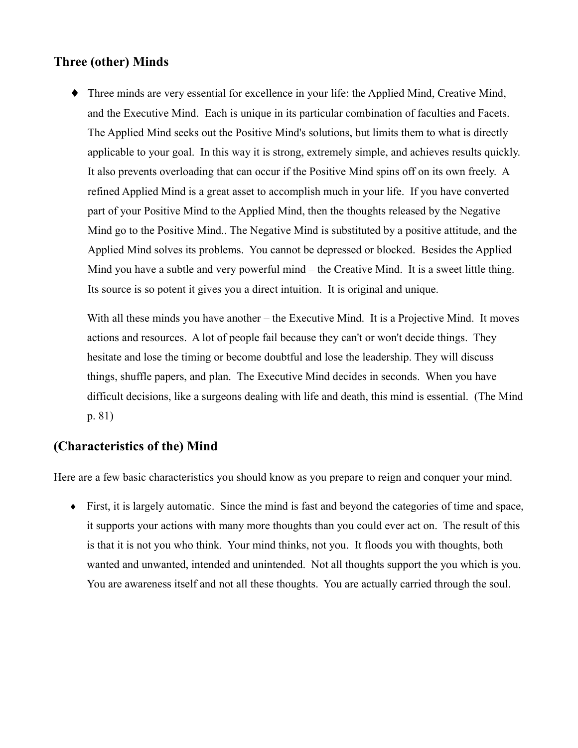# **Three (other) Minds**

• Three minds are very essential for excellence in your life: the Applied Mind, Creative Mind, and the Executive Mind. Each is unique in its particular combination of faculties and Facets. The Applied Mind seeks out the Positive Mind's solutions, but limits them to what is directly applicable to your goal. In this way it is strong, extremely simple, and achieves results quickly. It also prevents overloading that can occur if the Positive Mind spins off on its own freely. A refined Applied Mind is a great asset to accomplish much in your life. If you have converted part of your Positive Mind to the Applied Mind, then the thoughts released by the Negative Mind go to the Positive Mind.. The Negative Mind is substituted by a positive attitude, and the Applied Mind solves its problems. You cannot be depressed or blocked. Besides the Applied Mind you have a subtle and very powerful mind – the Creative Mind. It is a sweet little thing. Its source is so potent it gives you a direct intuition. It is original and unique.

With all these minds you have another – the Executive Mind. It is a Projective Mind. It moves actions and resources. A lot of people fail because they can't or won't decide things. They hesitate and lose the timing or become doubtful and lose the leadership. They will discuss things, shuffle papers, and plan. The Executive Mind decides in seconds. When you have difficult decisions, like a surgeons dealing with life and death, this mind is essential. (The Mind  $p. 81)$ 

# (Characteristics of the) Mind

Here are a few basic characteristics you should know as you prepare to reign and conquer your mind.

• First, it is largely automatic. Since the mind is fast and beyond the categories of time and space, it supports your actions with many more thoughts than you could ever act on. The result of this is that it is not you who think. Your mind thinks, not you. It floods you with thoughts, both wanted and unwanted, intended and unintended. Not all thoughts support the you which is you. You are awareness itself and not all these thoughts. You are actually carried through the soul.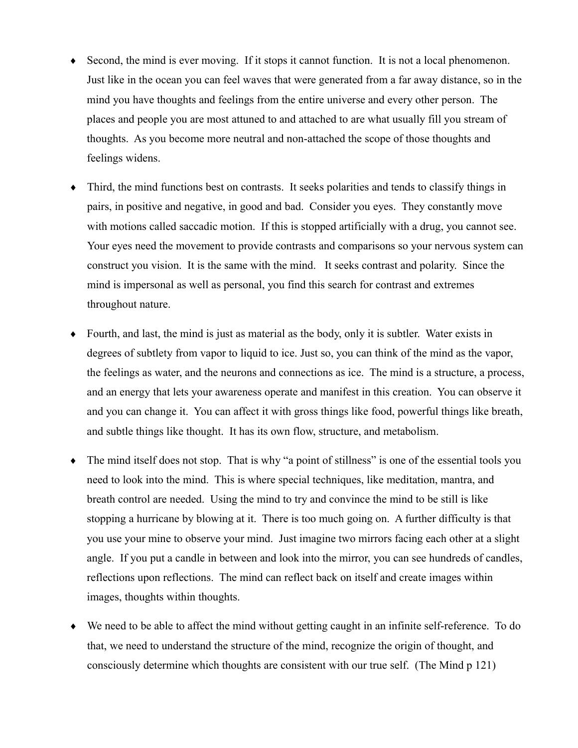- Second, the mind is ever moving. If it stops it cannot function. It is not a local phenomenon.  $\blacklozenge$ Just like in the ocean you can feel waves that were generated from a far away distance, so in the mind you have thoughts and feelings from the entire universe and every other person. The places and people you are most attuned to and attached to are what usually fill you stream of thoughts. As you become more neutral and non-attached the scope of those thoughts and feelings widens.
- Third, the mind functions best on contrasts. It seeks polarities and tends to classify things in pairs, in positive and negative, in good and bad. Consider you eyes. They constantly move with motions called saccadic motion. If this is stopped artificially with a drug, you cannot see. Your eves need the movement to provide contrasts and comparisons so your nervous system can construct you vision. It is the same with the mind. It seeks contrast and polarity. Since the mind is impersonal as well as personal, you find this search for contrast and extremes throughout nature.
- $\bullet$  Fourth, and last, the mind is just as material as the body, only it is subtler. Water exists in degrees of subtlety from vapor to liquid to ice. Just so, you can think of the mind as the vapor, the feelings as water, and the neurons and connections as ice. The mind is a structure, a process, and an energy that lets your awareness operate and manifest in this creation. You can observe it and you can change it. You can affect it with gross things like food, powerful things like breath, and subtle things like thought. It has its own flow, structure, and metabolism.
- The mind itself does not stop. That is why "a point of stillness" is one of the essential tools you  $\bullet$ need to look into the mind. This is where special techniques, like meditation, mantra, and breath control are needed. Using the mind to try and convince the mind to be still is like stopping a hurricane by blowing at it. There is too much going on. A further difficulty is that you use your mine to observe your mind. Just imagine two mirrors facing each other at a slight angle. If you put a candle in between and look into the mirror, you can see hundreds of candles, reflections upon reflections. The mind can reflect back on itself and create images within images, thoughts within thoughts.
- We need to be able to affect the mind without getting caught in an infinite self-reference. To do that, we need to understand the structure of the mind, recognize the origin of thought, and consciously determine which thoughts are consistent with our true self. (The Mind p 121)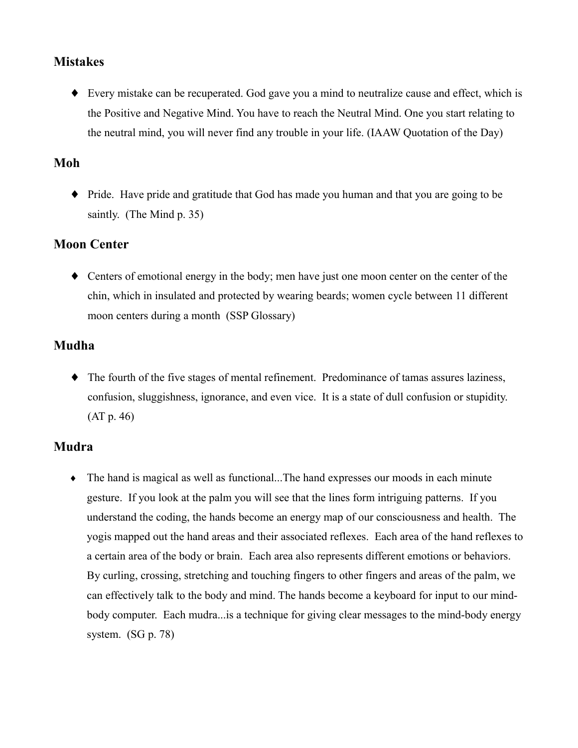## **Mistakes**

• Every mistake can be recuperated. God gave you a mind to neutralize cause and effect, which is the Positive and Negative Mind. You have to reach the Neutral Mind. One you start relating to the neutral mind, you will never find any trouble in your life. (IAAW Quotation of the Day)

# Moh

• Pride. Have pride and gratitude that God has made you human and that you are going to be saintly. (The Mind p. 35)

# **Moon Center**

 $\bullet$  Centers of emotional energy in the body; men have just one moon center on the center of the chin, which in insulated and protected by wearing beards; women cycle between 11 different moon centers during a month (SSP Glossary)

# Mudha

• The fourth of the five stages of mental refinement. Predominance of tamas assures laziness, confusion, sluggishness, ignorance, and even vice. It is a state of dull confusion or stupidity.  $(AT p. 46)$ 

## **Mudra**

• The hand is magical as well as functional...The hand expresses our moods in each minute gesture. If you look at the palm you will see that the lines form intriguing patterns. If you understand the coding, the hands become an energy map of our consciousness and health. The yogis mapped out the hand areas and their associated reflexes. Each area of the hand reflexes to a certain area of the body or brain. Each area also represents different emotions or behaviors. By curling, crossing, stretching and touching fingers to other fingers and areas of the palm, we can effectively talk to the body and mind. The hands become a keyboard for input to our mindbody computer. Each mudra ... is a technique for giving clear messages to the mind-body energy system.  $(SG p. 78)$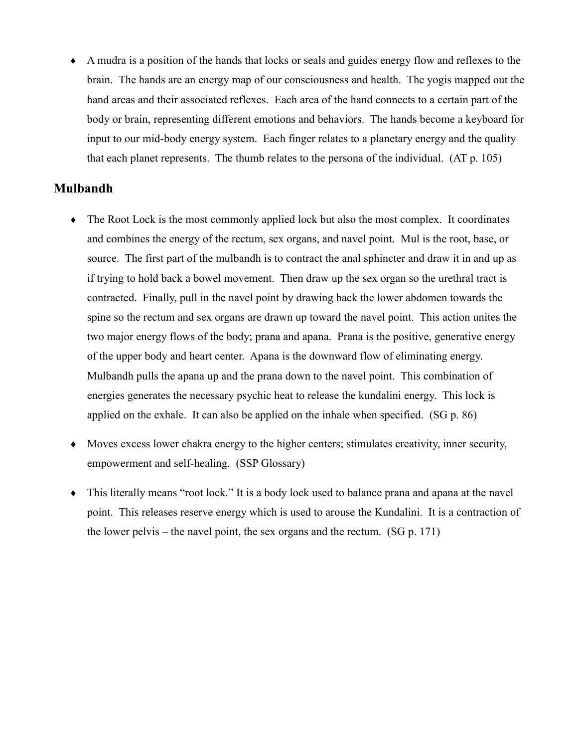• A mudra is a position of the hands that locks or seals and guides energy flow and reflexes to the brain. The hands are an energy map of our consciousness and health. The yogis mapped out the hand areas and their associated reflexes. Each area of the hand connects to a certain part of the body or brain, representing different emotions and behaviors. The hands become a keyboard for input to our mid-body energy system. Each finger relates to a planetary energy and the quality that each planet represents. The thumb relates to the persona of the individual. (AT p. 105)

#### **Mulbandh**

- $\bullet$  The Root Lock is the most commonly applied lock but also the most complex. It coordinates and combines the energy of the rectum, sex organs, and navel point. Mul is the root, base, or source. The first part of the mulbandh is to contract the anal sphincter and draw it in and up as if trying to hold back a bowel movement. Then draw up the sex organ so the urethral tract is contracted. Finally, pull in the navel point by drawing back the lower abdomen towards the spine so the rectum and sex organs are drawn up toward the navel point. This action unites the two major energy flows of the body; prana and apana. Prana is the positive, generative energy of the upper body and heart center. Apana is the downward flow of eliminating energy. Mulbandh pulls the apana up and the prana down to the navel point. This combination of energies generates the necessary psychic heat to release the kundalini energy. This lock is applied on the exhale. It can also be applied on the inhale when specified. (SG p. 86)
- $\bullet$  Moves excess lower chakra energy to the higher centers; stimulates creativity, inner security, empowerment and self-healing. (SSP Glossary)
- This literally means "root lock." It is a body lock used to balance prana and apana at the navel point. This releases reserve energy which is used to arouse the Kundalini. It is a contraction of the lower pelvis – the navel point, the sex organs and the rectum.  $(SG p. 171)$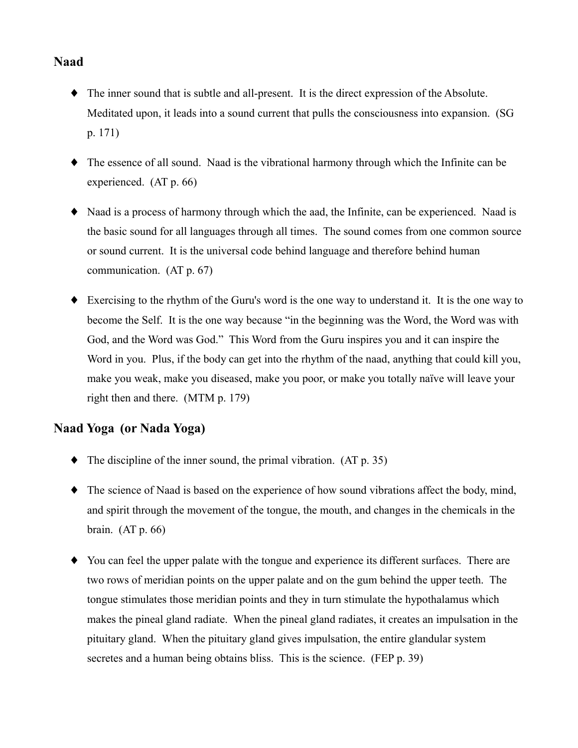# **Naad**

- The inner sound that is subtle and all-present. It is the direct expression of the Absolute. Meditated upon, it leads into a sound current that pulls the consciousness into expansion. (SG  $p. 171)$
- The essence of all sound. Naad is the vibrational harmony through which the Infinite can be experienced.  $(AT p. 66)$
- Naad is a process of harmony through which the aad, the Infinite, can be experienced. Naad is the basic sound for all languages through all times. The sound comes from one common source or sound current. It is the universal code behind language and therefore behind human communication.  $(AT p. 67)$
- $\bullet$  Exercising to the rhythm of the Guru's word is the one way to understand it. It is the one way to become the Self. It is the one way because "in the beginning was the Word, the Word was with God, and the Word was God." This Word from the Guru inspires you and it can inspire the Word in you. Plus, if the body can get into the rhythm of the naad, anything that could kill you, make you weak, make you diseased, make you poor, or make you totally naïve will leave your right then and there. (MTM p. 179)

## Naad Yoga (or Nada Yoga)

- $\blacklozenge$  The discipline of the inner sound, the primal vibration. (AT p. 35)
- The science of Naad is based on the experience of how sound vibrations affect the body, mind, and spirit through the movement of the tongue, the mouth, and changes in the chemicals in the brain.  $(AT p. 66)$
- You can feel the upper palate with the tongue and experience its different surfaces. There are two rows of meridian points on the upper palate and on the gum behind the upper teeth. The tongue stimulates those meridian points and they in turn stimulate the hypothalamus which makes the pineal gland radiate. When the pineal gland radiates, it creates an impulsation in the pituitary gland. When the pituitary gland gives impulsation, the entire glandular system secretes and a human being obtains bliss. This is the science. (FEP p. 39)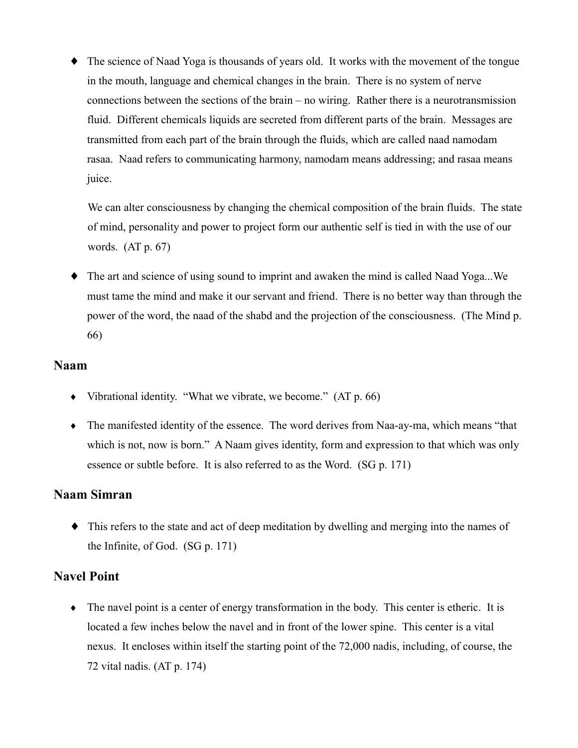$\blacklozenge$  The science of Naad Yoga is thousands of years old. It works with the movement of the tongue in the mouth, language and chemical changes in the brain. There is no system of nerve connections between the sections of the brain  $-$  no wiring. Rather there is a neurotransmission fluid. Different chemicals liquids are secreted from different parts of the brain. Messages are transmitted from each part of the brain through the fluids, which are called naad namodam rasaa. Naad refers to communicating harmony, namodam means addressing; and rasaa means juice.

We can alter consciousness by changing the chemical composition of the brain fluids. The state of mind, personality and power to project form our authentic self is tied in with the use of our words.  $(AT p. 67)$ 

 $\bullet$  The art and science of using sound to imprint and awaken the mind is called Naad Yoga...We must tame the mind and make it our servant and friend. There is no better way than through the power of the word, the naad of the shabd and the projection of the consciousness. (The Mind p. 66)

#### **Naam**

- Vibrational identity. "What we vibrate, we become."  $(AT p. 66)$
- The manifested identity of the essence. The word derives from Naa-ay-ma, which means "that which is not, now is born." A Naam gives identity, form and expression to that which was only essence or subtle before. It is also referred to as the Word. (SG p. 171)

# **Naam Simran**

 $\bullet$  This refers to the state and act of deep meditation by dwelling and merging into the names of the Infinite, of God.  $(SG p. 171)$ 

## **Navel Point**

• The navel point is a center of energy transformation in the body. This center is etheric. It is located a few inches below the navel and in front of the lower spine. This center is a vital nexus. It encloses within itself the starting point of the 72,000 nadis, including, of course, the 72 vital nadis.  $(AT p. 174)$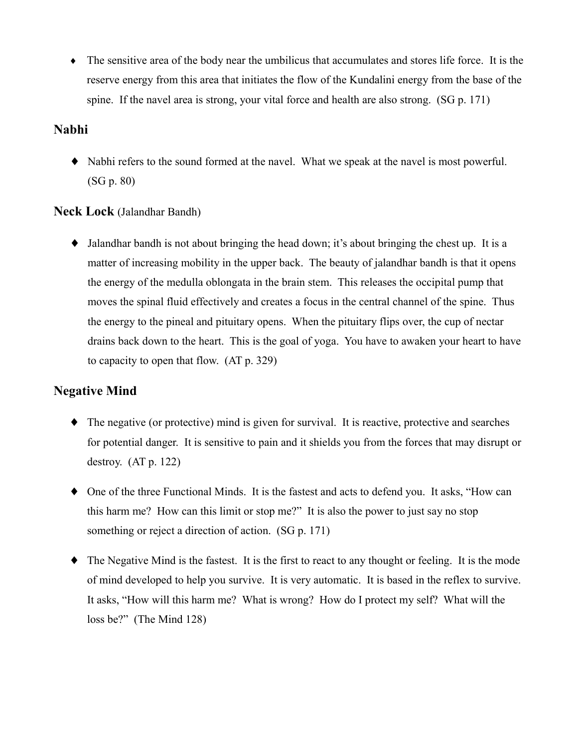• The sensitive area of the body near the umbilicus that accumulates and stores life force. It is the reserve energy from this area that initiates the flow of the Kundalini energy from the base of the spine. If the navel area is strong, your vital force and health are also strong. (SG p. 171)

## **Nabhi**

• Nabhi refers to the sound formed at the navel. What we speak at the navel is most powerful.  $(SG p. 80)$ 

#### **Neck Lock** (Jalandhar Bandh)

 $\bullet$  Jalandhar bandh is not about bringing the head down; it's about bringing the chest up. It is a matter of increasing mobility in the upper back. The beauty of jalandhar bandh is that it opens the energy of the medulla oblongata in the brain stem. This releases the occipital pump that moves the spinal fluid effectively and creates a focus in the central channel of the spine. Thus the energy to the pineal and pituitary opens. When the pituitary flips over, the cup of nectar drains back down to the heart. This is the goal of yoga. You have to awaken your heart to have to capacity to open that flow. (AT p. 329)

# **Negative Mind**

- $\bullet$  The negative (or protective) mind is given for survival. It is reactive, protective and searches for potential danger. It is sensitive to pain and it shields you from the forces that may disrupt or destroy.  $(AT p. 122)$
- One of the three Functional Minds. It is the fastest and acts to defend you. It asks, "How can this harm me? How can this limit or stop me?" It is also the power to just say no stop something or reject a direction of action. (SG p. 171)
- The Negative Mind is the fastest. It is the first to react to any thought or feeling. It is the mode of mind developed to help you survive. It is very automatic. It is based in the reflex to survive. It asks, "How will this harm me? What is wrong? How do I protect my self? What will the loss be?" (The Mind  $128$ )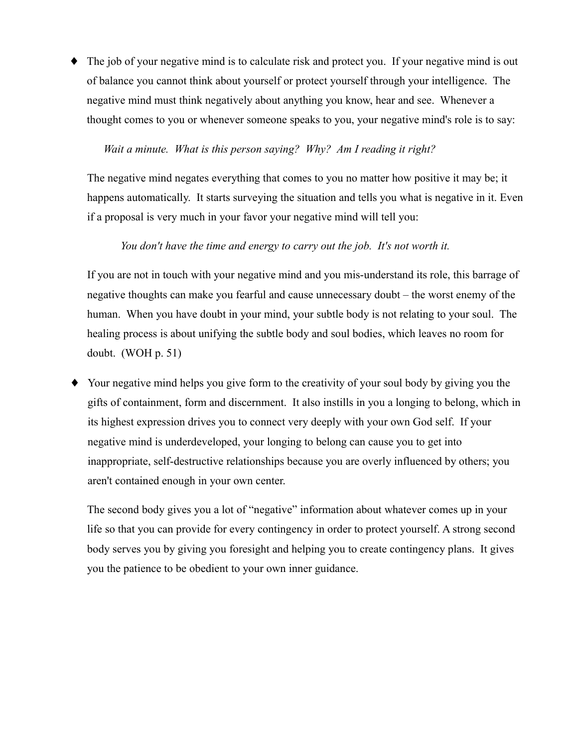$\bullet$  The job of your negative mind is to calculate risk and protect you. If your negative mind is out of balance you cannot think about yourself or protect yourself through your intelligence. The negative mind must think negatively about anything you know, hear and see. Whenever a thought comes to you or whenever someone speaks to you, your negative mind's role is to say:

#### Wait a minute. What is this person saying? Why? Am I reading it right?

The negative mind negates everything that comes to you no matter how positive it may be; it happens automatically. It starts surveying the situation and tells you what is negative in it. Even if a proposal is very much in your favor your negative mind will tell you:

#### You don't have the time and energy to carry out the job. It's not worth it.

If you are not in touch with your negative mind and you mis-understand its role, this barrage of negative thoughts can make you fearful and cause unnecessary doubt – the worst enemy of the human. When you have doubt in your mind, your subtle body is not relating to your soul. The healing process is about unifying the subtle body and soul bodies, which leaves no room for doubt. (WOH  $p. 51$ )

Your negative mind helps you give form to the creativity of your soul body by giving you the gifts of containment, form and discernment. It also instills in you a longing to belong, which in its highest expression drives you to connect very deeply with your own God self. If your negative mind is underdeveloped, your longing to belong can cause you to get into inappropriate, self-destructive relationships because you are overly influenced by others; you aren't contained enough in your own center.

The second body gives you a lot of "negative" information about whatever comes up in your life so that you can provide for every contingency in order to protect yourself. A strong second body serves you by giving you foresight and helping you to create contingency plans. It gives you the patience to be obedient to your own inner guidance.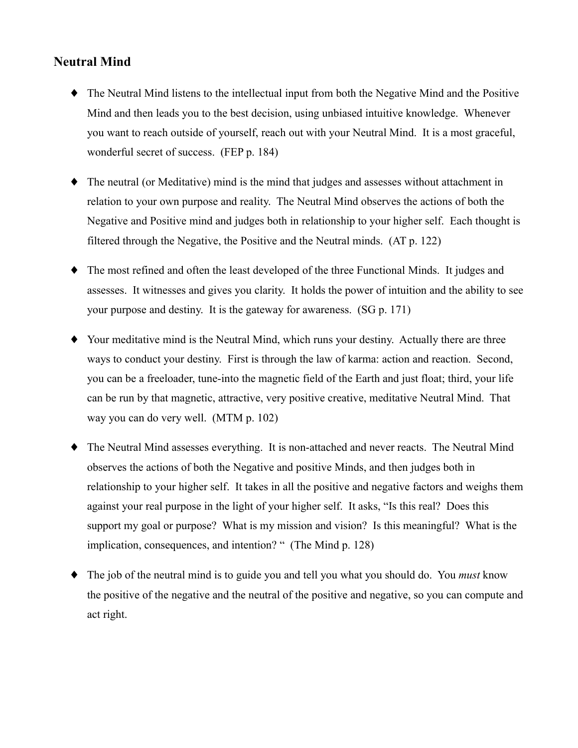# **Neutral Mind**

- The Neutral Mind listens to the intellectual input from both the Negative Mind and the Positive Mind and then leads you to the best decision, using unbiased intuitive knowledge. Whenever you want to reach outside of yourself, reach out with your Neutral Mind. It is a most graceful, wonderful secret of success. (FEP p. 184)
- The neutral (or Meditative) mind is the mind that judges and assesses without attachment in ٠ relation to your own purpose and reality. The Neutral Mind observes the actions of both the Negative and Positive mind and judges both in relationship to your higher self. Each thought is filtered through the Negative, the Positive and the Neutral minds. (AT p. 122)
- The most refined and often the least developed of the three Functional Minds. It judges and assesses. It witnesses and gives you clarity. It holds the power of intuition and the ability to see your purpose and destiny. It is the gateway for awareness. (SG p. 171)
- Your meditative mind is the Neutral Mind, which runs your destiny. Actually there are three ways to conduct your destiny. First is through the law of karma: action and reaction. Second, you can be a freeloader, tune-into the magnetic field of the Earth and just float; third, your life can be run by that magnetic, attractive, very positive creative, meditative Neutral Mind. That way you can do very well. (MTM p. 102)
- The Neutral Mind assesses everything. It is non-attached and never reacts. The Neutral Mind ٠ observes the actions of both the Negative and positive Minds, and then judges both in relationship to your higher self. It takes in all the positive and negative factors and weighs them against your real purpose in the light of your higher self. It asks, "Is this real? Does this support my goal or purpose? What is my mission and vision? Is this meaningful? What is the implication, consequences, and intention? " (The Mind p. 128)
- $\bullet$  The job of the neutral mind is to guide you and tell you what you should do. You *must* know the positive of the negative and the neutral of the positive and negative, so you can compute and act right.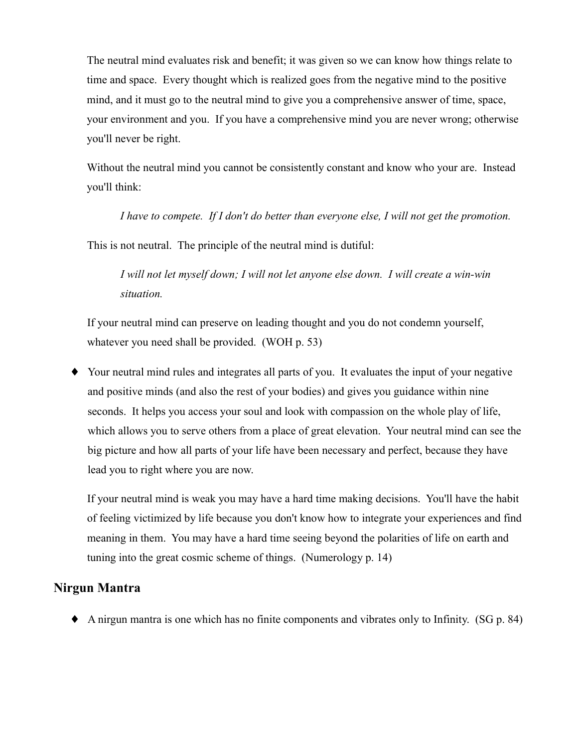The neutral mind evaluates risk and benefit; it was given so we can know how things relate to time and space. Every thought which is realized goes from the negative mind to the positive mind, and it must go to the neutral mind to give you a comprehensive answer of time, space, your environment and you. If you have a comprehensive mind you are never wrong; otherwise you'll never be right.

Without the neutral mind you cannot be consistently constant and know who your are. Instead you'll think:

I have to compete. If I don't do better than everyone else, I will not get the promotion.

This is not neutral. The principle of the neutral mind is dutiful:

I will not let myself down; I will not let anyone else down. I will create a win-win situation.

If your neutral mind can preserve on leading thought and you do not condemn yourself, whatever you need shall be provided. (WOH p. 53)

• Your neutral mind rules and integrates all parts of you. It evaluates the input of your negative and positive minds (and also the rest of your bodies) and gives you guidance within nine seconds. It helps you access your soul and look with compassion on the whole play of life, which allows you to serve others from a place of great elevation. Your neutral mind can see the big picture and how all parts of your life have been necessary and perfect, because they have lead you to right where you are now.

If your neutral mind is weak you may have a hard time making decisions. You'll have the habit of feeling victimized by life because you don't know how to integrate your experiences and find meaning in them. You may have a hard time seeing beyond the polarities of life on earth and tuning into the great cosmic scheme of things. (Numerology p. 14)

## **Nirgun Mantra**

 $\blacklozenge$  A nirgun mantra is one which has no finite components and vibrates only to Infinity. (SG p. 84)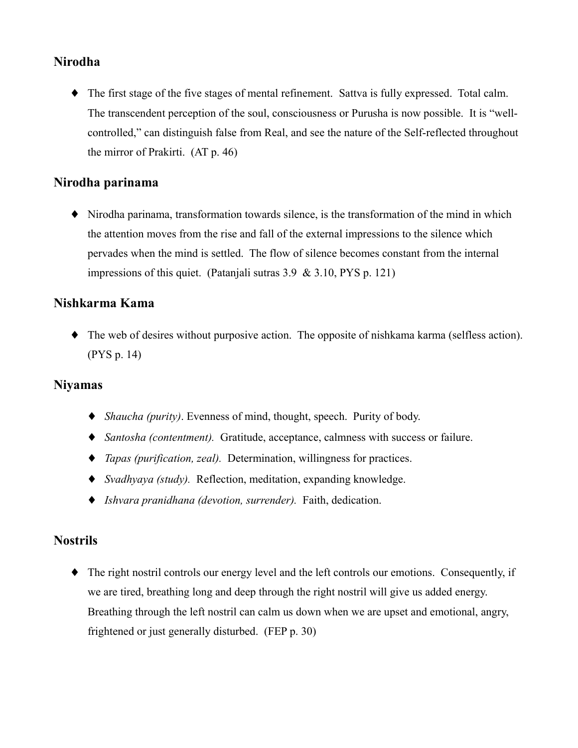# **Nirodha**

• The first stage of the five stages of mental refinement. Sattva is fully expressed. Total calm. The transcendent perception of the soul, consciousness or Purusha is now possible. It is "wellcontrolled," can distinguish false from Real, and see the nature of the Self-reflected throughout the mirror of Prakirti.  $(AT p. 46)$ 

## Nirodha parinama

 $\blacklozenge$  Nirodha parinama, transformation towards silence, is the transformation of the mind in which the attention moves from the rise and fall of the external impressions to the silence which pervades when the mind is settled. The flow of silence becomes constant from the internal impressions of this quiet. (Patanjali sutras  $3.9 \& 3.10$ , PYS p. 121)

#### Nishkarma Kama

 $\blacklozenge$  The web of desires without purposive action. The opposite of nishkama karma (selfless action).  $(PYS p. 14)$ 

#### **Nivamas**

- $\bullet$  *Shaucha (purity)*. Evenness of mind, thought, speech. Purity of body.
- Santosha (contentment). Gratitude, acceptance, calmness with success or failure.
- $\bullet$  *Tapas (purification, zeal).* Determination, willingness for practices.
- $\bullet$  *Svadhyaya (study)*. Reflection, meditation, expanding knowledge.
- Ishvara pranidhana (devotion, surrender). Faith, dedication.

#### **Nostrils**

• The right nostril controls our energy level and the left controls our emotions. Consequently, if we are tired, breathing long and deep through the right nostril will give us added energy. Breathing through the left nostril can calm us down when we are upset and emotional, angry, frightened or just generally disturbed. (FEP p. 30)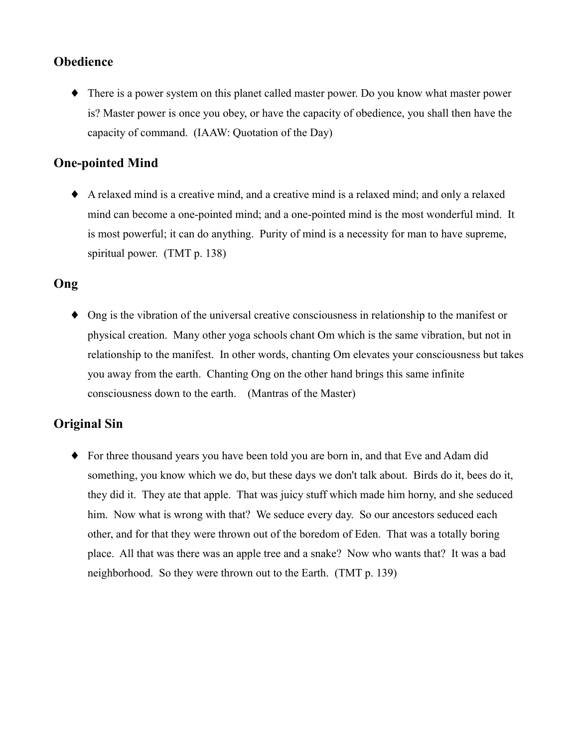# Obedience

• There is a power system on this planet called master power. Do you know what master power is? Master power is once you obey, or have the capacity of obedience, you shall then have the capacity of command. (IAAW: Quotation of the Day)

# **One-pointed Mind**

A relaxed mind is a creative mind, and a creative mind is a relaxed mind; and only a relaxed mind can become a one-pointed mind; and a one-pointed mind is the most wonderful mind. It is most powerful; it can do anything. Purity of mind is a necessity for man to have supreme, spiritual power. (TMT p. 138)

# Ong

 $\bullet$  Ong is the vibration of the universal creative consciousness in relationship to the manifest or physical creation. Many other yoga schools chant Om which is the same vibration, but not in relationship to the manifest. In other words, chanting Om elevates your consciousness but takes you away from the earth. Chanting Ong on the other hand brings this same infinite consciousness down to the earth. (Mantras of the Master)

# **Original Sin**

• For three thousand years you have been told you are born in, and that Eve and Adam did something, you know which we do, but these days we don't talk about. Birds do it, bees do it, they did it. They ate that apple. That was juicy stuff which made him horny, and she seduced him. Now what is wrong with that? We seduce every day. So our ancestors seduced each other, and for that they were thrown out of the boredom of Eden. That was a totally boring place. All that was there was an apple tree and a snake? Now who wants that? It was a bad neighborhood. So they were thrown out to the Earth. (TMT p. 139)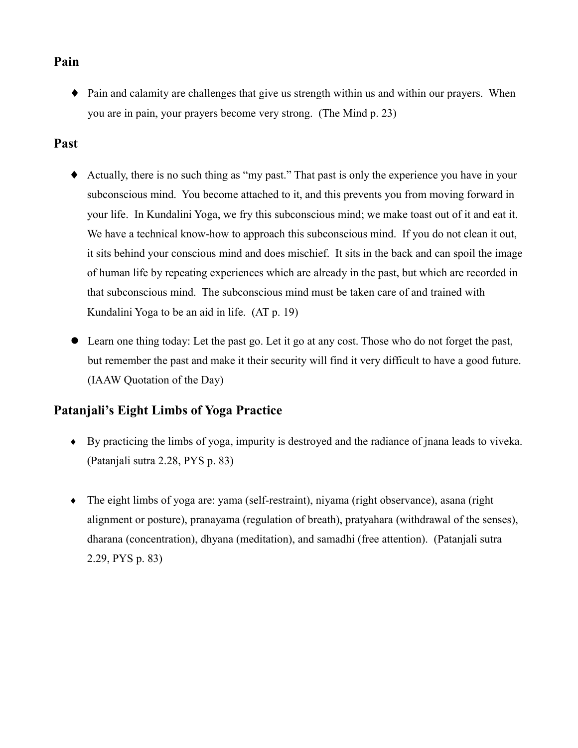# Pain

• Pain and calamity are challenges that give us strength within us and within our prayers. When you are in pain, your prayers become very strong. (The Mind p. 23)

## Past

- Actually, there is no such thing as "my past." That past is only the experience you have in your subconscious mind. You become attached to it, and this prevents you from moving forward in your life. In Kundalini Yoga, we fry this subconscious mind; we make toast out of it and eat it. We have a technical know-how to approach this subconscious mind. If you do not clean it out, it sits behind your conscious mind and does mischief. It sits in the back and can spoil the image of human life by repeating experiences which are already in the past, but which are recorded in that subconscious mind. The subconscious mind must be taken care of and trained with Kundalini Yoga to be an aid in life. (AT p. 19)
- Learn one thing today: Let the past go. Let it go at any cost. Those who do not forget the past,  $\bullet$ but remember the past and make it their security will find it very difficult to have a good future. (IAAW Quotation of the Day)

# **Pataniali's Eight Limbs of Yoga Practice**

- $\bullet$  By practicing the limbs of yoga, impurity is destroyed and the radiance of jnana leads to vive ka. (Patanjali sutra 2.28, PYS p. 83)
- $\bullet$  The eight limbs of yoga are: yama (self-restraint), niyama (right observance), asana (right alignment or posture), pranayama (regulation of breath), pratyahara (withdrawal of the senses), dharana (concentration), dhyana (meditation), and samadhi (free attention). (Patanjali sutra 2.29, PYS p. 83)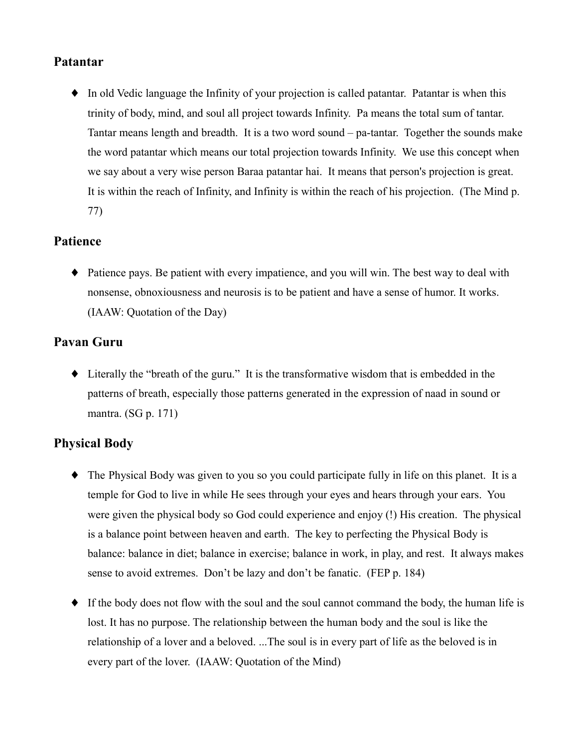## Patantar

• In old Vedic language the Infinity of your projection is called patantar. Patantar is when this trinity of body, mind, and soul all project towards Infinity. Pa means the total sum of tantar. Tantar means length and breadth. It is a two word sound – pa-tantar. Together the sounds make the word patantar which means our total projection towards Infinity. We use this concept when we say about a very wise person Baraa patantar hai. It means that person's projection is great. It is within the reach of Infinity, and Infinity is within the reach of his projection. (The Mind p. 77)

# **Patience**

• Patience pays. Be patient with every impatience, and you will win. The best way to deal with nonsense, obnoxiousness and neurosis is to be patient and have a sense of humor. It works. (IAAW: Quotation of the Day)

# **Pavan Guru**

• Literally the "breath of the guru." It is the transformative wisdom that is embedded in the patterns of breath, especially those patterns generated in the expression of naad in sound or mantra. (SG p. 171)

# **Physical Body**

- The Physical Body was given to you so you could participate fully in life on this planet. It is a temple for God to live in while He sees through your eves and hears through your ears. You were given the physical body so God could experience and enjoy (!) His creation. The physical is a balance point between heaven and earth. The key to perfecting the Physical Body is balance: balance in diet; balance in exercise; balance in work, in play, and rest. It always makes sense to avoid extremes. Don't be lazy and don't be fanatic. (FEP p. 184)
- If the body does not flow with the soul and the soul cannot command the body, the human life is lost. It has no purpose. The relationship between the human body and the soul is like the relationship of a lover and a beloved. ...The soul is in every part of life as the beloved is in every part of the lover. (IAAW: Quotation of the Mind)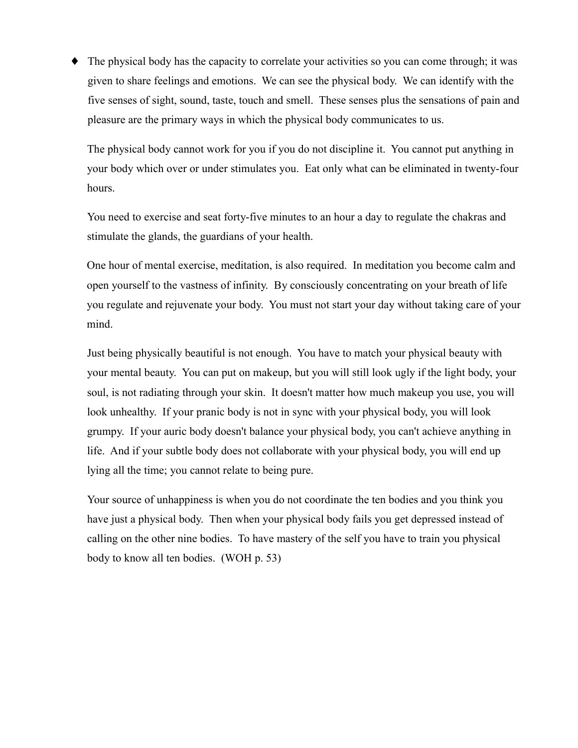• The physical body has the capacity to correlate your activities so you can come through; it was given to share feelings and emotions. We can see the physical body. We can identify with the five senses of sight, sound, taste, touch and smell. These senses plus the sensations of pain and pleasure are the primary ways in which the physical body communicates to us.

The physical body cannot work for you if you do not discipline it. You cannot put anything in your body which over or under stimulates you. Eat only what can be eliminated in twenty-four hours.

You need to exercise and seat forty-five minutes to an hour a day to regulate the chakras and stimulate the glands, the guardians of your health.

One hour of mental exercise, meditation, is also required. In meditation you become calm and open yourself to the vastness of infinity. By consciously concentrating on your breath of life you regulate and rejuvenate your body. You must not start your day without taking care of your mind.

Just being physically beautiful is not enough. You have to match your physical beauty with your mental beauty. You can put on makeup, but you will still look ugly if the light body, your soul, is not radiating through your skin. It doesn't matter how much makeup you use, you will look unhealthy. If your pranic body is not in sync with your physical body, you will look grumpy. If your auric body doesn't balance your physical body, you can't achieve anything in life. And if your subtle body does not collaborate with your physical body, you will end up lying all the time; you cannot relate to being pure.

Your source of unhappiness is when you do not coordinate the ten bodies and you think you have just a physical body. Then when your physical body fails you get depressed instead of calling on the other nine bodies. To have mastery of the self you have to train you physical body to know all ten bodies. (WOH p. 53)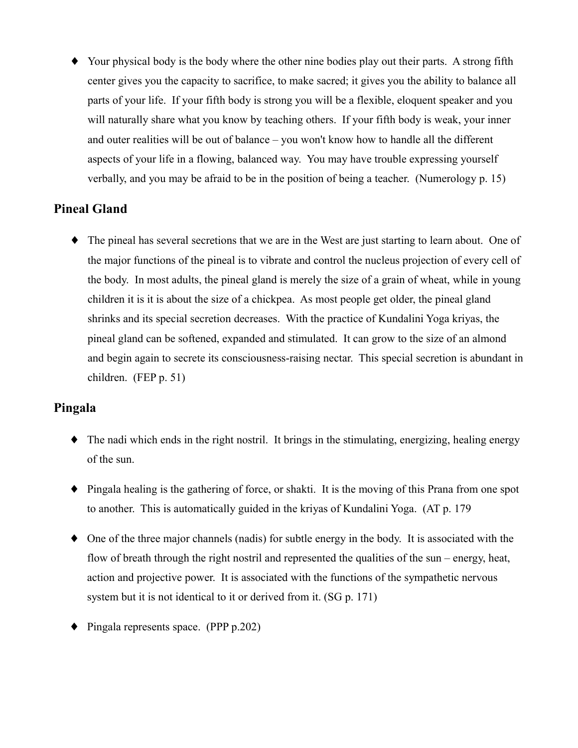• Your physical body is the body where the other nine bodies play out their parts. A strong fifth center gives you the capacity to sacrifice, to make sacred; it gives you the ability to balance all parts of your life. If your fifth body is strong you will be a flexible, eloquent speaker and you will naturally share what you know by teaching others. If your fifth body is weak, your inner and outer realities will be out of balance – you won't know how to handle all the different aspects of your life in a flowing, balanced way. You may have trouble expressing yourself verbally, and you may be afraid to be in the position of being a teacher. (Numerology p. 15)

# **Pineal Gland**

• The pineal has several secretions that we are in the West are just starting to learn about. One of the major functions of the pineal is to vibrate and control the nucleus projection of every cell of the body. In most adults, the pineal gland is merely the size of a grain of wheat, while in young children it is it is about the size of a chickpea. As most people get older, the pineal gland shrinks and its special secretion decreases. With the practice of Kundalini Yoga kriyas, the pineal gland can be softened, expanded and stimulated. It can grow to the size of an almond and begin again to secrete its consciousness-raising nectar. This special secretion is abundant in children. (FEP  $p. 51$ )

## Pingala

- The nadi which ends in the right nostril. It brings in the stimulating, energizing, healing energy of the sun.
- $\bullet$  Pingala healing is the gathering of force, or shakti. It is the moving of this Prana from one spot to another. This is automatically guided in the kriyas of Kundalini Yoga. (AT p. 179)
- $\bullet$  One of the three major channels (nadis) for subtle energy in the body. It is associated with the flow of breath through the right nostril and represented the qualities of the sun – energy, heat, action and projective power. It is associated with the functions of the sympathetic nervous system but it is not identical to it or derived from it. (SG p. 171)
- $\blacklozenge$  Pingala represents space. (PPP p.202)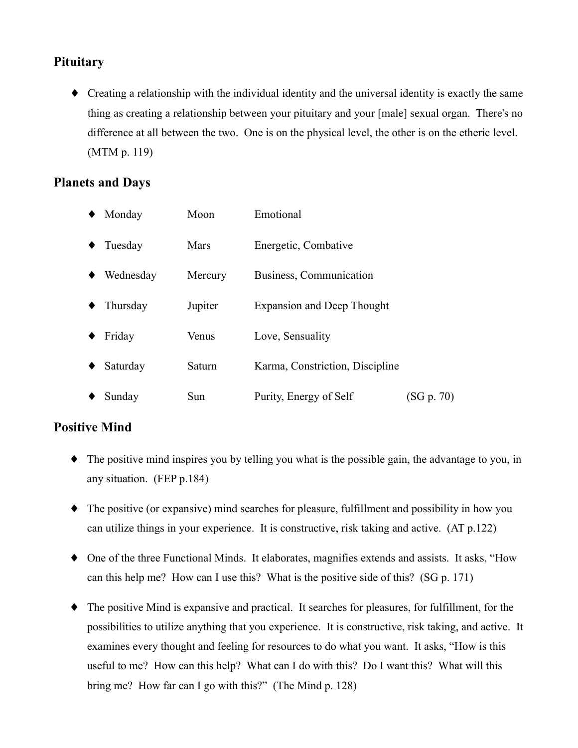# **Pituitary**

• Creating a relationship with the individual identity and the universal identity is exactly the same thing as creating a relationship between your pituitary and your [male] sexual organ. There's no difference at all between the two. One is on the physical level, the other is on the etheric level.  $(MTM p. 119)$ 

# **Planets and Days**

| Monday    | Moon    | Emotional                         |            |
|-----------|---------|-----------------------------------|------------|
| Tuesday   | Mars    | Energetic, Combative              |            |
| Wednesday | Mercury | Business, Communication           |            |
| Thursday  | Jupiter | <b>Expansion and Deep Thought</b> |            |
| Friday    | Venus   | Love, Sensuality                  |            |
| Saturday  | Saturn  | Karma, Constriction, Discipline   |            |
| Sunday    | Sun     | Purity, Energy of Self            | (SG p. 70) |

# **Positive Mind**

- $\bullet$  The positive mind inspires you by telling you what is the possible gain, the advantage to you, in any situation. (FEP p.184)
- The positive (or expansive) mind searches for pleasure, fulfillment and possibility in how you can utilize things in your experience. It is constructive, risk taking and active. (AT p.122)
- One of the three Functional Minds. It elaborates, magnifies extends and assists. It asks, "How can this help me? How can I use this? What is the positive side of this? (SG p. 171)
- The positive Mind is expansive and practical. It searches for pleasures, for fulfillment, for the possibilities to utilize anything that you experience. It is constructive, risk taking, and active. It examines every thought and feeling for resources to do what you want. It asks, "How is this useful to me? How can this help? What can I do with this? Do I want this? What will this bring me? How far can I go with this?" (The Mind p. 128)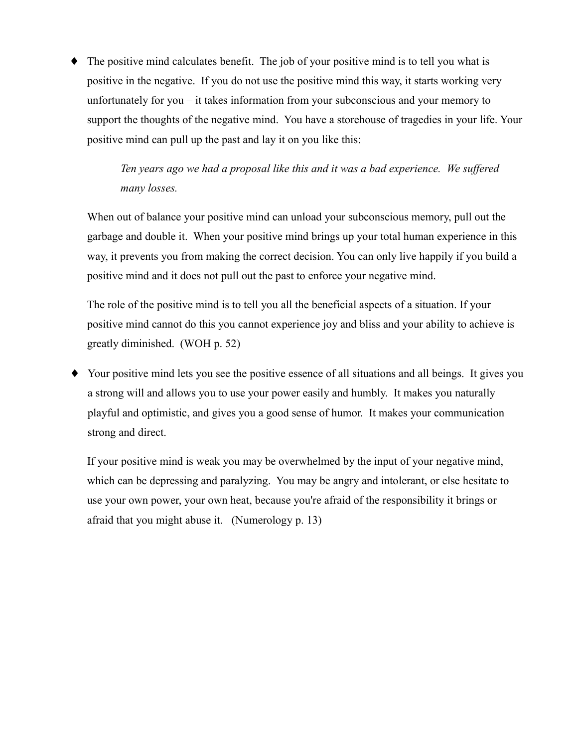The positive mind calculates benefit. The job of your positive mind is to tell you what is positive in the negative. If you do not use the positive mind this way, it starts working very unfortunately for you  $-$  it takes information from your subconscious and your memory to support the thoughts of the negative mind. You have a storehouse of tragedies in your life. Your positive mind can pull up the past and lay it on you like this:

> Ten years ago we had a proposal like this and it was a bad experience. We suffered many losses.

When out of balance your positive mind can unload your subconscious memory, pull out the garbage and double it. When your positive mind brings up your total human experience in this way, it prevents you from making the correct decision. You can only live happily if you build a positive mind and it does not pull out the past to enforce your negative mind.

The role of the positive mind is to tell you all the beneficial aspects of a situation. If your positive mind cannot do this you cannot experience joy and bliss and your ability to achieve is greatly diminished. (WOH p. 52)

Your positive mind lets you see the positive essence of all situations and all beings. It gives you ٠ a strong will and allows you to use your power easily and humbly. It makes you naturally playful and optimistic, and gives you a good sense of humor. It makes your communication strong and direct.

If your positive mind is weak you may be overwhelmed by the input of your negative mind, which can be depressing and paralyzing. You may be angry and intolerant, or else hesitate to use your own power, your own heat, because you're afraid of the responsibility it brings or afraid that you might abuse it. (Numerology p. 13)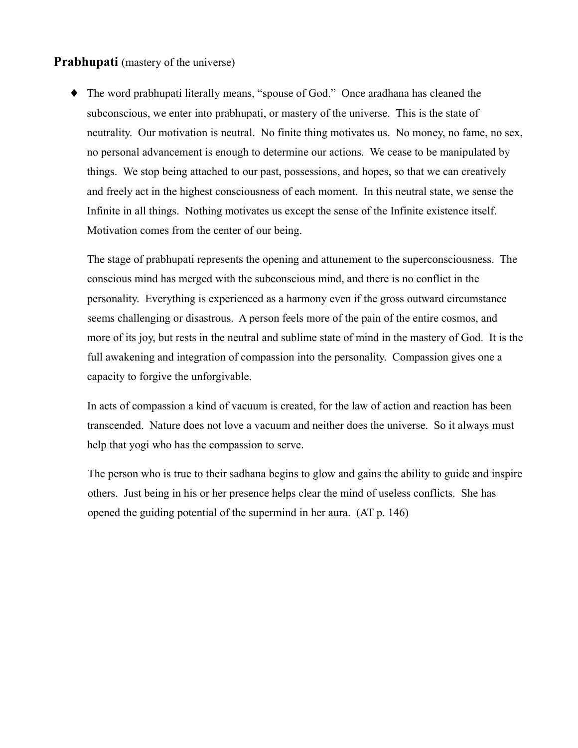#### **Prabhupati** (mastery of the universe)

• The word prabhupati literally means, "spouse of God." Once aradhana has cleaned the subconscious, we enter into prabhupati, or mastery of the universe. This is the state of neutrality. Our motivation is neutral. No finite thing motivates us. No money, no fame, no sex, no personal advancement is enough to determine our actions. We cease to be manipulated by things. We stop being attached to our past, possessions, and hopes, so that we can creatively and freely act in the highest consciousness of each moment. In this neutral state, we sense the Infinite in all things. Nothing motivates us except the sense of the Infinite existence itself. Motivation comes from the center of our being.

The stage of prabhupati represents the opening and attunement to the superconsciousness. The conscious mind has merged with the subconscious mind, and there is no conflict in the personality. Everything is experienced as a harmony even if the gross outward circumstance seems challenging or disastrous. A person feels more of the pain of the entire cosmos, and more of its joy, but rests in the neutral and sublime state of mind in the mastery of God. It is the full awakening and integration of compassion into the personality. Compassion gives one a capacity to forgive the unforgivable.

In acts of compassion a kind of vacuum is created, for the law of action and reaction has been transcended. Nature does not love a vacuum and neither does the universe. So it always must help that yogi who has the compassion to serve.

The person who is true to their sadhana begins to glow and gains the ability to guide and inspire others. Just being in his or her presence helps clear the mind of useless conflicts. She has opened the guiding potential of the supermind in her aura. (AT p. 146)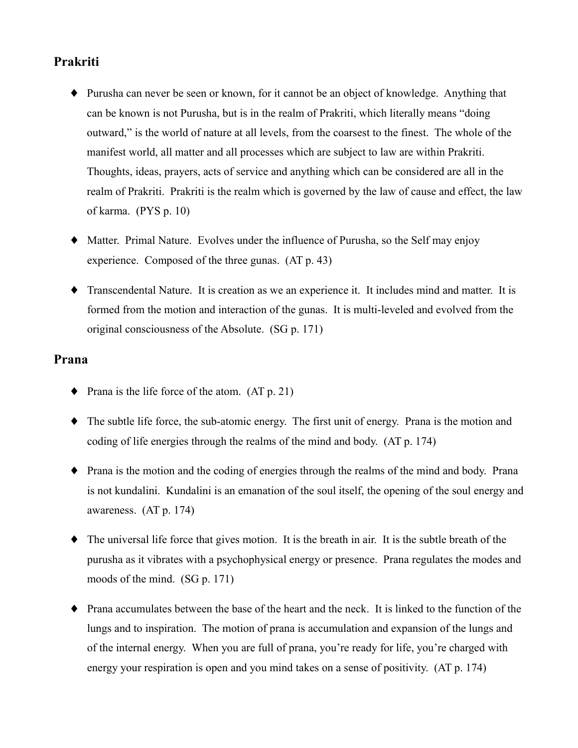# Prakriti

- Purusha can never be seen or known, for it cannot be an object of knowledge. Anything that can be known is not Purusha, but is in the realm of Prakriti, which literally means "doing" outward," is the world of nature at all levels, from the coarsest to the finest. The whole of the manifest world, all matter and all processes which are subject to law are within Prakriti. Thoughts, ideas, prayers, acts of service and anything which can be considered are all in the realm of Prakriti. Prakriti is the realm which is governed by the law of cause and effect, the law of karma. (PYS p. 10)
- Matter. Primal Nature. Evolves under the influence of Purusha, so the Self may enjoy experience. Composed of the three gunas. (AT p. 43)
- Transcendental Nature. It is creation as we an experience it. It includes mind and matter. It is formed from the motion and interaction of the gunas. It is multi-leveled and evolved from the original consciousness of the Absolute. (SG p. 171)

#### Prana

- Prana is the life force of the atom.  $(AT p. 21)$
- $\bullet$  The subtle life force, the sub-atomic energy. The first unit of energy. Prana is the motion and coding of life energies through the realms of the mind and body. (AT p. 174)
- $\bullet$  Prana is the motion and the coding of energies through the realms of the mind and body. Prana is not kundalini. Kundalini is an emanation of the soul itself, the opening of the soul energy and awareness.  $(AT p. 174)$
- The universal life force that gives motion. It is the breath in air. It is the subtle breath of the purusha as it vibrates with a psychophysical energy or presence. Prana regulates the modes and moods of the mind.  $(SG p. 171)$
- Prana accumulates between the base of the heart and the neck. It is linked to the function of the lungs and to inspiration. The motion of prana is accumulation and expansion of the lungs and of the internal energy. When you are full of prana, you're ready for life, you're charged with energy your respiration is open and you mind takes on a sense of positivity. (AT p. 174)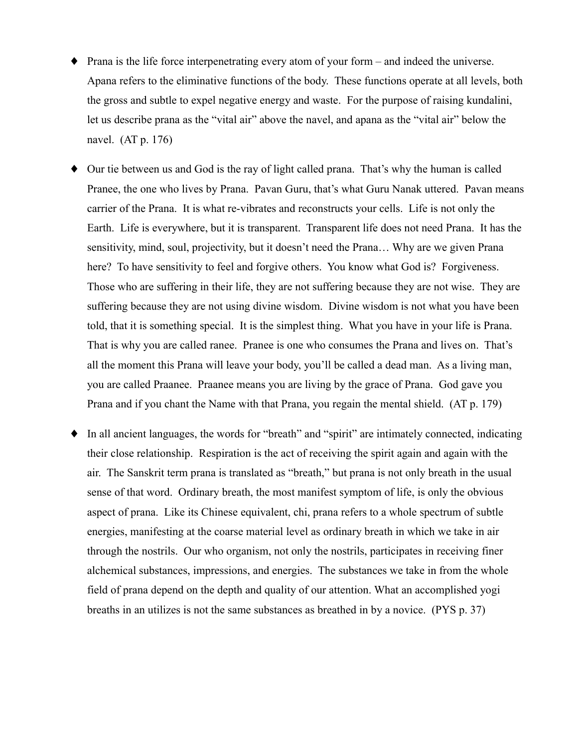- $\bullet$  Prana is the life force interpenetrating every atom of your form and indeed the universe. Apana refers to the eliminative functions of the body. These functions operate at all levels, both the gross and subtle to expel negative energy and waste. For the purpose of raising kundalini, let us describe prana as the "vital air" above the navel, and apana as the "vital air" below the navel.  $(AT p. 176)$
- Our tie between us and God is the ray of light called prana. That's why the human is called Pranee, the one who lives by Prana. Pavan Guru, that's what Guru Nanak uttered. Pavan means carrier of the Prana. It is what re-vibrates and reconstructs your cells. Life is not only the Earth. Life is everywhere, but it is transparent. Transparent life does not need Prana. It has the sensitivity, mind, soul, projectivity, but it doesn't need the Prana... Why are we given Prana here? To have sensitivity to feel and forgive others. You know what God is? Forgiveness. Those who are suffering in their life, they are not suffering because they are not wise. They are suffering because they are not using divine wisdom. Divine wisdom is not what you have been told, that it is something special. It is the simplest thing. What you have in your life is Prana. That is why you are called ranee. Pranee is one who consumes the Prana and lives on. That's all the moment this Prana will leave your body, you'll be called a dead man. As a living man, you are called Praanee. Praanee means you are living by the grace of Prana. God gave you Prana and if you chant the Name with that Prana, you regain the mental shield. (AT p. 179)
- In all ancient languages, the words for "breath" and "spirit" are intimately connected, indicating ٠ their close relationship. Respiration is the act of receiving the spirit again and again with the air. The Sanskrit term prana is translated as "breath," but prana is not only breath in the usual sense of that word. Ordinary breath, the most manifest symptom of life, is only the obvious aspect of prana. Like its Chinese equivalent, chi, prana refers to a whole spectrum of subtle energies, manifesting at the coarse material level as ordinary breath in which we take in air through the nostrils. Our who organism, not only the nostrils, participates in receiving finer alchemical substances, impressions, and energies. The substances we take in from the whole field of prana depend on the depth and quality of our attention. What an accomplished yogi breaths in an utilizes is not the same substances as breathed in by a novice. (PYS p. 37)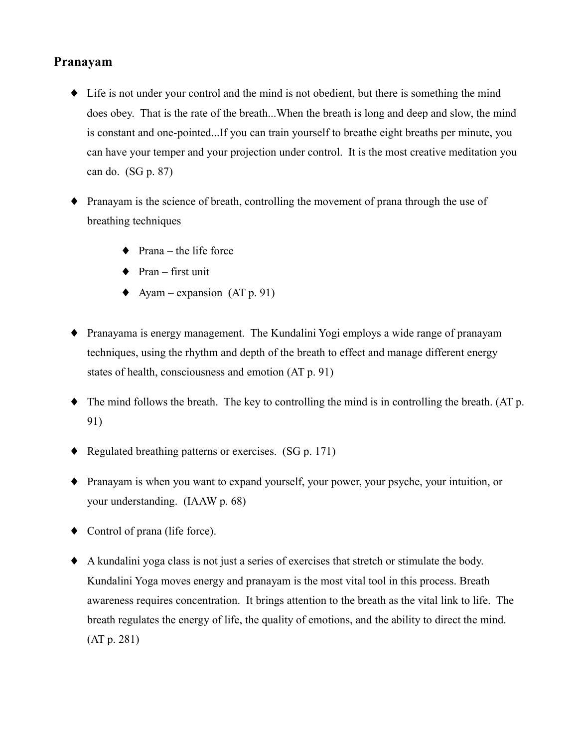## Pranayam

- Life is not under your control and the mind is not obedient, but there is something the mind does obey. That is the rate of the breath...When the breath is long and deep and slow, the mind is constant and one-pointed...If you can train yourself to breathe eight breaths per minute, you can have your temper and your projection under control. It is the most creative meditation you can do. (SG p. 87)
- $\bullet$  Pranayam is the science of breath, controlling the movement of prana through the use of breathing techniques
	- $\bullet$  Prana the life force
	- $\bullet$  Pran first unit
	- $\blacklozenge$  Ayam expansion (AT p. 91)
- Pranayama is energy management. The Kundalini Yogi employs a wide range of pranayam techniques, using the rhythm and depth of the breath to effect and manage different energy states of health, consciousness and emotion (AT p. 91)
- $\bullet$  The mind follows the breath. The key to controlling the mind is in controlling the breath. (AT p. 91)
- Regulated breathing patterns or exercises.  $(SG p. 171)$
- Pranayam is when you want to expand yourself, your power, your psyche, your intuition, or your understanding. (IAAW p. 68)
- $\bullet$  Control of prana (life force).
- A kundalini yoga class is not just a series of exercises that stretch or stimulate the body. Kundalini Yoga moves energy and pranayam is the most vital tool in this process. Breath awareness requires concentration. It brings attention to the breath as the vital link to life. The breath regulates the energy of life, the quality of emotions, and the ability to direct the mind.  $(AT p. 281)$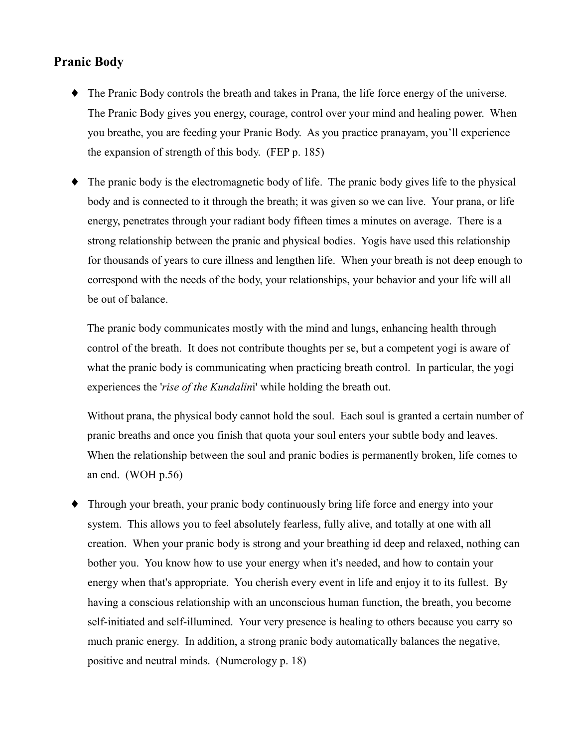## **Pranic Body**

- The Pranic Body controls the breath and takes in Prana, the life force energy of the universe. The Pranic Body gives you energy, courage, control over your mind and healing power. When you breathe, you are feeding your Pranic Body. As you practice pranayam, you'll experience the expansion of strength of this body. (FEP  $p. 185$ )
- The pranic body is the electromagnetic body of life. The pranic body gives life to the physical body and is connected to it through the breath; it was given so we can live. Your prana, or life energy, penetrates through your radiant body fifteen times a minutes on average. There is a strong relationship between the pranic and physical bodies. Yogis have used this relationship for thousands of years to cure illness and lengthen life. When your breath is not deep enough to correspond with the needs of the body, your relationships, your behavior and your life will all be out of balance.

The pranic body communicates mostly with the mind and lungs, enhancing health through control of the breath. It does not contribute thoughts per se, but a competent yogi is aware of what the pranic body is communicating when practicing breath control. In particular, the yogi experiences the 'rise of the Kundalini' while holding the breath out.

Without prana, the physical body cannot hold the soul. Each soul is granted a certain number of pranic breaths and once you finish that quota your soul enters your subtle body and leaves. When the relationship between the soul and pranic bodies is permanently broken, life comes to an end. (WOH  $p.56$ )

• Through your breath, your pranic body continuously bring life force and energy into your system. This allows you to feel absolutely fearless, fully alive, and totally at one with all creation. When your pranic body is strong and your breathing id deep and relaxed, nothing can bother you. You know how to use your energy when it's needed, and how to contain your energy when that's appropriate. You cherish every event in life and enjoy it to its fullest. By having a conscious relationship with an unconscious human function, the breath, you become self-initiated and self-illumined. Your very presence is healing to others because you carry so much pranic energy. In addition, a strong pranic body automatically balances the negative, positive and neutral minds. (Numerology p. 18)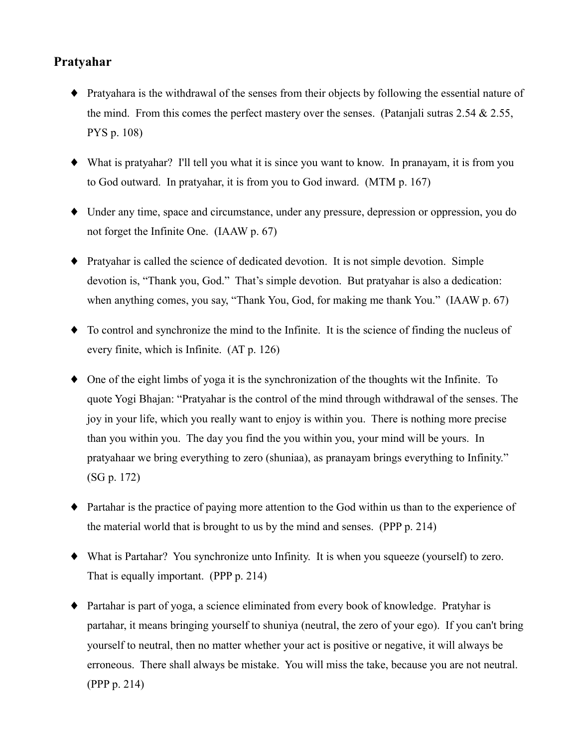## Pratyahar

- Pratyahara is the withdrawal of the senses from their objects by following the essential nature of the mind. From this comes the perfect mastery over the senses. (Patanjali sutras 2.54  $\&$  2.55, PYS p. 108)
- $\blacklozenge$  What is pratyahar? I'll tell you what it is since you want to know. In pranayam, it is from you to God outward. In pratyahar, it is from you to God inward. (MTM p. 167)
- Under any time, space and circumstance, under any pressure, depression or oppression, you do not forget the Infinite One. (IAAW p. 67)
- Pratyahar is called the science of dedicated devotion. It is not simple devotion. Simple devotion is, "Thank you, God." That's simple devotion. But pratyahar is also a dedication: when anything comes, you say, "Thank You, God, for making me thank You." (IAAW p. 67)
- $\bullet$  To control and synchronize the mind to the Infinite. It is the science of finding the nucleus of every finite, which is Infinite.  $(AT p. 126)$
- $\bullet$  One of the eight limbs of yoga it is the synchronization of the thoughts wit the Infinite. To quote Yogi Bhajan: "Pratyahar is the control of the mind through withdrawal of the senses. The joy in your life, which you really want to enjoy is within you. There is nothing more precise than you within you. The day you find the you within you, your mind will be yours. In pratyahaar we bring everything to zero (shuniaa), as pranayam brings everything to Infinity."  $(SG p. 172)$
- Partahar is the practice of paying more attention to the God within us than to the experience of the material world that is brought to us by the mind and senses. (PPP p. 214)
- What is Partahar? You synchronize unto Infinity. It is when you squeeze (yourself) to zero. That is equally important. (PPP p. 214)
- Partahar is part of yoga, a science eliminated from every book of knowledge. Pratyhar is partahar, it means bringing yourself to shuniva (neutral, the zero of your ego). If you can't bring yourself to neutral, then no matter whether your act is positive or negative, it will always be erroneous. There shall always be mistake. You will miss the take, because you are not neutral. (PPP  $p. 214$ )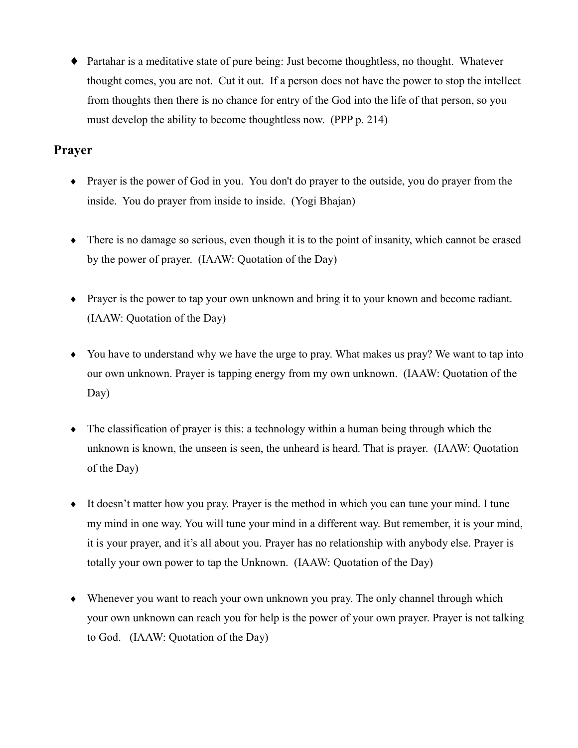• Partahar is a meditative state of pure being: Just become thoughtless, no thought. Whatever thought comes, you are not. Cut it out. If a person does not have the power to stop the intellect from thoughts then there is no chance for entry of the God into the life of that person, so you must develop the ability to become thoughtless now. (PPP p. 214)

# **Prayer**

- Prayer is the power of God in you. You don't do prayer to the outside, you do prayer from the inside. You do prayer from inside to inside. (Yogi Bhajan)
- $\bullet$  There is no damage so serious, even though it is to the point of insanity, which cannot be erased by the power of prayer. (IAAW: Quotation of the Day)
- Prayer is the power to tap your own unknown and bring it to your known and become radiant. (IAAW: Quotation of the Day)
- You have to understand why we have the urge to pray. What makes us pray? We want to tap into our own unknown. Prayer is tapping energy from my own unknown. (IAAW: Quotation of the  $Day)$
- $\bullet$  The classification of prayer is this: a technology within a human being through which the unknown is known, the unseen is seen, the unheard is heard. That is prayer. (IAAW: Quotation of the Day)
- It doesn't matter how you pray. Prayer is the method in which you can tune your mind. I tune my mind in one way. You will tune your mind in a different way. But remember, it is your mind, it is your prayer, and it's all about you. Prayer has no relationship with anybody else. Prayer is totally your own power to tap the Unknown. (IAAW: Quotation of the Day)
- $\bullet$  Whenever you want to reach your own unknown you pray. The only channel through which your own unknown can reach you for help is the power of your own prayer. Prayer is not talking to God. (IAAW: Quotation of the Day)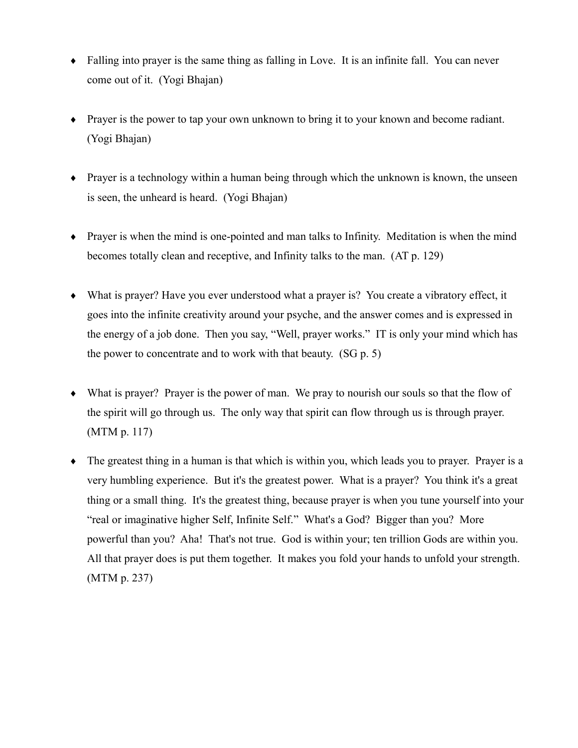- Falling into prayer is the same thing as falling in Love. It is an infinite fall. You can never come out of it. (Yogi Bhajan)
- Prayer is the power to tap your own unknown to bring it to your known and become radiant. (Yogi Bhajan)
- $\bullet$  Prayer is a technology within a human being through which the unknown is known, the unseen is seen, the unheard is heard. (Yogi Bhajan)
- $\bullet$  Prayer is when the mind is one-pointed and man talks to Infinity. Meditation is when the mind becomes totally clean and receptive, and Infinity talks to the man. (AT p. 129)
- What is prayer? Have you ever understood what a prayer is? You create a vibratory effect, it goes into the infinite creativity around your psyche, and the answer comes and is expressed in the energy of a job done. Then you say, "Well, prayer works." IT is only your mind which has the power to concentrate and to work with that beauty. (SG p. 5)
- $\bullet$  What is prayer? Prayer is the power of man. We pray to nourish our souls so that the flow of the spirit will go through us. The only way that spirit can flow through us is through prayer.  $(MTM p. 117)$
- $\bullet$  The greatest thing in a human is that which is within you, which leads you to prayer. Prayer is a very humbling experience. But it's the greatest power. What is a prayer? You think it's a great thing or a small thing. It's the greatest thing, because prayer is when you tune yourself into your "real or imaginative higher Self, Infinite Self." What's a God? Bigger than you? More powerful than you? Aha! That's not true. God is within your; ten trillion Gods are within you. All that prayer does is put them together. It makes you fold your hands to unfold your strength.  $(MTM p. 237)$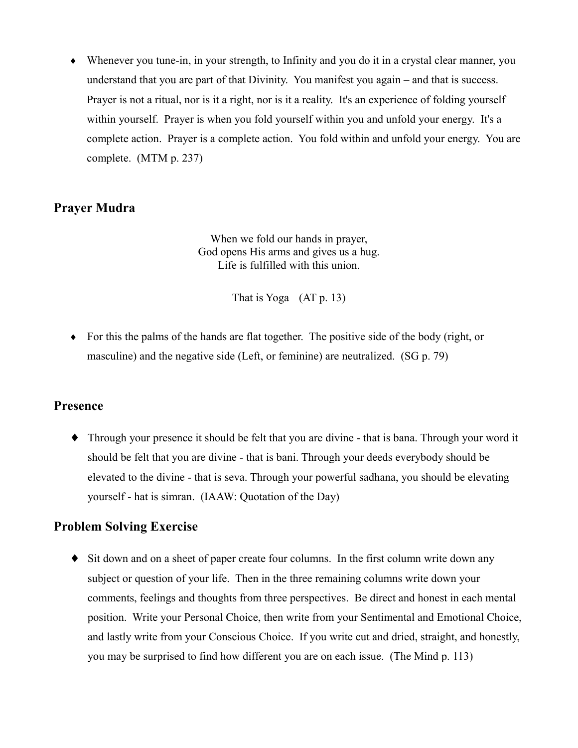$\bullet$  Whenever you tune-in, in your strength, to Infinity and you do it in a crystal clear manner, you understand that you are part of that Divinity. You manifest you again – and that is success. Prayer is not a ritual, nor is it a right, nor is it a reality. It's an experience of folding yourself within yourself. Prayer is when you fold yourself within you and unfold your energy. It's a complete action. Prayer is a complete action. You fold within and unfold your energy. You are complete. (MTM p. 237)

#### **Prayer Mudra**

When we fold our hands in prayer, God opens His arms and gives us a hug. Life is fulfilled with this union.

That is Yoga  $(AT p. 13)$ 

 $\bullet$  For this the palms of the hands are flat together. The positive side of the body (right, or masculine) and the negative side (Left, or feminine) are neutralized. (SG p. 79)

#### **Presence**

• Through your presence it should be felt that you are divine - that is bana. Through your word it should be felt that you are divine - that is bani. Through your deeds everybody should be elevated to the divine - that is seva. Through your powerful sadhana, you should be elevating yourself - hat is simran. (IAAW: Quotation of the Day)

#### **Problem Solving Exercise**

• Sit down and on a sheet of paper create four columns. In the first column write down any subject or question of your life. Then in the three remaining columns write down your comments, feelings and thoughts from three perspectives. Be direct and honest in each mental position. Write your Personal Choice, then write from your Sentimental and Emotional Choice, and lastly write from your Conscious Choice. If you write cut and dried, straight, and honestly, you may be surprised to find how different you are on each issue. (The Mind p. 113)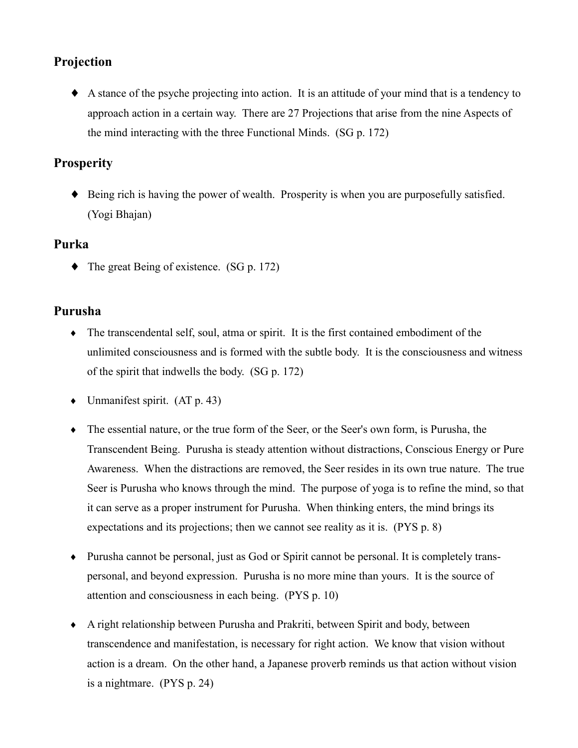# Projection

A stance of the psyche projecting into action. It is an attitude of your mind that is a tendency to approach action in a certain way. There are 27 Projections that arise from the nine Aspects of the mind interacting with the three Functional Minds. (SG p. 172)

# **Prosperity**

• Being rich is having the power of wealth. Prosperity is when you are purposefully satisfied. (Yogi Bhajan)

# Purka

 $\blacklozenge$  The great Being of existence. (SG p. 172)

# Purusha

- The transcendental self, soul, atma or spirit. It is the first contained embodiment of the unlimited consciousness and is formed with the subtle body. It is the consciousness and witness of the spirit that indwells the body. (SG p. 172)
- $\bullet$  Unmanifest spirit. (AT p. 43)
- The essential nature, or the true form of the Seer, or the Seer's own form, is Purusha, the Transcendent Being. Purusha is steady attention without distractions, Conscious Energy or Pure Awareness. When the distractions are removed, the Seer resides in its own true nature. The true Seer is Purusha who knows through the mind. The purpose of yoga is to refine the mind, so that it can serve as a proper instrument for Purusha. When thinking enters, the mind brings its expectations and its projections; then we cannot see reality as it is. (PYS p. 8)
- Purusha cannot be personal, just as God or Spirit cannot be personal. It is completely transpersonal, and beyond expression. Purusha is no more mine than yours. It is the source of attention and consciousness in each being. (PYS p. 10)
- A right relationship between Purusha and Prakriti, between Spirit and body, between transcendence and manifestation, is necessary for right action. We know that vision without action is a dream. On the other hand, a Japanese proverb reminds us that action without vision is a nightmare.  $(PYS p. 24)$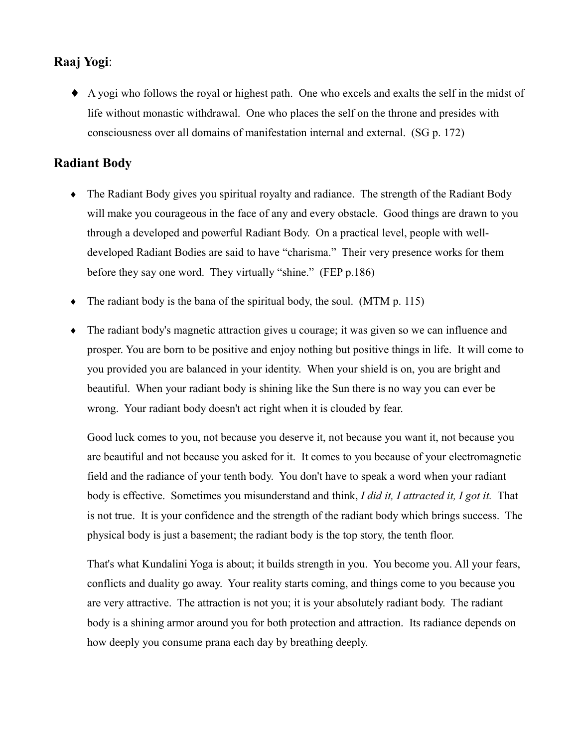# Raaj Yogi:

• A yogi who follows the royal or highest path. One who excels and exalts the self in the midst of life without monastic withdrawal. One who places the self on the throne and presides with consciousness over all domains of manifestation internal and external. (SG p. 172)

# **Radiant Body**

- The Radiant Body gives you spiritual royalty and radiance. The strength of the Radiant Body will make you courageous in the face of any and every obstacle. Good things are drawn to you through a developed and powerful Radiant Body. On a practical level, people with welldeveloped Radiant Bodies are said to have "charisma." Their very presence works for them before they say one word. They virtually "shine." (FEP p.186)
- The radiant body is the bana of the spiritual body, the soul. (MTM p. 115)  $\bullet$
- The radiant body's magnetic attraction gives u courage; it was given so we can influence and  $\blacklozenge$ prosper. You are born to be positive and enjoy nothing but positive things in life. It will come to you provided you are balanced in your identity. When your shield is on, you are bright and beautiful. When your radiant body is shining like the Sun there is no way you can ever be wrong. Your radiant body doesn't act right when it is clouded by fear.

Good luck comes to you, not because you deserve it, not because you want it, not because you are beautiful and not because you asked for it. It comes to you because of your electromagnetic field and the radiance of your tenth body. You don't have to speak a word when your radiant body is effective. Sometimes you misunderstand and think, I did it, I attracted it, I got it. That is not true. It is your confidence and the strength of the radiant body which brings success. The physical body is just a basement; the radiant body is the top story, the tenth floor.

That's what Kundalini Yoga is about; it builds strength in you. You become you. All your fears, conflicts and duality go away. Your reality starts coming, and things come to you because you are very attractive. The attraction is not you; it is your absolutely radiant body. The radiant body is a shining armor around you for both protection and attraction. Its radiance depends on how deeply you consume prana each day by breathing deeply.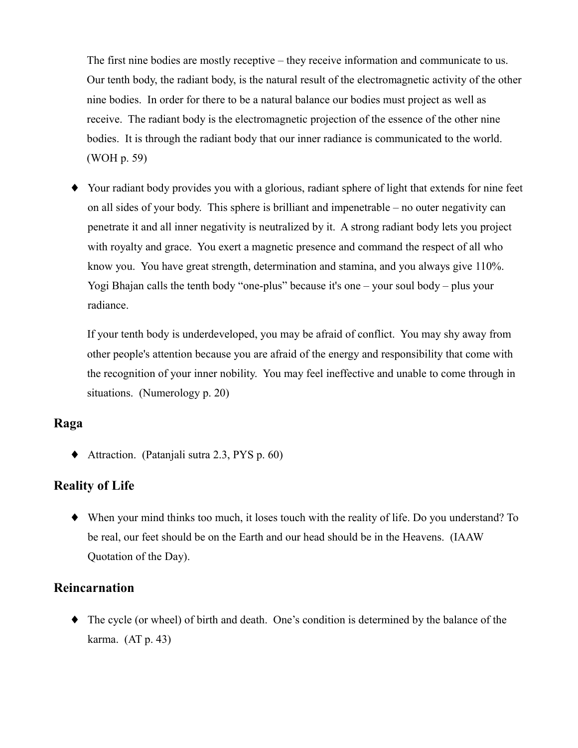The first nine bodies are mostly receptive – they receive information and communicate to us. Our tenth body, the radiant body, is the natural result of the electromagnetic activity of the other nine bodies. In order for there to be a natural balance our bodies must project as well as receive. The radiant body is the electromagnetic projection of the essence of the other nine bodies. It is through the radiant body that our inner radiance is communicated to the world. (WOH p. 59)

• Your radiant body provides you with a glorious, radiant sphere of light that extends for nine feet on all sides of your body. This sphere is brilliant and impenetrable – no outer negativity can penetrate it and all inner negativity is neutralized by it. A strong radiant body lets you project with royalty and grace. You exert a magnetic presence and command the respect of all who know you. You have great strength, determination and stamina, and you always give 110%. Yogi Bhajan calls the tenth body "one-plus" because it's one - your soul body - plus your radiance.

If your tenth body is underdeveloped, you may be afraid of conflict. You may shy away from other people's attention because you are afraid of the energy and responsibility that come with the recognition of your inner nobility. You may feel ineffective and unable to come through in situations. (Numerology p. 20)

#### Raga

 $\blacklozenge$  Attraction. (Patanjali sutra 2.3, PYS p. 60)

#### **Reality of Life**

• When your mind thinks too much, it loses touch with the reality of life. Do you understand? To be real, our feet should be on the Earth and our head should be in the Heavens. (IAAW Quotation of the Day).

#### **Reincarnation**

 $\bullet$  The cycle (or wheel) of birth and death. One's condition is determined by the balance of the karma.  $(AT p. 43)$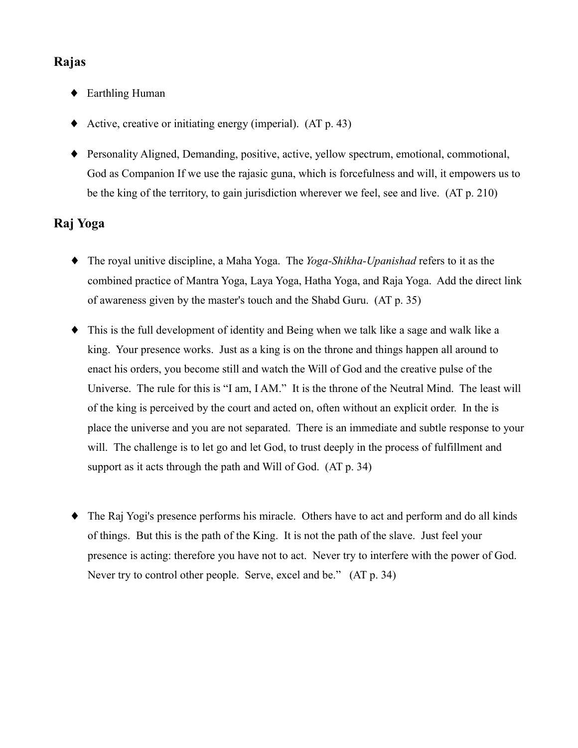# Rajas

- ◆ Earthling Human
- Active, creative or initiating energy (imperial).  $(AT p. 43)$
- Personality Aligned, Demanding, positive, active, yellow spectrum, emotional, commotional, God as Companion If we use the rajasic guna, which is forcefulness and will, it empowers us to be the king of the territory, to gain jurisdiction wherever we feel, see and live. (AT p. 210)

# Rai Yoga

- $\bullet$  The royal unitive discipline, a Maha Yoga. The *Yoga-Shikha-Upanishad* refers to it as the combined practice of Mantra Yoga, Laya Yoga, Hatha Yoga, and Raja Yoga. Add the direct link of awareness given by the master's touch and the Shabd Guru. (AT p. 35)
- This is the full development of identity and Being when we talk like a sage and walk like a king. Your presence works. Just as a king is on the throne and things happen all around to enact his orders, you become still and watch the Will of God and the creative pulse of the Universe. The rule for this is "I am, I AM." It is the throne of the Neutral Mind. The least will of the king is perceived by the court and acted on, often without an explicit order. In the is place the universe and you are not separated. There is an immediate and subtle response to your will. The challenge is to let go and let God, to trust deeply in the process of fulfillment and support as it acts through the path and Will of God. (AT p. 34)
- The Raj Yogi's presence performs his miracle. Others have to act and perform and do all kinds of things. But this is the path of the King. It is not the path of the slave. Just feel your presence is acting: therefore you have not to act. Never try to interfere with the power of God. Never try to control other people. Serve, excel and be." (AT p. 34)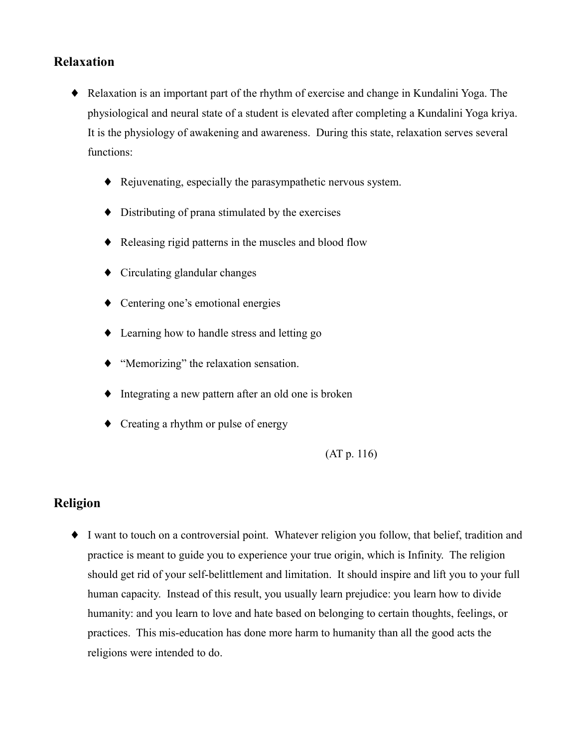## **Relaxation**

- Relaxation is an important part of the rhythm of exercise and change in Kundalini Yoga. The physiological and neural state of a student is elevated after completing a Kundalini Yoga kriya. It is the physiology of awakening and awareness. During this state, relaxation serves several functions:
	- Rejuvenating, especially the parasympathetic nervous system.
	- $\bullet$  Distributing of prana stimulated by the exercises
	- Releasing rigid patterns in the muscles and blood flow
	- $\bullet$  Circulating glandular changes
	- $\bullet$  Centering one's emotional energies
	- $\bullet$  Learning how to handle stress and letting go
	- $\blacklozenge$  "Memorizing" the relaxation sensation.
	- $\bullet$  Integrating a new pattern after an old one is broken
	- $\bullet$  Creating a rhythm or pulse of energy

 $(AT p. 116)$ 

## **Religion**

• I want to touch on a controversial point. Whatever religion you follow, that belief, tradition and practice is meant to guide you to experience your true origin, which is Infinity. The religion should get rid of your self-belittlement and limitation. It should inspire and lift you to your full human capacity. Instead of this result, you usually learn prejudice: you learn how to divide humanity: and you learn to love and hate based on belonging to certain thoughts, feelings, or practices. This mis-education has done more harm to humanity than all the good acts the religions were intended to do.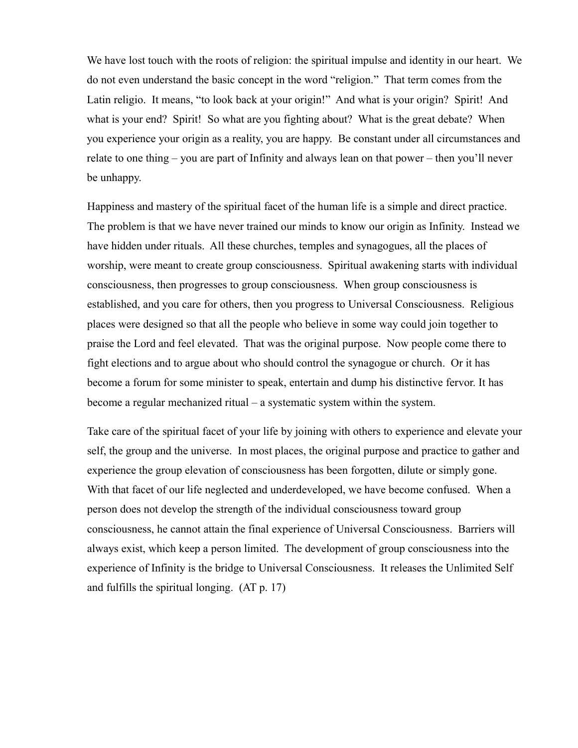We have lost touch with the roots of religion: the spiritual impulse and identity in our heart. We do not even understand the basic concept in the word "religion." That term comes from the Latin religio. It means, "to look back at your origin!" And what is your origin? Spirit! And what is your end? Spirit! So what are you fighting about? What is the great debate? When you experience your origin as a reality, you are happy. Be constant under all circumstances and relate to one thing – you are part of Infinity and always lean on that power – then you'll never be unhappy.

Happiness and mastery of the spiritual facet of the human life is a simple and direct practice. The problem is that we have never trained our minds to know our origin as Infinity. Instead we have hidden under rituals. All these churches, temples and synagogues, all the places of worship, were meant to create group consciousness. Spiritual awakening starts with individual consciousness, then progresses to group consciousness. When group consciousness is established, and you care for others, then you progress to Universal Consciousness. Religious places were designed so that all the people who believe in some way could join together to praise the Lord and feel elevated. That was the original purpose. Now people come there to fight elections and to argue about who should control the synagogue or church. Or it has become a forum for some minister to speak, entertain and dump his distinctive fervor. It has become a regular mechanized ritual  $-$  a systematic system within the system.

Take care of the spiritual facet of your life by joining with others to experience and elevate your self, the group and the universe. In most places, the original purpose and practice to gather and experience the group elevation of consciousness has been forgotten, dilute or simply gone. With that facet of our life neglected and underdeveloped, we have become confused. When a person does not develop the strength of the individual consciousness toward group consciousness, he cannot attain the final experience of Universal Consciousness. Barriers will always exist, which keep a person limited. The development of group consciousness into the experience of Infinity is the bridge to Universal Consciousness. It releases the Unlimited Self and fulfills the spiritual longing.  $(AT p. 17)$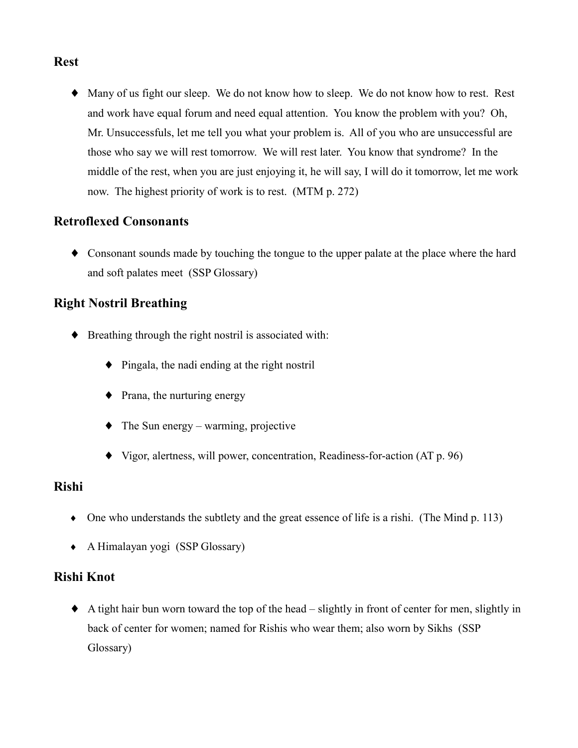# **Rest**

• Many of us fight our sleep. We do not know how to sleep. We do not know how to rest. Rest and work have equal forum and need equal attention. You know the problem with you? Oh, Mr. Unsuccessfuls, let me tell you what your problem is. All of you who are unsuccessful are those who say we will rest tomorrow. We will rest later. You know that syndrome? In the middle of the rest, when you are just enjoying it, he will say, I will do it tomorrow, let me work now. The highest priority of work is to rest. (MTM p. 272)

# **Retroflexed Consonants**

• Consonant sounds made by touching the tongue to the upper palate at the place where the hard and soft palates meet (SSP Glossary)

# **Right Nostril Breathing**

- $\bullet$  Breathing through the right nostril is associated with:
	- $\bullet$  Pingala, the nadi ending at the right nostril
	- $\bullet$  Prana, the nurturing energy
	- $\bullet$  The Sun energy warming, projective
	- $\blacklozenge$  Vigor, alertness, will power, concentration, Readiness-for-action (AT p. 96)

## **Rishi**

- One who understands the subtlety and the great essence of life is a rishi. (The Mind  $p. 113$ )
- $\bullet$  A Himalayan yogi (SSP Glossary)

#### **Rishi Knot**

 $\blacklozenge$  A tight hair bun worn toward the top of the head – slightly in front of center for men, slightly in back of center for women; named for Rishis who wear them; also worn by Sikhs (SSP) Glossary)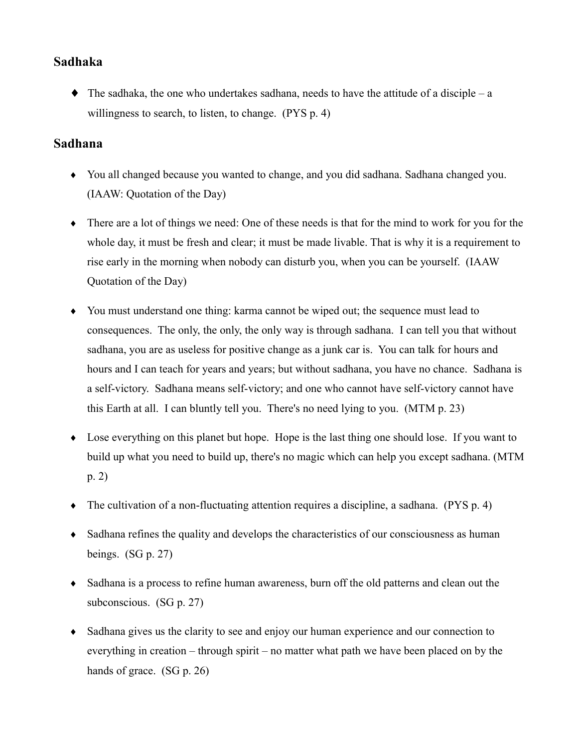## **Sadhaka**

 $\bullet$  The sadhaka, the one who undertakes sadhana, needs to have the attitude of a disciple – a willingness to search, to listen, to change. (PYS p. 4)

### **Sadhana**

- You all changed because you wanted to change, and you did sadhana. Sadhana changed you. (IAAW: Quotation of the Day)
- There are a lot of things we need: One of these needs is that for the mind to work for you for the whole day, it must be fresh and clear; it must be made livable. That is why it is a requirement to rise early in the morning when nobody can disturb you, when you can be yourself. (IAAW Quotation of the Day)
- You must understand one thing: karma cannot be wiped out; the sequence must lead to consequences. The only, the only, the only way is through sadhana. I can tell you that without sadhana, you are as useless for positive change as a junk car is. You can talk for hours and hours and I can teach for years and years; but without sadhana, you have no chance. Sadhana is a self-victory. Sadhana means self-victory; and one who cannot have self-victory cannot have this Earth at all. I can bluntly tell you. There's no need lying to you.  $(MTM p. 23)$
- Lose everything on this planet but hope. Hope is the last thing one should lose. If you want to build up what you need to build up, there's no magic which can help you except sadhana. (MTM  $p. 2)$
- The cultivation of a non-fluctuating attention requires a discipline, a sadhana. (PYS p. 4)
- Sadhana refines the quality and develops the characteristics of our consciousness as human beings.  $(SG p. 27)$
- Sadhana is a process to refine human awareness, burn off the old patterns and clean out the subconscious.  $(SG p. 27)$
- Sadhana gives us the clarity to see and enjoy our human experience and our connection to everything in creation – through spirit – no matter what path we have been placed on by the hands of grace.  $(SG p. 26)$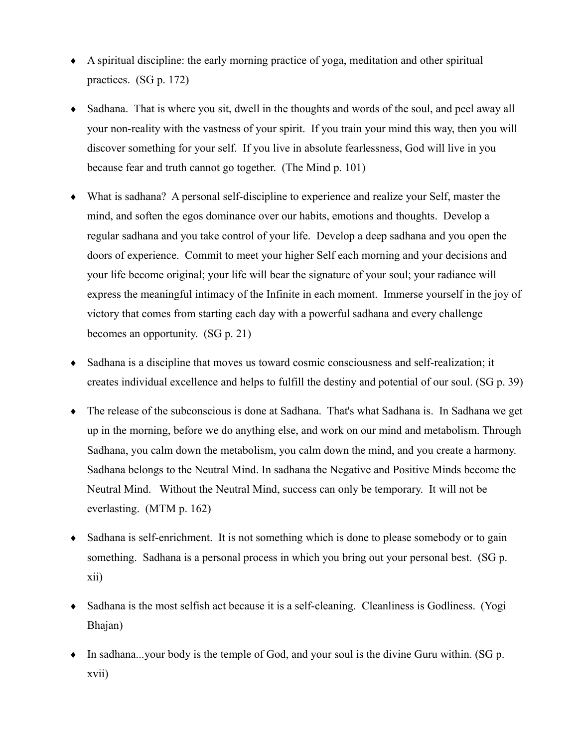- A spiritual discipline: the early morning practice of yoga, meditation and other spiritual practices.  $(SG p. 172)$
- Sadhana. That is where you sit, dwell in the thoughts and words of the soul, and peel away all your non-reality with the vastness of your spirit. If you train your mind this way, then you will discover something for your self. If you live in absolute fearlessness, God will live in you because fear and truth cannot go together. (The Mind p. 101)
- What is sadhana? A personal self-discipline to experience and realize your Self, master the mind, and soften the egos dominance over our habits, emotions and thoughts. Develop a regular sadhana and you take control of your life. Develop a deep sadhana and you open the doors of experience. Commit to meet your higher Self each morning and your decisions and your life become original; your life will bear the signature of your soul; your radiance will express the meaningful intimacy of the Infinite in each moment. Immerse yourself in the joy of victory that comes from starting each day with a powerful sadhana and every challenge becomes an opportunity.  $(SG p. 21)$
- Sadhana is a discipline that moves us toward cosmic consciousness and self-realization; it creates individual excellence and helps to fulfill the destiny and potential of our soul. (SG p. 39)
- The release of the subconscious is done at Sadhana. That's what Sadhana is. In Sadhana we get up in the morning, before we do anything else, and work on our mind and metabolism. Through Sadhana, you calm down the metabolism, you calm down the mind, and you create a harmony. Sadhana belongs to the Neutral Mind. In sadhana the Negative and Positive Minds become the Neutral Mind. Without the Neutral Mind, success can only be temporary. It will not be everlasting.  $(MTM p. 162)$
- Sadhana is self-enrichment. It is not something which is done to please somebody or to gain something. Sadhana is a personal process in which you bring out your personal best. (SG p. xii)
- Sadhana is the most selfish act because it is a self-cleaning. Cleanliness is Godliness. (Yogi Bhajan)
- $\bullet$  In sadhana...your body is the temple of God, and your soul is the divine Guru within. (SG p. xvii)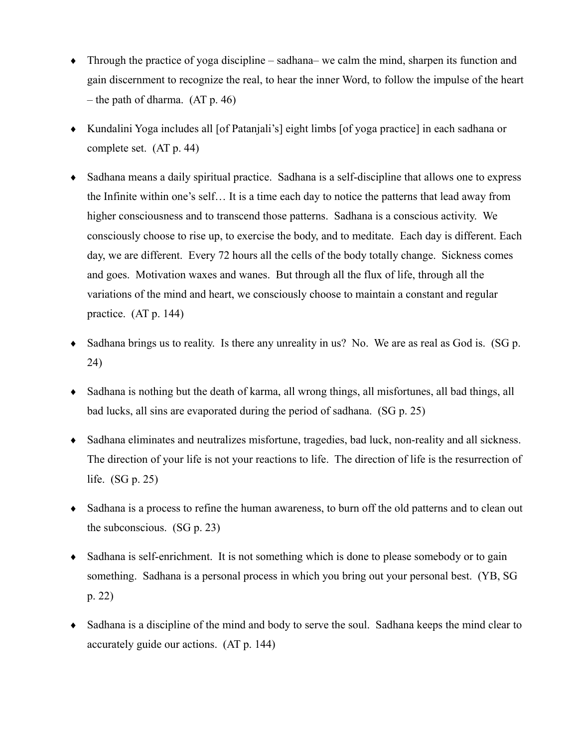- $\bullet$  Through the practice of yoga discipline sadhana– we calm the mind, sharpen its function and gain discernment to recognize the real, to hear the inner Word, to follow the impulse of the heart  $-$  the path of dharma. (AT p. 46)
- Kundalini Yoga includes all [of Patanjali's] eight limbs [of yoga practice] in each sadhana or complete set.  $(AT p. 44)$
- Sadhana means a daily spiritual practice. Sadhana is a self-discipline that allows one to express  $\bullet$ the Infinite within one's self... It is a time each day to notice the patterns that lead away from higher consciousness and to transcend those patterns. Sadhana is a conscious activity. We consciously choose to rise up, to exercise the body, and to meditate. Each day is different. Each day, we are different. Every 72 hours all the cells of the body totally change. Sickness comes and goes. Motivation waxes and wanes. But through all the flux of life, through all the variations of the mind and heart, we consciously choose to maintain a constant and regular practice.  $(AT p. 144)$
- Sadhana brings us to reality. Is there any unreality in us? No. We are as real as God is. (SG p. 24)
- Sadhana is nothing but the death of karma, all wrong things, all misfortunes, all bad things, all bad lucks, all sins are evaporated during the period of sadhana. (SG p. 25)
- Sadhana eliminates and neutralizes misfortune, tragedies, bad luck, non-reality and all sickness. The direction of your life is not your reactions to life. The direction of life is the resurrection of life.  $(SG p. 25)$
- Sadhana is a process to refine the human awareness, to burn off the old patterns and to clean out the subconscious.  $(SG p. 23)$
- Sadhana is self-enrichment. It is not something which is done to please somebody or to gain something. Sadhana is a personal process in which you bring out your personal best. (YB, SG  $p. 22)$
- Sadhana is a discipline of the mind and body to serve the soul. Sadhana keeps the mind clear to accurately guide our actions. (AT p. 144)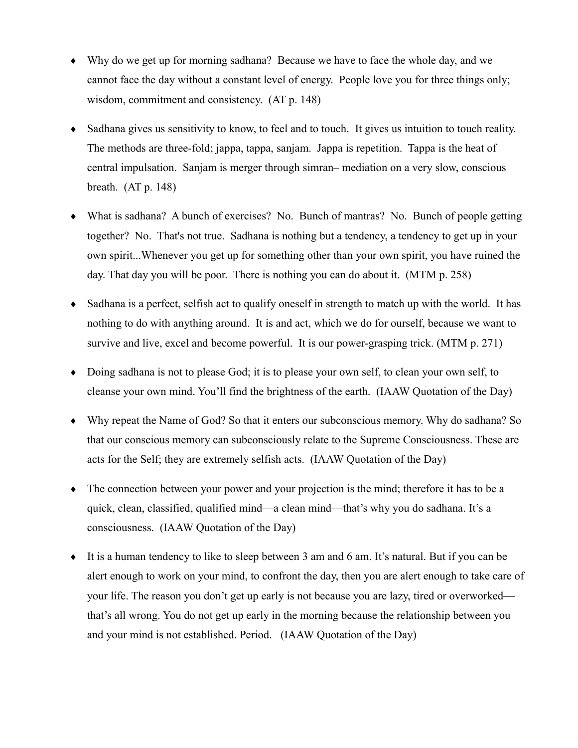- Why do we get up for morning sadhana? Because we have to face the whole day, and we cannot face the day without a constant level of energy. People love you for three things only; wisdom, commitment and consistency. (AT p. 148)
- Sadhana gives us sensitivity to know, to feel and to touch. It gives us intuition to touch reality. The methods are three-fold; jappa, tappa, sanjam. Jappa is repetition. Tappa is the heat of central impulsation. Sanjam is merger through simran–mediation on a very slow, conscious breath.  $(AT p. 148)$
- What is sadhana? A bunch of exercises? No. Bunch of mantras? No. Bunch of people getting together? No. That's not true. Sadhana is nothing but a tendency, a tendency to get up in your own spirit...Whenever you get up for something other than your own spirit, you have ruined the day. That day you will be poor. There is nothing you can do about it. (MTM p. 258)
- Sadhana is a perfect, selfish act to qualify oneself in strength to match up with the world. It has nothing to do with anything around. It is and act, which we do for ourself, because we want to survive and live, excel and become powerful. It is our power-grasping trick. (MTM p. 271)
- Doing sadhana is not to please God; it is to please your own self, to clean your own self, to cleanse your own mind. You'll find the brightness of the earth. (IAAW Quotation of the Day)
- Why repeat the Name of God? So that it enters our subconscious memory. Why do sadhana? So that our conscious memory can subconsciously relate to the Supreme Consciousness. These are acts for the Self; they are extremely selfish acts. (IAAW Quotation of the Day)
- The connection between your power and your projection is the mind; therefore it has to be a quick, clean, classified, qualified mind—a clean mind—that's why you do sadhana. It's a consciousness. (IAAW Quotation of the Day)
- It is a human tendency to like to sleep between 3 am and 6 am. It's natural. But if you can be alert enough to work on your mind, to confront the day, then you are alert enough to take care of your life. The reason you don't get up early is not because you are lazy, tired or overworked that's all wrong. You do not get up early in the morning because the relationship between you and your mind is not established. Period. (IAAW Ouotation of the Day)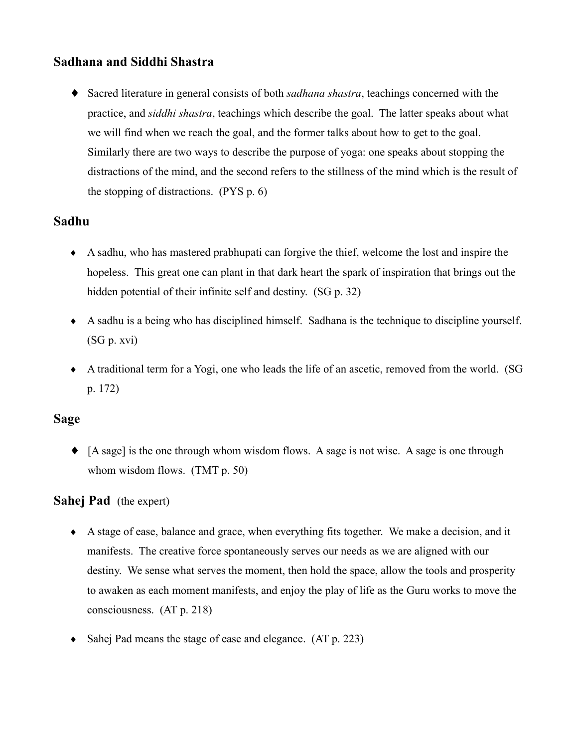# Sadhana and Siddhi Shastra

• Sacred literature in general consists of both sadhana shastra, teachings concerned with the practice, and *siddhi shastra*, teachings which describe the goal. The latter speaks about what we will find when we reach the goal, and the former talks about how to get to the goal. Similarly there are two ways to describe the purpose of yoga: one speaks about stopping the distractions of the mind, and the second refers to the stillness of the mind which is the result of the stopping of distractions.  $(PYS p. 6)$ 

#### Sadhu

- A sadhu, who has mastered prabhupati can forgive the thief, welcome the lost and inspire the hopeless. This great one can plant in that dark heart the spark of inspiration that brings out the hidden potential of their infinite self and destiny. (SG p. 32)
- A sadhu is a being who has disciplined himself. Sadhana is the technique to discipline yourself.  $(SG p. xvi)$
- A traditional term for a Yogi, one who leads the life of an ascetic, removed from the world. (SG  $p. 172)$

#### **Sage**

• [A sage] is the one through whom wisdom flows. A sage is not wise. A sage is one through whom wisdom flows.  $(TMT p. 50)$ 

#### **Sahej Pad** (the expert)

- A stage of ease, balance and grace, when everything fits together. We make a decision, and it manifests. The creative force spontaneously serves our needs as we are aligned with our destiny. We sense what serves the moment, then hold the space, allow the tools and prosperity to awaken as each moment manifests, and enjoy the play of life as the Guru works to move the consciousness.  $(AT p. 218)$
- Sahej Pad means the stage of ease and elegance. (AT p. 223)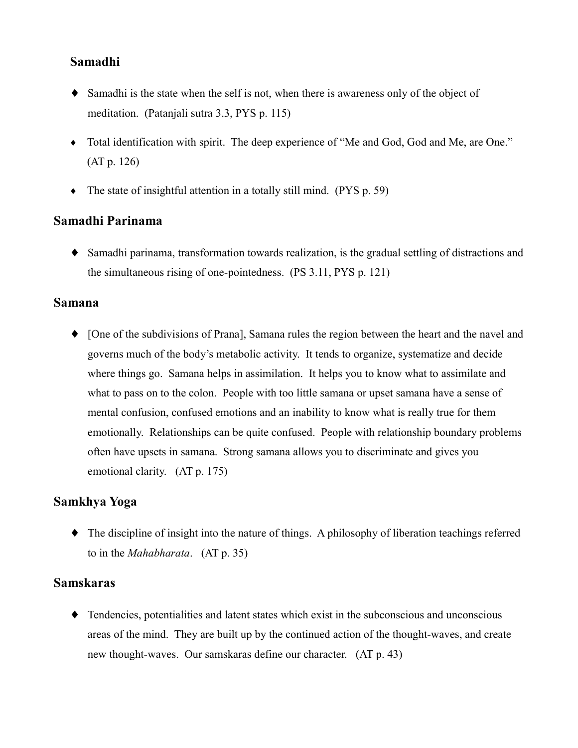## Samadhi

- Samadhi is the state when the self is not, when there is awareness only of the object of meditation. (Patanjali sutra 3.3, PYS p. 115)
- Total identification with spirit. The deep experience of "Me and God, God and Me, are One."  $(AT p. 126)$
- $\bullet$  The state of insightful attention in a totally still mind. (PYS p. 59)

#### Samadhi Parinama

• Samadhi parinama, transformation towards realization, is the gradual settling of distractions and the simultaneous rising of one-pointedness. (PS 3.11, PYS p. 121)

#### **Samana**

• [One of the subdivisions of Prana], Samana rules the region between the heart and the navel and governs much of the body's metabolic activity. It tends to organize, systematize and decide where things go. Samana helps in assimilation. It helps you to know what to assimilate and what to pass on to the colon. People with too little samana or upset samana have a sense of mental confusion, confused emotions and an inability to know what is really true for them emotionally. Relationships can be quite confused. People with relationship boundary problems often have upsets in samana. Strong samana allows you to discriminate and gives you emotional clarity. (AT p. 175)

#### Samkhya Yoga

 $\bullet$  The discipline of insight into the nature of things. A philosophy of liberation teachings referred to in the *Mahabharata.*  $(AT p. 35)$ 

#### **Samskaras**

 $\bullet$  Tendencies, potentialities and latent states which exist in the subconscious and unconscious areas of the mind. They are built up by the continued action of the thought-waves, and create new thought-waves. Our samskaras define our character. (AT p. 43)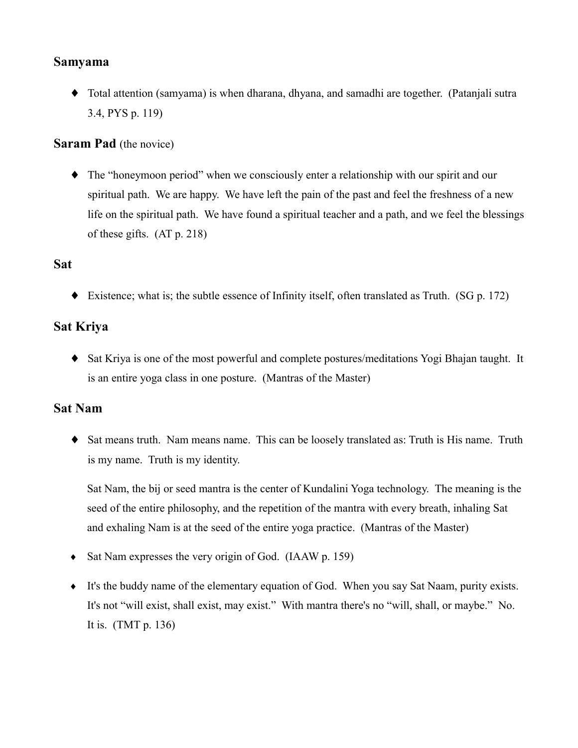#### **Samyama**

• Total attention (samyama) is when dharana, dhyana, and samadhi are together. (Patanjali sutra 3.4, PYS p. 119)

#### **Saram Pad** (the novice)

 $\bullet$  The "honeymoon period" when we consciously enter a relationship with our spirit and our spiritual path. We are happy. We have left the pain of the past and feel the freshness of a new life on the spiritual path. We have found a spiritual teacher and a path, and we feel the blessings of these gifts.  $(AT p. 218)$ 

## **Sat**

 $\blacklozenge$  Existence; what is; the subtle essence of Infinity itself, often translated as Truth. (SG p. 172)

# **Sat Kriya**

• Sat Kriya is one of the most powerful and complete postures/meditations Yogi Bhajan taught. It is an entire yoga class in one posture. (Mantras of the Master)

#### **Sat Nam**

• Sat means truth. Nam means name. This can be loosely translated as: Truth is His name. Truth is my name. Truth is my identity.

Sat Nam, the bij or seed mantra is the center of Kundalini Yoga technology. The meaning is the seed of the entire philosophy, and the repetition of the mantra with every breath, inhaling Sat and exhaling Nam is at the seed of the entire yoga practice. (Mantras of the Master)

- $\bullet$  Sat Nam expresses the very origin of God. (IAAW p. 159)
- It's the buddy name of the elementary equation of God. When you say Sat Naam, purity exists. It's not "will exist, shall exist, may exist." With mantra there's no "will, shall, or maybe." No. It is.  $(TMT p. 136)$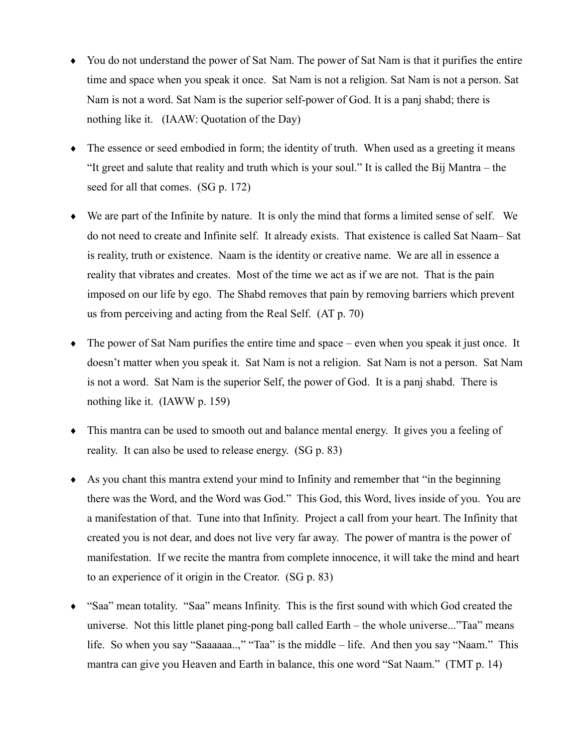- You do not understand the power of Sat Nam. The power of Sat Nam is that it purifies the entire time and space when you speak it once. Sat Nam is not a religion. Sat Nam is not a person. Sat Nam is not a word. Sat Nam is the superior self-power of God. It is a panj shabd; there is nothing like it. (IAAW: Quotation of the Day)
- The essence or seed embodied in form; the identity of truth. When used as a greeting it means "It greet and salute that reality and truth which is your soul." It is called the Bij Mantra – the seed for all that comes. (SG p. 172)
- $\bullet$  We are part of the Infinite by nature. It is only the mind that forms a limited sense of self. We do not need to create and Infinite self. It already exists. That existence is called Sat Naam-Sat is reality, truth or existence. Naam is the identity or creative name. We are all in essence a reality that vibrates and creates. Most of the time we act as if we are not. That is the pain imposed on our life by ego. The Shabd removes that pain by removing barriers which prevent us from perceiving and acting from the Real Self.  $(AT p. 70)$
- $\bullet$  The power of Sat Nam purifies the entire time and space even when you speak it just once. It doesn't matter when you speak it. Sat Nam is not a religion. Sat Nam is not a person. Sat Nam is not a word. Sat Nam is the superior Self, the power of God. It is a panj shabd. There is nothing like it. (IAWW p. 159)
- This mantra can be used to smooth out and balance mental energy. It gives you a feeling of reality. It can also be used to release energy. (SG p. 83)
- As you chant this mantra extend your mind to Infinity and remember that "in the beginning" there was the Word, and the Word was God." This God, this Word, lives inside of you. You are a manifestation of that. Tune into that Infinity. Project a call from your heart. The Infinity that created you is not dear, and does not live very far away. The power of mantra is the power of manifestation. If we recite the mantra from complete innocence, it will take the mind and heart to an experience of it origin in the Creator.  $(SG p. 83)$
- "Saa" mean totality. "Saa" means Infinity. This is the first sound with which God created the universe. Not this little planet ping-pong ball called Earth – the whole universe..."Taa" means life. So when you say "Saaaaaa..," "Taa" is the middle – life. And then you say "Naam." This mantra can give you Heaven and Earth in balance, this one word "Sat Naam." (TMT p. 14)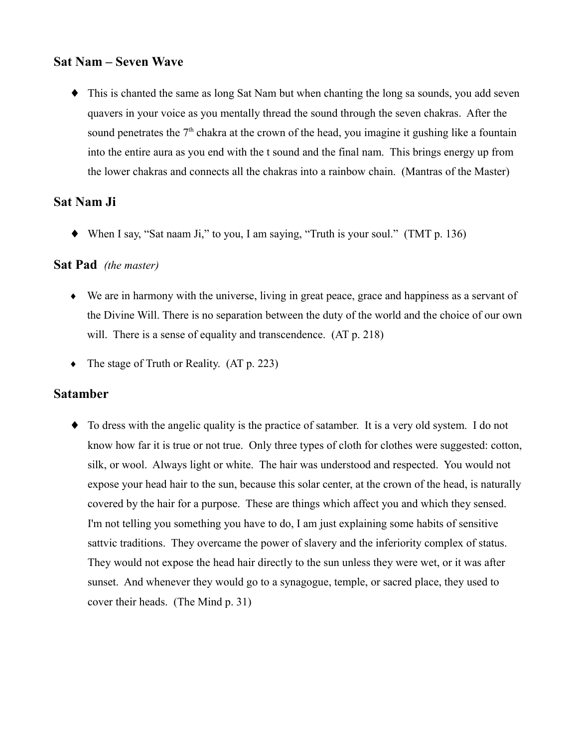#### **Sat Nam - Seven Wave**

• This is chanted the same as long Sat Nam but when chanting the long sa sounds, you add seven quavers in your voice as you mentally thread the sound through the seven chakras. After the sound penetrates the 7<sup>th</sup> chakra at the crown of the head, you imagine it gushing like a fountain into the entire aura as you end with the t sound and the final nam. This brings energy up from the lower chakras and connects all the chakras into a rainbow chain. (Mantras of the Master)

#### Sat Nam Ji

 $\blacklozenge$  When I say, "Sat naam Ji," to you, I am saying, "Truth is your soul." (TMT p. 136)

#### **Sat Pad** (the master)

- $\bullet$  We are in harmony with the universe, living in great peace, grace and happiness as a servant of the Divine Will. There is no separation between the duty of the world and the choice of our own will. There is a sense of equality and transcendence. (AT p. 218)
- The stage of Truth or Reality.  $(AT p. 223)$

#### **Satamber**

• To dress with the angelic quality is the practice of satamber. It is a very old system. I do not know how far it is true or not true. Only three types of cloth for clothes were suggested: cotton, silk, or wool. Always light or white. The hair was understood and respected. You would not expose your head hair to the sun, because this solar center, at the crown of the head, is naturally covered by the hair for a purpose. These are things which affect you and which they sensed. I'm not telling you something you have to do. I am just explaining some habits of sensitive sattive traditions. They overcame the power of slavery and the inferiority complex of status. They would not expose the head hair directly to the sun unless they were wet, or it was after sunset. And whenever they would go to a synagogue, temple, or sacred place, they used to cover their heads. (The Mind p. 31)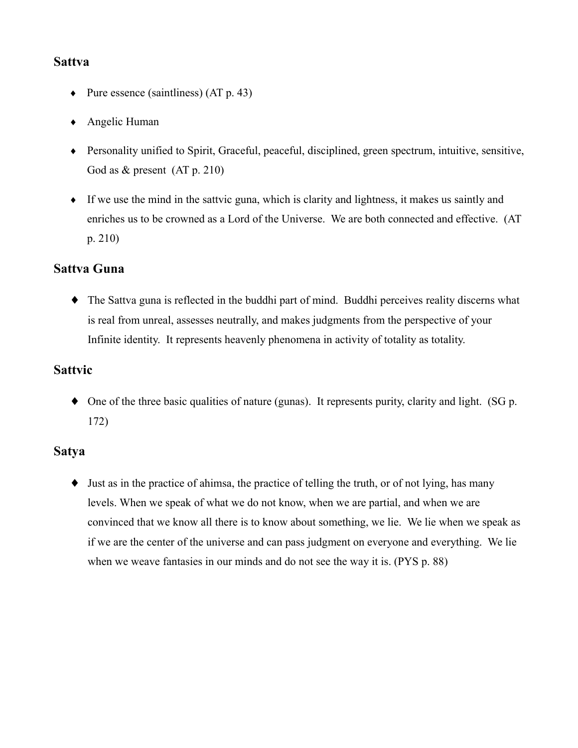#### **Sattva**

- Pure essence (saintliness)  $(AT p. 43)$
- $\triangle$  Angelic Human
- Personality unified to Spirit, Graceful, peaceful, disciplined, green spectrum, intuitive, sensitive, God as  $&$  present (AT p. 210)
- $\bullet$  If we use the mind in the sattvic guna, which is clarity and lightness, it makes us saintly and enriches us to be crowned as a Lord of the Universe. We are both connected and effective. (AT  $p. 210$

## **Sattva Guna**

• The Sattva guna is reflected in the buddhi part of mind. Buddhi perceives reality discerns what is real from unreal, assesses neutrally, and makes judgments from the perspective of your Infinite identity. It represents heavenly phenomena in activity of totality as totality.

## **Sattvic**

 $\bullet$  One of the three basic qualities of nature (gunas). It represents purity, clarity and light. (SG p.  $172)$ 

## **Satya**

 $\bullet$  Just as in the practice of ahimsa, the practice of telling the truth, or of not lying, has many levels. When we speak of what we do not know, when we are partial, and when we are convinced that we know all there is to know about something, we lie. We lie when we speak as if we are the center of the universe and can pass judgment on everyone and everything. We lie when we weave fantasies in our minds and do not see the way it is. (PYS p. 88)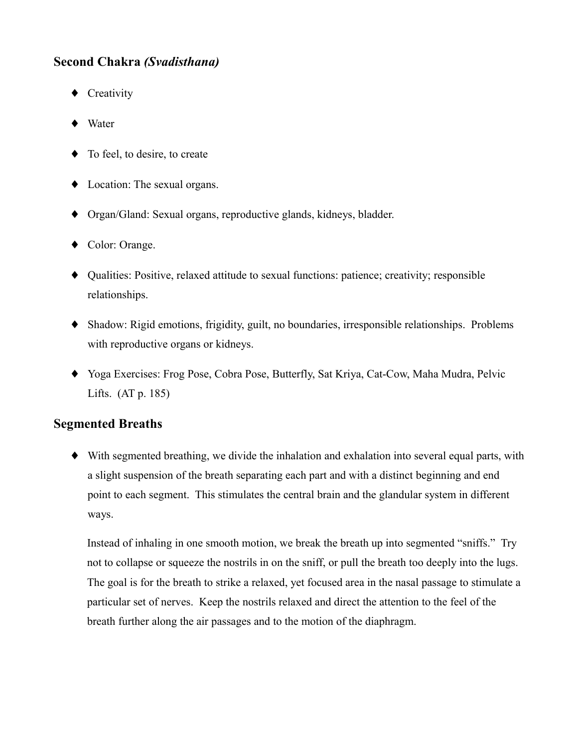# **Second Chakra (Svadisthana)**

- $\bullet$  Creativity
- $\blacklozenge$  Water
- $\bullet$  To feel, to desire, to create
- $\bullet$  Location: The sexual organs.
- Organ/Gland: Sexual organs, reproductive glands, kidneys, bladder.
- $\bullet$  Color: Orange.
- Qualities: Positive, relaxed attitude to sexual functions: patience; creativity; responsible relationships.
- Shadow: Rigid emotions, frigidity, guilt, no boundaries, irresponsible relationships. Problems with reproductive organs or kidneys.
- Yoga Exercises: Frog Pose, Cobra Pose, Butterfly, Sat Kriya, Cat-Cow, Maha Mudra, Pelvic Lifts.  $(AT p. 185)$

## **Segmented Breaths**

• With segmented breathing, we divide the inhalation and exhalation into several equal parts, with a slight suspension of the breath separating each part and with a distinct beginning and end point to each segment. This stimulates the central brain and the glandular system in different ways.

Instead of inhaling in one smooth motion, we break the breath up into segmented "sniffs." Try not to collapse or squeeze the nostrils in on the sniff, or pull the breath too deeply into the lugs. The goal is for the breath to strike a relaxed, yet focused area in the nasal passage to stimulate a particular set of nerves. Keep the nostrils relaxed and direct the attention to the feel of the breath further along the air passages and to the motion of the diaphragm.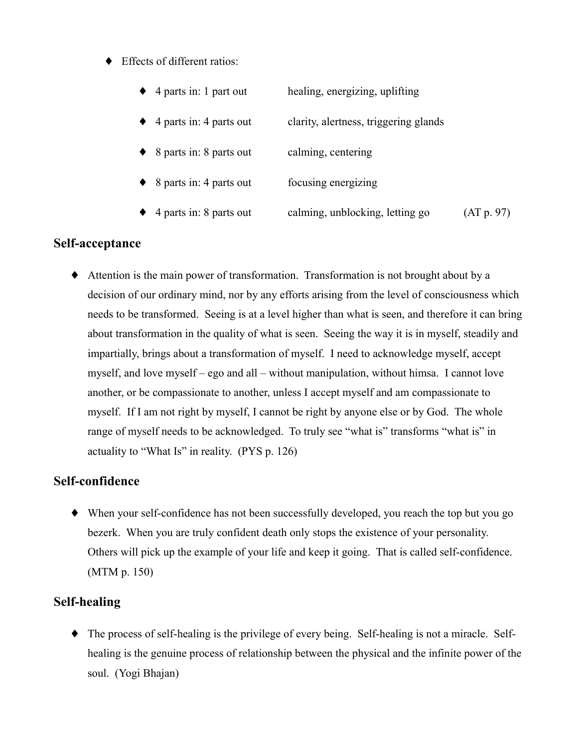♦ Effects of different ratios:

| $\triangle$ 4 parts in: 1 part out  | healing, energizing, uplifting        |            |
|-------------------------------------|---------------------------------------|------------|
| $\triangle$ 4 parts in: 4 parts out | clarity, alertness, triggering glands |            |
| $\bullet$ 8 parts in: 8 parts out   | calming, centering                    |            |
| $\bullet$ 8 parts in: 4 parts out   | focusing energizing                   |            |
| $\triangle$ 4 parts in: 8 parts out | calming, unblocking, letting go       | (AT p. 97) |

### Self-acceptance

Attention is the main power of transformation. Transformation is not brought about by a decision of our ordinary mind, nor by any efforts arising from the level of consciousness which needs to be transformed. Seeing is at a level higher than what is seen, and therefore it can bring about transformation in the quality of what is seen. Seeing the way it is in myself, steadily and impartially, brings about a transformation of myself. I need to acknowledge myself, accept myself, and love myself – ego and all – without manipulation, without himsa. I cannot love another, or be compassionate to another, unless I accept myself and am compassionate to myself. If I am not right by myself, I cannot be right by anyone else or by God. The whole range of myself needs to be acknowledged. To truly see "what is" transforms "what is" in actuality to "What Is" in reality. (PYS p. 126)

## Self-confidence

• When your self-confidence has not been successfully developed, you reach the top but you go bezerk. When you are truly confident death only stops the existence of your personality. Others will pick up the example of your life and keep it going. That is called self-confidence.  $(MTM p. 150)$ 

## **Self-healing**

• The process of self-healing is the privilege of every being. Self-healing is not a miracle. Selfhealing is the genuine process of relationship between the physical and the infinite power of the soul. (Yogi Bhajan)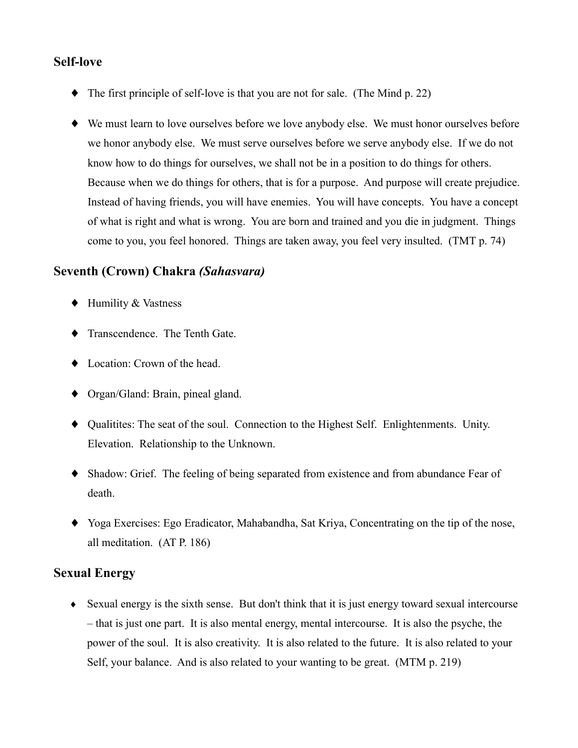### **Self-love**

- $\blacklozenge$  The first principle of self-love is that you are not for sale. (The Mind p. 22)
- We must learn to love ourselves before we love anybody else. We must honor ourselves before we honor anybody else. We must serve ourselves before we serve anybody else. If we do not know how to do things for ourselves, we shall not be in a position to do things for others. Because when we do things for others, that is for a purpose. And purpose will create prejudice. Instead of having friends, you will have enemies. You will have concepts. You have a concept of what is right and what is wrong. You are born and trained and you die in judgment. Things come to you, you feel honored. Things are taken away, you feel very insulted. (TMT p. 74)

#### Seventh (Crown) Chakra *(Sahasvara)*

- $\blacklozenge$  Humility & Vastness
- Transcendence. The Tenth Gate.
- Location: Crown of the head.
- $\bullet$  Organ/Gland: Brain, pineal gland.
- Qualitities: The seat of the soul. Connection to the Highest Self. Enlightenments. Unity. Elevation. Relationship to the Unknown.
- Shadow: Grief. The feeling of being separated from existence and from abundance Fear of death.
- Yoga Exercises: Ego Eradicator, Mahabandha, Sat Kriya, Concentrating on the tip of the nose, all meditation. (AT P. 186)

# **Sexual Energy**

• Sexual energy is the sixth sense. But don't think that it is just energy toward sexual intercourse - that is just one part. It is also mental energy, mental intercourse. It is also the psyche, the power of the soul. It is also creativity. It is also related to the future. It is also related to your Self, your balance. And is also related to your wanting to be great. (MTM p. 219)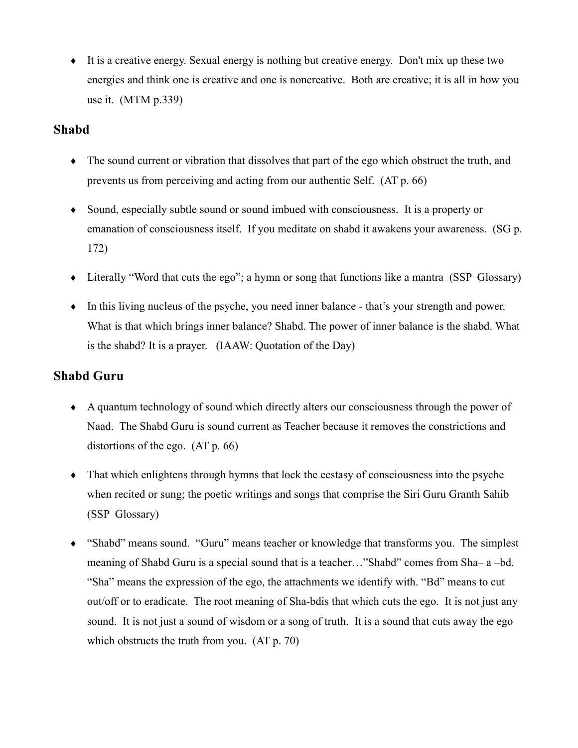$\bullet$  It is a creative energy. Sexual energy is nothing but creative energy. Don't mix up these two energies and think one is creative and one is noncreative. Both are creative; it is all in how you use it.  $(MTM p.339)$ 

#### **Shabd**

- The sound current or vibration that dissolves that part of the ego which obstruct the truth, and prevents us from perceiving and acting from our authentic Self. (AT p. 66)
- Sound, especially subtle sound or sound imbued with consciousness. It is a property or emanation of consciousness itself. If you meditate on shabd it awakens your awareness. (SG p. 172)
- $\bullet$  Literally "Word that cuts the ego"; a hymn or song that functions like a mantra (SSP Glossary)
- In this living nucleus of the psyche, you need inner balance that's your strength and power. What is that which brings inner balance? Shabd. The power of inner balance is the shabd. What is the shabd? It is a prayer. (IAAW: Quotation of the Day)

# **Shabd Guru**

- $\bullet$  A quantum technology of sound which directly alters our consciousness through the power of Naad. The Shabd Guru is sound current as Teacher because it removes the constrictions and distortions of the ego.  $(AT p. 66)$
- $\bullet$  That which enlightens through hymns that lock the ecstasy of consciousness into the psyche when recited or sung; the poetic writings and songs that comprise the Siri Guru Granth Sahib (SSP Glossary)
- "Shabd" means sound. "Guru" means teacher or knowledge that transforms you. The simplest meaning of Shabd Guru is a special sound that is a teacher..."Shabd" comes from Sha-a-bd. "Sha" means the expression of the ego, the attachments we identify with. "Bd" means to cut out/off or to eradicate. The root meaning of Sha-bdis that which cuts the ego. It is not just any sound. It is not just a sound of wisdom or a song of truth. It is a sound that cuts away the ego which obstructs the truth from you.  $(AT p. 70)$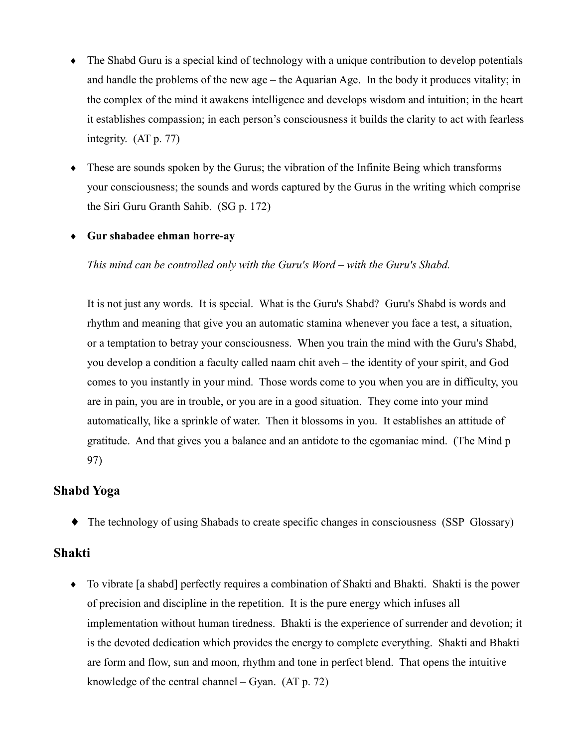- The Shabd Guru is a special kind of technology with a unique contribution to develop potentials  $\blacklozenge$ and handle the problems of the new age – the Aquarian Age. In the body it produces vitality; in the complex of the mind it awakens intelligence and develops wisdom and intuition; in the heart it establishes compassion; in each person's consciousness it builds the clarity to act with fearless integrity.  $(AT p. 77)$
- $\bullet$  These are sounds spoken by the Gurus; the vibration of the Infinite Being which transforms your consciousness; the sounds and words captured by the Gurus in the writing which comprise the Siri Guru Granth Sahib. (SG p. 172)

#### ◆ Gur shabadee ehman horre-ay

This mind can be controlled only with the Guru's Word – with the Guru's Shabd.

It is not just any words. It is special. What is the Guru's Shabd? Guru's Shabd is words and rhythm and meaning that give you an automatic stamina whenever you face a test, a situation, or a temptation to betray your consciousness. When you train the mind with the Guru's Shabd, you develop a condition a faculty called naam chit aveh – the identity of your spirit, and God comes to you instantly in your mind. Those words come to you when you are in difficulty, you are in pain, you are in trouble, or you are in a good situation. They come into your mind automatically, like a sprinkle of water. Then it blossoms in you. It establishes an attitude of gratitude. And that gives you a balance and an antidote to the egomaniac mind. (The Mind p 97)

## **Shabd Yoga**

• The technology of using Shabads to create specific changes in consciousness (SSP Glossary)

#### **Shakti**

• To vibrate [a shabd] perfectly requires a combination of Shakti and Bhakti. Shakti is the power of precision and discipline in the repetition. It is the pure energy which infuses all implementation without human tiredness. Bhakti is the experience of surrender and devotion; it is the devoted dedication which provides the energy to complete everything. Shakti and Bhakti are form and flow, sun and moon, rhythm and tone in perfect blend. That opens the intuitive knowledge of the central channel  $-$  Gyan. (AT p. 72)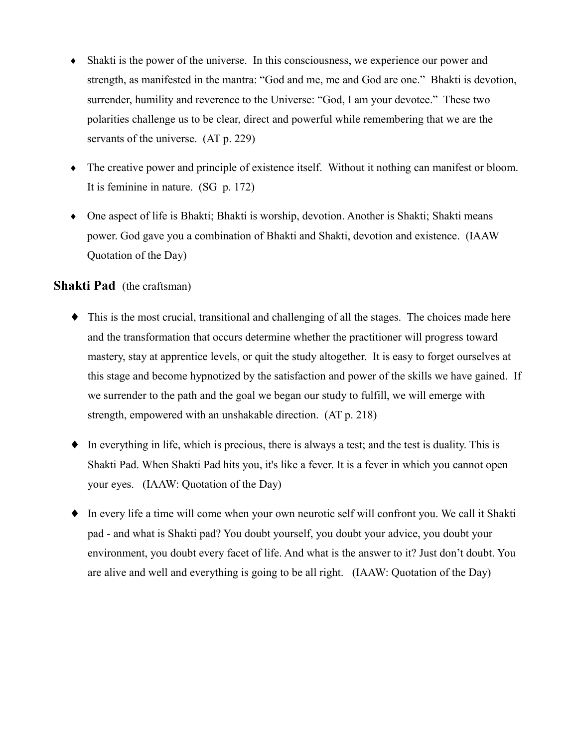- Shakti is the power of the universe. In this consciousness, we experience our power and strength, as manifested in the mantra: "God and me, me and God are one." Bhakti is devotion, surrender, humility and reverence to the Universe: "God, I am your devotee." These two polarities challenge us to be clear, direct and powerful while remembering that we are the servants of the universe.  $(AT p. 229)$
- $\bullet$  The creative power and principle of existence itself. Without it nothing can manifest or bloom. It is feminine in nature.  $(SG p. 172)$
- One aspect of life is Bhakti; Bhakti is worship, devotion. Another is Shakti; Shakti means power. God gave you a combination of Bhakti and Shakti, devotion and existence. (IAAW Quotation of the Day)

#### **Shakti Pad** (the craftsman)

- This is the most crucial, transitional and challenging of all the stages. The choices made here and the transformation that occurs determine whether the practitioner will progress toward mastery, stay at apprentice levels, or quit the study altogether. It is easy to forget ourselves at this stage and become hypnotized by the satisfaction and power of the skills we have gained. If we surrender to the path and the goal we began our study to fulfill, we will emerge with strength, empowered with an unshakable direction. (AT p. 218)
- $\bullet$  In everything in life, which is precious, there is always a test; and the test is duality. This is Shakti Pad. When Shakti Pad hits you, it's like a fever. It is a fever in which you cannot open your eyes. (IAAW: Quotation of the Day)
- In every life a time will come when your own neurotic self will confront you. We call it Shakti pad - and what is Shakti pad? You doubt yourself, you doubt your advice, you doubt your environment, you doubt every facet of life. And what is the answer to it? Just don't doubt. You are alive and well and everything is going to be all right. (IAAW: Quotation of the Day)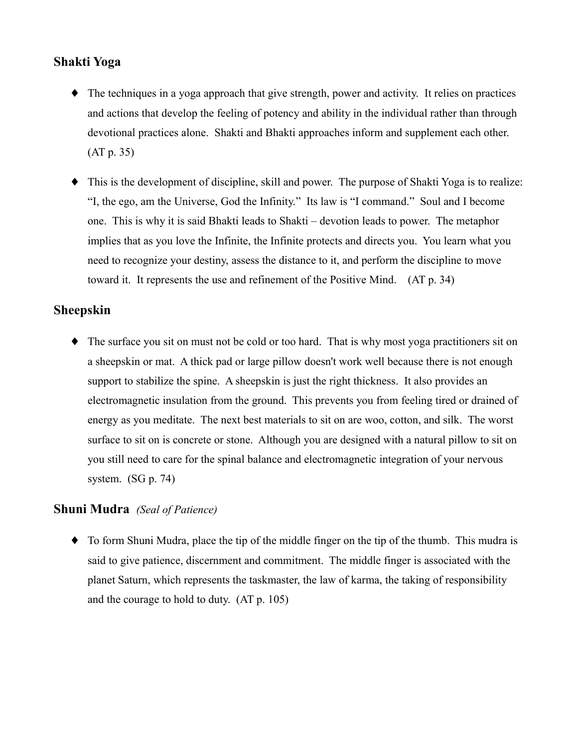## **Shakti Yoga**

- The techniques in a yoga approach that give strength, power and activity. It relies on practices and actions that develop the feeling of potency and ability in the individual rather than through devotional practices alone. Shakti and Bhakti approaches inform and supplement each other.  $(AT p. 35)$
- This is the development of discipline, skill and power. The purpose of Shakti Yoga is to realize: "I, the ego, am the Universe, God the Infinity." Its law is "I command." Soul and I become one. This is why it is said Bhakti leads to Shakti – devotion leads to power. The metaphor implies that as you love the Infinite, the Infinite protects and directs you. You learn what you need to recognize your destiny, assess the distance to it, and perform the discipline to move toward it. It represents the use and refinement of the Positive Mind. (AT p. 34)

## **Sheepskin**

 $\bullet$  The surface you sit on must not be cold or too hard. That is why most yoga practitioners sit on a sheepskin or mat. A thick pad or large pillow doesn't work well because there is not enough support to stabilize the spine. A sheepskin is just the right thickness. It also provides an electromagnetic insulation from the ground. This prevents you from feeling tired or drained of energy as you meditate. The next best materials to sit on are woo, cotton, and silk. The worst surface to sit on is concrete or stone. Although you are designed with a natural pillow to sit on you still need to care for the spinal balance and electromagnetic integration of your nervous system.  $(SG p. 74)$ 

## **Shuni Mudra** (Seal of Patience)

• To form Shuni Mudra, place the tip of the middle finger on the tip of the thumb. This mudra is said to give patience, discernment and commitment. The middle finger is associated with the planet Saturn, which represents the taskmaster, the law of karma, the taking of responsibility and the courage to hold to duty. (AT p. 105)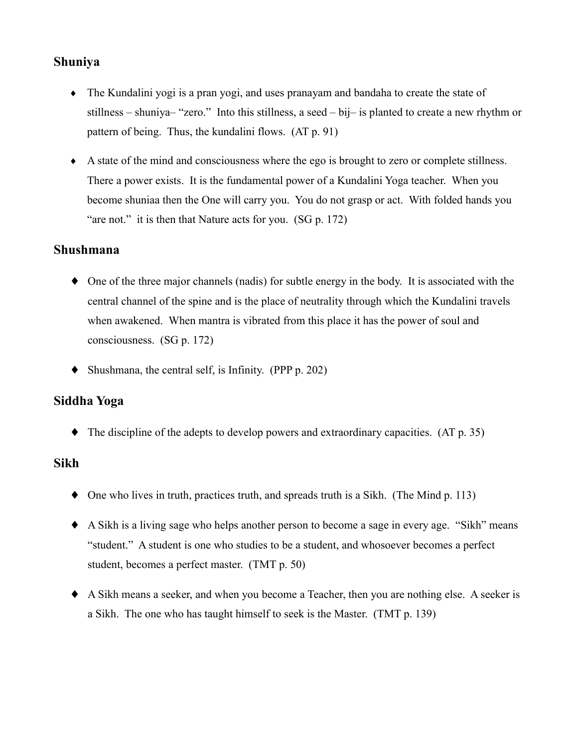# **Shuniya**

- The Kundalini yogi is a pran yogi, and uses pranayam and bandaha to create the state of stillness – shuniya– "zero." Into this stillness, a seed – bij– is planted to create a new rhythm or pattern of being. Thus, the kundalini flows. (AT p. 91)
- A state of the mind and consciousness where the ego is brought to zero or complete stillness. There a power exists. It is the fundamental power of a Kundalini Yoga teacher. When you become shuniaa then the One will carry you. You do not grasp or act. With folded hands you "are not." it is then that Nature acts for you. (SG p. 172)

### Shushmana

- $\bullet$  One of the three major channels (nadis) for subtle energy in the body. It is associated with the central channel of the spine and is the place of neutrality through which the Kundalini travels when awakened. When mantra is vibrated from this place it has the power of soul and consciousness.  $(SG p. 172)$
- $\blacklozenge$  Shushmana, the central self, is Infinity. (PPP p. 202)

## Siddha Yoga

 $\blacklozenge$  The discipline of the adepts to develop powers and extraordinary capacities. (AT p. 35)

## **Sikh**

- $\bullet$  One who lives in truth, practices truth, and spreads truth is a Sikh. (The Mind p. 113)
- A Sikh is a living sage who helps another person to become a sage in every age. "Sikh" means "student." A student is one who studies to be a student, and whosoever becomes a perfect student, becomes a perfect master. (TMT p. 50)
- A Sikh means a seeker, and when you become a Teacher, then you are nothing else. A seeker is a Sikh. The one who has taught himself to seek is the Master. (TMT p. 139)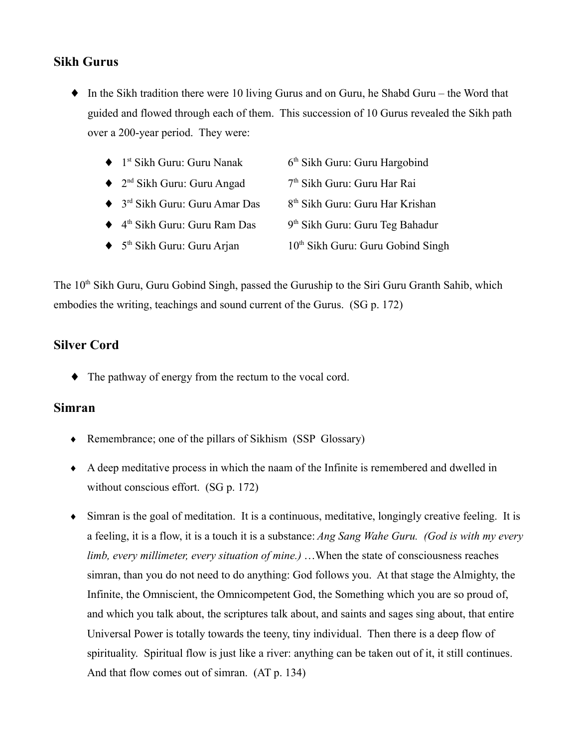# **Sikh Gurus**

- $\bullet$  In the Sikh tradition there were 10 living Gurus and on Guru, he Shabd Guru the Word that guided and flowed through each of them. This succession of 10 Gurus revealed the Sikh path over a 200-year period. They were:
	- 6<sup>th</sup> Sikh Guru: Guru Hargobind  $\blacklozenge$  1<sup>st</sup> Sikh Guru: Guru Nanak
	- $\triangleleft$  2<sup>nd</sup> Sikh Guru: Guru Angad 7<sup>th</sup> Sikh Guru: Guru Har Rai
	- $\triangleq$  3<sup>rd</sup> Sikh Guru: Guru Amar Das 8<sup>th</sup> Sikh Guru: Guru Har Krishan
	- $\blacklozenge$  4<sup>th</sup> Sikh Guru: Guru Ram Das 9<sup>th</sup> Sikh Guru: Guru Teg Bahadur
	- $\blacklozenge$  5<sup>th</sup> Sikh Guru: Guru Arian 10<sup>th</sup> Sikh Guru: Guru Gobind Singh

The 10<sup>th</sup> Sikh Guru, Guru Gobind Singh, passed the Guruship to the Siri Guru Granth Sahib, which embodies the writing, teachings and sound current of the Gurus. (SG p. 172)

# **Silver Cord**

 $\bullet$  The pathway of energy from the rectum to the vocal cord.

#### **Simran**

- Remembrance; one of the pillars of Sikhism (SSP Glossary)
- $\bullet$  A deep meditative process in which the naam of the Infinite is remembered and dwelled in without conscious effort.  $(SG p. 172)$
- $\bullet$  Simran is the goal of meditation. It is a continuous, meditative, longingly creative feeling. It is a feeling, it is a flow, it is a touch it is a substance: Ang Sang Wahe Guru. (God is with my every limb, every millimeter, every situation of mine.) ...When the state of consciousness reaches simran, than you do not need to do anything: God follows you. At that stage the Almighty, the Infinite, the Omniscient, the Omnicompetent God, the Something which you are so proud of, and which you talk about, the scriptures talk about, and saints and sages sing about, that entire Universal Power is totally towards the teeny, tiny individual. Then there is a deep flow of spirituality. Spiritual flow is just like a river: anything can be taken out of it, it still continues. And that flow comes out of simran. (AT p. 134)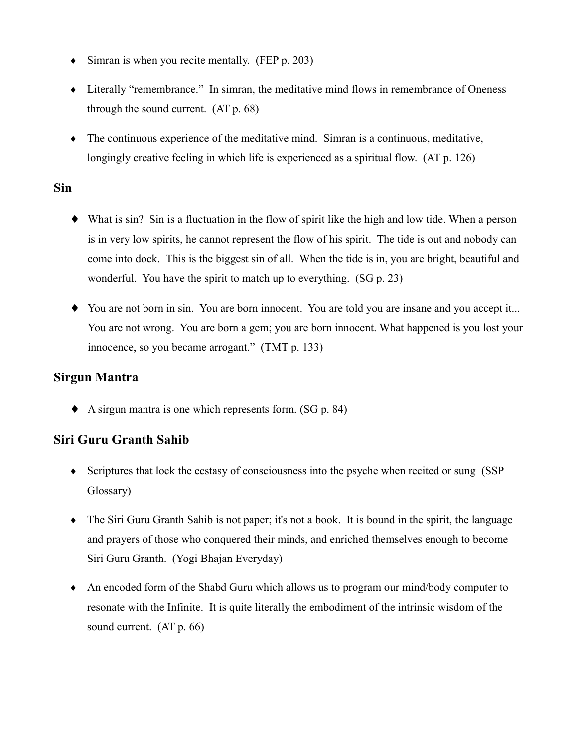- $\bullet$  Simran is when you recite mentally. (FEP p. 203)
- Literally "remembrance." In simran, the meditative mind flows in remembrance of Oneness through the sound current. (AT p. 68)
- The continuous experience of the meditative mind. Simran is a continuous, meditative, longingly creative feeling in which life is experienced as a spiritual flow. (AT p. 126)

### **Sin**

- $\blacklozenge$  What is sin? Sin is a fluctuation in the flow of spirit like the high and low tide. When a person is in very low spirits, he cannot represent the flow of his spirit. The tide is out and nobody can come into dock. This is the biggest sin of all. When the tide is in, you are bright, beautiful and wonderful. You have the spirit to match up to everything. (SG p. 23)
- You are not born in sin. You are born innocent. You are told you are insane and you accept it... You are not wrong. You are born a gem; you are born innocent. What happened is you lost your innocence, so you became arrogant." (TMT p. 133)

## **Sirgun Mantra**

 $\blacklozenge$  A sirgun mantra is one which represents form. (SG p. 84)

# Siri Guru Granth Sahib

- Scriptures that lock the ecstasy of consciousness into the psyche when recited or sung (SSP) Glossary)
- The Siri Guru Granth Sahib is not paper; it's not a book. It is bound in the spirit, the language and prayers of those who conquered their minds, and enriched themselves enough to become Siri Guru Granth. (Yogi Bhajan Everyday)
- $\bullet$  An encoded form of the Shabd Guru which allows us to program our mind/body computer to resonate with the Infinite. It is quite literally the embodiment of the intrinsic wisdom of the sound current.  $(AT p. 66)$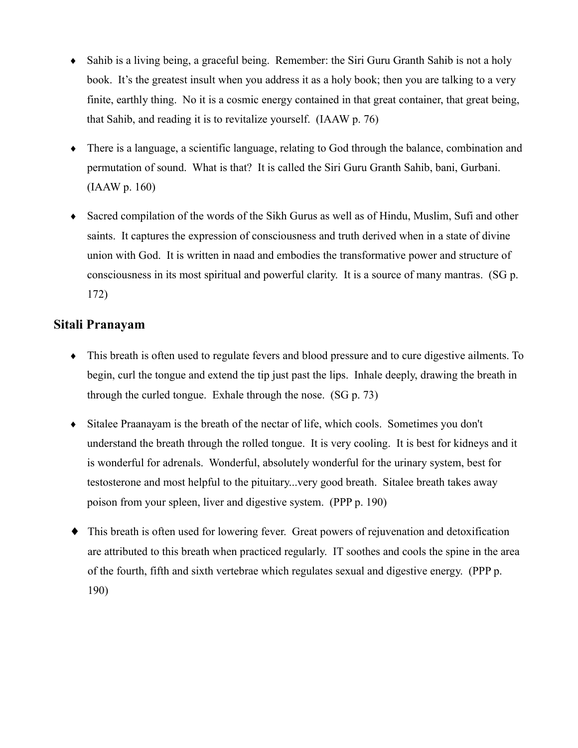- $\bullet$  Sahib is a living being, a graceful being. Remember: the Siri Guru Granth Sahib is not a holy book. It's the greatest insult when you address it as a holy book; then you are talking to a very finite, earthly thing. No it is a cosmic energy contained in that great container, that great being, that Sahib, and reading it is to revitalize yourself. (IAAW p. 76)
- There is a language, a scientific language, relating to God through the balance, combination and permutation of sound. What is that? It is called the Siri Guru Granth Sahib, bani, Gurbani.  $(IAAW p. 160)$
- Sacred compilation of the words of the Sikh Gurus as well as of Hindu, Muslim, Sufi and other saints. It captures the expression of consciousness and truth derived when in a state of divine union with God. It is written in naad and embodies the transformative power and structure of consciousness in its most spiritual and powerful clarity. It is a source of many mantras. (SG p.  $172)$

### Sitali Pranavam

- This breath is often used to regulate fevers and blood pressure and to cure digestive ailments. To begin, curl the tongue and extend the tip just past the lips. Inhale deeply, drawing the breath in through the curled tongue. Exhale through the nose. (SG p. 73)
- Sitalee Praanayam is the breath of the nectar of life, which cools. Sometimes you don't understand the breath through the rolled tongue. It is very cooling. It is best for kidneys and it is wonderful for adrenals. Wonderful, absolutely wonderful for the urinary system, best for testosterone and most helpful to the pituitary... very good breath. Sitalee breath takes away poison from your spleen, liver and digestive system. (PPP p. 190)
- This breath is often used for lowering fever. Great powers of rejuvenation and detoxification  $\blacklozenge$ are attributed to this breath when practiced regularly. IT soothes and cools the spine in the area of the fourth, fifth and sixth vertebrae which regulates sexual and digestive energy. (PPP p. 190)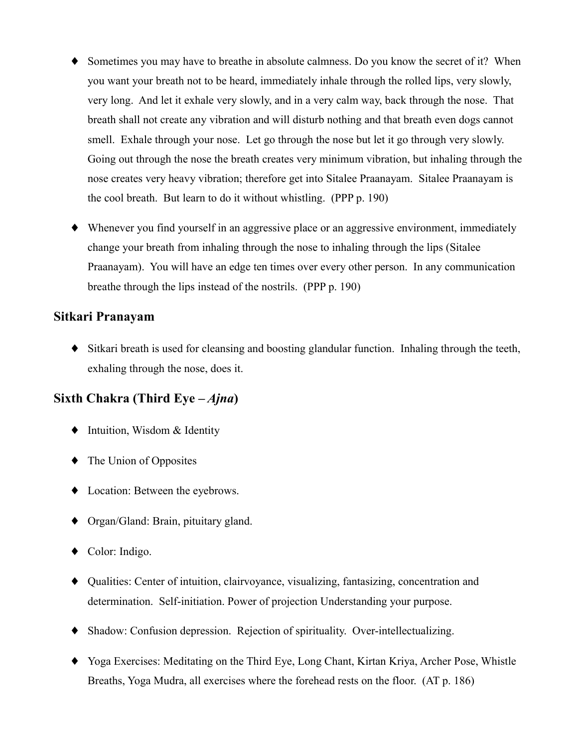- Sometimes you may have to breathe in absolute calmness. Do you know the secret of it? When you want your breath not to be heard, immediately inhale through the rolled lips, very slowly, very long. And let it exhale very slowly, and in a very calm way, back through the nose. That breath shall not create any vibration and will disturb nothing and that breath even dogs cannot smell. Exhale through your nose. Let go through the nose but let it go through very slowly. Going out through the nose the breath creates very minimum vibration, but inhaling through the nose creates very heavy vibration; therefore get into Sitalee Praanavam. Sitalee Praanavam is the cool breath. But learn to do it without whistling. (PPP p. 190)
- Whenever you find yourself in an aggressive place or an aggressive environment, immediately change your breath from inhaling through the nose to inhaling through the lips (Sitalee) Praanayam). You will have an edge ten times over every other person. In any communication breathe through the lips instead of the nostrils. (PPP p. 190)

#### Sitkari Pranayam

• Sitkari breath is used for cleansing and boosting glandular function. Inhaling through the teeth, exhaling through the nose, does it.

# Sixth Chakra (Third Eye  $-Ajna$ )

- $\bullet$  Intuition, Wisdom & Identity
- $\blacklozenge$  The Union of Opposites
- Location: Between the evebrows.
- $\bullet$  Organ/Gland: Brain, pituitary gland.
- $\bullet$  Color: Indigo.
- Qualities: Center of intuition, clairvoyance, visualizing, fantasizing, concentration and determination. Self-initiation. Power of projection Understanding your purpose.
- Shadow: Confusion depression. Rejection of spirituality. Over-intellectualizing.
- Yoga Exercises: Meditating on the Third Eye, Long Chant, Kirtan Kriya, Archer Pose, Whistle Breaths, Yoga Mudra, all exercises where the forehead rests on the floor. (AT p. 186)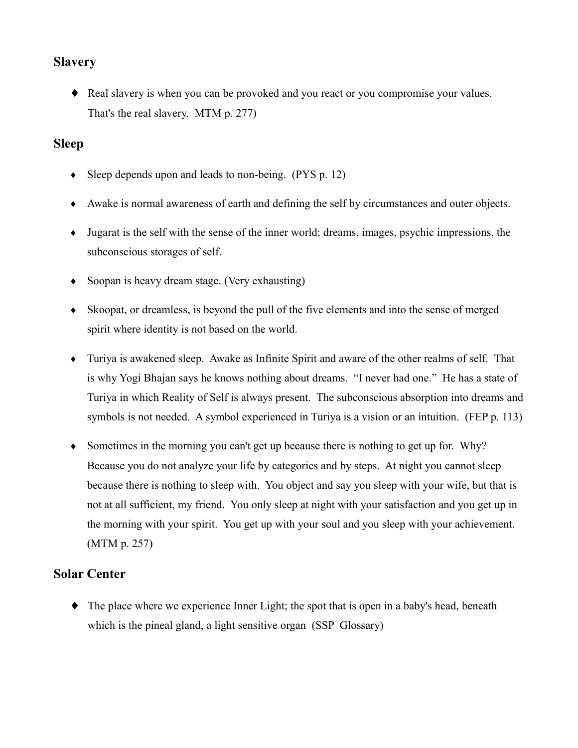# **Slavery**

• Real slavery is when you can be provoked and you react or you compromise your values. That's the real slavery. MTM p. 277)

# **Sleep**

- $\bullet$  Sleep depends upon and leads to non-being. (PYS p. 12)
- Awake is normal awareness of earth and defining the self by circumstances and outer objects.
- $\bullet$  Jugarat is the self with the sense of the inner world: dreams, images, psychic impressions, the subconscious storages of self.
- $\bullet$  Soopan is heavy dream stage. (Very exhausting)
- Skoopat, or dreamless, is beyond the pull of the five elements and into the sense of merged spirit where identity is not based on the world.
- Turiya is awakened sleep. Awake as Infinite Spirit and aware of the other realms of self. That is why Yogi Bhajan says he knows nothing about dreams. "I never had one." He has a state of Turiya in which Reality of Self is always present. The subconscious absorption into dreams and symbols is not needed. A symbol experienced in Turiya is a vision or an intuition. (FEP p. 113)
- Sometimes in the morning you can't get up because there is nothing to get up for. Why? Because you do not analyze your life by categories and by steps. At night you cannot sleep because there is nothing to sleep with. You object and say you sleep with your wife, but that is not at all sufficient, my friend. You only sleep at night with your satisfaction and you get up in the morning with your spirit. You get up with your soul and you sleep with your achievement. (MTM p. 257)

## **Solar Center**

 $\bullet$  The place where we experience Inner Light; the spot that is open in a baby's head, beneath which is the pineal gland, a light sensitive organ (SSP Glossary)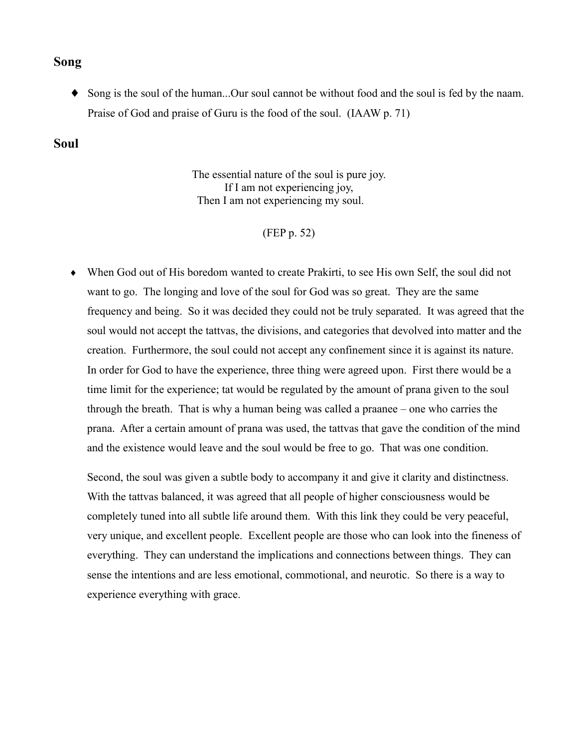#### **Song**

• Song is the soul of the human...Our soul cannot be without food and the soul is fed by the naam. Praise of God and praise of Guru is the food of the soul. (IAAW p. 71)

#### **Soul**

The essential nature of the soul is pure joy. If I am not experiencing joy, Then I am not experiencing my soul.

#### (FEP p. 52)

• When God out of His boredom wanted to create Prakirti, to see His own Self, the soul did not want to go. The longing and love of the soul for God was so great. They are the same frequency and being. So it was decided they could not be truly separated. It was agreed that the soul would not accept the tattvas, the divisions, and categories that devolved into matter and the creation. Furthermore, the soul could not accept any confinement since it is against its nature. In order for God to have the experience, three thing were agreed upon. First there would be a time limit for the experience; tat would be regulated by the amount of prana given to the soul through the breath. That is why a human being was called a praanee – one who carries the prana. After a certain amount of prana was used, the tattvas that gave the condition of the mind and the existence would leave and the soul would be free to go. That was one condition.

Second, the soul was given a subtle body to accompany it and give it clarity and distinctness. With the tattvas balanced, it was agreed that all people of higher consciousness would be completely tuned into all subtle life around them. With this link they could be very peaceful, very unique, and excellent people. Excellent people are those who can look into the fineness of everything. They can understand the implications and connections between things. They can sense the intentions and are less emotional, commotional, and neurotic. So there is a way to experience everything with grace.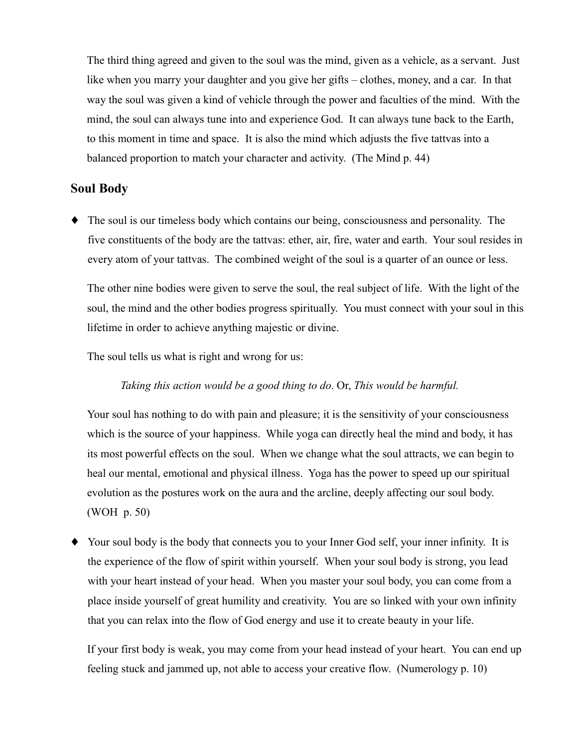The third thing agreed and given to the soul was the mind, given as a vehicle, as a servant. Just like when you marry your daughter and you give her gifts – clothes, money, and a car. In that way the soul was given a kind of vehicle through the power and faculties of the mind. With the mind, the soul can always tune into and experience God. It can always tune back to the Earth, to this moment in time and space. It is also the mind which adjusts the five tattvas into a balanced proportion to match your character and activity. (The Mind p. 44)

### **Soul Body**

• The soul is our timeless body which contains our being, consciousness and personality. The five constituents of the body are the tattvas: ether, air, fire, water and earth. Your soul resides in every atom of your tattvas. The combined weight of the soul is a quarter of an ounce or less.

The other nine bodies were given to serve the soul, the real subject of life. With the light of the soul, the mind and the other bodies progress spiritually. You must connect with your soul in this lifetime in order to achieve anything majestic or divine.

The soul tells us what is right and wrong for us:

Taking this action would be a good thing to do. Or, This would be harmful.

Your soul has nothing to do with pain and pleasure; it is the sensitivity of your consciousness which is the source of your happiness. While yoga can directly heal the mind and body, it has its most powerful effects on the soul. When we change what the soul attracts, we can begin to heal our mental, emotional and physical illness. Yoga has the power to speed up our spiritual evolution as the postures work on the aura and the arcline, deeply affecting our soul body. (WOH p. 50)

• Your soul body is the body that connects you to your Inner God self, your inner infinity. It is the experience of the flow of spirit within yourself. When your soul body is strong, you lead with your heart instead of your head. When you master your soul body, you can come from a place inside yourself of great humility and creativity. You are so linked with your own infinity that you can relax into the flow of God energy and use it to create beauty in your life.

If your first body is weak, you may come from your head instead of your heart. You can end up feeling stuck and jammed up, not able to access your creative flow. (Numerology p. 10)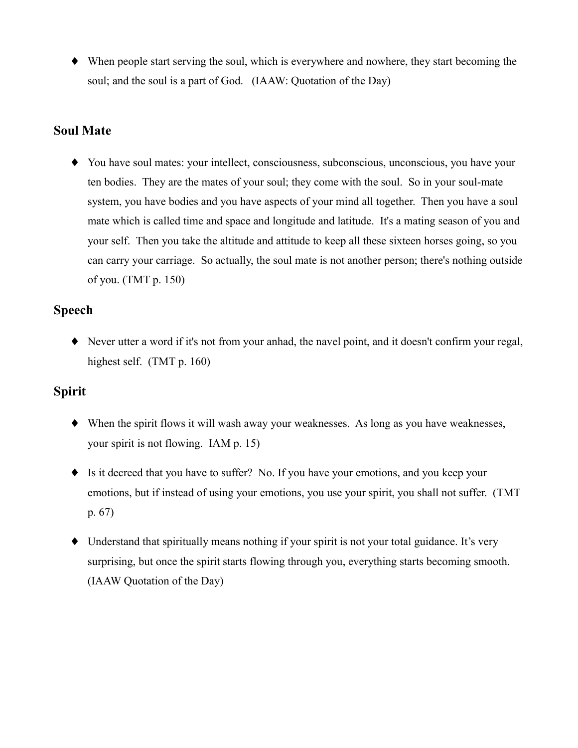$\blacklozenge$  When people start serving the soul, which is everywhere and nowhere, they start becoming the soul; and the soul is a part of God. (IAAW: Quotation of the Day)

### **Soul Mate**

• You have soul mates: your intellect, consciousness, subconscious, unconscious, you have your ten bodies. They are the mates of your soul; they come with the soul. So in your soul-mate system, you have bodies and you have aspects of your mind all together. Then you have a soul mate which is called time and space and longitude and latitude. It's a mating season of you and your self. Then you take the altitude and attitude to keep all these sixteen horses going, so you can carry your carriage. So actually, the soul mate is not another person; there's nothing outside of you.  $(TMT p. 150)$ 

## **Speech**

• Never utter a word if it's not from your anhad, the navel point, and it doesn't confirm your regal, highest self.  $(TMT p. 160)$ 

# **Spirit**

- $\blacklozenge$  When the spirit flows it will wash away your weaknesses. As long as you have weaknesses, your spirit is not flowing. IAM  $p$ . 15)
- $\bullet$  Is it decreed that you have to suffer? No. If you have your emotions, and you keep your emotions, but if instead of using your emotions, you use your spirit, you shall not suffer. (TMT  $p. 67)$
- Understand that spiritually means nothing if your spirit is not your total guidance. It's very surprising, but once the spirit starts flowing through you, everything starts becoming smooth. (IAAW Quotation of the Day)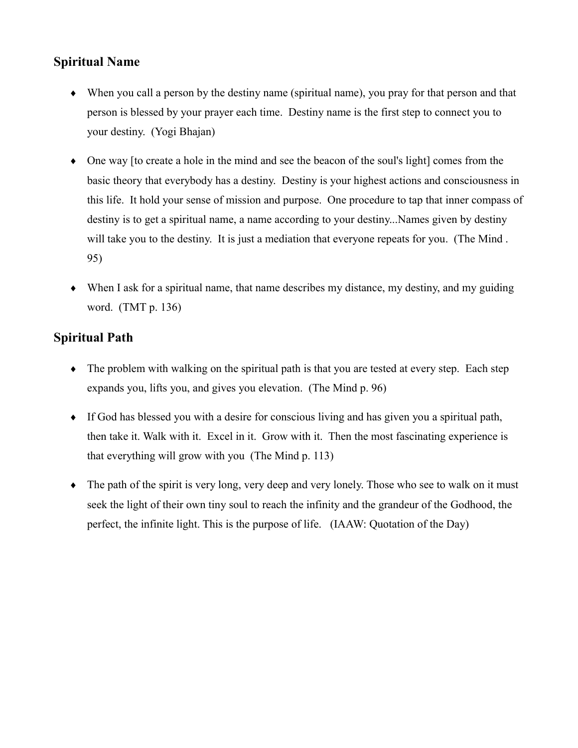# **Spiritual Name**

- When you call a person by the destiny name (spiritual name), you pray for that person and that person is blessed by your prayer each time. Destiny name is the first step to connect you to your destiny. (Yogi Bhajan)
- $\bullet$  One way is to create a hole in the mind and see the beacon of the soul's light comes from the basic theory that everybody has a destiny. Destiny is your highest actions and consciousness in this life. It hold your sense of mission and purpose. One procedure to tap that inner compass of destiny is to get a spiritual name, a name according to your destiny...Names given by destiny will take you to the destiny. It is just a mediation that everyone repeats for you. (The Mind. 95)
- $\bullet$  When I ask for a spiritual name, that name describes my distance, my destiny, and my guiding word.  $(TMT p. 136)$

# **Spiritual Path**

- The problem with walking on the spiritual path is that you are tested at every step. Each step expands you, lifts you, and gives you elevation. (The Mind p. 96)
- $\bullet$  If God has blessed you with a desire for conscious living and has given you a spiritual path, then take it. Walk with it. Excel in it. Grow with it. Then the most fascinating experience is that everything will grow with you (The Mind p. 113)
- $\bullet$  The path of the spirit is very long, very deep and very lonely. Those who see to walk on it must seek the light of their own tiny soul to reach the infinity and the grandeur of the Godhood, the perfect, the infinite light. This is the purpose of life. (IAAW: Quotation of the Day)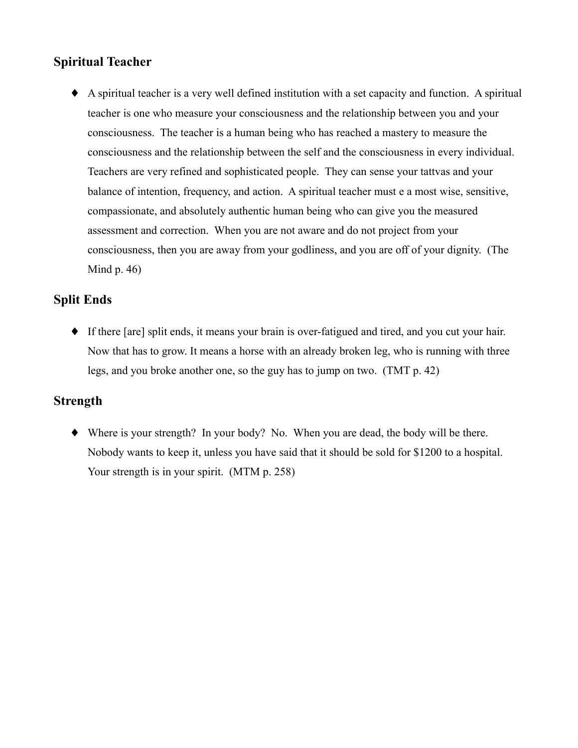# **Spiritual Teacher**

• A spiritual teacher is a very well defined institution with a set capacity and function. A spiritual teacher is one who measure your consciousness and the relationship between you and your consciousness. The teacher is a human being who has reached a mastery to measure the consciousness and the relationship between the self and the consciousness in every individual. Teachers are very refined and sophisticated people. They can sense your tattvas and your balance of intention, frequency, and action. A spiritual teacher must e a most wise, sensitive, compassionate, and absolutely authentic human being who can give you the measured assessment and correction. When you are not aware and do not project from your consciousness, then you are away from your godliness, and you are off of your dignity. (The Mind  $p.46$ )

## **Split Ends**

• If there [are] split ends, it means your brain is over-fatigued and tired, and you cut your hair. Now that has to grow. It means a horse with an already broken leg, who is running with three legs, and you broke another one, so the guy has to jump on two. (TMT p. 42)

## **Strength**

 $\blacklozenge$  Where is your strength? In your body? No. When you are dead, the body will be there. Nobody wants to keep it, unless you have said that it should be sold for \$1200 to a hospital. Your strength is in your spirit. (MTM p. 258)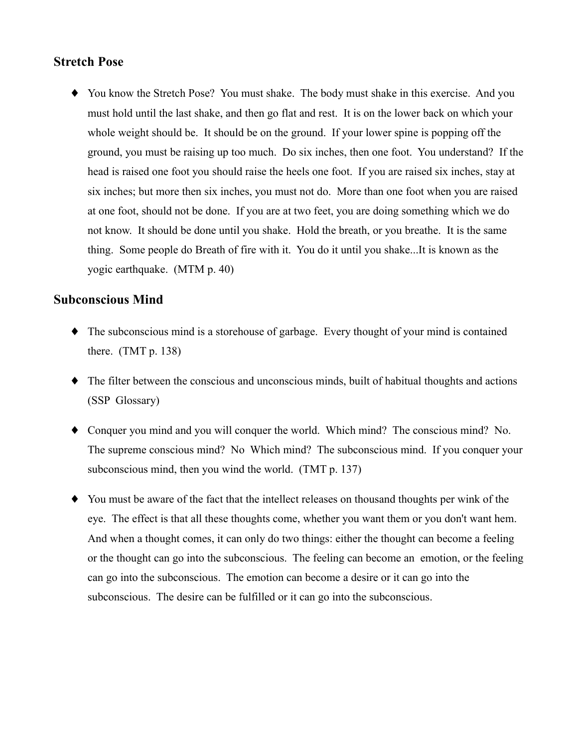#### **Stretch Pose**

• You know the Stretch Pose? You must shake. The body must shake in this exercise. And you must hold until the last shake, and then go flat and rest. It is on the lower back on which your whole weight should be. It should be on the ground. If your lower spine is popping off the ground, you must be raising up too much. Do six inches, then one foot. You understand? If the head is raised one foot you should raise the heels one foot. If you are raised six inches, stay at six inches; but more then six inches, you must not do. More than one foot when you are raised at one foot, should not be done. If you are at two feet, you are doing something which we do not know. It should be done until you shake. Hold the breath, or you breathe. It is the same thing. Some people do Breath of fire with it. You do it until you shake...It is known as the yogic earthquake. (MTM p. 40)

#### **Subconscious Mind**

- $\bullet$  The subconscious mind is a storehouse of garbage. Every thought of your mind is contained there.  $(TMT p. 138)$
- $\bullet$  The filter between the conscious and unconscious minds, built of habitual thoughts and actions (SSP Glossary)
- Conquer you mind and you will conquer the world. Which mind? The conscious mind? No. The supreme conscious mind? No Which mind? The subconscious mind. If you conquer your subconscious mind, then you wind the world. (TMT p. 137)
- You must be aware of the fact that the intellect releases on thousand thoughts per wink of the eye. The effect is that all these thoughts come, whether you want them or you don't want hem. And when a thought comes, it can only do two things: either the thought can become a feeling or the thought can go into the subconscious. The feeling can become an emotion, or the feeling can go into the subconscious. The emotion can become a desire or it can go into the subconscious. The desire can be fulfilled or it can go into the subconscious.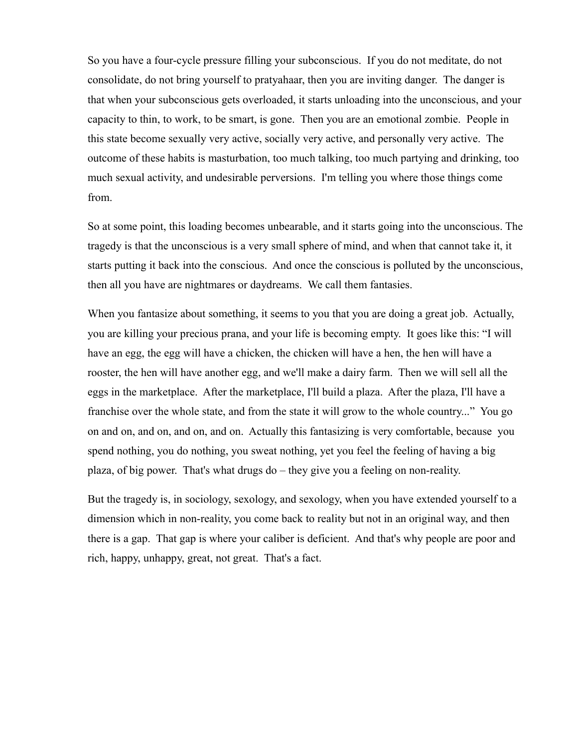So you have a four-cycle pressure filling your subconscious. If you do not meditate, do not consolidate, do not bring yourself to pratyahaar, then you are inviting danger. The danger is that when your subconscious gets overloaded, it starts unloading into the unconscious, and your capacity to thin, to work, to be smart, is gone. Then you are an emotional zombie. People in this state become sexually very active, socially very active, and personally very active. The outcome of these habits is masturbation, too much talking, too much partying and drinking, too much sexual activity, and undesirable perversions. I'm telling you where those things come from.

So at some point, this loading becomes unbearable, and it starts going into the unconscious. The tragedy is that the unconscious is a very small sphere of mind, and when that cannot take it, it starts putting it back into the conscious. And once the conscious is polluted by the unconscious, then all you have are nightmares or daydreams. We call them fantasies.

When you fantasize about something, it seems to you that you are doing a great job. Actually, you are killing your precious prana, and your life is becoming empty. It goes like this: "I will have an egg, the egg will have a chicken, the chicken will have a hen, the hen will have a rooster, the hen will have another egg, and we'll make a dairy farm. Then we will sell all the eggs in the marketplace. After the marketplace, I'll build a plaza. After the plaza, I'll have a franchise over the whole state, and from the state it will grow to the whole country..." You go on and on, and on, and on, and on. Actually this fantasizing is very comfortable, because you spend nothing, you do nothing, you sweat nothing, yet you feel the feeling of having a big plaza, of big power. That's what drugs do – they give you a feeling on non-reality.

But the tragedy is, in sociology, sexology, and sexology, when you have extended yourself to a dimension which in non-reality, you come back to reality but not in an original way, and then there is a gap. That gap is where your caliber is deficient. And that's why people are poor and rich, happy, unhappy, great, not great. That's a fact.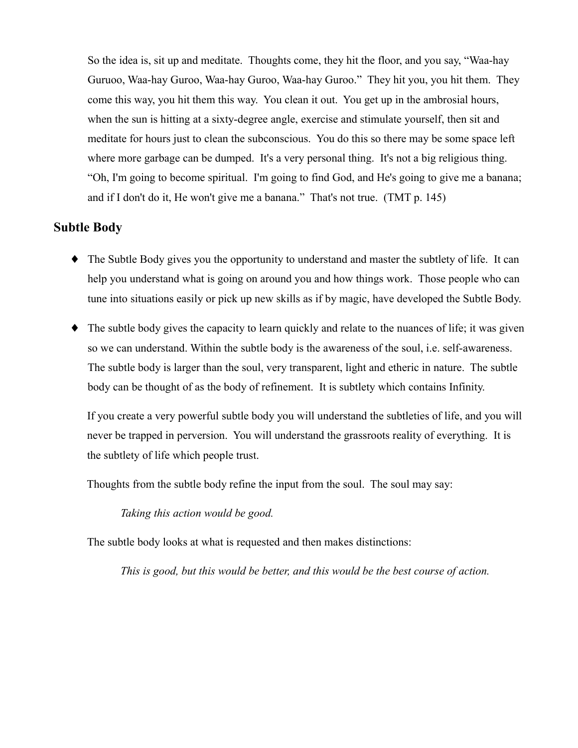So the idea is, sit up and meditate. Thoughts come, they hit the floor, and you say, "Waa-hay Guruoo, Waa-hay Guroo, Waa-hay Guroo, Waa-hay Guroo." They hit you, you hit them. They come this way, you hit them this way. You clean it out. You get up in the ambrosial hours, when the sun is hitting at a sixty-degree angle, exercise and stimulate yourself, then sit and meditate for hours just to clean the subconscious. You do this so there may be some space left where more garbage can be dumped. It's a very personal thing. It's not a big religious thing. "Oh, I'm going to become spiritual. I'm going to find God, and He's going to give me a banana; and if I don't do it, He won't give me a banana." That's not true. (TMT p. 145)

#### **Subtle Body**

- The Subtle Body gives you the opportunity to understand and master the subtlety of life. It can help you understand what is going on around you and how things work. Those people who can tune into situations easily or pick up new skills as if by magic, have developed the Subtle Body.
- $\bullet$  The subtle body gives the capacity to learn quickly and relate to the nuances of life; it was given so we can understand. Within the subtle body is the awareness of the soul, *i.e.* self-awareness. The subtle body is larger than the soul, very transparent, light and etheric in nature. The subtle body can be thought of as the body of refinement. It is subtlety which contains Infinity.

If you create a very powerful subtle body you will understand the subtleties of life, and you will never be trapped in perversion. You will understand the grassroots reality of everything. It is the subtlety of life which people trust.

Thoughts from the subtle body refine the input from the soul. The soul may say:

Taking this action would be good.

The subtle body looks at what is requested and then makes distinctions:

This is good, but this would be better, and this would be the best course of action.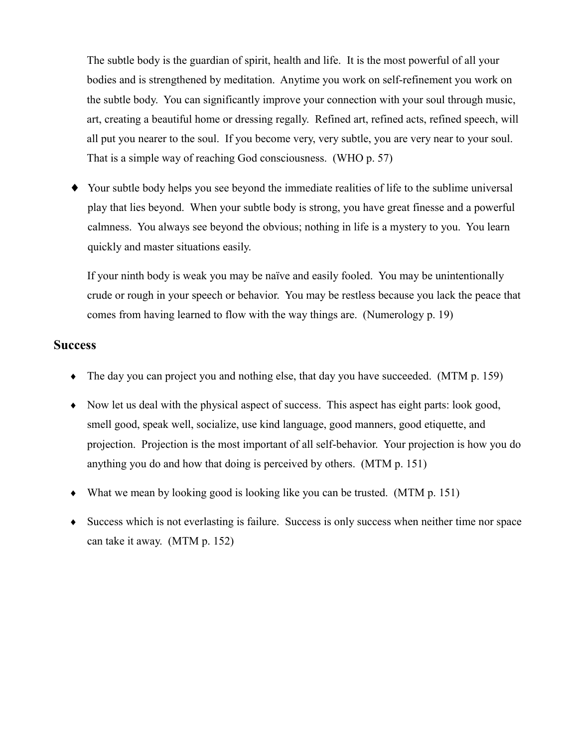The subtle body is the guardian of spirit, health and life. It is the most powerful of all your bodies and is strengthened by meditation. Anytime you work on self-refinement you work on the subtle body. You can significantly improve your connection with your soul through music, art, creating a beautiful home or dressing regally. Refined art, refined acts, refined speech, will all put you nearer to the soul. If you become very, very subtle, you are very near to your soul. That is a simple way of reaching God consciousness. (WHO p. 57)

• Your subtle body helps you see beyond the immediate realities of life to the sublime universal play that lies beyond. When your subtle body is strong, you have great finesse and a powerful calmness. You always see beyond the obvious; nothing in life is a mystery to you. You learn quickly and master situations easily.

If your ninth body is weak you may be naïve and easily fooled. You may be unintentionally crude or rough in your speech or behavior. You may be restless because you lack the peace that comes from having learned to flow with the way things are. (Numerology p. 19)

#### **Success**

- $\bullet$  The day you can project you and nothing else, that day you have succeeded. (MTM p. 159)
- Now let us deal with the physical aspect of success. This aspect has eight parts: look good, smell good, speak well, socialize, use kind language, good manners, good etiquette, and projection. Projection is the most important of all self-behavior. Your projection is how you do anything you do and how that doing is perceived by others. (MTM p. 151)
- What we mean by looking good is looking like you can be trusted. (MTM  $p. 151$ )
- Success which is not everlasting is failure. Success is only success when neither time nor space can take it away. (MTM p. 152)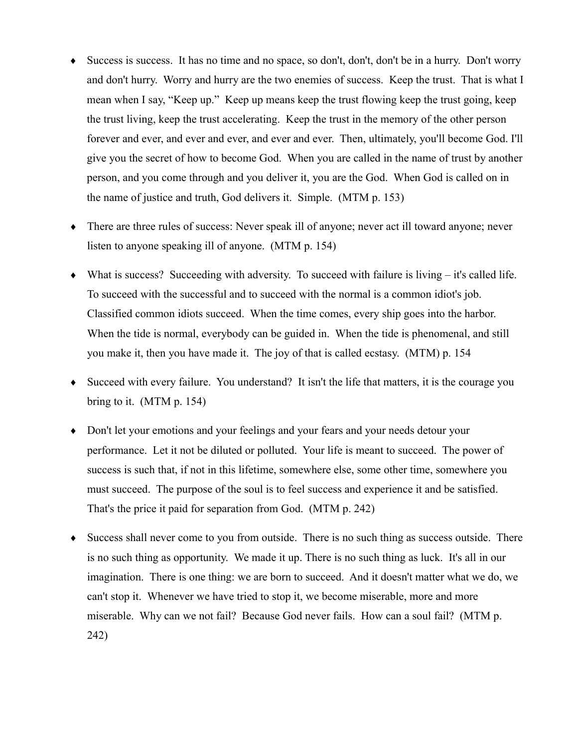- Success is success. It has no time and no space, so don't, don't, don't be in a hurry. Don't worry and don't hurry. Worry and hurry are the two enemies of success. Keep the trust. That is what I mean when I say, "Keep up." Keep up means keep the trust flowing keep the trust going, keep the trust living, keep the trust accelerating. Keep the trust in the memory of the other person forever and ever, and ever and ever, and ever and ever. Then, ultimately, you'll become God. I'll give you the secret of how to become God. When you are called in the name of trust by another person, and you come through and you deliver it, you are the God. When God is called on in the name of justice and truth, God delivers it. Simple. (MTM p. 153)
- There are three rules of success: Never speak ill of anyone; never act ill toward anyone; never listen to anyone speaking ill of anyone. (MTM p. 154)
- What is success? Succeeding with adversity. To succeed with failure is living it's called life. To succeed with the successful and to succeed with the normal is a common idiot's job. Classified common idiots succeed. When the time comes, every ship goes into the harbor. When the tide is normal, everybody can be guided in. When the tide is phenomenal, and still you make it, then you have made it. The joy of that is called ecstasy. (MTM) p. 154
- Succeed with every failure. You understand? It isn't the life that matters, it is the courage you bring to it.  $(MTM p. 154)$
- Don't let your emotions and your feelings and your fears and your needs detour your performance. Let it not be diluted or polluted. Your life is meant to succeed. The power of success is such that, if not in this lifetime, somewhere else, some other time, somewhere you must succeed. The purpose of the soul is to feel success and experience it and be satisfied. That's the price it paid for separation from God. (MTM p. 242)
- Success shall never come to you from outside. There is no such thing as success outside. There is no such thing as opportunity. We made it up. There is no such thing as luck. It's all in our imagination. There is one thing: we are born to succeed. And it doesn't matter what we do, we can't stop it. Whenever we have tried to stop it, we become miserable, more and more miserable. Why can we not fail? Because God never fails. How can a soul fail? (MTM p. 242)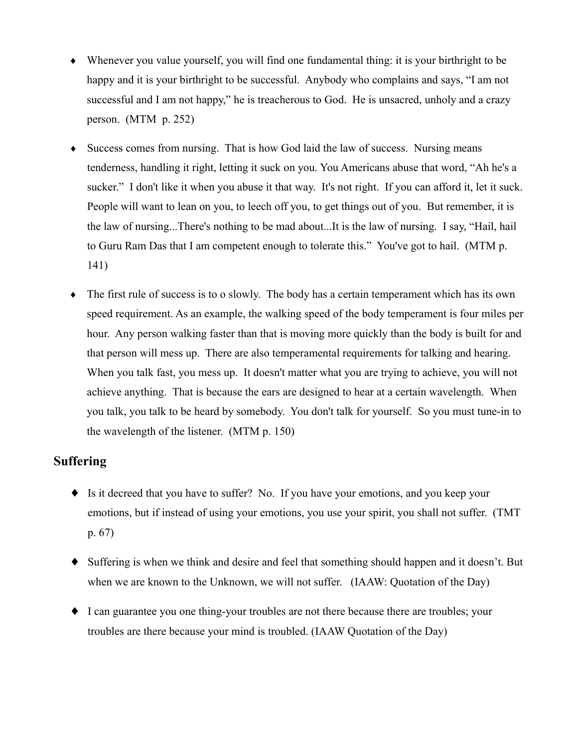- Whenever you value yourself, you will find one fundamental thing: it is your birthright to be happy and it is your birthright to be successful. Anybody who complains and says, "I am not successful and I am not happy," he is treacherous to God. He is unsacred, unholy and a crazy person. (MTM  $p. 252$ )
- Success comes from nursing. That is how God laid the law of success. Nursing means tenderness, handling it right, letting it suck on you. You Americans abuse that word, "Ah he's a sucker." I don't like it when you abuse it that way. It's not right. If you can afford it, let it suck. People will want to lean on you, to leech off you, to get things out of you. But remember, it is the law of nursing...There's nothing to be mad about...It is the law of nursing. I say, "Hail, hail to Guru Ram Das that I am competent enough to tolerate this." You've got to hail. (MTM p.  $141)$
- The first rule of success is to o slowly. The body has a certain temperament which has its own  $\blacklozenge$ speed requirement. As an example, the walking speed of the body temperament is four miles per hour. Any person walking faster than that is moving more quickly than the body is built for and that person will mess up. There are also temperamental requirements for talking and hearing. When you talk fast, you mess up. It doesn't matter what you are trying to achieve, you will not achieve anything. That is because the ears are designed to hear at a certain wavelength. When you talk, you talk to be heard by somebody. You don't talk for yourself. So you must tune-in to the wavelength of the listener. (MTM p. 150)

# **Suffering**

- Is it decreed that you have to suffer? No. If you have your emotions, and you keep your emotions, but if instead of using your emotions, you use your spirit, you shall not suffer. (TMT)  $p. 67)$
- Suffering is when we think and desire and feel that something should happen and it doesn't. But when we are known to the Unknown, we will not suffer. (IAAW: Quotation of the Day)
- I can guarantee you one thing-your troubles are not there because there are troubles; your troubles are there because your mind is troubled. (IAAW Quotation of the Day)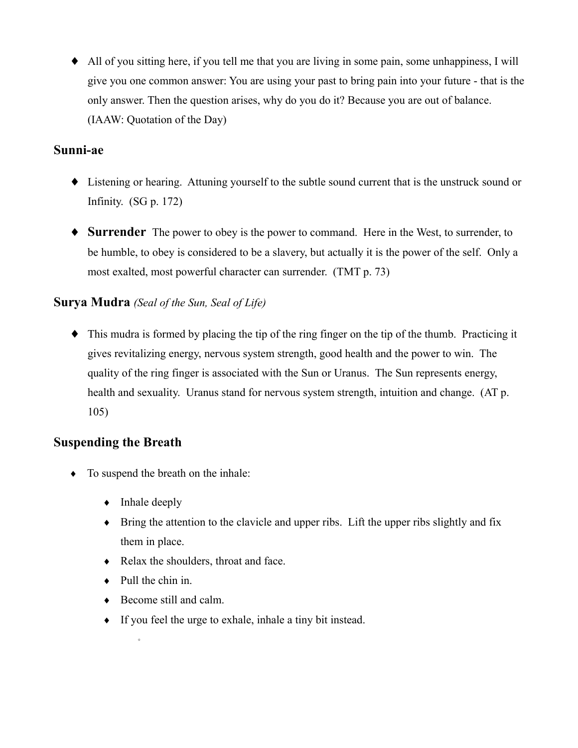• All of you sitting here, if you tell me that you are living in some pain, some unhappiness, I will give you one common answer: You are using your past to bring pain into your future - that is the only answer. Then the question arises, why do you do it? Because you are out of balance. (IAAW: Quotation of the Day)

### Sunni-ae

- Listening or hearing. Attuning yourself to the subtle sound current that is the unstruck sound or Infinity.  $(SG p. 172)$
- $\bullet$  **Surrender** The power to obey is the power to command. Here in the West, to surrender, to be humble, to obey is considered to be a slavery, but actually it is the power of the self. Only a most exalted, most powerful character can surrender. (TMT p. 73)

## **Surya Mudra** (Seal of the Sun, Seal of Life)

 $\bullet$  This mudra is formed by placing the tip of the ring finger on the tip of the thumb. Practicing it gives revitalizing energy, nervous system strength, good health and the power to win. The quality of the ring finger is associated with the Sun or Uranus. The Sun represents energy, health and sexuality. Uranus stand for nervous system strength, intuition and change. (AT p.  $105)$ 

## **Suspending the Breath**

- $\bullet$  To suspend the breath on the inhale:
	- $\bullet$  Inhale deeply
	- $\bullet$  Bring the attention to the clavicle and upper ribs. Lift the upper ribs slightly and fix them in place.
	- Relax the shoulders, throat and face.
	- $\bullet$  Pull the chin in.

 $\circ$ 

- $\bullet$  Become still and calm.
- $\bullet$  If you feel the urge to exhale, inhale a tiny bit instead.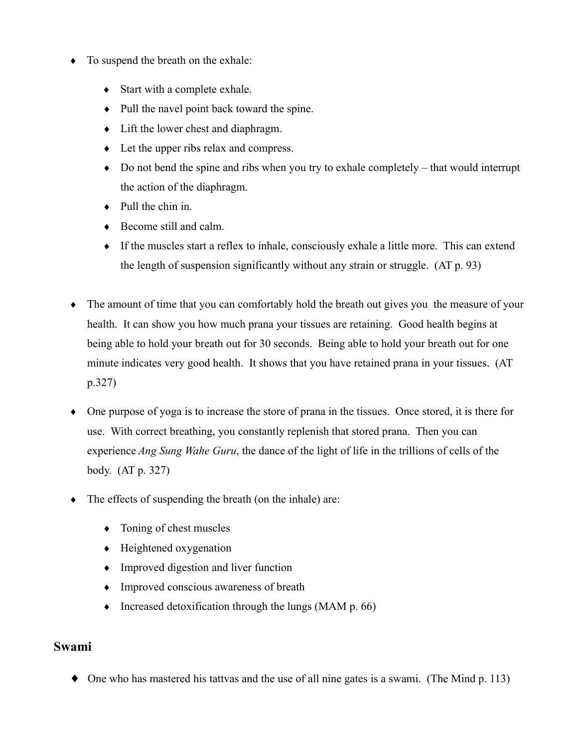- To suspend the breath on the exhale:
	- $\bullet$  Start with a complete exhale.
	- Pull the navel point back toward the spine.
	- $\bullet$  Lift the lower chest and diaphragm.
	- $\bullet$  Let the upper ribs relax and compress.
	- $\bullet$  Do not bend the spine and ribs when you try to exhale completely that would interrupt the action of the diaphragm.
	- $\bullet$  Pull the chin in.
	- $\triangle$  Become still and calm.
	- $\bullet$  If the muscles start a reflex to inhale, consciously exhale a little more. This can extend the length of suspension significantly without any strain or struggle. (AT p. 93)
- The amount of time that you can comfortably hold the breath out gives you the measure of your health. It can show you how much prana your tissues are retaining. Good health begins at being able to hold your breath out for 30 seconds. Being able to hold your breath out for one minute indicates very good health. It shows that you have retained prana in your tissues. (AT  $p.327)$
- $\bullet$  One purpose of yoga is to increase the store of prana in the tissues. Once stored, it is there for use. With correct breathing, you constantly replenish that stored prana. Then you can experience Ang Sung Wahe Guru, the dance of the light of life in the trillions of cells of the body.  $(AT p. 327)$
- The effects of suspending the breath (on the inhale) are:  $\blacklozenge$ 
	- $\bullet$  Toning of chest muscles
	- $\bullet$  Heightened oxygenation
	- $\bullet$  Improved digestion and liver function
	- Improved conscious awareness of breath
	- $\bullet$  Increased detoxification through the lungs (MAM p. 66)

#### **Swami**

 $\bullet$  One who has mastered his tattvas and the use of all nine gates is a swami. (The Mind p. 113)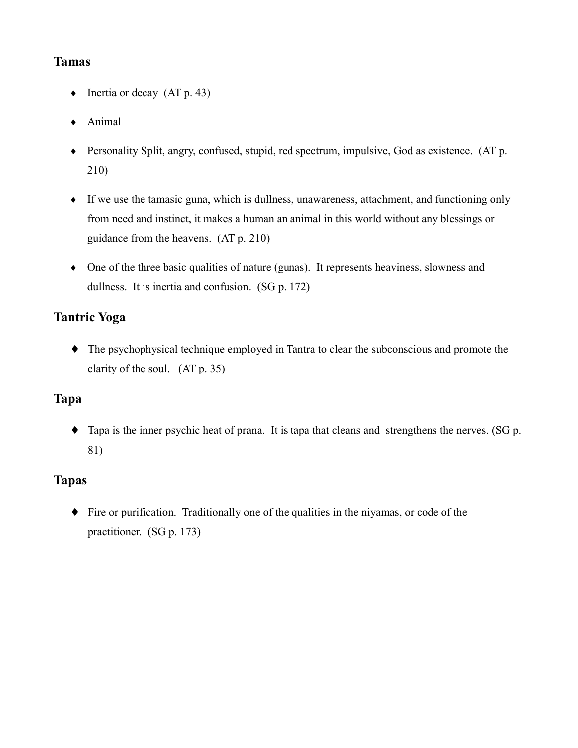## **Tamas**

- $\bullet$  Inertia or decay (AT p. 43)
- $\triangle$  Animal
- Personality Split, angry, confused, stupid, red spectrum, impulsive, God as existence. (AT p. 210)
- If we use the tamasic guna, which is dullness, unawareness, attachment, and functioning only from need and instinct, it makes a human an animal in this world without any blessings or guidance from the heavens. (AT p. 210)
- One of the three basic qualities of nature (gunas). It represents heaviness, slowness and dullness. It is inertia and confusion. (SG p. 172)

# **Tantric Yoga**

 $\bullet$  The psychophysical technique employed in Tantra to clear the subconscious and promote the clarity of the soul.  $(AT p. 35)$ 

# Tapa

 $\bullet$  Tapa is the inner psychic heat of prana. It is tapa that cleans and strengthens the nerves. (SG p. 81)

## **Tapas**

 $\bullet$  Fire or purification. Traditionally one of the qualities in the niyamas, or code of the practitioner. (SG p. 173)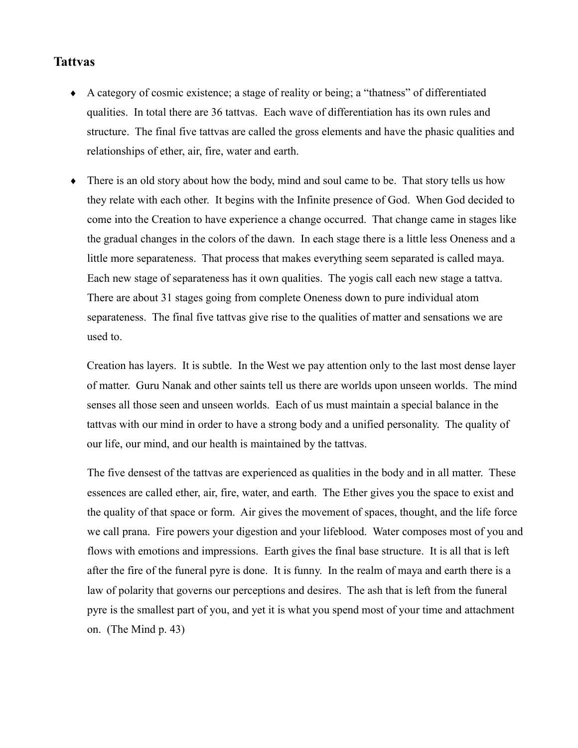#### **Tattvas**

- A category of cosmic existence; a stage of reality or being; a "thatness" of differentiated qualities. In total there are 36 tattvas. Each wave of differentiation has its own rules and structure. The final five tattvas are called the gross elements and have the phasic qualities and relationships of ether, air, fire, water and earth.
- $\bullet$ There is an old story about how the body, mind and soul came to be. That story tells us how they relate with each other. It begins with the Infinite presence of God. When God decided to come into the Creation to have experience a change occurred. That change came in stages like the gradual changes in the colors of the dawn. In each stage there is a little less Oneness and a little more separateness. That process that makes everything seem separated is called maya. Each new stage of separateness has it own qualities. The yogis call each new stage a tattva. There are about 31 stages going from complete Oneness down to pure individual atom separateness. The final five tattvas give rise to the qualities of matter and sensations we are used to.

Creation has layers. It is subtle. In the West we pay attention only to the last most dense layer of matter. Guru Nanak and other saints tell us there are worlds upon unseen worlds. The mind senses all those seen and unseen worlds. Each of us must maintain a special balance in the tatty as with our mind in order to have a strong body and a unified personality. The quality of our life, our mind, and our health is maintained by the tattvas.

The five densest of the tattvas are experienced as qualities in the body and in all matter. These essences are called ether, air, fire, water, and earth. The Ether gives you the space to exist and the quality of that space or form. Air gives the movement of spaces, thought, and the life force we call prana. Fire powers your digestion and your lifeblood. Water composes most of you and flows with emotions and impressions. Earth gives the final base structure. It is all that is left after the fire of the funeral pyre is done. It is funny. In the realm of maya and earth there is a law of polarity that governs our perceptions and desires. The ash that is left from the funeral pyre is the smallest part of you, and yet it is what you spend most of your time and attachment on. (The Mind  $p. 43$ )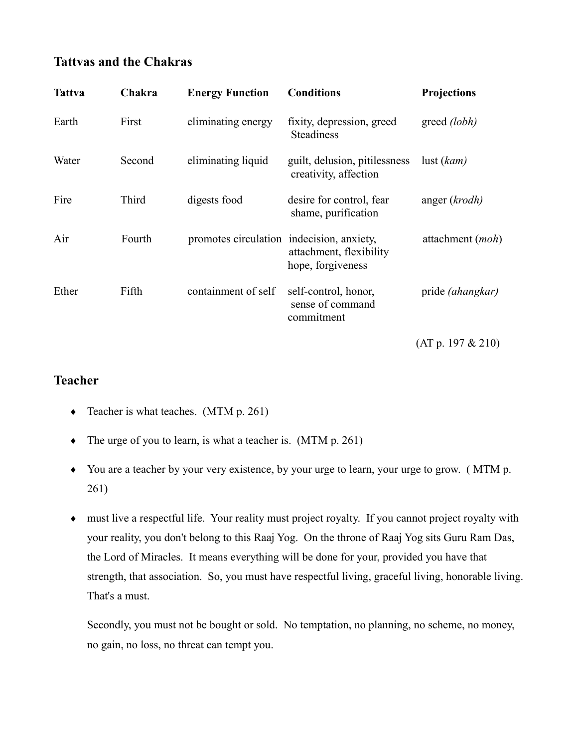## **Tattvas and the Chakras**

| <b>Tattva</b> | Chakra | <b>Energy Function</b>                    | <b>Conditions</b>                                      | <b>Projections</b>      |
|---------------|--------|-------------------------------------------|--------------------------------------------------------|-------------------------|
| Earth         | First  | eliminating energy                        | fixity, depression, greed<br><b>Steadiness</b>         | greed (lobh)            |
| Water         | Second | eliminating liquid                        | guilt, delusion, pitilessness<br>creativity, affection | $\text{lust}(kam)$      |
| Fire          | Third  | digests food                              | desire for control, fear<br>shame, purification        | anger (krodh)           |
| Air           | Fourth | promotes circulation indecision, anxiety, | attachment, flexibility<br>hope, forgiveness           | attachment (moh)        |
| Ether         | Fifth  | containment of self                       | self-control, honor,<br>sense of command<br>commitment | pride <i>(ahangkar)</i> |
|               |        |                                           |                                                        | (AT p. 197 & 210)       |

## **Teacher**

- Teacher is what teaches. (MTM  $p. 261$ )
- The urge of you to learn, is what a teacher is.  $(MTM p. 261)$
- You are a teacher by your very existence, by your urge to learn, your urge to grow. (MTM p.  $261)$
- must live a respectful life. Your reality must project royalty. If you cannot project royalty with your reality, you don't belong to this Raaj Yog. On the throne of Raaj Yog sits Guru Ram Das, the Lord of Miracles. It means everything will be done for your, provided you have that strength, that association. So, you must have respectful living, graceful living, honorable living. That's a must.

Secondly, you must not be bought or sold. No temptation, no planning, no scheme, no money, no gain, no loss, no threat can tempt you.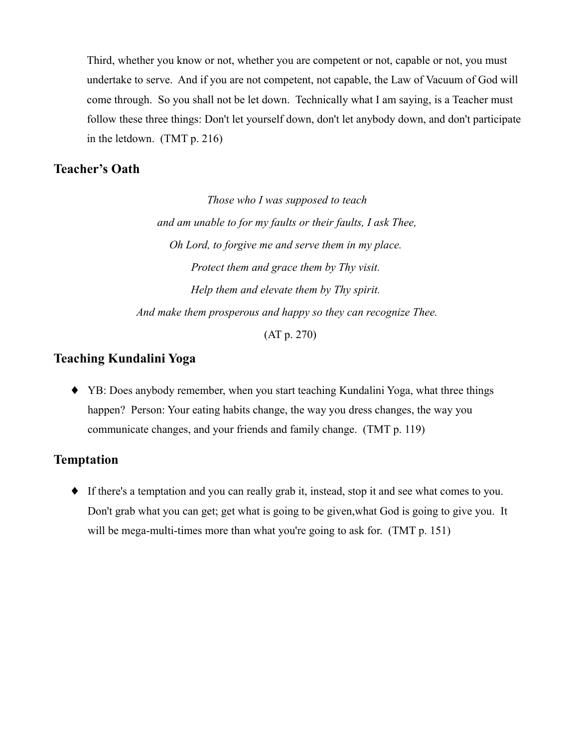Third, whether you know or not, whether you are competent or not, capable or not, you must undertake to serve. And if you are not competent, not capable, the Law of Vacuum of God will come through. So you shall not be let down. Technically what I am saying, is a Teacher must follow these three things: Don't let yourself down, don't let anybody down, and don't participate in the letdown.  $(TMT p. 216)$ 

#### **Teacher's Oath**

Those who I was supposed to teach and am unable to for my faults or their faults, I ask Thee, Oh Lord, to forgive me and serve them in my place. Protect them and grace them by Thy visit. Help them and elevate them by Thy spirit. And make them prosperous and happy so they can recognize Thee.

 $(AT p. 270)$ 

#### **Teaching Kundalini Yoga**

• YB: Does anybody remember, when you start teaching Kundalini Yoga, what three things happen? Person: Your eating habits change, the way you dress changes, the way you communicate changes, and your friends and family change. (TMT p. 119)

#### **Temptation**

• If there's a temptation and you can really grab it, instead, stop it and see what comes to you. Don't grab what you can get; get what is going to be given, what God is going to give you. It will be mega-multi-times more than what you're going to ask for. (TMT p. 151)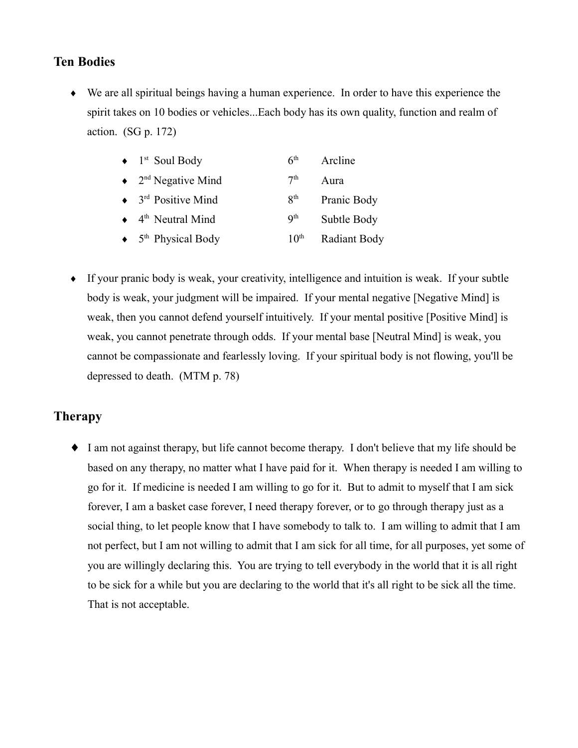## **Ten Bodies**

• We are all spiritual beings having a human experience. In order to have this experience the spirit takes on 10 bodies or vehicles...Each body has its own quality, function and realm of action.  $(SG p. 172)$ 

| $\bullet$ 1 <sup>st</sup> Soul Body            | 6 <sup>th</sup>          | Arcline             |
|------------------------------------------------|--------------------------|---------------------|
| $\bullet$ 2 <sup>nd</sup> Negative Mind        | 7 <sup>th</sup>          | Aura                |
| $\bullet$ 3 <sup>rd</sup> Positive Mind        | 8 <sup>th</sup>          | Pranic Body         |
| $\leftrightarrow$ 4 <sup>th</sup> Neutral Mind | $\mathbf{Q}^{\text{th}}$ | Subtle Body         |
| $\bullet$ 5 <sup>th</sup> Physical Body        | 10 <sup>th</sup>         | <b>Radiant Body</b> |

• If your pranic body is weak, your creativity, intelligence and intuition is weak. If your subtle body is weak, your judgment will be impaired. If your mental negative [Negative Mind] is weak, then you cannot defend yourself intuitively. If your mental positive [Positive Mind] is weak, you cannot penetrate through odds. If your mental base [Neutral Mind] is weak, you cannot be compassionate and fearlessly loving. If your spiritual body is not flowing, you'll be depressed to death. (MTM p. 78)

## **Therapy**

• I am not against therapy, but life cannot become therapy. I don't believe that my life should be based on any therapy, no matter what I have paid for it. When therapy is needed I am willing to go for it. If medicine is needed I am willing to go for it. But to admit to myself that I am sick forever, I am a basket case forever, I need therapy forever, or to go through therapy just as a social thing, to let people know that I have somebody to talk to. I am willing to admit that I am not perfect, but I am not willing to admit that I am sick for all time, for all purposes, yet some of you are willingly declaring this. You are trying to tell everybody in the world that it is all right to be sick for a while but you are declaring to the world that it's all right to be sick all the time. That is not acceptable.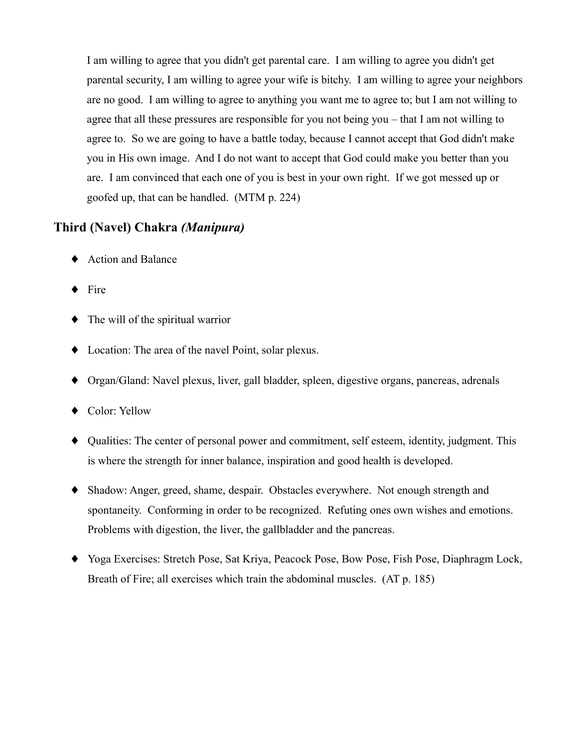I am willing to agree that you didn't get parental care. I am willing to agree you didn't get parental security. I am willing to agree your wife is bitchy. I am willing to agree your neighbors are no good. I am willing to agree to anything you want me to agree to; but I am not willing to agree that all these pressures are responsible for you not being you  $-$  that I am not willing to agree to. So we are going to have a battle today, because I cannot accept that God didn't make you in His own image. And I do not want to accept that God could make you better than you are. I am convinced that each one of you is best in your own right. If we got messed up or goofed up, that can be handled. (MTM p. 224)

### Third (Navel) Chakra (Manipura)

- ♦ Action and Balance
- $\bullet$  Fire
- $\bullet$  The will of the spiritual warrior
- $\bullet$  Location: The area of the navel Point, solar plexus.
- Organ/Gland: Navel plexus, liver, gall bladder, spleen, digestive organs, pancreas, adrenals
- ◆ Color: Yellow
- Qualities: The center of personal power and commitment, self esteem, identity, judgment. This is where the strength for inner balance, inspiration and good health is developed.
- Shadow: Anger, greed, shame, despair. Obstacles everywhere. Not enough strength and spontaneity. Conforming in order to be recognized. Refuting ones own wishes and emotions. Problems with digestion, the liver, the gallbladder and the pancreas.
- Yoga Exercises: Stretch Pose, Sat Kriya, Peacock Pose, Bow Pose, Fish Pose, Diaphragm Lock, Breath of Fire; all exercises which train the abdominal muscles. (AT p. 185)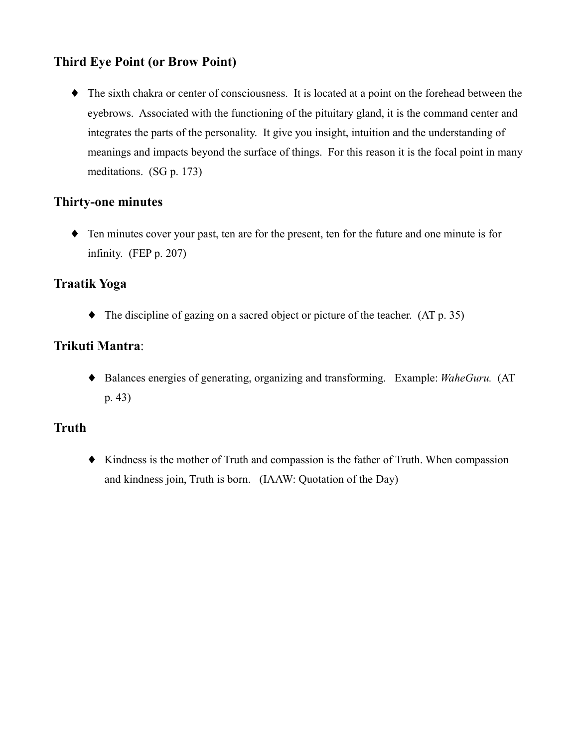# **Third Eye Point (or Brow Point)**

• The sixth chakra or center of consciousness. It is located at a point on the forehead between the eyebrows. Associated with the functioning of the pituitary gland, it is the command center and integrates the parts of the personality. It give you insight, intuition and the understanding of meanings and impacts beyond the surface of things. For this reason it is the focal point in many meditations.  $(SG p. 173)$ 

## **Thirty-one minutes**

• Ten minutes cover your past, ten are for the present, ten for the future and one minute is for infinity. (FEP  $p. 207$ )

### **Traatik Yoga**

 $\blacklozenge$  The discipline of gazing on a sacred object or picture of the teacher. (AT p. 35)

## Trikuti Mantra:

• Balances energies of generating, organizing and transforming. Example: WaheGuru. (AT  $p. 43)$ 

## **Truth**

• Kindness is the mother of Truth and compassion is the father of Truth. When compassion and kindness join, Truth is born. (IAAW: Quotation of the Day)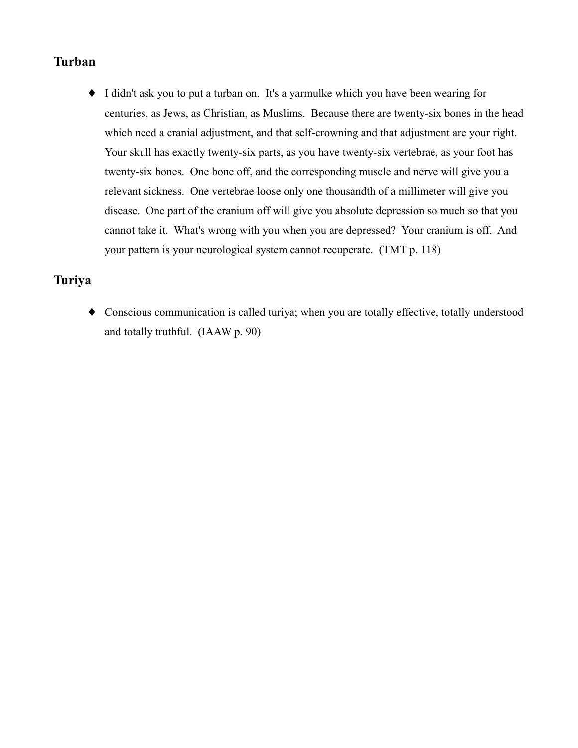# **Turban**

• I didn't ask you to put a turban on. It's a yarmulke which you have been wearing for centuries, as Jews, as Christian, as Muslims. Because there are twenty-six bones in the head which need a cranial adjustment, and that self-crowning and that adjustment are your right. Your skull has exactly twenty-six parts, as you have twenty-six vertebrae, as your foot has twenty-six bones. One bone off, and the corresponding muscle and nerve will give you a relevant sickness. One vertebrae loose only one thousandth of a millimeter will give you disease. One part of the cranium off will give you absolute depression so much so that you cannot take it. What's wrong with you when you are depressed? Your cranium is off. And your pattern is your neurological system cannot recuperate. (TMT p. 118)

### **Turiya**

• Conscious communication is called turiya; when you are totally effective, totally understood and totally truthful. (IAAW p. 90)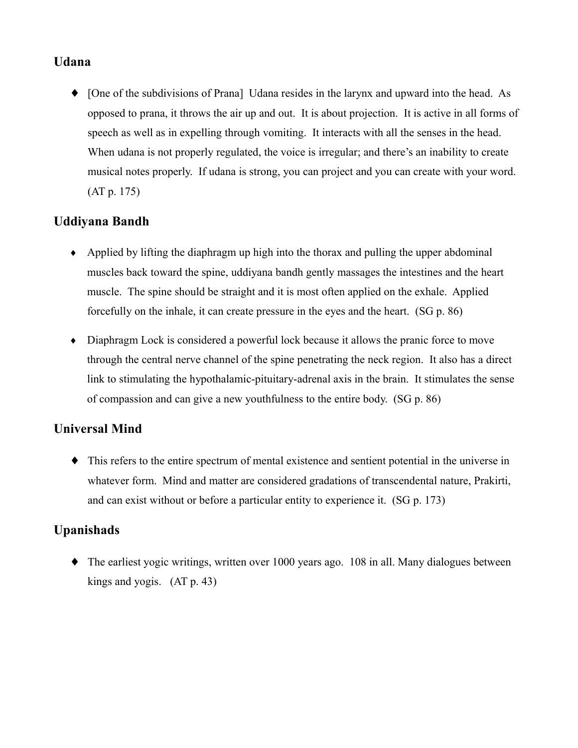## **Udana**

• [One of the subdivisions of Prana] Udana resides in the larynx and upward into the head. As opposed to prana, it throws the air up and out. It is about projection. It is active in all forms of speech as well as in expelling through vomiting. It interacts with all the senses in the head. When udana is not properly regulated, the voice is irregular; and there's an inability to create musical notes properly. If udana is strong, you can project and you can create with your word.  $(AT p. 175)$ 

## **Uddivana Bandh**

- $\bullet$  Applied by lifting the diaphragm up high into the thorax and pulling the upper abdominal muscles back toward the spine, uddivana bandh gently massages the intestines and the heart muscle. The spine should be straight and it is most often applied on the exhale. Applied forcefully on the inhale, it can create pressure in the eyes and the heart. (SG p. 86)
- Diaphragm Lock is considered a powerful lock because it allows the pranic force to move through the central nerve channel of the spine penetrating the neck region. It also has a direct link to stimulating the hypothalamic-pituitary-adrenal axis in the brain. It stimulates the sense of compassion and can give a new youthfulness to the entire body. (SG p. 86)

## **Universal Mind**

 $\bullet$  This refers to the entire spectrum of mental existence and sentient potential in the universe in whatever form. Mind and matter are considered gradations of transcendental nature, Prakirti, and can exist without or before a particular entity to experience it. (SG p. 173)

## **Upanishads**

 $\blacklozenge$  The earliest yogic writings, written over 1000 years ago. 108 in all. Many dialogues between kings and yogis.  $(AT p. 43)$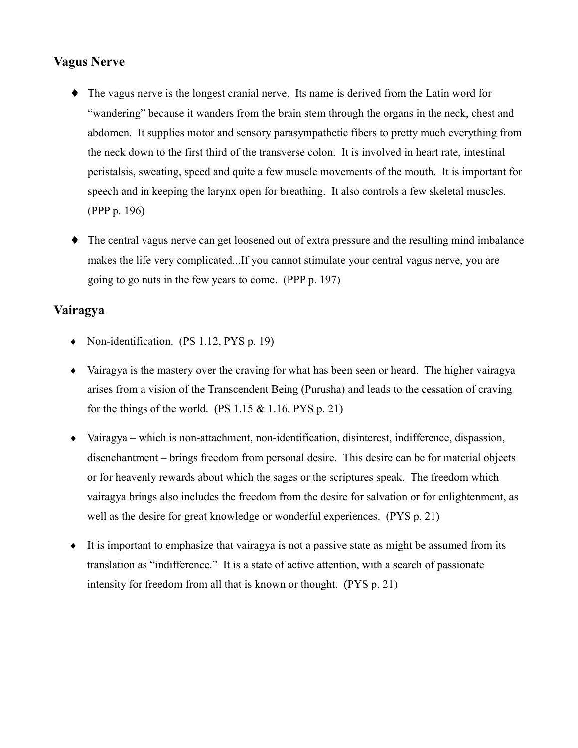## **Vagus Nerve**

- The vagus nerve is the longest cranial nerve. Its name is derived from the Latin word for "wandering" because it wanders from the brain stem through the organs in the neck, chest and abdomen. It supplies motor and sensory parasympathetic fibers to pretty much everything from the neck down to the first third of the transverse colon. It is involved in heart rate, intestinal peristalsis, sweating, speed and quite a few muscle movements of the mouth. It is important for speech and in keeping the larynx open for breathing. It also controls a few skeletal muscles. (PPP p. 196)
- The central vagus nerve can get loosened out of extra pressure and the resulting mind imbalance makes the life very complicated...If you cannot stimulate your central vagus nerve, you are going to go nuts in the few years to come. (PPP p. 197)

### Vairagya

- Non-identification.  $(PS 1.12, PYS p. 19)$
- Vairagya is the mastery over the craving for what has been seen or heard. The higher vairagya arises from a vision of the Transcendent Being (Purusha) and leads to the cessation of craving for the things of the world. (PS  $1.15 \& 1.16$ , PYS p. 21)
- $\bullet$  Vairagya which is non-attachment, non-identification, disinterest, indifference, dispassion, disenchantment – brings freedom from personal desire. This desire can be for material objects or for heavenly rewards about which the sages or the scriptures speak. The freedom which vairagya brings also includes the freedom from the desire for salvation or for enlightenment, as well as the desire for great knowledge or wonderful experiences. (PYS p. 21)
- It is important to emphasize that vairagy is not a passive state as might be assumed from its translation as "indifference." It is a state of active attention, with a search of passionate intensity for freedom from all that is known or thought. (PYS p. 21)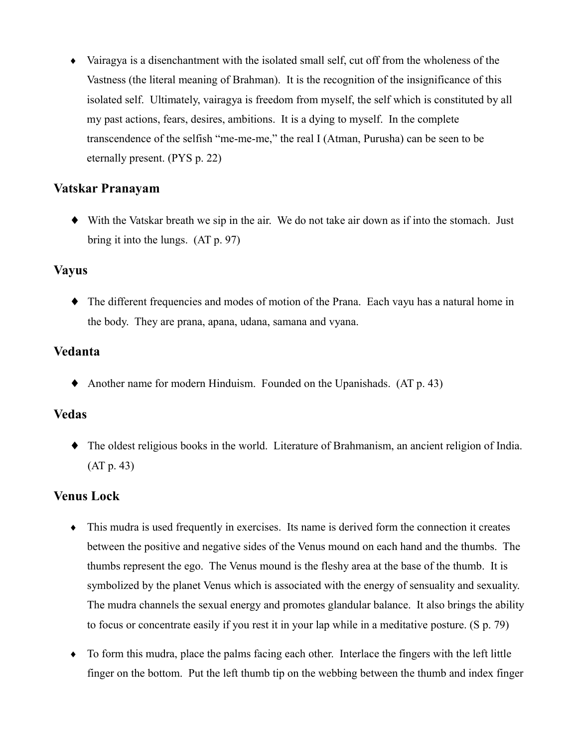• Vairagya is a disenchantment with the isolated small self, cut off from the wholeness of the Vastness (the literal meaning of Brahman). It is the recognition of the insignificance of this isolated self. Ultimately, vairagya is freedom from myself, the self which is constituted by all my past actions, fears, desires, ambitions. It is a dying to myself. In the complete transcendence of the selfish "me-me-me," the real I (Atman, Purusha) can be seen to be eternally present. (PYS p. 22)

### Vatskar Pranayam

• With the Vatskar breath we sip in the air. We do not take air down as if into the stomach. Just bring it into the lungs.  $(AT p. 97)$ 

#### **Vavus**

• The different frequencies and modes of motion of the Prana. Each vayu has a natural home in the body. They are prana, apana, udana, samana and vvana.

### Vedanta

• Another name for modern Hinduism. Founded on the Upanishads.  $(AT p. 43)$ 

#### **Vedas**

 $\bullet$  The oldest religious books in the world. Literature of Brahmanism, an ancient religion of India.  $(AT p. 43)$ 

### **Venus Lock**

- This mudra is used frequently in exercises. Its name is derived form the connection it creates between the positive and negative sides of the Venus mound on each hand and the thumbs. The thumbs represent the ego. The Venus mound is the fleshy area at the base of the thumb. It is symbolized by the planet Venus which is associated with the energy of sensuality and sexuality. The mudra channels the sexual energy and promotes glandular balance. It also brings the ability to focus or concentrate easily if you rest it in your lap while in a meditative posture. (S p. 79)
- To form this mudra, place the palms facing each other. Interlace the fingers with the left little finger on the bottom. Put the left thumb tip on the webbing between the thumb and index finger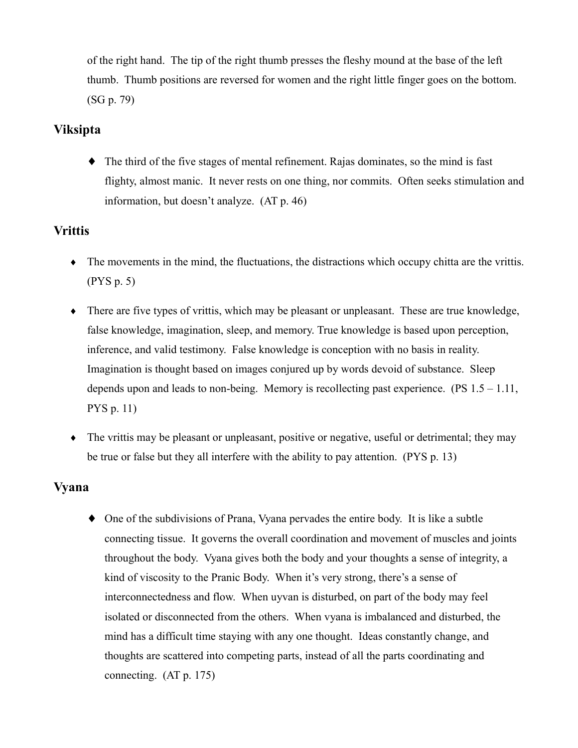of the right hand. The tip of the right thumb presses the fleshy mound at the base of the left thumb. Thumb positions are reversed for women and the right little finger goes on the bottom.  $(SG p. 79)$ 

## **Viksipta**

 $\bullet$  The third of the five stages of mental refinement. Rajas dominates, so the mind is fast flighty, almost manic. It never rests on one thing, nor commits. Often seeks stimulation and information, but doesn't analyze. (AT p. 46)

# **Vrittis**

- $\bullet$  The movements in the mind, the fluctuations, the distractions which occupy chitta are the vrittis.  $(PYS p. 5)$
- There are five types of vrittis, which may be pleasant or unpleasant. These are true knowledge, false knowledge, imagination, sleep, and memory. True knowledge is based upon perception, inference, and valid testimony. False knowledge is conception with no basis in reality. Imagination is thought based on images conjured up by words devoid of substance. Sleep depends upon and leads to non-being. Memory is recollecting past experience.  $(PS 1.5 - 1.11,$  $PYS p. 11$
- The vrittis may be pleasant or unpleasant, positive or negative, useful or detrimental; they may be true or false but they all interfere with the ability to pay attention. (PYS p. 13)

## **Vyana**

• One of the subdivisions of Prana, Vyana pervades the entire body. It is like a subtle connecting tissue. It governs the overall coordination and movement of muscles and joints throughout the body. Vyana gives both the body and your thoughts a sense of integrity, a kind of viscosity to the Pranic Body. When it's very strong, there's a sense of interconnectedness and flow. When uyvan is disturbed, on part of the body may feel isolated or disconnected from the others. When vyana is imbalanced and disturbed, the mind has a difficult time staying with any one thought. Ideas constantly change, and thoughts are scattered into competing parts, instead of all the parts coordinating and connecting.  $(AT p. 175)$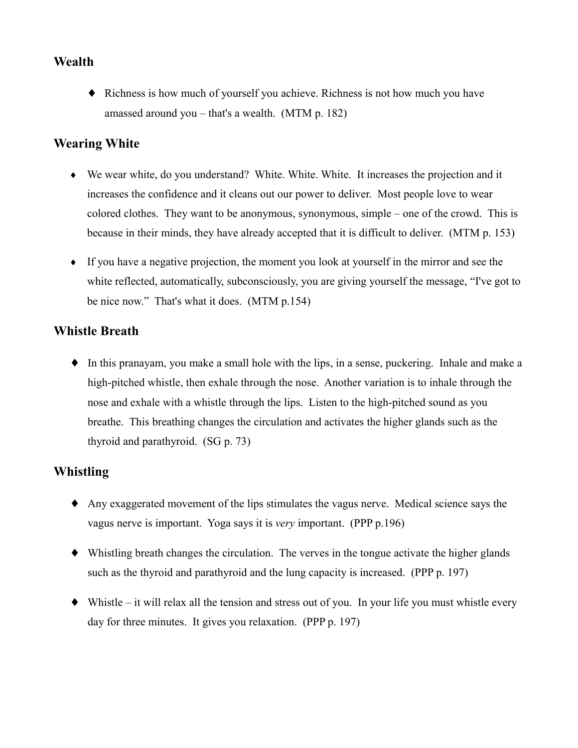## **Wealth**

• Richness is how much of yourself you achieve. Richness is not how much you have amassed around you  $-$  that's a wealth. (MTM p. 182)

### **Wearing White**

- We wear white, do you understand? White. White. White. It increases the projection and it increases the confidence and it cleans out our power to deliver. Most people love to wear colored clothes. They want to be anonymous, synonymous, simple – one of the crowd. This is because in their minds, they have already accepted that it is difficult to deliver. (MTM p. 153)
- If you have a negative projection, the moment you look at yourself in the mirror and see the white reflected, automatically, subconsciously, you are giving yourself the message, "I've got to be nice now." That's what it does. (MTM p.154)

### **Whistle Breath**

• In this pranayam, you make a small hole with the lips, in a sense, puckering. Inhale and make a high-pitched whistle, then exhale through the nose. Another variation is to inhale through the nose and exhale with a whistle through the lips. Listen to the high-pitched sound as you breathe. This breathing changes the circulation and activates the higher glands such as the thyroid and parathyroid.  $(SG p. 73)$ 

### **Whistling**

- Any exaggerated movement of the lips stimulates the vagus nerve. Medical science says the vagus nerve is important. Yoga says it is *very* important. (PPP p.196)
- Whistling breath changes the circulation. The verves in the tongue activate the higher glands such as the thyroid and parathyroid and the lung capacity is increased. (PPP p. 197)
- Whistle it will relax all the tension and stress out of you. In your life you must whistle every day for three minutes. It gives you relaxation. (PPP p. 197)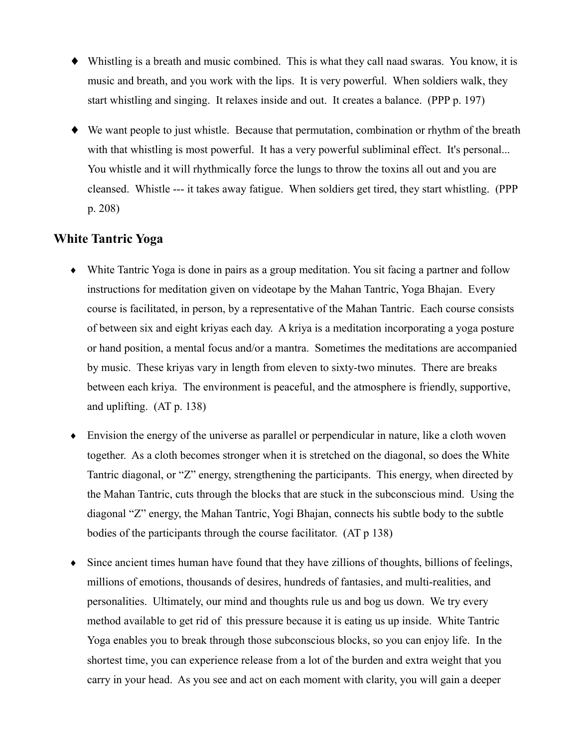- Whistling is a breath and music combined. This is what they call naad swaras. You know, it is music and breath, and you work with the lips. It is very powerful. When soldiers walk, they start whistling and singing. It relaxes inside and out. It creates a balance. (PPP p. 197)
- We want people to just whistle. Because that permutation, combination or rhythm of the breath with that whistling is most powerful. It has a very powerful subliminal effect. It's personal... You whistle and it will rhythmically force the lungs to throw the toxins all out and you are cleansed. Whistle --- it takes away fatigue. When soldiers get tired, they start whistling. (PPP  $p. 208$

### **White Tantric Yoga**

- White Tantric Yoga is done in pairs as a group meditation. You sit facing a partner and follow instructions for meditation given on videotape by the Mahan Tantric, Yoga Bhajan. Every course is facilitated, in person, by a representative of the Mahan Tantric. Each course consists of between six and eight krivas each day. A kriva is a meditation incorporating a yoga posture or hand position, a mental focus and/or a mantra. Sometimes the meditations are accompanied by music. These kriyas vary in length from eleven to sixty-two minutes. There are breaks between each kriva. The environment is peaceful, and the atmosphere is friendly, supportive, and uplifting.  $(AT p. 138)$
- Envision the energy of the universe as parallel or perpendicular in nature, like a cloth woven together. As a cloth becomes stronger when it is stretched on the diagonal, so does the White Tantric diagonal, or "Z" energy, strengthening the participants. This energy, when directed by the Mahan Tantric, cuts through the blocks that are stuck in the subconscious mind. Using the diagonal "Z" energy, the Mahan Tantric, Yogi Bhajan, connects his subtle body to the subtle bodies of the participants through the course facilitator. (AT p 138)
- $\bullet$  Since ancient times human have found that they have zillions of thoughts, billions of feelings, millions of emotions, thousands of desires, hundreds of fantasies, and multi-realities, and personalities. Ultimately, our mind and thoughts rule us and bog us down. We try every method available to get rid of this pressure because it is eating us up inside. White Tantric Yoga enables you to break through those subconscious blocks, so you can enjoy life. In the shortest time, you can experience release from a lot of the burden and extra weight that you carry in your head. As you see and act on each moment with clarity, you will gain a deeper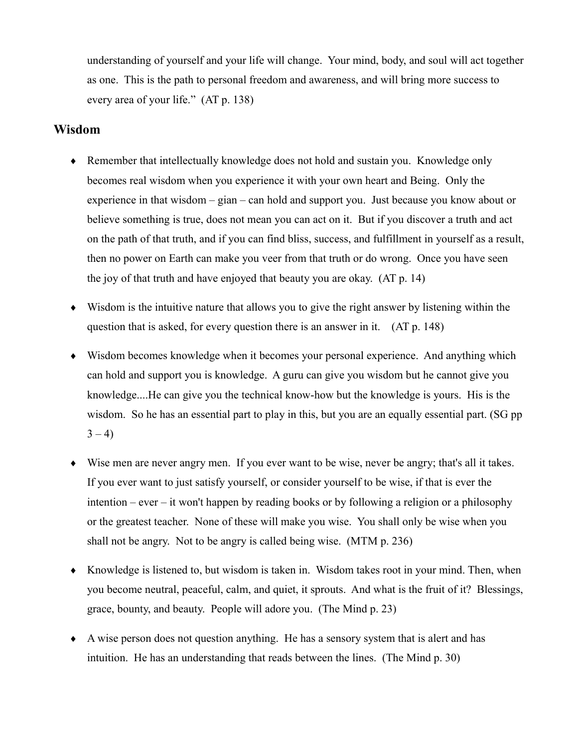understanding of yourself and your life will change. Your mind, body, and soul will act together as one. This is the path to personal freedom and awareness, and will bring more success to every area of your life." (AT p. 138)

#### Wisdom

- Remember that intellectually knowledge does not hold and sustain you. Knowledge only becomes real wisdom when you experience it with your own heart and Being. Only the experience in that wisdom  $-\operatorname{gian} - \operatorname{can}$  hold and support you. Just because you know about or believe something is true, does not mean you can act on it. But if you discover a truth and act on the path of that truth, and if you can find bliss, success, and fulfillment in yourself as a result, then no power on Earth can make you veer from that truth or do wrong. Once you have seen the joy of that truth and have enjoyed that beauty you are okay. (AT p. 14)
- Wisdom is the intuitive nature that allows you to give the right answer by listening within the question that is asked, for every question there is an answer in it. (AT p. 148)
- Wisdom becomes knowledge when it becomes your personal experience. And anything which can hold and support you is knowledge. A guru can give you wisdom but he cannot give you knowledge....He can give you the technical know-how but the knowledge is yours. His is the wisdom. So he has an essential part to play in this, but you are an equally essential part. (SG pp)  $3 - 4$
- Wise men are never angry men. If you ever want to be wise, never be angry; that's all it takes. If you ever want to just satisfy yourself, or consider yourself to be wise, if that is ever the intention – ever – it won't happen by reading books or by following a religion or a philosophy or the greatest teacher. None of these will make you wise. You shall only be wise when you shall not be angry. Not to be angry is called being wise. (MTM p. 236)
- Knowledge is listened to, but wisdom is taken in. Wisdom takes root in your mind. Then, when you become neutral, peaceful, calm, and quiet, it sprouts. And what is the fruit of it? Blessings, grace, bounty, and beauty. People will adore you. (The Mind p. 23)
- A wise person does not question anything. He has a sensory system that is alert and has intuition. He has an understanding that reads between the lines. (The Mind p. 30)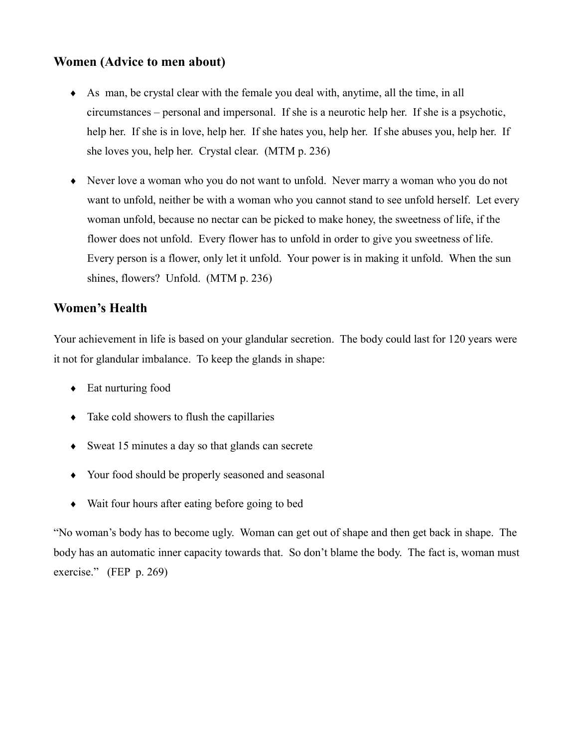### Women (Advice to men about)

- As man, be crystal clear with the female you deal with, anytime, all the time, in all circumstances – personal and impersonal. If she is a neurotic help her. If she is a psychotic, help her. If she is in love, help her. If she hates you, help her. If she abuses you, help her. If she loves you, help her. Crystal clear. (MTM p. 236)
- Never love a woman who you do not want to unfold. Never marry a woman who you do not want to unfold, neither be with a woman who you cannot stand to see unfold herself. Let every woman unfold, because no nectar can be picked to make honey, the sweetness of life, if the flower does not unfold. Every flower has to unfold in order to give you sweetness of life. Every person is a flower, only let it unfold. Your power is in making it unfold. When the sun shines, flowers? Unfold. (MTM p. 236)

### **Women's Health**

Your achievement in life is based on your glandular secretion. The body could last for 120 years were it not for glandular imbalance. To keep the glands in shape:

- $\bullet$  Eat nurturing food
- $\bullet$  Take cold showers to flush the capillaries
- $\bullet$  Sweat 15 minutes a day so that glands can secrete
- Your food should be properly seasoned and seasonal
- Wait four hours after eating before going to bed

"No woman's body has to become ugly. Woman can get out of shape and then get back in shape. The body has an automatic inner capacity towards that. So don't blame the body. The fact is, woman must exercise." (FEP  $p. 269$ )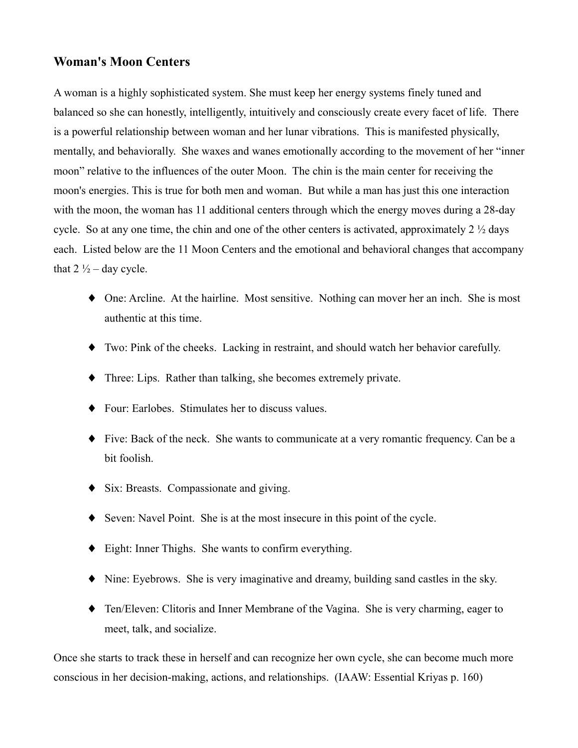#### **Woman's Moon Centers**

A woman is a highly sophisticated system. She must keep her energy systems finely tuned and balanced so she can honestly, intelligently, intuitively and consciously create every facet of life. There is a powerful relationship between woman and her lunar vibrations. This is manifested physically, mentally, and behaviorally. She waxes and wanes emotionally according to the movement of her "inner" moon" relative to the influences of the outer Moon. The chin is the main center for receiving the moon's energies. This is true for both men and woman. But while a man has just this one interaction with the moon, the woman has 11 additional centers through which the energy moves during a 28-day cycle. So at any one time, the chin and one of the other centers is activated, approximately  $2\frac{1}{2}$  days each. Listed below are the 11 Moon Centers and the emotional and behavioral changes that accompany that  $2\frac{1}{2}$  – day cycle.

- $\blacklozenge$  One: Arcline. At the hairline. Most sensitive. Nothing can mover her an inch. She is most authentic at this time.
- Two: Pink of the cheeks. Lacking in restraint, and should watch her behavior carefully.
- Three: Lips. Rather than talking, she becomes extremely private.
- Four: Earlobes. Stimulates her to discuss values.
- $\bullet$  Five: Back of the neck. She wants to communicate at a very romantic frequency. Can be a bit foolish.
- $\bullet$  Six: Breasts. Compassionate and giving.
- Seven: Navel Point. She is at the most insecure in this point of the cycle.
- Eight: Inner Thighs. She wants to confirm everything.
- $\blacklozenge$  Nine: Evebrows. She is very imaginative and dreamy, building sand castles in the sky.
- Ten/Eleven: Clitoris and Inner Membrane of the Vagina. She is very charming, eager to meet, talk, and socialize.

Once she starts to track these in herself and can recognize her own cycle, she can become much more conscious in her decision-making, actions, and relationships. (IAAW: Essential Krivas p. 160)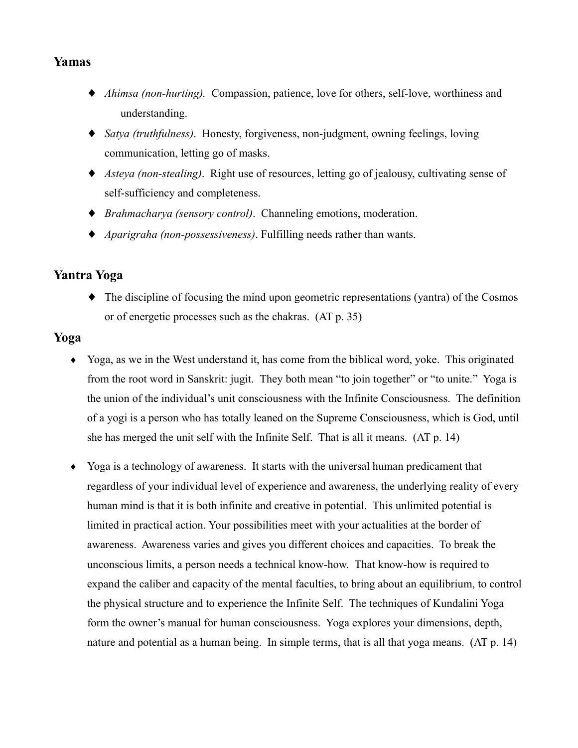### Yamas

- Ahimsa (non-hurting). Compassion, patience, love for others, self-love, worthiness and understanding.
- Satya (truthfulness). Honesty, forgiveness, non-judgment, owning feelings, loving communication, letting go of masks.
- Asteva (non-stealing). Right use of resources, letting go of jealousy, cultivating sense of self-sufficiency and completeness.
- ♦ *Brahmacharya (sensory control)*. Channeling emotions, moderation.
- $\blacklozenge$  *Aparigraha (non-possessiveness)*. Fulfilling needs rather than wants.

### Yantra Yoga

 $\bullet$  The discipline of focusing the mind upon geometric representations (yantra) of the Cosmos or of energetic processes such as the chakras. (AT p. 35)

#### Yoga

- Yoga, as we in the West understand it, has come from the biblical word, yoke. This originated from the root word in Sanskrit: jugit. They both mean "to join together" or "to unite." Yoga is the union of the individual's unit consciousness with the Infinite Consciousness. The definition of a yogi is a person who has totally leaned on the Supreme Consciousness, which is God, until she has merged the unit self with the Infinite Self. That is all it means. (AT p. 14)
- Yoga is a technology of awareness. It starts with the universal human predicament that regardless of your individual level of experience and awareness, the underlying reality of every human mind is that it is both infinite and creative in potential. This unlimited potential is limited in practical action. Your possibilities meet with your actualities at the border of awareness. Awareness varies and gives you different choices and capacities. To break the unconscious limits, a person needs a technical know-how. That know-how is required to expand the caliber and capacity of the mental faculties, to bring about an equilibrium, to control the physical structure and to experience the Infinite Self. The techniques of Kundalini Yoga form the owner's manual for human consciousness. Yoga explores your dimensions, depth, nature and potential as a human being. In simple terms, that is all that yoga means. (AT p. 14)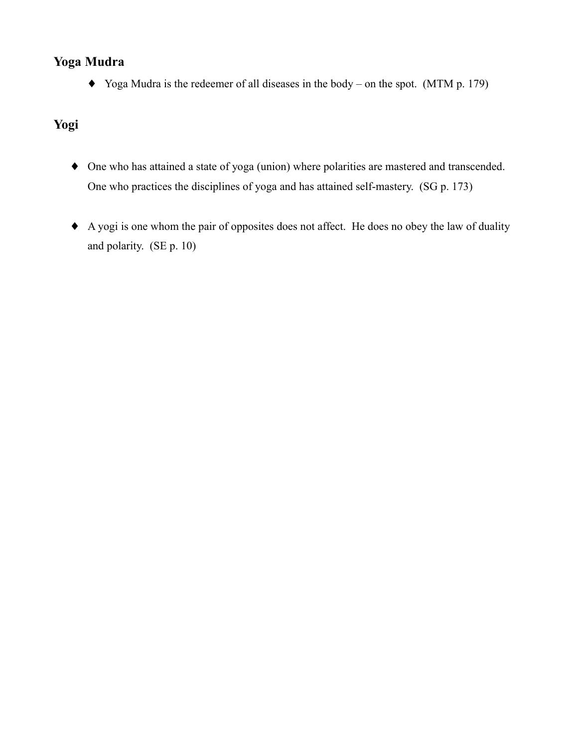## Yoga Mudra

 $\blacklozenge$  Yoga Mudra is the redeemer of all diseases in the body – on the spot. (MTM p. 179)

# Yogi

- One who has attained a state of yoga (union) where polarities are mastered and transcended. One who practices the disciplines of yoga and has attained self-mastery. (SG p. 173)
- A yogi is one whom the pair of opposites does not affect. He does no obey the law of duality and polarity. (SE p. 10)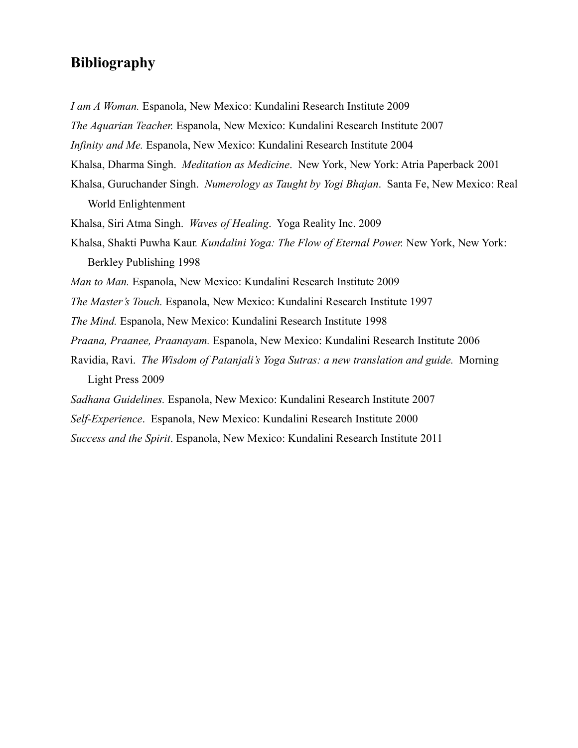# **Bibliography**

I am A Woman. Espanola, New Mexico: Kundalini Research Institute 2009

The Aquarian Teacher. Espanola, New Mexico: Kundalini Research Institute 2007

Infinity and Me. Espanola, New Mexico: Kundalini Research Institute 2004

Khalsa, Dharma Singh. Meditation as Medicine. New York, New York: Atria Paperback 2001

Khalsa, Guruchander Singh. Numerology as Taught by Yogi Bhajan. Santa Fe, New Mexico: Real World Enlightenment

Khalsa, Siri Atma Singh. Waves of Healing. Yoga Reality Inc. 2009

Khalsa, Shakti Puwha Kaur. Kundalini Yoga: The Flow of Eternal Power. New York, New York: Berkley Publishing 1998

Man to Man. Espanola, New Mexico: Kundalini Research Institute 2009

The Master's Touch. Espanola, New Mexico: Kundalini Research Institute 1997

The Mind. Espanola, New Mexico: Kundalini Research Institute 1998

Praana, Praanee, Praanayam. Espanola, New Mexico: Kundalini Research Institute 2006

Ravidia, Ravi. The Wisdom of Patanjali's Yoga Sutras: a new translation and guide. Morning Light Press 2009

Sadhana Guidelines. Espanola, New Mexico: Kundalini Research Institute 2007

Self-Experience. Espanola, New Mexico: Kundalini Research Institute 2000

Success and the Spirit. Espanola, New Mexico: Kundalini Research Institute 2011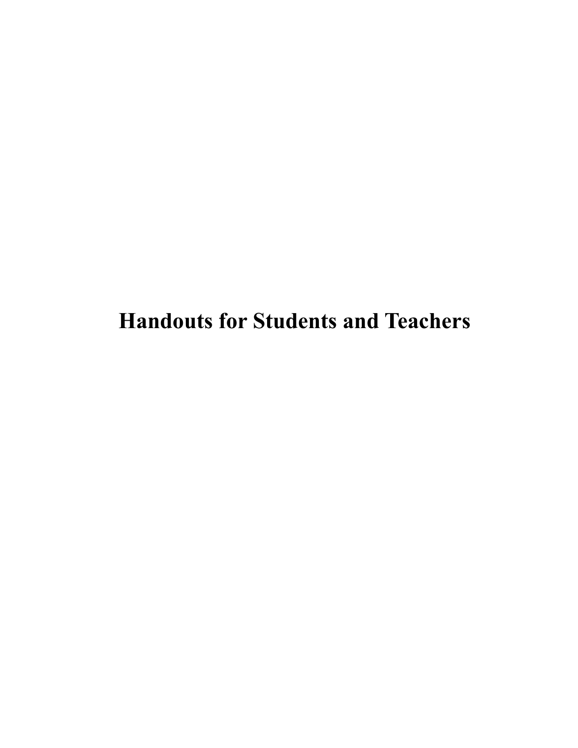**Handouts for Students and Teachers**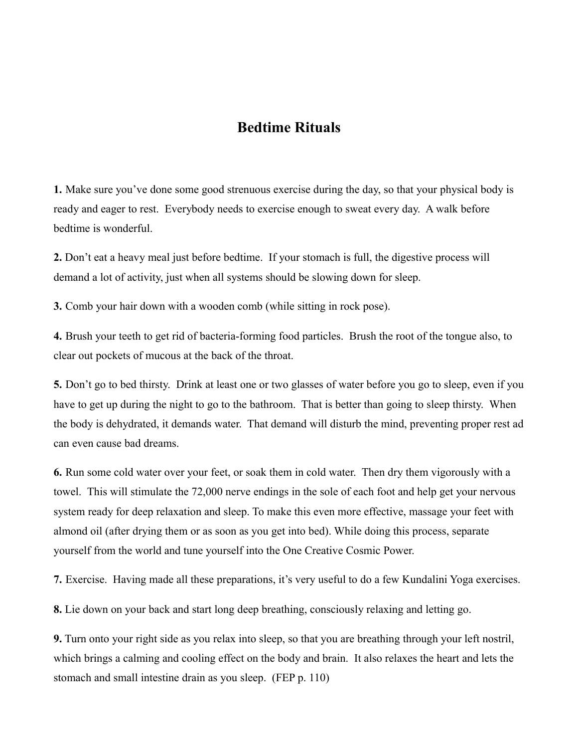## **Bedtime Rituals**

1. Make sure you've done some good strenuous exercise during the day, so that your physical body is ready and eager to rest. Everybody needs to exercise enough to sweat every day. A walk before bedtime is wonderful.

2. Don't eat a heavy meal just before bedtime. If your stomach is full, the digestive process will demand a lot of activity, just when all systems should be slowing down for sleep.

3. Comb your hair down with a wooden comb (while sitting in rock pose).

4. Brush your teeth to get rid of bacteria-forming food particles. Brush the root of the tongue also, to clear out pockets of mucous at the back of the throat.

5. Don't go to bed thirsty. Drink at least one or two glasses of water before you go to sleep, even if you have to get up during the night to go to the bathroom. That is better than going to sleep thirsty. When the body is dehydrated, it demands water. That demand will disturb the mind, preventing proper rest ad can even cause bad dreams.

6. Run some cold water over your feet, or soak them in cold water. Then dry them vigorously with a towel. This will stimulate the 72,000 nerve endings in the sole of each foot and help get your nervous system ready for deep relaxation and sleep. To make this even more effective, massage your feet with almond oil (after drying them or as soon as you get into bed). While doing this process, separate yourself from the world and tune yourself into the One Creative Cosmic Power.

7. Exercise. Having made all these preparations, it's very useful to do a few Kundalini Yoga exercises.

8. Lie down on your back and start long deep breathing, consciously relaxing and letting go.

9. Turn onto your right side as you relax into sleep, so that you are breathing through your left nostril, which brings a calming and cooling effect on the body and brain. It also relaxes the heart and lets the stomach and small intestine drain as you sleep. (FEP p. 110)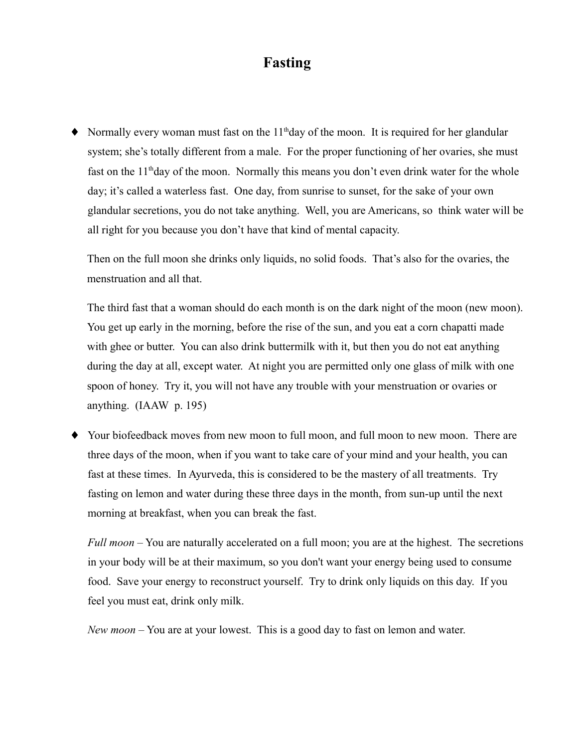# **Fasting**

• Normally every woman must fast on the  $11<sup>th</sup>$ day of the moon. It is required for her glandular system; she's totally different from a male. For the proper functioning of her ovaries, she must fast on the 11<sup>th</sup>day of the moon. Normally this means you don't even drink water for the whole day; it's called a waterless fast. One day, from sunrise to sunset, for the sake of your own glandular secretions, you do not take anything. Well, you are Americans, so think water will be all right for you because you don't have that kind of mental capacity.

Then on the full moon she drinks only liquids, no solid foods. That's also for the ovaries, the menstruation and all that.

The third fast that a woman should do each month is on the dark night of the moon (new moon). You get up early in the morning, before the rise of the sun, and you eat a corn chapatti made with ghee or butter. You can also drink buttermilk with it, but then you do not eat anything during the day at all, except water. At night you are permitted only one glass of milk with one spoon of honey. Try it, you will not have any trouble with your menstruation or ovaries or anything.  $(IAAW \text{ p. } 195)$ 

• Your biofeedback moves from new moon to full moon, and full moon to new moon. There are three days of the moon, when if you want to take care of your mind and your health, you can fast at these times. In Ayurveda, this is considered to be the mastery of all treatments. Try fasting on lemon and water during these three days in the month, from sun-up until the next morning at breakfast, when you can break the fast.

Full moon – You are naturally accelerated on a full moon; you are at the highest. The secretions in your body will be at their maximum, so you don't want your energy being used to consume food. Save your energy to reconstruct yourself. Try to drink only liquids on this day. If you feel you must eat, drink only milk.

*New moon* – You are at your lowest. This is a good day to fast on lemon and water.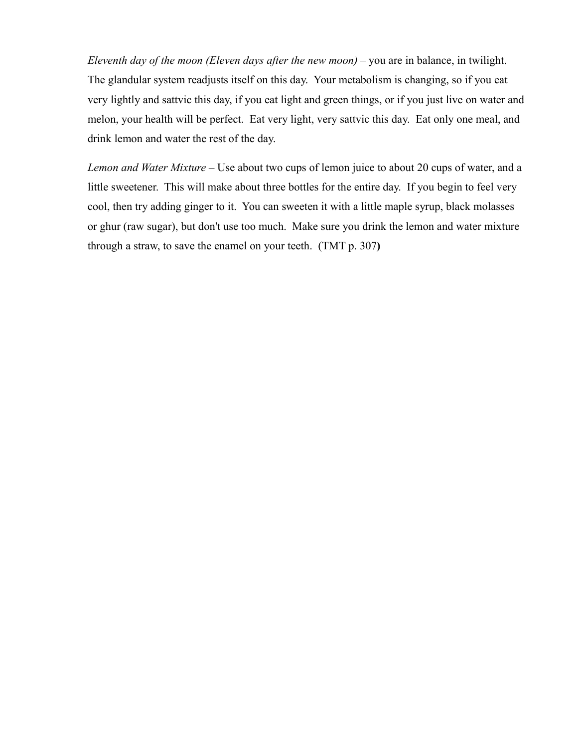Eleventh day of the moon (Eleven days after the new moon) – you are in balance, in twilight. The glandular system readjusts itself on this day. Your metabolism is changing, so if you eat very lightly and sattvic this day, if you eat light and green things, or if you just live on water and melon, your health will be perfect. Eat very light, very sattvic this day. Eat only one meal, and drink lemon and water the rest of the day.

Lemon and Water Mixture – Use about two cups of lemon juice to about 20 cups of water, and a little sweetener. This will make about three bottles for the entire day. If you begin to feel very cool, then try adding ginger to it. You can sweeten it with a little maple syrup, black molasses or ghur (raw sugar), but don't use too much. Make sure you drink the lemon and water mixture through a straw, to save the enamel on your teeth. (TMT p. 307)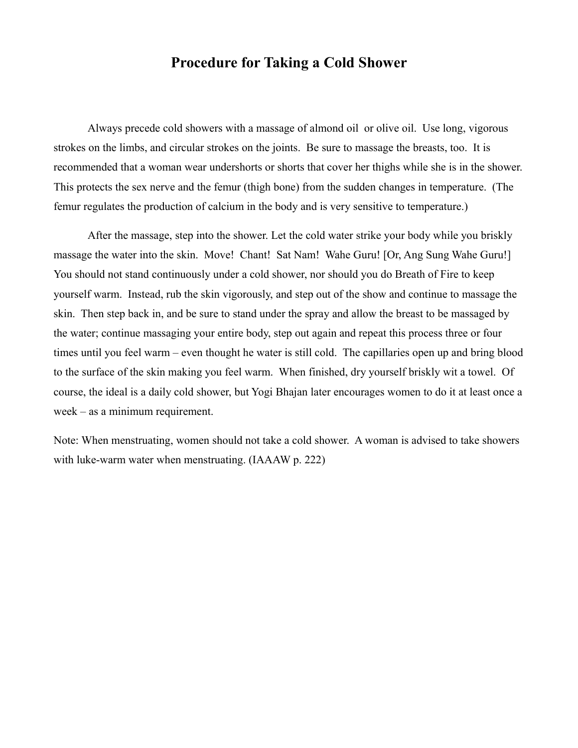## **Procedure for Taking a Cold Shower**

Always precede cold showers with a massage of almond oil or olive oil. Use long, vigorous strokes on the limbs, and circular strokes on the joints. Be sure to massage the breasts, too. It is recommended that a woman wear undershorts or shorts that cover her thighs while she is in the shower. This protects the sex nerve and the femur (thigh bone) from the sudden changes in temperature. (The femur regulates the production of calcium in the body and is very sensitive to temperature.)

After the massage, step into the shower. Let the cold water strike your body while you briskly massage the water into the skin. Move! Chant! Sat Nam! Wahe Guru! [Or, Ang Sung Wahe Guru!] You should not stand continuously under a cold shower, nor should you do Breath of Fire to keep yourself warm. Instead, rub the skin vigorously, and step out of the show and continue to massage the skin. Then step back in, and be sure to stand under the spray and allow the breast to be massaged by the water; continue massaging your entire body, step out again and repeat this process three or four times until you feel warm – even thought he water is still cold. The capillaries open up and bring blood to the surface of the skin making you feel warm. When finished, dry yourself briskly wit a towel. Of course, the ideal is a daily cold shower, but Yogi Bhajan later encourages women to do it at least once a  $week - as a minimum requirement.$ 

Note: When menstruating, women should not take a cold shower. A woman is advised to take showers with luke-warm water when menstruating. (IAAAW p. 222)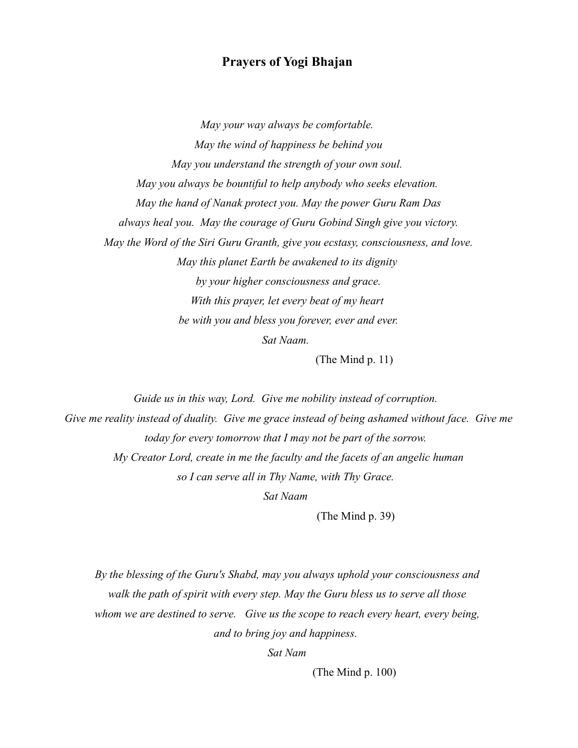#### **Prayers of Yogi Bhajan**

May your way always be comfortable. May the wind of happiness be behind you May you understand the strength of your own soul. May you always be bountiful to help anybody who seeks elevation. May the hand of Nanak protect you. May the power Guru Ram Das always heal you. May the courage of Guru Gobind Singh give you victory. May the Word of the Siri Guru Granth, give you ecstasy, consciousness, and love. May this planet Earth be awakened to its dignity by your higher consciousness and grace. With this prayer, let every beat of my heart be with you and bless you forever, ever and ever. Sat Naam.

(The Mind  $p. 11$ )

Guide us in this way, Lord. Give me nobility instead of corruption. Give me reality instead of duality. Give me grace instead of being ashamed without face. Give me today for every tomorrow that I may not be part of the sorrow. My Creator Lord, create in me the faculty and the facets of an angelic human so I can serve all in Thy Name, with Thy Grace. Sat Naam

(The Mind  $p. 39$ )

By the blessing of the Guru's Shabd, may you always uphold your consciousness and walk the path of spirit with every step. May the Guru bless us to serve all those whom we are destined to serve. Give us the scope to reach every heart, every being, and to bring joy and happiness.

Sat Nam

(The Mind  $p. 100$ )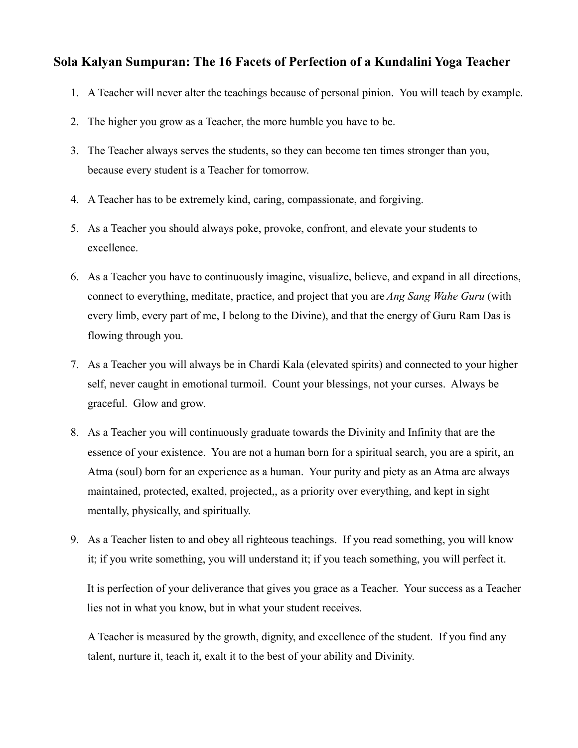### Sola Kalyan Sumpuran: The 16 Facets of Perfection of a Kundalini Yoga Teacher

- 1. A Teacher will never alter the teachings because of personal pinion. You will teach by example.
- 2. The higher you grow as a Teacher, the more humble you have to be.
- 3. The Teacher always serves the students, so they can become ten times stronger than you, because every student is a Teacher for tomorrow.
- 4. A Teacher has to be extremely kind, caring, compassionate, and forgiving.
- 5. As a Teacher you should always poke, provoke, confront, and elevate your students to excellence.
- 6. As a Teacher you have to continuously imagine, visualize, believe, and expand in all directions, connect to everything, meditate, practice, and project that you are *Ang Sang Wahe Guru* (with every limb, every part of me, I belong to the Divine), and that the energy of Guru Ram Das is flowing through you.
- 7. As a Teacher you will always be in Chardi Kala (elevated spirits) and connected to your higher self, never caught in emotional turmoil. Count your blessings, not your curses. Always be graceful. Glow and grow.
- 8. As a Teacher you will continuously graduate towards the Divinity and Infinity that are the essence of your existence. You are not a human born for a spiritual search, you are a spirit, an Atma (soul) born for an experience as a human. Your purity and piety as an Atma are always maintained, protected, exalted, projected,, as a priority over everything, and kept in sight mentally, physically, and spiritually.
- 9. As a Teacher listen to and obey all righteous teachings. If you read something, you will know it; if you write something, you will understand it; if you teach something, you will perfect it.

It is perfection of your deliverance that gives you grace as a Teacher. Your success as a Teacher lies not in what you know, but in what your student receives.

A Teacher is measured by the growth, dignity, and excellence of the student. If you find any talent, nurture it, teach it, exalt it to the best of your ability and Divinity.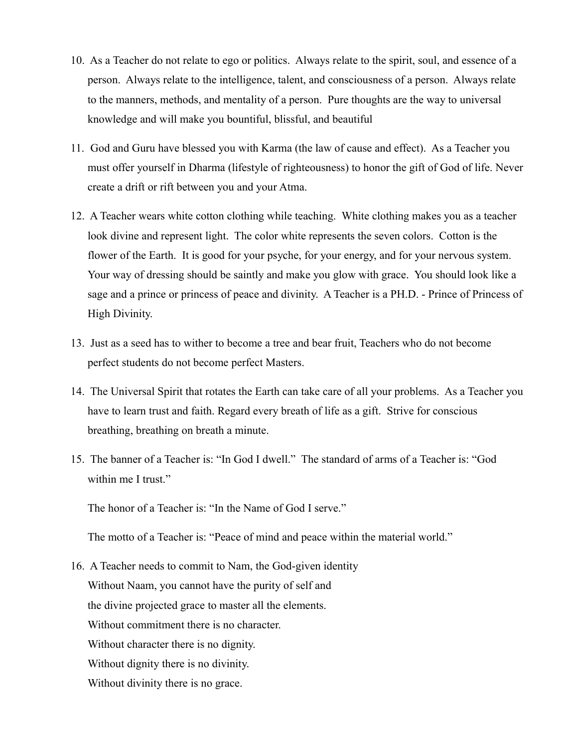- 10. As a Teacher do not relate to ego or politics. Always relate to the spirit, soul, and essence of a person. Always relate to the intelligence, talent, and consciousness of a person. Always relate to the manners, methods, and mentality of a person. Pure thoughts are the way to universal knowledge and will make you bountiful, blissful, and beautiful
- 11. God and Guru have blessed you with Karma (the law of cause and effect). As a Teacher you must offer yourself in Dharma (lifestyle of righteousness) to honor the gift of God of life. Never create a drift or rift between you and your Atma.
- 12. A Teacher wears white cotton clothing while teaching. White clothing makes you as a teacher look divine and represent light. The color white represents the seven colors. Cotton is the flower of the Earth. It is good for your psyche, for your energy, and for your nervous system. Your way of dressing should be saintly and make you glow with grace. You should look like a sage and a prince or princess of peace and divinity. A Teacher is a PH.D. - Prince of Princess of High Divinity.
- 13. Just as a seed has to wither to become a tree and bear fruit, Teachers who do not become perfect students do not become perfect Masters.
- 14. The Universal Spirit that rotates the Earth can take care of all your problems. As a Teacher you have to learn trust and faith. Regard every breath of life as a gift. Strive for conscious breathing, breathing on breath a minute.
- 15. The banner of a Teacher is: "In God I dwell." The standard of arms of a Teacher is: "God within me I trust."

The honor of a Teacher is: "In the Name of God I serve."

The motto of a Teacher is: "Peace of mind and peace within the material world."

16. A Teacher needs to commit to Nam, the God-given identity Without Naam, you cannot have the purity of self and the divine projected grace to master all the elements. Without commitment there is no character. Without character there is no dignity. Without dignity there is no divinity. Without divinity there is no grace.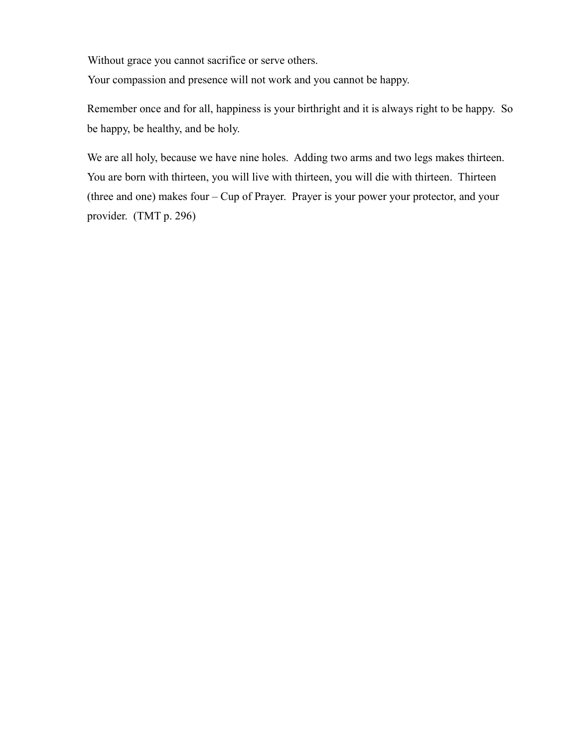Without grace you cannot sacrifice or serve others.

Your compassion and presence will not work and you cannot be happy.

Remember once and for all, happiness is your birthright and it is always right to be happy. So be happy, be healthy, and be holy.

We are all holy, because we have nine holes. Adding two arms and two legs makes thirteen. You are born with thirteen, you will live with thirteen, you will die with thirteen. Thirteen (three and one) makes four – Cup of Prayer. Prayer is your power your protector, and your provider. (TMT p. 296)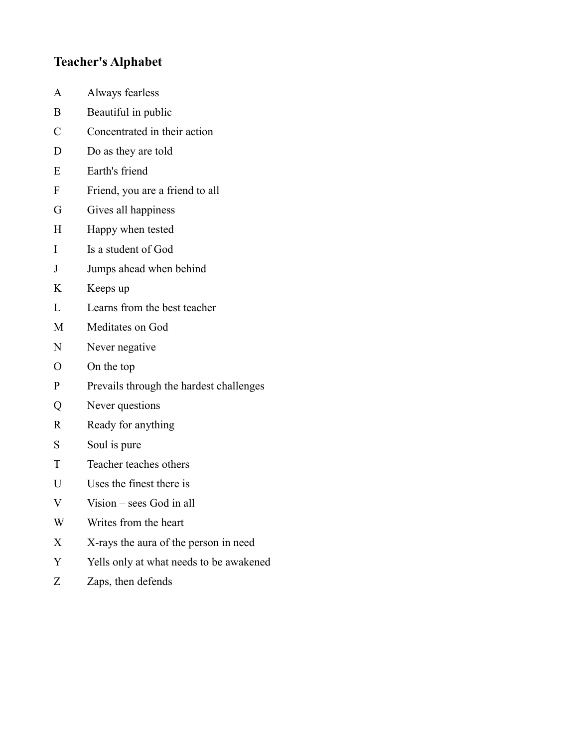## **Teacher's Alphabet**

- $\mathbf{A}$ Always fearless
- Beautiful in public  $\mathbf B$
- $\overline{C}$ Concentrated in their action
- $\mathbf{D}$ Do as they are told
- ${\bf E}$ Earth's friend
- $\overline{\mathrm{F}}$ Friend, you are a friend to all
- ${\bf G}$ Gives all happiness
- $H$ Happy when tested
- $\mathbf I$ Is a student of God
- Jumps ahead when behind  $\bf J$
- $K$ Keeps up
- $\mathbf{L}$ Learns from the best teacher
- $\mathbf{M}$ Meditates on God
- Never negative  $\mathbf N$
- $\overline{O}$ On the top
- Prevails through the hardest challenges  $\mathbf{P}$
- $Q$ Never questions
- Ready for anything  $\mathbf R$
- $S$ Soul is pure
- $\mathbf T$ Teacher teaches others
- $U$ Uses the finest there is
- $\mathbf V$ Vision  $-$  sees God in all
- W Writes from the heart
- $X$ X-rays the aura of the person in need
- $\mathbf{Y}$ Yells only at what needs to be awakened
- $Z_{\rm}$ Zaps, then defends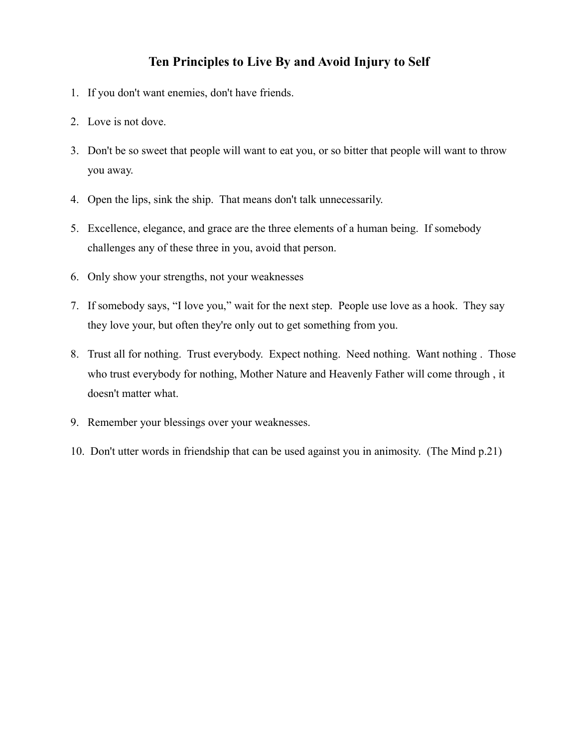### Ten Principles to Live By and Avoid Injury to Self

- 1. If you don't want enemies, don't have friends.
- 2. Love is not dove.
- 3. Don't be so sweet that people will want to eat you, or so bitter that people will want to throw you away.
- 4. Open the lips, sink the ship. That means don't talk unnecessarily.
- 5. Excellence, elegance, and grace are the three elements of a human being. If somebody challenges any of these three in you, avoid that person.
- 6. Only show your strengths, not your weaknesses
- 7. If somebody says, "I love you," wait for the next step. People use love as a hook. They say they love your, but often they're only out to get something from you.
- 8. Trust all for nothing. Trust everybody. Expect nothing. Need nothing. Want nothing. Those who trust everybody for nothing, Mother Nature and Heavenly Father will come through, it doesn't matter what.
- 9. Remember your blessings over your weaknesses.
- 10. Don't utter words in friendship that can be used against you in animosity. (The Mind p.21)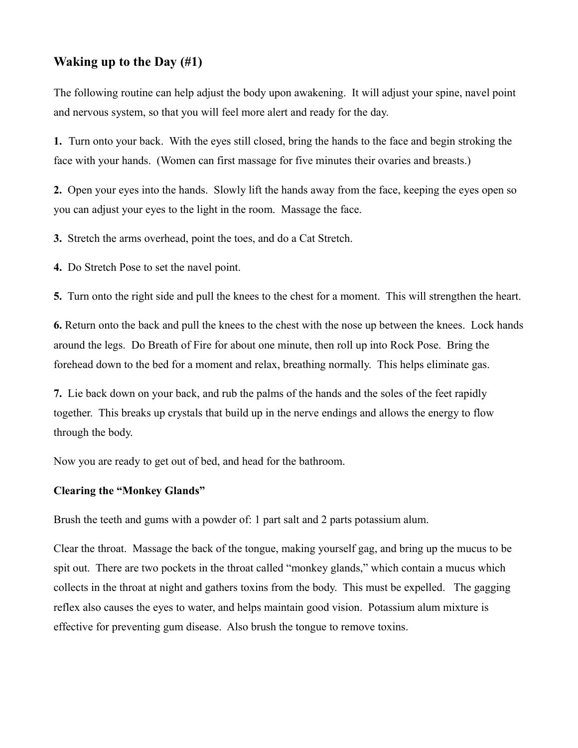### Waking up to the Day  $(\#1)$

The following routine can help adjust the body upon awakening. It will adjust your spine, navel point and nervous system, so that you will feel more alert and ready for the day.

1. Turn onto your back. With the eyes still closed, bring the hands to the face and begin stroking the face with your hands. (Women can first massage for five minutes their ovaries and breasts.)

2. Open your eyes into the hands. Slowly lift the hands away from the face, keeping the eyes open so you can adjust your eyes to the light in the room. Massage the face.

3. Stretch the arms overhead, point the toes, and do a Cat Stretch.

4. Do Stretch Pose to set the navel point.

5. Turn onto the right side and pull the knees to the chest for a moment. This will strengthen the heart.

6. Return onto the back and pull the knees to the chest with the nose up between the knees. Lock hands around the legs. Do Breath of Fire for about one minute, then roll up into Rock Pose. Bring the forehead down to the bed for a moment and relax, breathing normally. This helps eliminate gas.

7. Lie back down on your back, and rub the palms of the hands and the soles of the feet rapidly together. This breaks up crystals that build up in the nerve endings and allows the energy to flow through the body.

Now you are ready to get out of bed, and head for the bathroom.

#### **Clearing the "Monkey Glands"**

Brush the teeth and gums with a powder of: 1 part salt and 2 parts potassium alum.

Clear the throat. Massage the back of the tongue, making yourself gag, and bring up the mucus to be spit out. There are two pockets in the throat called "monkey glands," which contain a mucus which collects in the throat at night and gathers toxins from the body. This must be expelled. The gagging reflex also causes the eyes to water, and helps maintain good vision. Potassium alum mixture is effective for preventing gum disease. Also brush the tongue to remove toxins.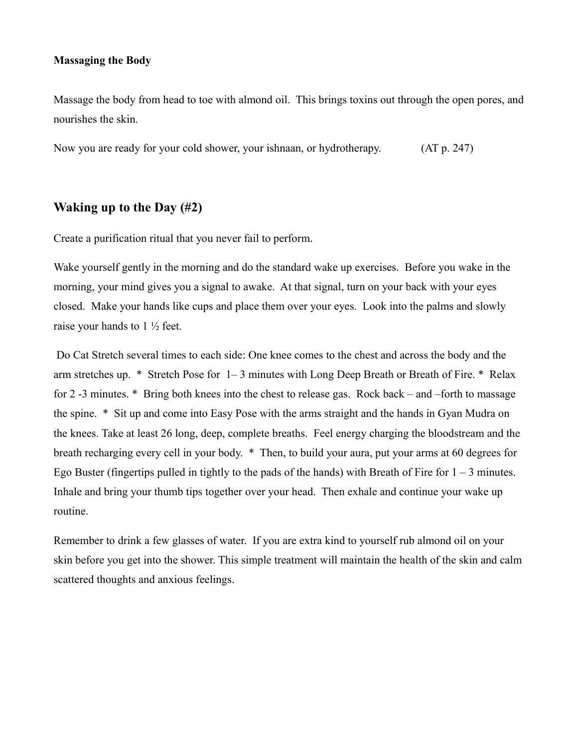#### **Massaging the Body**

Massage the body from head to toe with almond oil. This brings toxins out through the open pores, and nourishes the skin.

 $(AT p. 247)$ Now you are ready for your cold shower, your ishnaan, or hydrotherapy.

### Waking up to the Day  $(\#2)$

Create a purification ritual that you never fail to perform.

Wake yourself gently in the morning and do the standard wake up exercises. Before you wake in the morning, your mind gives you a signal to awake. At that signal, turn on your back with your eves closed. Make your hands like cups and place them over your eyes. Look into the palms and slowly raise your hands to  $1\frac{1}{2}$  feet.

Do Cat Stretch several times to each side: One knee comes to the chest and across the body and the arm stretches up. \* Stretch Pose for 1–3 minutes with Long Deep Breath or Breath of Fire. \* Relax for 2-3 minutes. \* Bring both knees into the chest to release gas. Rock back – and –forth to massage the spine. \* Sit up and come into Easy Pose with the arms straight and the hands in Gyan Mudra on the knees. Take at least 26 long, deep, complete breaths. Feel energy charging the bloodstream and the breath recharging every cell in your body. \* Then, to build your aura, put your arms at 60 degrees for Ego Buster (fingertips pulled in tightly to the pads of the hands) with Breath of Fire for  $1 - 3$  minutes. Inhale and bring your thumb tips together over your head. Then exhale and continue your wake up routine.

Remember to drink a few glasses of water. If you are extra kind to yourself rub almond oil on your skin before you get into the shower. This simple treatment will maintain the health of the skin and calm scattered thoughts and anxious feelings.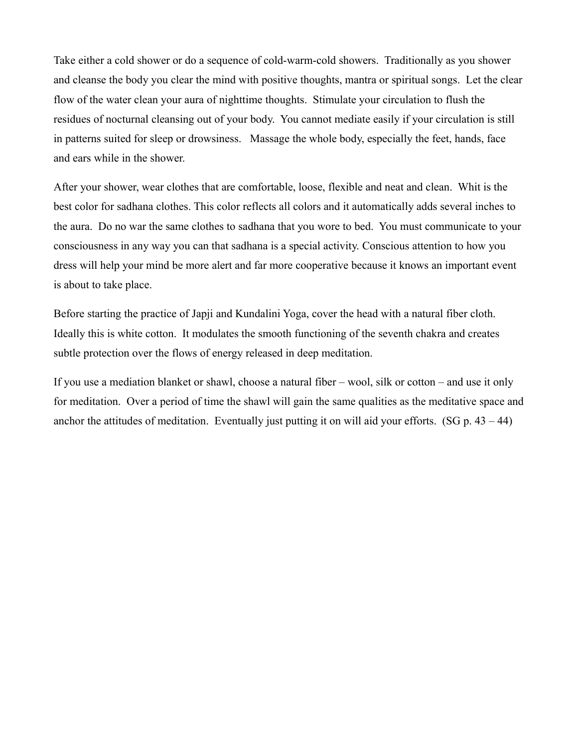Take either a cold shower or do a sequence of cold-warm-cold showers. Traditionally as you shower and cleanse the body you clear the mind with positive thoughts, mantra or spiritual songs. Let the clear flow of the water clean your aura of nighttime thoughts. Stimulate your circulation to flush the residues of nocturnal cleansing out of your body. You cannot mediate easily if your circulation is still in patterns suited for sleep or drowsiness. Massage the whole body, especially the feet, hands, face and ears while in the shower.

After your shower, wear clothes that are comfortable, loose, flexible and neat and clean. Whit is the best color for sadhana clothes. This color reflects all colors and it automatically adds several inches to the aura. Do no war the same clothes to sadhana that you wore to bed. You must communicate to your consciousness in any way you can that sadhana is a special activity. Conscious attention to how you dress will help your mind be more alert and far more cooperative because it knows an important event is about to take place.

Before starting the practice of Japji and Kundalini Yoga, cover the head with a natural fiber cloth. Ideally this is white cotton. It modulates the smooth functioning of the seventh chakra and creates subtle protection over the flows of energy released in deep meditation.

If you use a mediation blanket or shawl, choose a natural fiber  $-$  wool, silk or cotton  $-$  and use it only for meditation. Over a period of time the shawl will gain the same qualities as the meditative space and anchor the attitudes of meditation. Eventually just putting it on will aid your efforts. (SG  $p. 43 - 44$ )